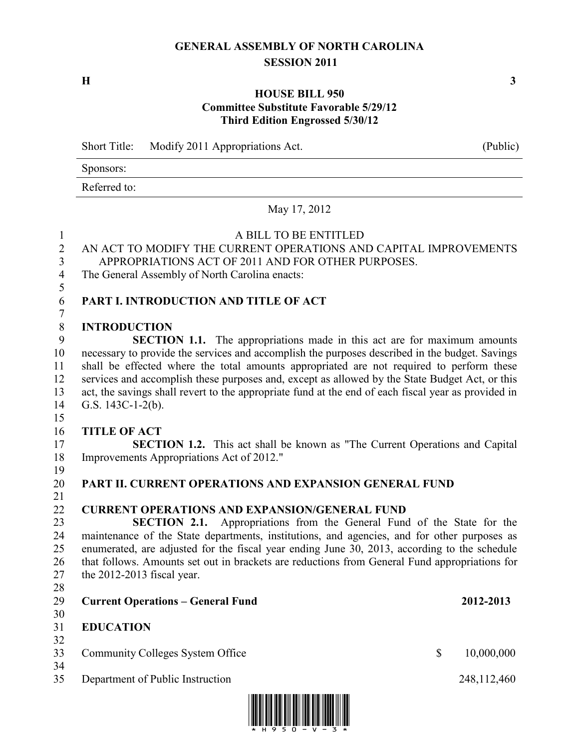#### **GENERAL ASSEMBLY OF NORTH CAROLINA SESSION 2011**

#### **H** 3 **HOUSE BILL 950 Committee Substitute Favorable 5/29/12 Third Edition Engrossed 5/30/12**

Short Title: Modify 2011 Appropriations Act. (Public)

Sponsors:

Referred to:

May 17, 2012

#### A BILL TO BE ENTITLED

- 2 AN ACT TO MODIFY THE CURRENT OPERATIONS AND CAPITAL IMPROVEMENTS<br>3 APPROPRIATIONS ACT OF 2011 AND FOR OTHER PURPOSES. APPROPRIATIONS ACT OF 2011 AND FOR OTHER PURPOSES.
- The General Assembly of North Carolina enacts:

## **PART I. INTRODUCTION AND TITLE OF ACT**

## $\begin{array}{c} 7 \\ 8 \end{array}$

 **INTRODUCTION SECTION 1.1.** The appropriations made in this act are for maximum amounts necessary to provide the services and accomplish the purposes described in the budget. Savings shall be effected where the total amounts appropriated are not required to perform these services and accomplish these purposes and, except as allowed by the State Budget Act, or this act, the savings shall revert to the appropriate fund at the end of each fiscal year as provided in G.S. 143C-1-2(b).

### **TITLE OF ACT**

 **SECTION 1.2.** This act shall be known as "The Current Operations and Capital Improvements Appropriations Act of 2012."

## **PART II. CURRENT OPERATIONS AND EXPANSION GENERAL FUND**

## **CURRENT OPERATIONS AND EXPANSION/GENERAL FUND**

 **SECTION 2.1.** Appropriations from the General Fund of the State for the maintenance of the State departments, institutions, and agencies, and for other purposes as enumerated, are adjusted for the fiscal year ending June 30, 2013, according to the schedule that follows. Amounts set out in brackets are reductions from General Fund appropriations for the 2012-2013 fiscal year.

 **Current Operations – General Fund 2012-2013 EDUCATION**  33 Community Colleges System Office \$ 10,000,000 Department of Public Instruction 248,112,460

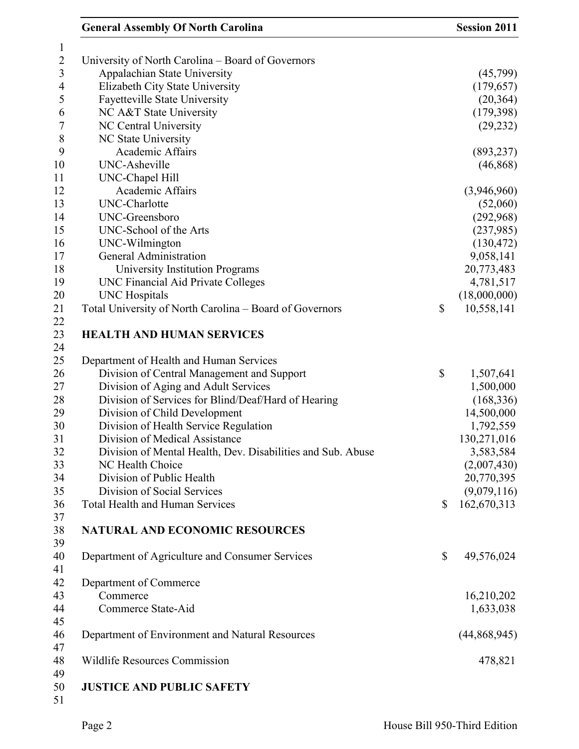| $\mathbf{1}$   |                                                             |              |              |
|----------------|-------------------------------------------------------------|--------------|--------------|
| $\overline{2}$ | University of North Carolina - Board of Governors           |              |              |
| $\mathfrak{Z}$ | Appalachian State University                                |              | (45,799)     |
| $\overline{4}$ | Elizabeth City State University                             |              | (179, 657)   |
| 5              | <b>Fayetteville State University</b>                        |              | (20, 364)    |
| 6              | NC A&T State University                                     |              | (179,398)    |
| $\overline{7}$ | NC Central University                                       |              | (29, 232)    |
| $\,8\,$        | NC State University                                         |              |              |
| 9              | Academic Affairs                                            |              | (893, 237)   |
| 10             | UNC-Asheville                                               |              | (46, 868)    |
| 11             | <b>UNC-Chapel Hill</b>                                      |              |              |
| 12             | Academic Affairs                                            |              | (3,946,960)  |
| 13             | <b>UNC-Charlotte</b>                                        |              | (52,060)     |
| 14             | UNC-Greensboro                                              |              | (292,968)    |
| 15             | UNC-School of the Arts                                      |              |              |
|                |                                                             |              | (237,985)    |
| 16             | UNC-Wilmington                                              |              | (130, 472)   |
| 17             | General Administration                                      |              | 9,058,141    |
| 18             | University Institution Programs                             |              | 20,773,483   |
| 19             | UNC Financial Aid Private Colleges                          |              | 4,781,517    |
| 20             | <b>UNC</b> Hospitals                                        |              | (18,000,000) |
| 21             | Total University of North Carolina – Board of Governors     | \$           | 10,558,141   |
| 22             |                                                             |              |              |
| 23             | <b>HEALTH AND HUMAN SERVICES</b>                            |              |              |
| 24             |                                                             |              |              |
| 25             | Department of Health and Human Services                     |              |              |
| 26             | Division of Central Management and Support                  | \$           | 1,507,641    |
| 27             | Division of Aging and Adult Services                        |              | 1,500,000    |
| 28             | Division of Services for Blind/Deaf/Hard of Hearing         |              | (168, 336)   |
| 29             | Division of Child Development                               |              | 14,500,000   |
| 30             | Division of Health Service Regulation                       |              | 1,792,559    |
| 31             | Division of Medical Assistance                              |              | 130,271,016  |
| 32             | Division of Mental Health, Dev. Disabilities and Sub. Abuse |              | 3,583,584    |
| 33             | NC Health Choice                                            |              | (2,007,430)  |
| 34             | Division of Public Health                                   |              | 20,770,395   |
| 35             | Division of Social Services                                 |              | (9,079,116)  |
| 36             | <b>Total Health and Human Services</b>                      | $\mathbb{S}$ | 162,670,313  |
| 37             |                                                             |              |              |
| 38             | <b>NATURAL AND ECONOMIC RESOURCES</b>                       |              |              |
| 39             |                                                             |              |              |
| 40             | Department of Agriculture and Consumer Services             | \$           | 49,576,024   |
| 41             |                                                             |              |              |
| 42             | Department of Commerce                                      |              |              |
| 43             | Commerce                                                    |              | 16,210,202   |
| 44             | Commerce State-Aid                                          |              | 1,633,038    |
| 45             |                                                             |              |              |
| 46             | Department of Environment and Natural Resources             |              | (44,868,945) |
| 47             |                                                             |              |              |
|                | <b>Wildlife Resources Commission</b>                        |              |              |
| 48             |                                                             |              | 478,821      |
| 49             |                                                             |              |              |
| 50             | <b>JUSTICE AND PUBLIC SAFETY</b>                            |              |              |
| 51             |                                                             |              |              |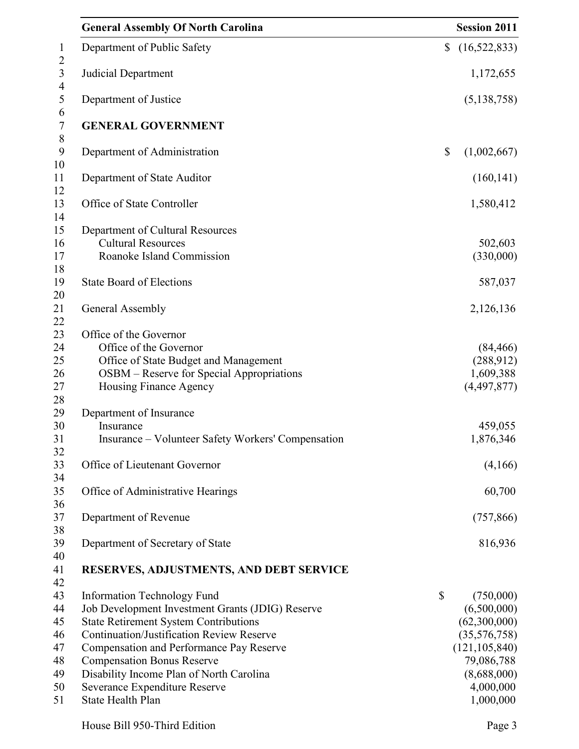| <b>General Assembly Of North Carolina</b>          |               | <b>Session 2011</b> |
|----------------------------------------------------|---------------|---------------------|
| Department of Public Safety                        | $\mathbb{S}$  | (16, 522, 833)      |
| Judicial Department                                |               | 1,172,655           |
| Department of Justice                              |               | (5, 138, 758)       |
| <b>GENERAL GOVERNMENT</b>                          |               |                     |
| Department of Administration                       | $\mathcal{S}$ | (1,002,667)         |
| Department of State Auditor                        |               | (160, 141)          |
| Office of State Controller                         |               | 1,580,412           |
| Department of Cultural Resources                   |               |                     |
| <b>Cultural Resources</b>                          |               | 502,603             |
| Roanoke Island Commission                          |               | (330,000)           |
| <b>State Board of Elections</b>                    |               | 587,037             |
| General Assembly                                   |               | 2,126,136           |
| Office of the Governor                             |               |                     |
| Office of the Governor                             |               | (84, 466)           |
| Office of State Budget and Management              |               | (288, 912)          |
| OSBM - Reserve for Special Appropriations          |               | 1,609,388           |
| Housing Finance Agency                             |               | (4, 497, 877)       |
| Department of Insurance                            |               |                     |
| Insurance                                          |               | 459,055             |
| Insurance - Volunteer Safety Workers' Compensation |               | 1,876,346           |
| Office of Lieutenant Governor                      |               | (4,166)             |
| Office of Administrative Hearings                  |               | 60,700              |
| Department of Revenue                              |               | (757, 866)          |
| Department of Secretary of State                   |               | 816,936             |
| <b>RESERVES, ADJUSTMENTS, AND DEBT SERVICE</b>     |               |                     |
| Information Technology Fund                        | \$            | (750,000)           |
| Job Development Investment Grants (JDIG) Reserve   |               | (6,500,000)         |
| <b>State Retirement System Contributions</b>       |               | (62,300,000)        |
| <b>Continuation/Justification Review Reserve</b>   |               | (35,576,758)        |
| Compensation and Performance Pay Reserve           |               | (121, 105, 840)     |
| <b>Compensation Bonus Reserve</b>                  |               | 79,086,788          |
| Disability Income Plan of North Carolina           |               | (8,688,000)         |
| Severance Expenditure Reserve                      |               | 4,000,000           |
|                                                    |               | 1,000,000           |

House Bill 950-Third Edition Page 3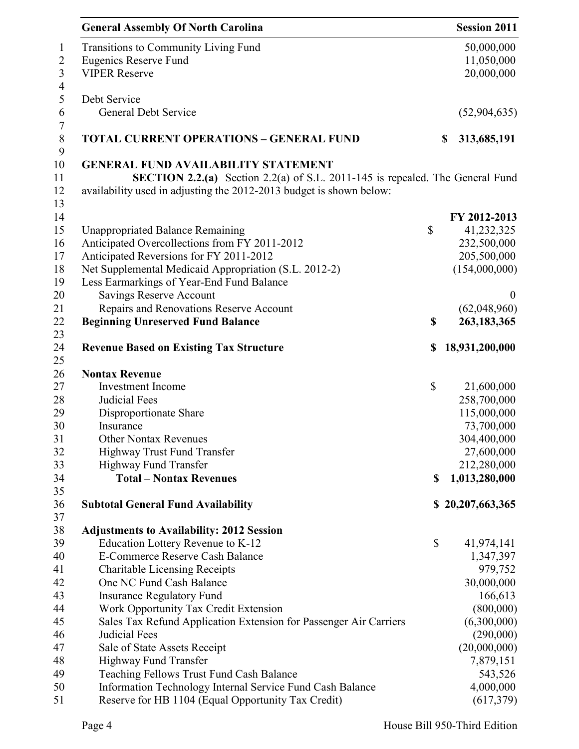| <b>General Assembly Of North Carolina</b>                                            | <b>Session 2011</b>  |
|--------------------------------------------------------------------------------------|----------------------|
| Transitions to Community Living Fund                                                 | 50,000,000           |
| Eugenics Reserve Fund                                                                | 11,050,000           |
| <b>VIPER Reserve</b>                                                                 | 20,000,000           |
| Debt Service                                                                         |                      |
| General Debt Service                                                                 | (52, 904, 635)       |
| <b>TOTAL CURRENT OPERATIONS - GENERAL FUND</b>                                       | 313,685,191<br>\$    |
| <b>GENERAL FUND AVAILABILITY STATEMENT</b>                                           |                      |
| <b>SECTION 2.2.(a)</b> Section 2.2(a) of S.L. 2011-145 is repealed. The General Fund |                      |
| availability used in adjusting the 2012-2013 budget is shown below:                  |                      |
|                                                                                      |                      |
|                                                                                      | FY 2012-2013         |
| <b>Unappropriated Balance Remaining</b>                                              | \$<br>41,232,325     |
| Anticipated Overcollections from FY 2011-2012                                        | 232,500,000          |
| Anticipated Reversions for FY 2011-2012                                              | 205,500,000          |
| Net Supplemental Medicaid Appropriation (S.L. 2012-2)                                | (154,000,000)        |
| Less Earmarkings of Year-End Fund Balance                                            |                      |
| <b>Savings Reserve Account</b>                                                       | $\theta$             |
| Repairs and Renovations Reserve Account                                              | (62,048,960)         |
| <b>Beginning Unreserved Fund Balance</b>                                             | \$<br>263, 183, 365  |
| <b>Revenue Based on Existing Tax Structure</b>                                       | \$<br>18,931,200,000 |
| <b>Nontax Revenue</b>                                                                |                      |
| <b>Investment Income</b>                                                             | \$<br>21,600,000     |
| Judicial Fees                                                                        | 258,700,000          |
| Disproportionate Share                                                               | 115,000,000          |
| Insurance                                                                            | 73,700,000           |
| <b>Other Nontax Revenues</b>                                                         | 304,400,000          |
| <b>Highway Trust Fund Transfer</b>                                                   | 27,600,000           |
| Highway Fund Transfer                                                                | 212,280,000          |
| <b>Total - Nontax Revenues</b>                                                       | \$<br>1,013,280,000  |
|                                                                                      |                      |
| <b>Subtotal General Fund Availability</b>                                            | \$20,207,663,365     |
|                                                                                      |                      |
| <b>Adjustments to Availability: 2012 Session</b>                                     |                      |
| Education Lottery Revenue to K-12                                                    | \$<br>41,974,141     |
| E-Commerce Reserve Cash Balance                                                      | 1,347,397            |
| <b>Charitable Licensing Receipts</b>                                                 | 979,752              |
| One NC Fund Cash Balance                                                             | 30,000,000           |
| <b>Insurance Regulatory Fund</b>                                                     | 166,613              |
| Work Opportunity Tax Credit Extension                                                | (800,000)            |
| Sales Tax Refund Application Extension for Passenger Air Carriers                    | (6,300,000)          |
| Judicial Fees                                                                        | (290,000)            |
| Sale of State Assets Receipt                                                         | (20,000,000)         |
| <b>Highway Fund Transfer</b>                                                         | 7,879,151            |
| Teaching Fellows Trust Fund Cash Balance                                             | 543,526              |
| Information Technology Internal Service Fund Cash Balance                            | 4,000,000            |
| Reserve for HB 1104 (Equal Opportunity Tax Credit)                                   | (617, 379)           |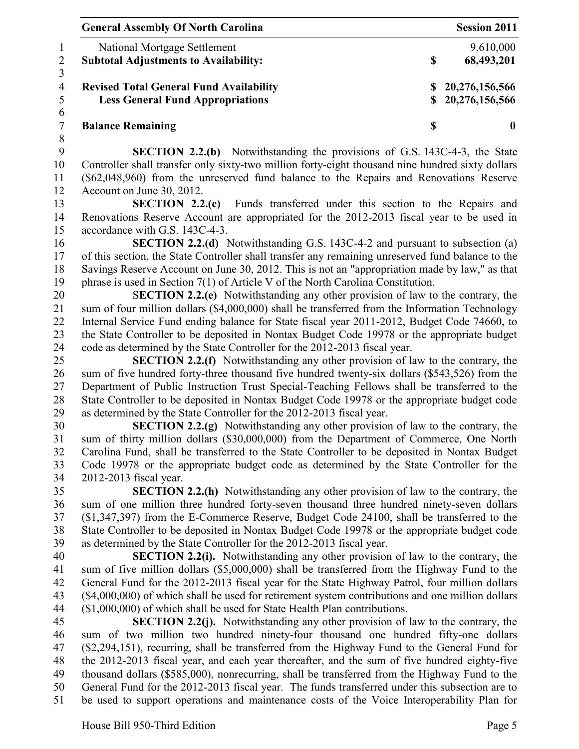| <b>General Assembly Of North Carolina</b>                                                                                                                                                       |         | <b>Session 2011</b>              |
|-------------------------------------------------------------------------------------------------------------------------------------------------------------------------------------------------|---------|----------------------------------|
| National Mortgage Settlement                                                                                                                                                                    |         | 9,610,000                        |
| <b>Subtotal Adjustments to Availability:</b>                                                                                                                                                    | \$      | 68,493,201                       |
| <b>Revised Total General Fund Availability</b><br><b>Less General Fund Appropriations</b>                                                                                                       | \$<br>S | 20,276,156,566<br>20,276,156,566 |
| <b>Balance Remaining</b>                                                                                                                                                                        | \$      | $\boldsymbol{0}$                 |
| <b>SECTION 2.2.(b)</b> Notwithstanding the provisions of G.S. 143C-4-3, the State                                                                                                               |         |                                  |
| Controller shall transfer only sixty-two million forty-eight thousand nine hundred sixty dollars<br>(\$62,048,960) from the unreserved fund balance to the Repairs and Renovations Reserve      |         |                                  |
| Account on June 30, 2012.                                                                                                                                                                       |         |                                  |
| <b>SECTION 2.2.(c)</b> Funds transferred under this section to the Repairs and                                                                                                                  |         |                                  |
| Renovations Reserve Account are appropriated for the 2012-2013 fiscal year to be used in<br>accordance with G.S. 143C-4-3.                                                                      |         |                                  |
| <b>SECTION 2.2.(d)</b> Notwithstanding G.S. 143C-4-2 and pursuant to subsection (a)                                                                                                             |         |                                  |
| of this section, the State Controller shall transfer any remaining unreserved fund balance to the                                                                                               |         |                                  |
| Savings Reserve Account on June 30, 2012. This is not an "appropriation made by law," as that                                                                                                   |         |                                  |
| phrase is used in Section 7(1) of Article V of the North Carolina Constitution.                                                                                                                 |         |                                  |
| <b>SECTION 2.2.(e)</b> Notwithstanding any other provision of law to the contrary, the                                                                                                          |         |                                  |
| sum of four million dollars (\$4,000,000) shall be transferred from the Information Technology                                                                                                  |         |                                  |
| Internal Service Fund ending balance for State fiscal year 2011-2012, Budget Code 74660, to                                                                                                     |         |                                  |
| the State Controller to be deposited in Nontax Budget Code 19978 or the appropriate budget                                                                                                      |         |                                  |
| code as determined by the State Controller for the 2012-2013 fiscal year.                                                                                                                       |         |                                  |
| <b>SECTION 2.2.(f)</b> Notwithstanding any other provision of law to the contrary, the                                                                                                          |         |                                  |
| sum of five hundred forty-three thousand five hundred twenty-six dollars (\$543,526) from the                                                                                                   |         |                                  |
| Department of Public Instruction Trust Special-Teaching Fellows shall be transferred to the                                                                                                     |         |                                  |
| State Controller to be deposited in Nontax Budget Code 19978 or the appropriate budget code                                                                                                     |         |                                  |
| as determined by the State Controller for the 2012-2013 fiscal year.                                                                                                                            |         |                                  |
| <b>SECTION 2.2.(g)</b> Notwithstanding any other provision of law to the contrary, the                                                                                                          |         |                                  |
| sum of thirty million dollars (\$30,000,000) from the Department of Commerce, One North                                                                                                         |         |                                  |
| Carolina Fund, shall be transferred to the State Controller to be deposited in Nontax Budget<br>Code 19978 or the appropriate budget code as determined by the State Controller for the         |         |                                  |
| 2012-2013 fiscal year.                                                                                                                                                                          |         |                                  |
| <b>SECTION 2.2.(h)</b> Notwithstanding any other provision of law to the contrary, the                                                                                                          |         |                                  |
| sum of one million three hundred forty-seven thousand three hundred ninety-seven dollars                                                                                                        |         |                                  |
| (\$1,347,397) from the E-Commerce Reserve, Budget Code 24100, shall be transferred to the                                                                                                       |         |                                  |
| State Controller to be deposited in Nontax Budget Code 19978 or the appropriate budget code                                                                                                     |         |                                  |
| as determined by the State Controller for the 2012-2013 fiscal year.                                                                                                                            |         |                                  |
| <b>SECTION 2.2(i).</b> Notwithstanding any other provision of law to the contrary, the                                                                                                          |         |                                  |
| sum of five million dollars (\$5,000,000) shall be transferred from the Highway Fund to the                                                                                                     |         |                                  |
| General Fund for the 2012-2013 fiscal year for the State Highway Patrol, four million dollars                                                                                                   |         |                                  |
| $(\$4,000,000)$ of which shall be used for retirement system contributions and one million dollars                                                                                              |         |                                  |
| $($1,000,000)$ of which shall be used for State Health Plan contributions.                                                                                                                      |         |                                  |
| <b>SECTION 2.2(j).</b> Notwithstanding any other provision of law to the contrary, the                                                                                                          |         |                                  |
| sum of two million two hundred ninety-four thousand one hundred fifty-one dollars                                                                                                               |         |                                  |
| (\$2,294,151), recurring, shall be transferred from the Highway Fund to the General Fund for                                                                                                    |         |                                  |
| the 2012-2013 fiscal year, and each year thereafter, and the sum of five hundred eighty-five                                                                                                    |         |                                  |
| thousand dollars (\$585,000), nonrecurring, shall be transferred from the Highway Fund to the<br>General Fund for the 2012-2013 fiscal year. The funds transferred under this subsection are to |         |                                  |
| be used to support operations and maintenance costs of the Voice Interoperability Plan for                                                                                                      |         |                                  |
|                                                                                                                                                                                                 |         |                                  |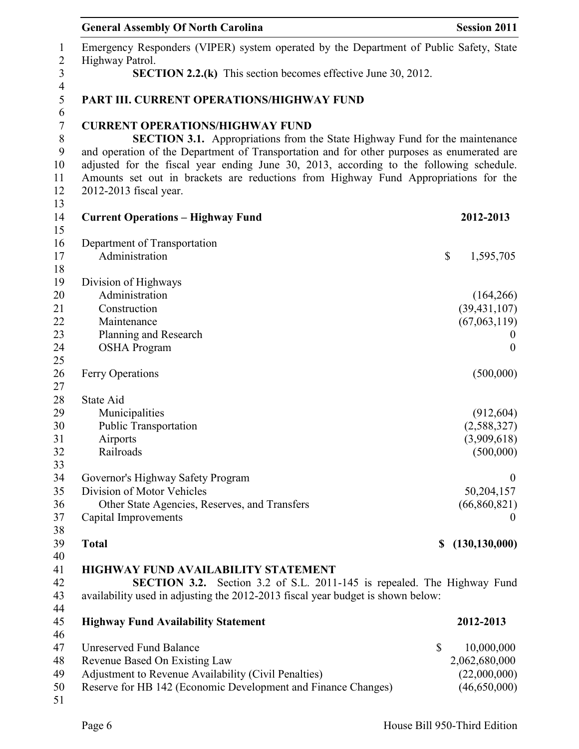|                                | <b>General Assembly Of North Carolina</b>                                                                 |              | <b>Session 2011</b>         |
|--------------------------------|-----------------------------------------------------------------------------------------------------------|--------------|-----------------------------|
| $\mathbf{I}$<br>$\overline{2}$ | Emergency Responders (VIPER) system operated by the Department of Public Safety, State<br>Highway Patrol. |              |                             |
| $\mathfrak{Z}$                 | <b>SECTION 2.2.(k)</b> This section becomes effective June 30, 2012.                                      |              |                             |
| $\overline{4}$<br>5            | PART III. CURRENT OPERATIONS/HIGHWAY FUND                                                                 |              |                             |
| 6                              | <b>CURRENT OPERATIONS/HIGHWAY FUND</b>                                                                    |              |                             |
| $\tau$<br>$\, 8$               | <b>SECTION 3.1.</b> Appropriations from the State Highway Fund for the maintenance                        |              |                             |
| 9                              | and operation of the Department of Transportation and for other purposes as enumerated are                |              |                             |
| 10                             | adjusted for the fiscal year ending June 30, 2013, according to the following schedule.                   |              |                             |
| 11                             | Amounts set out in brackets are reductions from Highway Fund Appropriations for the                       |              |                             |
| 12                             | 2012-2013 fiscal year.                                                                                    |              |                             |
| 13                             |                                                                                                           |              |                             |
| 14                             | <b>Current Operations - Highway Fund</b>                                                                  |              | 2012-2013                   |
| 15                             |                                                                                                           |              |                             |
| 16                             | Department of Transportation                                                                              |              |                             |
| 17                             | Administration                                                                                            | \$           | 1,595,705                   |
| 18                             |                                                                                                           |              |                             |
| 19                             | Division of Highways                                                                                      |              |                             |
| 20                             | Administration                                                                                            |              | (164, 266)                  |
| 21                             | Construction                                                                                              |              | (39, 431, 107)              |
| 22                             | Maintenance                                                                                               |              | (67,063,119)                |
| 23                             | Planning and Research                                                                                     |              | U                           |
| 24                             | <b>OSHA</b> Program                                                                                       |              | $\overline{0}$              |
| 25                             |                                                                                                           |              |                             |
| 26<br>27                       | Ferry Operations                                                                                          |              | (500,000)                   |
| 28                             | State Aid                                                                                                 |              |                             |
| 29                             | Municipalities                                                                                            |              | (912, 604)                  |
| 30                             | <b>Public Transportation</b>                                                                              |              | (2,588,327)                 |
| 31                             | Airports                                                                                                  |              | (3,909,618)                 |
| 32                             | Railroads                                                                                                 |              | (500,000)                   |
| 33                             |                                                                                                           |              |                             |
| 34                             | Governor's Highway Safety Program                                                                         |              | $\theta$                    |
| 35                             | Division of Motor Vehicles                                                                                |              | 50,204,157                  |
| 36                             | Other State Agencies, Reserves, and Transfers                                                             |              | (66, 860, 821)              |
| 37                             | Capital Improvements                                                                                      |              | $\theta$                    |
| 38                             |                                                                                                           |              |                             |
| 39                             | <b>Total</b>                                                                                              | \$           | (130, 130, 000)             |
| 40                             |                                                                                                           |              |                             |
| 41                             | <b>HIGHWAY FUND AVAILABILITY STATEMENT</b>                                                                |              |                             |
| 42                             | <b>SECTION 3.2.</b> Section 3.2 of S.L. 2011-145 is repealed. The Highway Fund                            |              |                             |
| 43                             | availability used in adjusting the 2012-2013 fiscal year budget is shown below:                           |              |                             |
| 44                             |                                                                                                           |              |                             |
| 45                             | <b>Highway Fund Availability Statement</b>                                                                |              | 2012-2013                   |
| 46                             | <b>Unreserved Fund Balance</b>                                                                            | $\mathbb{S}$ |                             |
| 47<br>48                       | Revenue Based On Existing Law                                                                             |              | 10,000,000<br>2,062,680,000 |
| 49                             | Adjustment to Revenue Availability (Civil Penalties)                                                      |              | (22,000,000)                |
| 50                             | Reserve for HB 142 (Economic Development and Finance Changes)                                             |              | (46, 650, 000)              |
| 51                             |                                                                                                           |              |                             |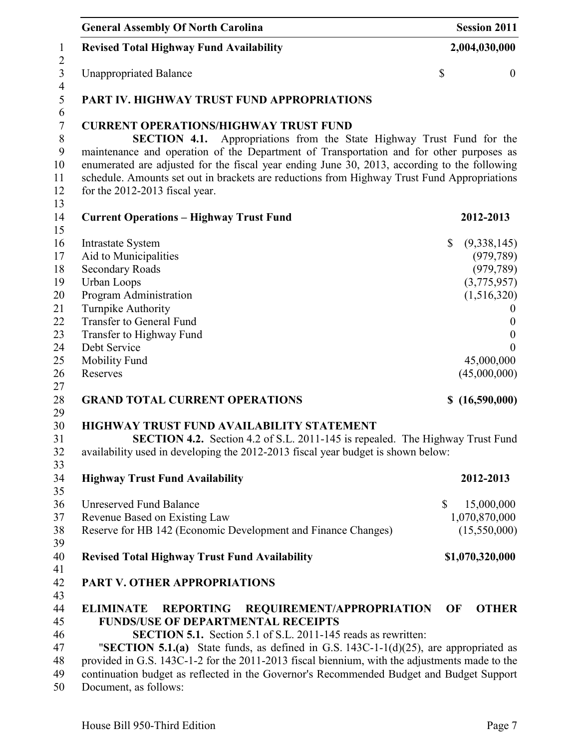| <b>General Assembly Of North Carolina</b>                                                     | <b>Session 2011</b>                                      |
|-----------------------------------------------------------------------------------------------|----------------------------------------------------------|
| <b>Revised Total Highway Fund Availability</b>                                                | 2,004,030,000                                            |
| <b>Unappropriated Balance</b>                                                                 | $\boldsymbol{\mathsf{S}}$<br>$\mathbf{0}$                |
| PART IV. HIGHWAY TRUST FUND APPROPRIATIONS                                                    |                                                          |
| <b>CURRENT OPERATIONS/HIGHWAY TRUST FUND</b><br><b>SECTION 4.1.</b>                           | Appropriations from the State Highway Trust Fund for the |
| maintenance and operation of the Department of Transportation and for other purposes as       |                                                          |
| enumerated are adjusted for the fiscal year ending June 30, 2013, according to the following  |                                                          |
| schedule. Amounts set out in brackets are reductions from Highway Trust Fund Appropriations   |                                                          |
| for the 2012-2013 fiscal year.                                                                |                                                          |
| <b>Current Operations - Highway Trust Fund</b>                                                | 2012-2013                                                |
| Intrastate System                                                                             | \$<br>(9,338,145)                                        |
| Aid to Municipalities                                                                         | (979, 789)                                               |
| <b>Secondary Roads</b>                                                                        | (979, 789)                                               |
| Urban Loops                                                                                   | (3,775,957)                                              |
| Program Administration                                                                        | (1,516,320)                                              |
| Turnpike Authority                                                                            | 0                                                        |
| <b>Transfer to General Fund</b>                                                               | $\boldsymbol{0}$                                         |
| Transfer to Highway Fund                                                                      | $\boldsymbol{0}$                                         |
| Debt Service                                                                                  | $\theta$                                                 |
| <b>Mobility Fund</b>                                                                          | 45,000,000                                               |
| Reserves                                                                                      | (45,000,000)                                             |
|                                                                                               |                                                          |
| <b>GRAND TOTAL CURRENT OPERATIONS</b>                                                         | \$(16,590,000)                                           |
| HIGHWAY TRUST FUND AVAILABILITY STATEMENT                                                     |                                                          |
| <b>SECTION 4.2.</b> Section 4.2 of S.L. 2011-145 is repealed. The Highway Trust Fund          |                                                          |
| availability used in developing the 2012-2013 fiscal year budget is shown below:              |                                                          |
|                                                                                               |                                                          |
| <b>Highway Trust Fund Availability</b>                                                        | 2012-2013                                                |
|                                                                                               |                                                          |
| <b>Unreserved Fund Balance</b>                                                                | $\mathbb{S}$<br>15,000,000                               |
| Revenue Based on Existing Law                                                                 | 1,070,870,000                                            |
| Reserve for HB 142 (Economic Development and Finance Changes)                                 | (15,550,000)                                             |
|                                                                                               |                                                          |
| <b>Revised Total Highway Trust Fund Availability</b>                                          | \$1,070,320,000                                          |
|                                                                                               |                                                          |
| <b>PART V. OTHER APPROPRIATIONS</b>                                                           |                                                          |
| <b>ELIMINATE</b><br><b>REPORTING</b><br>REQUIREMENT/APPROPRIATION                             | OF<br><b>OTHER</b>                                       |
| <b>FUNDS/USE OF DEPARTMENTAL RECEIPTS</b>                                                     |                                                          |
| <b>SECTION 5.1.</b> Section 5.1 of S.L. 2011-145 reads as rewritten:                          |                                                          |
| "SECTION 5.1.(a) State funds, as defined in G.S. $143C-1-1(d)(25)$ , are appropriated as      |                                                          |
| provided in G.S. 143C-1-2 for the 2011-2013 fiscal biennium, with the adjustments made to the |                                                          |
| continuation budget as reflected in the Governor's Recommended Budget and Budget Support      |                                                          |
| Document, as follows:                                                                         |                                                          |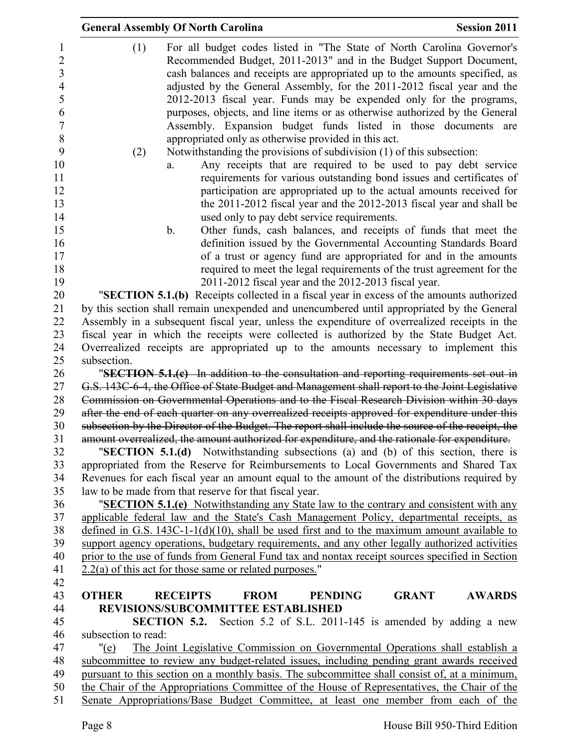| For all budget codes listed in "The State of North Carolina Governor's<br>(1)<br>1<br>$\overline{c}$<br>Recommended Budget, 2011-2013" and in the Budget Support Document,<br>$\mathfrak{Z}$<br>cash balances and receipts are appropriated up to the amounts specified, as<br>$\overline{4}$<br>adjusted by the General Assembly, for the 2011-2012 fiscal year and the<br>5<br>2012-2013 fiscal year. Funds may be expended only for the programs,<br>6<br>purposes, objects, and line items or as otherwise authorized by the General<br>$\overline{7}$<br>Assembly. Expansion budget funds listed in those documents are<br>$\,8\,$<br>appropriated only as otherwise provided in this act.<br>9<br>Notwithstanding the provisions of subdivision (1) of this subsection:<br>(2)<br>10<br>Any receipts that are required to be used to pay debt service<br>a.<br>requirements for various outstanding bond issues and certificates of<br>11<br>12<br>participation are appropriated up to the actual amounts received for<br>13<br>the 2011-2012 fiscal year and the 2012-2013 fiscal year and shall be<br>14<br>used only to pay debt service requirements.<br>15<br>$\mathbf b$ .<br>Other funds, cash balances, and receipts of funds that meet the<br>16<br>definition issued by the Governmental Accounting Standards Board<br>17<br>of a trust or agency fund are appropriated for and in the amounts<br>18<br>required to meet the legal requirements of the trust agreement for the<br>19<br>2011-2012 fiscal year and the 2012-2013 fiscal year.<br>20<br>"SECTION 5.1.(b) Receipts collected in a fiscal year in excess of the amounts authorized<br>21<br>by this section shall remain unexpended and unencumbered until appropriated by the General<br>22<br>Assembly in a subsequent fiscal year, unless the expenditure of overrealized receipts in the<br>23<br>fiscal year in which the receipts were collected is authorized by the State Budget Act.<br>Overrealized receipts are appropriated up to the amounts necessary to implement this<br>24<br>25<br>subsection.<br>26<br>"SECTION 5.1.(c) In addition to the consultation and reporting requirements set out in<br>G.S. 143C-6-4, the Office of State Budget and Management shall report to the Joint Legislative<br>27<br>Commission on Governmental Operations and to the Fiscal Research Division within 30 days<br>28<br>after the end of each quarter on any overrealized receipts approved for expenditure under this<br>29<br>subsection by the Director of the Budget. The report shall include the source of the receipt, the<br>30<br>amount overrealized, the amount authorized for expenditure, and the rationale for expenditure.<br>31<br>32<br>"SECTION 5.1.(d) Notwithstanding subsections (a) and (b) of this section, there is<br>appropriated from the Reserve for Reimbursements to Local Governments and Shared Tax<br>33<br>Revenues for each fiscal year an amount equal to the amount of the distributions required by<br>34<br>law to be made from that reserve for that fiscal year.<br>35<br>36<br>"SECTION 5.1.(e) Notwithstanding any State law to the contrary and consistent with any<br>37<br>applicable federal law and the State's Cash Management Policy, departmental receipts, as<br>38<br>defined in G.S. $143C-1-1(d)(10)$ , shall be used first and to the maximum amount available to<br>39<br>support agency operations, budgetary requirements, and any other legally authorized activities<br>40<br>prior to the use of funds from General Fund tax and nontax receipt sources specified in Section<br>$2.2(a)$ of this act for those same or related purposes."<br>41<br>42<br>43<br><b>RECEIPTS</b><br><b>GRANT</b><br><b>OTHER</b><br><b>FROM</b><br><b>PENDING</b><br><b>AWARDS</b><br>44<br><b>REVISIONS/SUBCOMMITTEE ESTABLISHED</b><br>45<br><b>SECTION 5.2.</b> Section 5.2 of S.L. 2011-145 is amended by adding a new<br>46<br>subsection to read:<br>47<br>The Joint Legislative Commission on Governmental Operations shall establish a<br>"(e)<br>48<br>subcommittee to review any budget-related issues, including pending grant awards received<br>pursuant to this section on a monthly basis. The subcommittee shall consist of, at a minimum,<br>49<br>50<br>the Chair of the Appropriations Committee of the House of Representatives, the Chair of the<br>Senate Appropriations/Base Budget Committee, at least one member from each of the<br>51 | <b>General Assembly Of North Carolina</b><br><b>Session 2011</b> |
|-------------------------------------------------------------------------------------------------------------------------------------------------------------------------------------------------------------------------------------------------------------------------------------------------------------------------------------------------------------------------------------------------------------------------------------------------------------------------------------------------------------------------------------------------------------------------------------------------------------------------------------------------------------------------------------------------------------------------------------------------------------------------------------------------------------------------------------------------------------------------------------------------------------------------------------------------------------------------------------------------------------------------------------------------------------------------------------------------------------------------------------------------------------------------------------------------------------------------------------------------------------------------------------------------------------------------------------------------------------------------------------------------------------------------------------------------------------------------------------------------------------------------------------------------------------------------------------------------------------------------------------------------------------------------------------------------------------------------------------------------------------------------------------------------------------------------------------------------------------------------------------------------------------------------------------------------------------------------------------------------------------------------------------------------------------------------------------------------------------------------------------------------------------------------------------------------------------------------------------------------------------------------------------------------------------------------------------------------------------------------------------------------------------------------------------------------------------------------------------------------------------------------------------------------------------------------------------------------------------------------------------------------------------------------------------------------------------------------------------------------------------------------------------------------------------------------------------------------------------------------------------------------------------------------------------------------------------------------------------------------------------------------------------------------------------------------------------------------------------------------------------------------------------------------------------------------------------------------------------------------------------------------------------------------------------------------------------------------------------------------------------------------------------------------------------------------------------------------------------------------------------------------------------------------------------------------------------------------------------------------------------------------------------------------------------------------------------------------------------------------------------------------------------------------------------------------------------------------------------------------------------------------------------------------------------------------------------------------------------------------------------------------------------------------------------------------------------------------------------------------------------------------------------------------------------------------------------------------------------------------------------------------------------------------------------------------------------------------------------------------------------------------------------------------------------------------------------------------------------------------|------------------------------------------------------------------|
|                                                                                                                                                                                                                                                                                                                                                                                                                                                                                                                                                                                                                                                                                                                                                                                                                                                                                                                                                                                                                                                                                                                                                                                                                                                                                                                                                                                                                                                                                                                                                                                                                                                                                                                                                                                                                                                                                                                                                                                                                                                                                                                                                                                                                                                                                                                                                                                                                                                                                                                                                                                                                                                                                                                                                                                                                                                                                                                                                                                                                                                                                                                                                                                                                                                                                                                                                                                                                                                                                                                                                                                                                                                                                                                                                                                                                                                                                                                                                                                                                                                                                                                                                                                                                                                                                                                                                                                                                                                                                                 |                                                                  |
|                                                                                                                                                                                                                                                                                                                                                                                                                                                                                                                                                                                                                                                                                                                                                                                                                                                                                                                                                                                                                                                                                                                                                                                                                                                                                                                                                                                                                                                                                                                                                                                                                                                                                                                                                                                                                                                                                                                                                                                                                                                                                                                                                                                                                                                                                                                                                                                                                                                                                                                                                                                                                                                                                                                                                                                                                                                                                                                                                                                                                                                                                                                                                                                                                                                                                                                                                                                                                                                                                                                                                                                                                                                                                                                                                                                                                                                                                                                                                                                                                                                                                                                                                                                                                                                                                                                                                                                                                                                                                                 |                                                                  |
|                                                                                                                                                                                                                                                                                                                                                                                                                                                                                                                                                                                                                                                                                                                                                                                                                                                                                                                                                                                                                                                                                                                                                                                                                                                                                                                                                                                                                                                                                                                                                                                                                                                                                                                                                                                                                                                                                                                                                                                                                                                                                                                                                                                                                                                                                                                                                                                                                                                                                                                                                                                                                                                                                                                                                                                                                                                                                                                                                                                                                                                                                                                                                                                                                                                                                                                                                                                                                                                                                                                                                                                                                                                                                                                                                                                                                                                                                                                                                                                                                                                                                                                                                                                                                                                                                                                                                                                                                                                                                                 |                                                                  |
|                                                                                                                                                                                                                                                                                                                                                                                                                                                                                                                                                                                                                                                                                                                                                                                                                                                                                                                                                                                                                                                                                                                                                                                                                                                                                                                                                                                                                                                                                                                                                                                                                                                                                                                                                                                                                                                                                                                                                                                                                                                                                                                                                                                                                                                                                                                                                                                                                                                                                                                                                                                                                                                                                                                                                                                                                                                                                                                                                                                                                                                                                                                                                                                                                                                                                                                                                                                                                                                                                                                                                                                                                                                                                                                                                                                                                                                                                                                                                                                                                                                                                                                                                                                                                                                                                                                                                                                                                                                                                                 |                                                                  |
|                                                                                                                                                                                                                                                                                                                                                                                                                                                                                                                                                                                                                                                                                                                                                                                                                                                                                                                                                                                                                                                                                                                                                                                                                                                                                                                                                                                                                                                                                                                                                                                                                                                                                                                                                                                                                                                                                                                                                                                                                                                                                                                                                                                                                                                                                                                                                                                                                                                                                                                                                                                                                                                                                                                                                                                                                                                                                                                                                                                                                                                                                                                                                                                                                                                                                                                                                                                                                                                                                                                                                                                                                                                                                                                                                                                                                                                                                                                                                                                                                                                                                                                                                                                                                                                                                                                                                                                                                                                                                                 |                                                                  |
|                                                                                                                                                                                                                                                                                                                                                                                                                                                                                                                                                                                                                                                                                                                                                                                                                                                                                                                                                                                                                                                                                                                                                                                                                                                                                                                                                                                                                                                                                                                                                                                                                                                                                                                                                                                                                                                                                                                                                                                                                                                                                                                                                                                                                                                                                                                                                                                                                                                                                                                                                                                                                                                                                                                                                                                                                                                                                                                                                                                                                                                                                                                                                                                                                                                                                                                                                                                                                                                                                                                                                                                                                                                                                                                                                                                                                                                                                                                                                                                                                                                                                                                                                                                                                                                                                                                                                                                                                                                                                                 |                                                                  |
|                                                                                                                                                                                                                                                                                                                                                                                                                                                                                                                                                                                                                                                                                                                                                                                                                                                                                                                                                                                                                                                                                                                                                                                                                                                                                                                                                                                                                                                                                                                                                                                                                                                                                                                                                                                                                                                                                                                                                                                                                                                                                                                                                                                                                                                                                                                                                                                                                                                                                                                                                                                                                                                                                                                                                                                                                                                                                                                                                                                                                                                                                                                                                                                                                                                                                                                                                                                                                                                                                                                                                                                                                                                                                                                                                                                                                                                                                                                                                                                                                                                                                                                                                                                                                                                                                                                                                                                                                                                                                                 |                                                                  |
|                                                                                                                                                                                                                                                                                                                                                                                                                                                                                                                                                                                                                                                                                                                                                                                                                                                                                                                                                                                                                                                                                                                                                                                                                                                                                                                                                                                                                                                                                                                                                                                                                                                                                                                                                                                                                                                                                                                                                                                                                                                                                                                                                                                                                                                                                                                                                                                                                                                                                                                                                                                                                                                                                                                                                                                                                                                                                                                                                                                                                                                                                                                                                                                                                                                                                                                                                                                                                                                                                                                                                                                                                                                                                                                                                                                                                                                                                                                                                                                                                                                                                                                                                                                                                                                                                                                                                                                                                                                                                                 |                                                                  |
|                                                                                                                                                                                                                                                                                                                                                                                                                                                                                                                                                                                                                                                                                                                                                                                                                                                                                                                                                                                                                                                                                                                                                                                                                                                                                                                                                                                                                                                                                                                                                                                                                                                                                                                                                                                                                                                                                                                                                                                                                                                                                                                                                                                                                                                                                                                                                                                                                                                                                                                                                                                                                                                                                                                                                                                                                                                                                                                                                                                                                                                                                                                                                                                                                                                                                                                                                                                                                                                                                                                                                                                                                                                                                                                                                                                                                                                                                                                                                                                                                                                                                                                                                                                                                                                                                                                                                                                                                                                                                                 |                                                                  |
|                                                                                                                                                                                                                                                                                                                                                                                                                                                                                                                                                                                                                                                                                                                                                                                                                                                                                                                                                                                                                                                                                                                                                                                                                                                                                                                                                                                                                                                                                                                                                                                                                                                                                                                                                                                                                                                                                                                                                                                                                                                                                                                                                                                                                                                                                                                                                                                                                                                                                                                                                                                                                                                                                                                                                                                                                                                                                                                                                                                                                                                                                                                                                                                                                                                                                                                                                                                                                                                                                                                                                                                                                                                                                                                                                                                                                                                                                                                                                                                                                                                                                                                                                                                                                                                                                                                                                                                                                                                                                                 |                                                                  |
|                                                                                                                                                                                                                                                                                                                                                                                                                                                                                                                                                                                                                                                                                                                                                                                                                                                                                                                                                                                                                                                                                                                                                                                                                                                                                                                                                                                                                                                                                                                                                                                                                                                                                                                                                                                                                                                                                                                                                                                                                                                                                                                                                                                                                                                                                                                                                                                                                                                                                                                                                                                                                                                                                                                                                                                                                                                                                                                                                                                                                                                                                                                                                                                                                                                                                                                                                                                                                                                                                                                                                                                                                                                                                                                                                                                                                                                                                                                                                                                                                                                                                                                                                                                                                                                                                                                                                                                                                                                                                                 |                                                                  |
|                                                                                                                                                                                                                                                                                                                                                                                                                                                                                                                                                                                                                                                                                                                                                                                                                                                                                                                                                                                                                                                                                                                                                                                                                                                                                                                                                                                                                                                                                                                                                                                                                                                                                                                                                                                                                                                                                                                                                                                                                                                                                                                                                                                                                                                                                                                                                                                                                                                                                                                                                                                                                                                                                                                                                                                                                                                                                                                                                                                                                                                                                                                                                                                                                                                                                                                                                                                                                                                                                                                                                                                                                                                                                                                                                                                                                                                                                                                                                                                                                                                                                                                                                                                                                                                                                                                                                                                                                                                                                                 |                                                                  |
|                                                                                                                                                                                                                                                                                                                                                                                                                                                                                                                                                                                                                                                                                                                                                                                                                                                                                                                                                                                                                                                                                                                                                                                                                                                                                                                                                                                                                                                                                                                                                                                                                                                                                                                                                                                                                                                                                                                                                                                                                                                                                                                                                                                                                                                                                                                                                                                                                                                                                                                                                                                                                                                                                                                                                                                                                                                                                                                                                                                                                                                                                                                                                                                                                                                                                                                                                                                                                                                                                                                                                                                                                                                                                                                                                                                                                                                                                                                                                                                                                                                                                                                                                                                                                                                                                                                                                                                                                                                                                                 |                                                                  |
|                                                                                                                                                                                                                                                                                                                                                                                                                                                                                                                                                                                                                                                                                                                                                                                                                                                                                                                                                                                                                                                                                                                                                                                                                                                                                                                                                                                                                                                                                                                                                                                                                                                                                                                                                                                                                                                                                                                                                                                                                                                                                                                                                                                                                                                                                                                                                                                                                                                                                                                                                                                                                                                                                                                                                                                                                                                                                                                                                                                                                                                                                                                                                                                                                                                                                                                                                                                                                                                                                                                                                                                                                                                                                                                                                                                                                                                                                                                                                                                                                                                                                                                                                                                                                                                                                                                                                                                                                                                                                                 |                                                                  |
|                                                                                                                                                                                                                                                                                                                                                                                                                                                                                                                                                                                                                                                                                                                                                                                                                                                                                                                                                                                                                                                                                                                                                                                                                                                                                                                                                                                                                                                                                                                                                                                                                                                                                                                                                                                                                                                                                                                                                                                                                                                                                                                                                                                                                                                                                                                                                                                                                                                                                                                                                                                                                                                                                                                                                                                                                                                                                                                                                                                                                                                                                                                                                                                                                                                                                                                                                                                                                                                                                                                                                                                                                                                                                                                                                                                                                                                                                                                                                                                                                                                                                                                                                                                                                                                                                                                                                                                                                                                                                                 |                                                                  |
|                                                                                                                                                                                                                                                                                                                                                                                                                                                                                                                                                                                                                                                                                                                                                                                                                                                                                                                                                                                                                                                                                                                                                                                                                                                                                                                                                                                                                                                                                                                                                                                                                                                                                                                                                                                                                                                                                                                                                                                                                                                                                                                                                                                                                                                                                                                                                                                                                                                                                                                                                                                                                                                                                                                                                                                                                                                                                                                                                                                                                                                                                                                                                                                                                                                                                                                                                                                                                                                                                                                                                                                                                                                                                                                                                                                                                                                                                                                                                                                                                                                                                                                                                                                                                                                                                                                                                                                                                                                                                                 |                                                                  |
|                                                                                                                                                                                                                                                                                                                                                                                                                                                                                                                                                                                                                                                                                                                                                                                                                                                                                                                                                                                                                                                                                                                                                                                                                                                                                                                                                                                                                                                                                                                                                                                                                                                                                                                                                                                                                                                                                                                                                                                                                                                                                                                                                                                                                                                                                                                                                                                                                                                                                                                                                                                                                                                                                                                                                                                                                                                                                                                                                                                                                                                                                                                                                                                                                                                                                                                                                                                                                                                                                                                                                                                                                                                                                                                                                                                                                                                                                                                                                                                                                                                                                                                                                                                                                                                                                                                                                                                                                                                                                                 |                                                                  |
|                                                                                                                                                                                                                                                                                                                                                                                                                                                                                                                                                                                                                                                                                                                                                                                                                                                                                                                                                                                                                                                                                                                                                                                                                                                                                                                                                                                                                                                                                                                                                                                                                                                                                                                                                                                                                                                                                                                                                                                                                                                                                                                                                                                                                                                                                                                                                                                                                                                                                                                                                                                                                                                                                                                                                                                                                                                                                                                                                                                                                                                                                                                                                                                                                                                                                                                                                                                                                                                                                                                                                                                                                                                                                                                                                                                                                                                                                                                                                                                                                                                                                                                                                                                                                                                                                                                                                                                                                                                                                                 |                                                                  |
|                                                                                                                                                                                                                                                                                                                                                                                                                                                                                                                                                                                                                                                                                                                                                                                                                                                                                                                                                                                                                                                                                                                                                                                                                                                                                                                                                                                                                                                                                                                                                                                                                                                                                                                                                                                                                                                                                                                                                                                                                                                                                                                                                                                                                                                                                                                                                                                                                                                                                                                                                                                                                                                                                                                                                                                                                                                                                                                                                                                                                                                                                                                                                                                                                                                                                                                                                                                                                                                                                                                                                                                                                                                                                                                                                                                                                                                                                                                                                                                                                                                                                                                                                                                                                                                                                                                                                                                                                                                                                                 |                                                                  |
|                                                                                                                                                                                                                                                                                                                                                                                                                                                                                                                                                                                                                                                                                                                                                                                                                                                                                                                                                                                                                                                                                                                                                                                                                                                                                                                                                                                                                                                                                                                                                                                                                                                                                                                                                                                                                                                                                                                                                                                                                                                                                                                                                                                                                                                                                                                                                                                                                                                                                                                                                                                                                                                                                                                                                                                                                                                                                                                                                                                                                                                                                                                                                                                                                                                                                                                                                                                                                                                                                                                                                                                                                                                                                                                                                                                                                                                                                                                                                                                                                                                                                                                                                                                                                                                                                                                                                                                                                                                                                                 |                                                                  |
|                                                                                                                                                                                                                                                                                                                                                                                                                                                                                                                                                                                                                                                                                                                                                                                                                                                                                                                                                                                                                                                                                                                                                                                                                                                                                                                                                                                                                                                                                                                                                                                                                                                                                                                                                                                                                                                                                                                                                                                                                                                                                                                                                                                                                                                                                                                                                                                                                                                                                                                                                                                                                                                                                                                                                                                                                                                                                                                                                                                                                                                                                                                                                                                                                                                                                                                                                                                                                                                                                                                                                                                                                                                                                                                                                                                                                                                                                                                                                                                                                                                                                                                                                                                                                                                                                                                                                                                                                                                                                                 |                                                                  |
|                                                                                                                                                                                                                                                                                                                                                                                                                                                                                                                                                                                                                                                                                                                                                                                                                                                                                                                                                                                                                                                                                                                                                                                                                                                                                                                                                                                                                                                                                                                                                                                                                                                                                                                                                                                                                                                                                                                                                                                                                                                                                                                                                                                                                                                                                                                                                                                                                                                                                                                                                                                                                                                                                                                                                                                                                                                                                                                                                                                                                                                                                                                                                                                                                                                                                                                                                                                                                                                                                                                                                                                                                                                                                                                                                                                                                                                                                                                                                                                                                                                                                                                                                                                                                                                                                                                                                                                                                                                                                                 |                                                                  |
|                                                                                                                                                                                                                                                                                                                                                                                                                                                                                                                                                                                                                                                                                                                                                                                                                                                                                                                                                                                                                                                                                                                                                                                                                                                                                                                                                                                                                                                                                                                                                                                                                                                                                                                                                                                                                                                                                                                                                                                                                                                                                                                                                                                                                                                                                                                                                                                                                                                                                                                                                                                                                                                                                                                                                                                                                                                                                                                                                                                                                                                                                                                                                                                                                                                                                                                                                                                                                                                                                                                                                                                                                                                                                                                                                                                                                                                                                                                                                                                                                                                                                                                                                                                                                                                                                                                                                                                                                                                                                                 |                                                                  |
|                                                                                                                                                                                                                                                                                                                                                                                                                                                                                                                                                                                                                                                                                                                                                                                                                                                                                                                                                                                                                                                                                                                                                                                                                                                                                                                                                                                                                                                                                                                                                                                                                                                                                                                                                                                                                                                                                                                                                                                                                                                                                                                                                                                                                                                                                                                                                                                                                                                                                                                                                                                                                                                                                                                                                                                                                                                                                                                                                                                                                                                                                                                                                                                                                                                                                                                                                                                                                                                                                                                                                                                                                                                                                                                                                                                                                                                                                                                                                                                                                                                                                                                                                                                                                                                                                                                                                                                                                                                                                                 |                                                                  |
|                                                                                                                                                                                                                                                                                                                                                                                                                                                                                                                                                                                                                                                                                                                                                                                                                                                                                                                                                                                                                                                                                                                                                                                                                                                                                                                                                                                                                                                                                                                                                                                                                                                                                                                                                                                                                                                                                                                                                                                                                                                                                                                                                                                                                                                                                                                                                                                                                                                                                                                                                                                                                                                                                                                                                                                                                                                                                                                                                                                                                                                                                                                                                                                                                                                                                                                                                                                                                                                                                                                                                                                                                                                                                                                                                                                                                                                                                                                                                                                                                                                                                                                                                                                                                                                                                                                                                                                                                                                                                                 |                                                                  |
|                                                                                                                                                                                                                                                                                                                                                                                                                                                                                                                                                                                                                                                                                                                                                                                                                                                                                                                                                                                                                                                                                                                                                                                                                                                                                                                                                                                                                                                                                                                                                                                                                                                                                                                                                                                                                                                                                                                                                                                                                                                                                                                                                                                                                                                                                                                                                                                                                                                                                                                                                                                                                                                                                                                                                                                                                                                                                                                                                                                                                                                                                                                                                                                                                                                                                                                                                                                                                                                                                                                                                                                                                                                                                                                                                                                                                                                                                                                                                                                                                                                                                                                                                                                                                                                                                                                                                                                                                                                                                                 |                                                                  |
|                                                                                                                                                                                                                                                                                                                                                                                                                                                                                                                                                                                                                                                                                                                                                                                                                                                                                                                                                                                                                                                                                                                                                                                                                                                                                                                                                                                                                                                                                                                                                                                                                                                                                                                                                                                                                                                                                                                                                                                                                                                                                                                                                                                                                                                                                                                                                                                                                                                                                                                                                                                                                                                                                                                                                                                                                                                                                                                                                                                                                                                                                                                                                                                                                                                                                                                                                                                                                                                                                                                                                                                                                                                                                                                                                                                                                                                                                                                                                                                                                                                                                                                                                                                                                                                                                                                                                                                                                                                                                                 |                                                                  |
|                                                                                                                                                                                                                                                                                                                                                                                                                                                                                                                                                                                                                                                                                                                                                                                                                                                                                                                                                                                                                                                                                                                                                                                                                                                                                                                                                                                                                                                                                                                                                                                                                                                                                                                                                                                                                                                                                                                                                                                                                                                                                                                                                                                                                                                                                                                                                                                                                                                                                                                                                                                                                                                                                                                                                                                                                                                                                                                                                                                                                                                                                                                                                                                                                                                                                                                                                                                                                                                                                                                                                                                                                                                                                                                                                                                                                                                                                                                                                                                                                                                                                                                                                                                                                                                                                                                                                                                                                                                                                                 |                                                                  |
|                                                                                                                                                                                                                                                                                                                                                                                                                                                                                                                                                                                                                                                                                                                                                                                                                                                                                                                                                                                                                                                                                                                                                                                                                                                                                                                                                                                                                                                                                                                                                                                                                                                                                                                                                                                                                                                                                                                                                                                                                                                                                                                                                                                                                                                                                                                                                                                                                                                                                                                                                                                                                                                                                                                                                                                                                                                                                                                                                                                                                                                                                                                                                                                                                                                                                                                                                                                                                                                                                                                                                                                                                                                                                                                                                                                                                                                                                                                                                                                                                                                                                                                                                                                                                                                                                                                                                                                                                                                                                                 |                                                                  |
|                                                                                                                                                                                                                                                                                                                                                                                                                                                                                                                                                                                                                                                                                                                                                                                                                                                                                                                                                                                                                                                                                                                                                                                                                                                                                                                                                                                                                                                                                                                                                                                                                                                                                                                                                                                                                                                                                                                                                                                                                                                                                                                                                                                                                                                                                                                                                                                                                                                                                                                                                                                                                                                                                                                                                                                                                                                                                                                                                                                                                                                                                                                                                                                                                                                                                                                                                                                                                                                                                                                                                                                                                                                                                                                                                                                                                                                                                                                                                                                                                                                                                                                                                                                                                                                                                                                                                                                                                                                                                                 |                                                                  |
|                                                                                                                                                                                                                                                                                                                                                                                                                                                                                                                                                                                                                                                                                                                                                                                                                                                                                                                                                                                                                                                                                                                                                                                                                                                                                                                                                                                                                                                                                                                                                                                                                                                                                                                                                                                                                                                                                                                                                                                                                                                                                                                                                                                                                                                                                                                                                                                                                                                                                                                                                                                                                                                                                                                                                                                                                                                                                                                                                                                                                                                                                                                                                                                                                                                                                                                                                                                                                                                                                                                                                                                                                                                                                                                                                                                                                                                                                                                                                                                                                                                                                                                                                                                                                                                                                                                                                                                                                                                                                                 |                                                                  |
|                                                                                                                                                                                                                                                                                                                                                                                                                                                                                                                                                                                                                                                                                                                                                                                                                                                                                                                                                                                                                                                                                                                                                                                                                                                                                                                                                                                                                                                                                                                                                                                                                                                                                                                                                                                                                                                                                                                                                                                                                                                                                                                                                                                                                                                                                                                                                                                                                                                                                                                                                                                                                                                                                                                                                                                                                                                                                                                                                                                                                                                                                                                                                                                                                                                                                                                                                                                                                                                                                                                                                                                                                                                                                                                                                                                                                                                                                                                                                                                                                                                                                                                                                                                                                                                                                                                                                                                                                                                                                                 |                                                                  |
|                                                                                                                                                                                                                                                                                                                                                                                                                                                                                                                                                                                                                                                                                                                                                                                                                                                                                                                                                                                                                                                                                                                                                                                                                                                                                                                                                                                                                                                                                                                                                                                                                                                                                                                                                                                                                                                                                                                                                                                                                                                                                                                                                                                                                                                                                                                                                                                                                                                                                                                                                                                                                                                                                                                                                                                                                                                                                                                                                                                                                                                                                                                                                                                                                                                                                                                                                                                                                                                                                                                                                                                                                                                                                                                                                                                                                                                                                                                                                                                                                                                                                                                                                                                                                                                                                                                                                                                                                                                                                                 |                                                                  |
|                                                                                                                                                                                                                                                                                                                                                                                                                                                                                                                                                                                                                                                                                                                                                                                                                                                                                                                                                                                                                                                                                                                                                                                                                                                                                                                                                                                                                                                                                                                                                                                                                                                                                                                                                                                                                                                                                                                                                                                                                                                                                                                                                                                                                                                                                                                                                                                                                                                                                                                                                                                                                                                                                                                                                                                                                                                                                                                                                                                                                                                                                                                                                                                                                                                                                                                                                                                                                                                                                                                                                                                                                                                                                                                                                                                                                                                                                                                                                                                                                                                                                                                                                                                                                                                                                                                                                                                                                                                                                                 |                                                                  |
|                                                                                                                                                                                                                                                                                                                                                                                                                                                                                                                                                                                                                                                                                                                                                                                                                                                                                                                                                                                                                                                                                                                                                                                                                                                                                                                                                                                                                                                                                                                                                                                                                                                                                                                                                                                                                                                                                                                                                                                                                                                                                                                                                                                                                                                                                                                                                                                                                                                                                                                                                                                                                                                                                                                                                                                                                                                                                                                                                                                                                                                                                                                                                                                                                                                                                                                                                                                                                                                                                                                                                                                                                                                                                                                                                                                                                                                                                                                                                                                                                                                                                                                                                                                                                                                                                                                                                                                                                                                                                                 |                                                                  |
|                                                                                                                                                                                                                                                                                                                                                                                                                                                                                                                                                                                                                                                                                                                                                                                                                                                                                                                                                                                                                                                                                                                                                                                                                                                                                                                                                                                                                                                                                                                                                                                                                                                                                                                                                                                                                                                                                                                                                                                                                                                                                                                                                                                                                                                                                                                                                                                                                                                                                                                                                                                                                                                                                                                                                                                                                                                                                                                                                                                                                                                                                                                                                                                                                                                                                                                                                                                                                                                                                                                                                                                                                                                                                                                                                                                                                                                                                                                                                                                                                                                                                                                                                                                                                                                                                                                                                                                                                                                                                                 |                                                                  |
|                                                                                                                                                                                                                                                                                                                                                                                                                                                                                                                                                                                                                                                                                                                                                                                                                                                                                                                                                                                                                                                                                                                                                                                                                                                                                                                                                                                                                                                                                                                                                                                                                                                                                                                                                                                                                                                                                                                                                                                                                                                                                                                                                                                                                                                                                                                                                                                                                                                                                                                                                                                                                                                                                                                                                                                                                                                                                                                                                                                                                                                                                                                                                                                                                                                                                                                                                                                                                                                                                                                                                                                                                                                                                                                                                                                                                                                                                                                                                                                                                                                                                                                                                                                                                                                                                                                                                                                                                                                                                                 |                                                                  |
|                                                                                                                                                                                                                                                                                                                                                                                                                                                                                                                                                                                                                                                                                                                                                                                                                                                                                                                                                                                                                                                                                                                                                                                                                                                                                                                                                                                                                                                                                                                                                                                                                                                                                                                                                                                                                                                                                                                                                                                                                                                                                                                                                                                                                                                                                                                                                                                                                                                                                                                                                                                                                                                                                                                                                                                                                                                                                                                                                                                                                                                                                                                                                                                                                                                                                                                                                                                                                                                                                                                                                                                                                                                                                                                                                                                                                                                                                                                                                                                                                                                                                                                                                                                                                                                                                                                                                                                                                                                                                                 |                                                                  |
|                                                                                                                                                                                                                                                                                                                                                                                                                                                                                                                                                                                                                                                                                                                                                                                                                                                                                                                                                                                                                                                                                                                                                                                                                                                                                                                                                                                                                                                                                                                                                                                                                                                                                                                                                                                                                                                                                                                                                                                                                                                                                                                                                                                                                                                                                                                                                                                                                                                                                                                                                                                                                                                                                                                                                                                                                                                                                                                                                                                                                                                                                                                                                                                                                                                                                                                                                                                                                                                                                                                                                                                                                                                                                                                                                                                                                                                                                                                                                                                                                                                                                                                                                                                                                                                                                                                                                                                                                                                                                                 |                                                                  |
|                                                                                                                                                                                                                                                                                                                                                                                                                                                                                                                                                                                                                                                                                                                                                                                                                                                                                                                                                                                                                                                                                                                                                                                                                                                                                                                                                                                                                                                                                                                                                                                                                                                                                                                                                                                                                                                                                                                                                                                                                                                                                                                                                                                                                                                                                                                                                                                                                                                                                                                                                                                                                                                                                                                                                                                                                                                                                                                                                                                                                                                                                                                                                                                                                                                                                                                                                                                                                                                                                                                                                                                                                                                                                                                                                                                                                                                                                                                                                                                                                                                                                                                                                                                                                                                                                                                                                                                                                                                                                                 |                                                                  |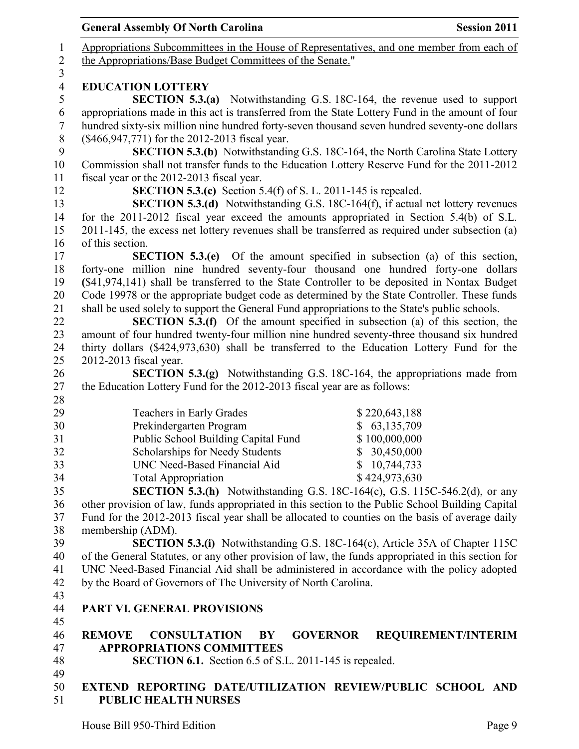|                | <b>General Assembly Of North Carolina</b>                                                          | <b>Session 2011</b>                                                                    |
|----------------|----------------------------------------------------------------------------------------------------|----------------------------------------------------------------------------------------|
| $\mathbf{1}$   | Appropriations Subcommittees in the House of Representatives, and one member from each of          |                                                                                        |
| $\overline{2}$ | the Appropriations/Base Budget Committees of the Senate."                                          |                                                                                        |
| $\overline{3}$ |                                                                                                    |                                                                                        |
| $\overline{4}$ | <b>EDUCATION LOTTERY</b>                                                                           |                                                                                        |
| 5              |                                                                                                    | <b>SECTION 5.3.(a)</b> Notwithstanding G.S. 18C-164, the revenue used to support       |
| 6              | appropriations made in this act is transferred from the State Lottery Fund in the amount of four   |                                                                                        |
| $\overline{7}$ | hundred sixty-six million nine hundred forty-seven thousand seven hundred seventy-one dollars      |                                                                                        |
| $\,8\,$        | (\$466,947,771) for the 2012-2013 fiscal year.                                                     |                                                                                        |
| 9              |                                                                                                    | <b>SECTION 5.3.(b)</b> Notwithstanding G.S. 18C-164, the North Carolina State Lottery  |
| 10             | Commission shall not transfer funds to the Education Lottery Reserve Fund for the 2011-2012        |                                                                                        |
| 11             | fiscal year or the 2012-2013 fiscal year.                                                          |                                                                                        |
| 12             | <b>SECTION 5.3.(c)</b> Section 5.4(f) of S. L. 2011-145 is repealed.                               |                                                                                        |
| 13             |                                                                                                    | <b>SECTION 5.3.(d)</b> Notwithstanding G.S. 18C-164(f), if actual net lottery revenues |
| 14             | for the 2011-2012 fiscal year exceed the amounts appropriated in Section 5.4(b) of S.L.            |                                                                                        |
| 15             | 2011-145, the excess net lottery revenues shall be transferred as required under subsection (a)    |                                                                                        |
| 16             | of this section.                                                                                   |                                                                                        |
| 17             |                                                                                                    | <b>SECTION 5.3.(e)</b> Of the amount specified in subsection (a) of this section,      |
| 18             | forty-one million nine hundred seventy-four thousand one hundred forty-one dollars                 |                                                                                        |
| 19             | (\$41,974,141) shall be transferred to the State Controller to be deposited in Nontax Budget       |                                                                                        |
| 20             | Code 19978 or the appropriate budget code as determined by the State Controller. These funds       |                                                                                        |
| 21             | shall be used solely to support the General Fund appropriations to the State's public schools.     |                                                                                        |
| 22             |                                                                                                    | <b>SECTION 5.3.(f)</b> Of the amount specified in subsection (a) of this section, the  |
| 23             | amount of four hundred twenty-four million nine hundred seventy-three thousand six hundred         |                                                                                        |
| 24             | thirty dollars (\$424,973,630) shall be transferred to the Education Lottery Fund for the          |                                                                                        |
| 25             | 2012-2013 fiscal year.                                                                             |                                                                                        |
| 26             |                                                                                                    | SECTION 5.3.(g) Notwithstanding G.S. 18C-164, the appropriations made from             |
| 27             | the Education Lottery Fund for the 2012-2013 fiscal year are as follows:                           |                                                                                        |
| 28<br>29       | Teachers in Early Grades                                                                           | \$220,643,188                                                                          |
| 30             | Prekindergarten Program                                                                            | \$63,135,709                                                                           |
| 31             | Public School Building Capital Fund                                                                | \$100,000,000                                                                          |
| 32             | Scholarships for Needy Students                                                                    | \$30,450,000                                                                           |
| 33             | UNC Need-Based Financial Aid                                                                       | \$10,744,733                                                                           |
| 34             | <b>Total Appropriation</b>                                                                         | \$424,973,630                                                                          |
| 35             |                                                                                                    | <b>SECTION 5.3.(h)</b> Notwithstanding G.S. 18C-164(c), G.S. 115C-546.2(d), or any     |
| 36             | other provision of law, funds appropriated in this section to the Public School Building Capital   |                                                                                        |
| 37             | Fund for the 2012-2013 fiscal year shall be allocated to counties on the basis of average daily    |                                                                                        |
| 38             | membership (ADM).                                                                                  |                                                                                        |
| 39             |                                                                                                    | <b>SECTION 5.3.(i)</b> Notwithstanding G.S. 18C-164(c), Article 35A of Chapter 115C    |
| 40             | of the General Statutes, or any other provision of law, the funds appropriated in this section for |                                                                                        |
| 41             | UNC Need-Based Financial Aid shall be administered in accordance with the policy adopted           |                                                                                        |
| 42             | by the Board of Governors of The University of North Carolina.                                     |                                                                                        |
| 43             |                                                                                                    |                                                                                        |
| 44             | <b>PART VI. GENERAL PROVISIONS</b>                                                                 |                                                                                        |
| 45             |                                                                                                    |                                                                                        |
| 46             | <b>REMOVE</b><br><b>CONSULTATION</b><br>BY                                                         | <b>GOVERNOR</b><br><b>REQUIREMENT/INTERIM</b>                                          |
| 47             | <b>APPROPRIATIONS COMMITTEES</b>                                                                   |                                                                                        |
| 48             | <b>SECTION 6.1.</b> Section 6.5 of S.L. 2011-145 is repealed.                                      |                                                                                        |
| 49             |                                                                                                    |                                                                                        |
| 50             | EXTEND REPORTING DATE/UTILIZATION REVIEW/PUBLIC SCHOOL AND                                         |                                                                                        |
| 51             | <b>PUBLIC HEALTH NURSES</b>                                                                        |                                                                                        |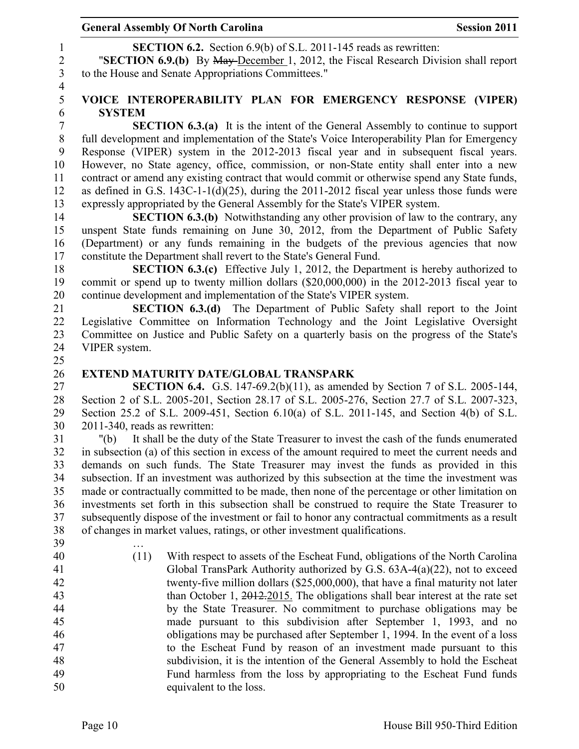#### **SECTION 6.2.** Section 6.9(b) of S.L. 2011-145 reads as rewritten: "**SECTION 6.9.(b)** By May December 1, 2012, the Fiscal Research Division shall report to the House and Senate Appropriations Committees." **VOICE INTEROPERABILITY PLAN FOR EMERGENCY RESPONSE (VIPER) SYSTEM SECTION 6.3.(a)** It is the intent of the General Assembly to continue to support full development and implementation of the State's Voice Interoperability Plan for Emergency Response (VIPER) system in the 2012-2013 fiscal year and in subsequent fiscal years. However, no State agency, office, commission, or non-State entity shall enter into a new contract or amend any existing contract that would commit or otherwise spend any State funds, as defined in G.S. 143C-1-1(d)(25), during the 2011-2012 fiscal year unless those funds were expressly appropriated by the General Assembly for the State's VIPER system. **SECTION 6.3.(b)** Notwithstanding any other provision of law to the contrary, any unspent State funds remaining on June 30, 2012, from the Department of Public Safety (Department) or any funds remaining in the budgets of the previous agencies that now constitute the Department shall revert to the State's General Fund. **SECTION 6.3.(c)** Effective July 1, 2012, the Department is hereby authorized to commit or spend up to twenty million dollars (\$20,000,000) in the 2012-2013 fiscal year to continue development and implementation of the State's VIPER system. **SECTION 6.3.(d)** The Department of Public Safety shall report to the Joint Legislative Committee on Information Technology and the Joint Legislative Oversight Committee on Justice and Public Safety on a quarterly basis on the progress of the State's VIPER system. 26 **EXTEND MATURITY DATE/GLOBAL TRANSPARK**<br>27 **SECTION 6.4.** G.S. 147-69.2(b)(11). as amend **SECTION 6.4.** G.S. 147-69.2(b)(11), as amended by Section 7 of S.L. 2005-144, Section 2 of S.L. 2005-201, Section 28.17 of S.L. 2005-276, Section 27.7 of S.L. 2007-323, Section 25.2 of S.L. 2009-451, Section 6.10(a) of S.L. 2011-145, and Section 4(b) of S.L. 2011-340, reads as rewritten: "(b) It shall be the duty of the State Treasurer to invest the cash of the funds enumerated in subsection (a) of this section in excess of the amount required to meet the current needs and demands on such funds. The State Treasurer may invest the funds as provided in this subsection. If an investment was authorized by this subsection at the time the investment was made or contractually committed to be made, then none of the percentage or other limitation on investments set forth in this subsection shall be construed to require the State Treasurer to subsequently dispose of the investment or fail to honor any contractual commitments as a result of changes in market values, ratings, or other investment qualifications. … (11) With respect to assets of the Escheat Fund, obligations of the North Carolina Global TransPark Authority authorized by G.S. 63A-4(a)(22), not to exceed twenty-five million dollars (\$25,000,000), that have a final maturity not later than October 1, 2012.2015. The obligations shall bear interest at the rate set by the State Treasurer. No commitment to purchase obligations may be made pursuant to this subdivision after September 1, 1993, and no obligations may be purchased after September 1, 1994. In the event of a loss to the Escheat Fund by reason of an investment made pursuant to this subdivision, it is the intention of the General Assembly to hold the Escheat Fund harmless from the loss by appropriating to the Escheat Fund funds equivalent to the loss.

General Assembly Of North Carolina Session 2011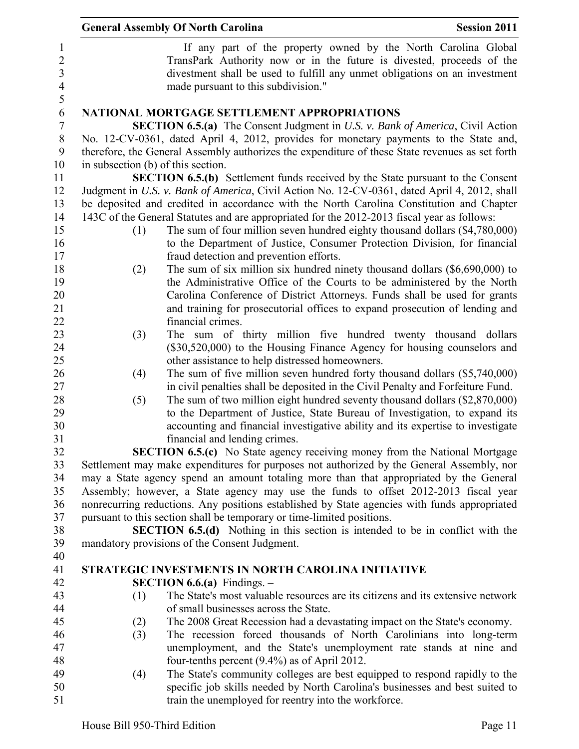|                                                                                  |                                    | <b>General Assembly Of North Carolina</b>                                                                                                                                                                                                                    | <b>Session 2011</b> |
|----------------------------------------------------------------------------------|------------------------------------|--------------------------------------------------------------------------------------------------------------------------------------------------------------------------------------------------------------------------------------------------------------|---------------------|
| $\mathbf{1}$<br>$\overline{2}$<br>$\overline{\mathbf{3}}$<br>$\overline{4}$<br>5 |                                    | If any part of the property owned by the North Carolina Global<br>TransPark Authority now or in the future is divested, proceeds of the<br>divestment shall be used to fulfill any unmet obligations on an investment<br>made pursuant to this subdivision." |                     |
| 6                                                                                |                                    | NATIONAL MORTGAGE SETTLEMENT APPROPRIATIONS                                                                                                                                                                                                                  |                     |
| $\boldsymbol{7}$                                                                 |                                    | <b>SECTION 6.5.(a)</b> The Consent Judgment in U.S. v. Bank of America, Civil Action                                                                                                                                                                         |                     |
| $\,8\,$                                                                          |                                    | No. 12-CV-0361, dated April 4, 2012, provides for monetary payments to the State and,                                                                                                                                                                        |                     |
| 9                                                                                |                                    | therefore, the General Assembly authorizes the expenditure of these State revenues as set forth                                                                                                                                                              |                     |
| 10                                                                               | in subsection (b) of this section. |                                                                                                                                                                                                                                                              |                     |
| 11                                                                               |                                    | <b>SECTION 6.5.(b)</b> Settlement funds received by the State pursuant to the Consent                                                                                                                                                                        |                     |
| 12                                                                               |                                    | Judgment in U.S. v. Bank of America, Civil Action No. 12-CV-0361, dated April 4, 2012, shall                                                                                                                                                                 |                     |
| 13                                                                               |                                    | be deposited and credited in accordance with the North Carolina Constitution and Chapter                                                                                                                                                                     |                     |
| 14<br>15                                                                         | (1)                                | 143C of the General Statutes and are appropriated for the 2012-2013 fiscal year as follows:<br>The sum of four million seven hundred eighty thousand dollars (\$4,780,000)                                                                                   |                     |
| 16                                                                               |                                    | to the Department of Justice, Consumer Protection Division, for financial                                                                                                                                                                                    |                     |
| 17                                                                               |                                    | fraud detection and prevention efforts.                                                                                                                                                                                                                      |                     |
| 18                                                                               | (2)                                | The sum of six million six hundred ninety thousand dollars $(\$6,690,000)$ to                                                                                                                                                                                |                     |
| 19                                                                               |                                    | the Administrative Office of the Courts to be administered by the North                                                                                                                                                                                      |                     |
| 20                                                                               |                                    | Carolina Conference of District Attorneys. Funds shall be used for grants                                                                                                                                                                                    |                     |
| 21                                                                               |                                    | and training for prosecutorial offices to expand prosecution of lending and                                                                                                                                                                                  |                     |
| 22                                                                               |                                    | financial crimes.                                                                                                                                                                                                                                            |                     |
| 23                                                                               | (3)                                | The sum of thirty million five hundred twenty thousand dollars                                                                                                                                                                                               |                     |
| 24                                                                               |                                    | (\$30,520,000) to the Housing Finance Agency for housing counselors and                                                                                                                                                                                      |                     |
| 25                                                                               |                                    | other assistance to help distressed homeowners.                                                                                                                                                                                                              |                     |
| 26                                                                               | (4)                                | The sum of five million seven hundred forty thousand dollars (\$5,740,000)                                                                                                                                                                                   |                     |
| 27                                                                               |                                    | in civil penalties shall be deposited in the Civil Penalty and Forfeiture Fund.                                                                                                                                                                              |                     |
| 28<br>29                                                                         | (5)                                | The sum of two million eight hundred seventy thousand dollars $(\$2,870,000)$<br>to the Department of Justice, State Bureau of Investigation, to expand its                                                                                                  |                     |
| 30                                                                               |                                    | accounting and financial investigative ability and its expertise to investigate                                                                                                                                                                              |                     |
| 31                                                                               |                                    | financial and lending crimes.                                                                                                                                                                                                                                |                     |
| 32                                                                               |                                    | <b>SECTION 6.5.(c)</b> No State agency receiving money from the National Mortgage                                                                                                                                                                            |                     |
| 33                                                                               |                                    | Settlement may make expenditures for purposes not authorized by the General Assembly, nor                                                                                                                                                                    |                     |
| 34                                                                               |                                    | may a State agency spend an amount totaling more than that appropriated by the General                                                                                                                                                                       |                     |
| 35                                                                               |                                    | Assembly; however, a State agency may use the funds to offset 2012-2013 fiscal year                                                                                                                                                                          |                     |
| 36                                                                               |                                    | nonrecurring reductions. Any positions established by State agencies with funds appropriated                                                                                                                                                                 |                     |
| 37                                                                               |                                    | pursuant to this section shall be temporary or time-limited positions.                                                                                                                                                                                       |                     |
| 38                                                                               |                                    | <b>SECTION 6.5.(d)</b> Nothing in this section is intended to be in conflict with the                                                                                                                                                                        |                     |
| 39                                                                               |                                    | mandatory provisions of the Consent Judgment.                                                                                                                                                                                                                |                     |
| 40<br>41                                                                         |                                    | STRATEGIC INVESTMENTS IN NORTH CAROLINA INITIATIVE                                                                                                                                                                                                           |                     |
| 42                                                                               |                                    | <b>SECTION 6.6.(a)</b> Findings. $-$                                                                                                                                                                                                                         |                     |
| 43                                                                               | (1)                                | The State's most valuable resources are its citizens and its extensive network                                                                                                                                                                               |                     |
| 44                                                                               |                                    | of small businesses across the State.                                                                                                                                                                                                                        |                     |
| 45                                                                               | (2)                                | The 2008 Great Recession had a devastating impact on the State's economy.                                                                                                                                                                                    |                     |
| 46                                                                               | (3)                                | The recession forced thousands of North Carolinians into long-term                                                                                                                                                                                           |                     |
| 47                                                                               |                                    | unemployment, and the State's unemployment rate stands at nine and                                                                                                                                                                                           |                     |
| 48                                                                               |                                    | four-tenths percent $(9.4\%)$ as of April 2012.                                                                                                                                                                                                              |                     |
| 49                                                                               | (4)                                | The State's community colleges are best equipped to respond rapidly to the                                                                                                                                                                                   |                     |
| 50                                                                               |                                    | specific job skills needed by North Carolina's businesses and best suited to                                                                                                                                                                                 |                     |
| 51                                                                               |                                    | train the unemployed for reentry into the workforce.                                                                                                                                                                                                         |                     |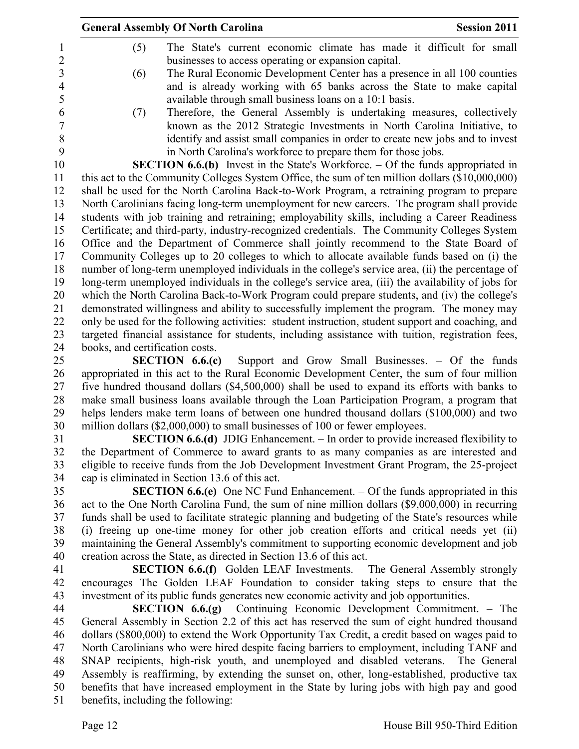|     | <b>General Assembly Of North Carolina</b>                                                                | <b>Session 2011</b> |
|-----|----------------------------------------------------------------------------------------------------------|---------------------|
| (5) | The State's current economic climate has made it difficult for small                                     |                     |
|     | businesses to access operating or expansion capital.                                                     |                     |
| (6) | The Rural Economic Development Center has a presence in all 100 counties                                 |                     |
|     | and is already working with 65 banks across the State to make capital                                    |                     |
|     | available through small business loans on a 10:1 basis.                                                  |                     |
| (7) | Therefore, the General Assembly is undertaking measures, collectively                                    |                     |
|     | known as the 2012 Strategic Investments in North Carolina Initiative, to                                 |                     |
|     | identify and assist small companies in order to create new jobs and to invest                            |                     |
|     | in North Carolina's workforce to prepare them for those jobs.                                            |                     |
|     | <b>SECTION 6.6.(b)</b> Invest in the State's Workforce. $-$ Of the funds appropriated in                 |                     |
|     | this act to the Community Colleges System Office, the sum of ten million dollars (\$10,000,000)          |                     |
|     | shall be used for the North Carolina Back-to-Work Program, a retraining program to prepare               |                     |
|     | North Carolinians facing long-term unemployment for new careers. The program shall provide               |                     |
|     | students with job training and retraining; employability skills, including a Career Readiness            |                     |
|     | Certificate; and third-party, industry-recognized credentials. The Community Colleges System             |                     |
|     | Office and the Department of Commerce shall jointly recommend to the State Board of                      |                     |
|     | Community Colleges up to 20 colleges to which to allocate available funds based on (i) the               |                     |
|     | number of long-term unemployed individuals in the college's service area, (ii) the percentage of         |                     |
|     | long-term unemployed individuals in the college's service area, (iii) the availability of jobs for       |                     |
|     | which the North Carolina Back-to-Work Program could prepare students, and (iv) the college's             |                     |
|     |                                                                                                          |                     |
|     | demonstrated willingness and ability to successfully implement the program. The money may                |                     |
|     | only be used for the following activities: student instruction, student support and coaching, and        |                     |
|     | targeted financial assistance for students, including assistance with tuition, registration fees,        |                     |
|     | books, and certification costs.<br>Support and Grow Small Businesses. - Of the funds<br>SECTION $6.6(c)$ |                     |
|     | appropriated in this act to the Rural Economic Development Center, the sum of four million               |                     |
|     | five hundred thousand dollars (\$4,500,000) shall be used to expand its efforts with banks to            |                     |
|     |                                                                                                          |                     |
|     | make small business loans available through the Loan Participation Program, a program that               |                     |
|     | helps lenders make term loans of between one hundred thousand dollars (\$100,000) and two                |                     |
|     | million dollars (\$2,000,000) to small businesses of 100 or fewer employees.                             |                     |
|     | <b>SECTION 6.6.(d)</b> JDIG Enhancement. – In order to provide increased flexibility to                  |                     |
|     | the Department of Commerce to award grants to as many companies as are interested and                    |                     |
|     | eligible to receive funds from the Job Development Investment Grant Program, the 25-project              |                     |
|     | cap is eliminated in Section 13.6 of this act.                                                           |                     |
|     | <b>SECTION 6.6.(e)</b> One NC Fund Enhancement. $-$ Of the funds appropriated in this                    |                     |
|     | act to the One North Carolina Fund, the sum of nine million dollars (\$9,000,000) in recurring           |                     |
|     | funds shall be used to facilitate strategic planning and budgeting of the State's resources while        |                     |
|     | (i) freeing up one-time money for other job creation efforts and critical needs yet (ii)                 |                     |
|     | maintaining the General Assembly's commitment to supporting economic development and job                 |                     |
|     | creation across the State, as directed in Section 13.6 of this act.                                      |                     |
|     | <b>SECTION 6.6.(f)</b> Golden LEAF Investments. – The General Assembly strongly                          |                     |
|     | encourages The Golden LEAF Foundation to consider taking steps to ensure that the                        |                     |
|     | investment of its public funds generates new economic activity and job opportunities.                    |                     |
|     | <b>SECTION 6.6.(g)</b> Continuing Economic Development Commitment. – The                                 |                     |
|     | General Assembly in Section 2.2 of this act has reserved the sum of eight hundred thousand               |                     |
|     | dollars (\$800,000) to extend the Work Opportunity Tax Credit, a credit based on wages paid to           |                     |
|     | North Carolinians who were hired despite facing barriers to employment, including TANF and               |                     |
|     | SNAP recipients, high-risk youth, and unemployed and disabled veterans.                                  | The General         |
|     | Assembly is reaffirming, by extending the sunset on, other, long-established, productive tax             |                     |
|     | benefits that have increased employment in the State by luring jobs with high pay and good               |                     |
|     | benefits, including the following:                                                                       |                     |
|     |                                                                                                          |                     |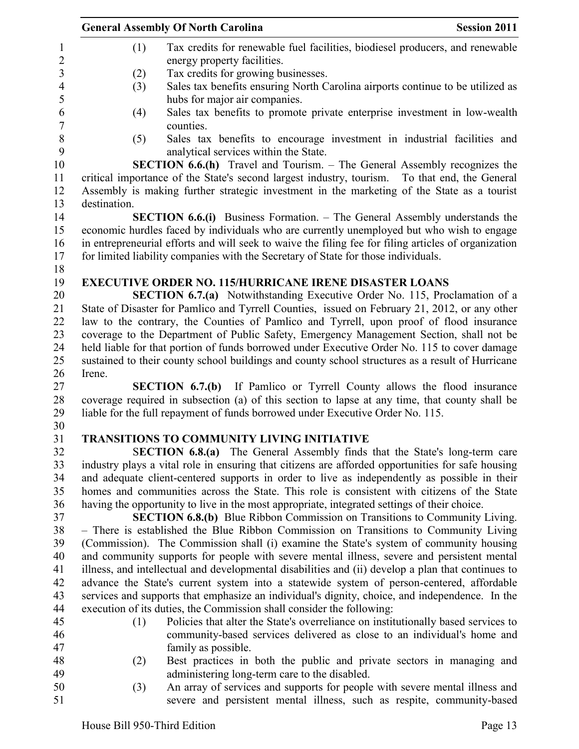|              | <b>General Assembly Of North Carolina</b>                                                                                                                                                       | <b>Session 2011</b>                        |
|--------------|-------------------------------------------------------------------------------------------------------------------------------------------------------------------------------------------------|--------------------------------------------|
| (1)          | Tax credits for renewable fuel facilities, biodiesel producers, and renewable<br>energy property facilities.                                                                                    |                                            |
| (2)          | Tax credits for growing businesses.                                                                                                                                                             |                                            |
| (3)          | Sales tax benefits ensuring North Carolina airports continue to be utilized as<br>hubs for major air companies.                                                                                 |                                            |
| (4)          | Sales tax benefits to promote private enterprise investment in low-wealth<br>counties.                                                                                                          |                                            |
| (5)          | Sales tax benefits to encourage investment in industrial facilities and<br>analytical services within the State.                                                                                |                                            |
|              | <b>SECTION 6.6.(h)</b> Travel and Tourism. – The General Assembly recognizes the                                                                                                                |                                            |
|              | critical importance of the State's second largest industry, tourism. To that end, the General                                                                                                   |                                            |
|              | Assembly is making further strategic investment in the marketing of the State as a tourist                                                                                                      |                                            |
| destination. |                                                                                                                                                                                                 |                                            |
|              | <b>SECTION 6.6.(i)</b> Business Formation. – The General Assembly understands the                                                                                                               |                                            |
|              | economic hurdles faced by individuals who are currently unemployed but who wish to engage                                                                                                       |                                            |
|              | in entrepreneurial efforts and will seek to waive the filing fee for filing articles of organization                                                                                            |                                            |
|              | for limited liability companies with the Secretary of State for those individuals.                                                                                                              |                                            |
|              |                                                                                                                                                                                                 |                                            |
|              | <b>EXECUTIVE ORDER NO. 115/HURRICANE IRENE DISASTER LOANS</b>                                                                                                                                   |                                            |
|              | <b>SECTION 6.7.(a)</b> Notwithstanding Executive Order No. 115, Proclamation of a                                                                                                               |                                            |
|              | State of Disaster for Pamlico and Tyrrell Counties, issued on February 21, 2012, or any other                                                                                                   |                                            |
|              | law to the contrary, the Counties of Pamlico and Tyrrell, upon proof of flood insurance                                                                                                         |                                            |
|              | coverage to the Department of Public Safety, Emergency Management Section, shall not be                                                                                                         |                                            |
|              | held liable for that portion of funds borrowed under Executive Order No. 115 to cover damage                                                                                                    |                                            |
|              | sustained to their county school buildings and county school structures as a result of Hurricane                                                                                                |                                            |
| Irene.       |                                                                                                                                                                                                 |                                            |
|              | <b>SECTION 6.7.(b)</b> If Pamlico or Tyrrell County allows the flood insurance                                                                                                                  |                                            |
|              | coverage required in subsection (a) of this section to lapse at any time, that county shall be                                                                                                  |                                            |
|              | liable for the full repayment of funds borrowed under Executive Order No. 115.                                                                                                                  |                                            |
|              |                                                                                                                                                                                                 |                                            |
|              | <b>TRANSITIONS TO COMMUNITY LIVING INITIATIVE</b>                                                                                                                                               |                                            |
|              | SECTION 6.8.(a) The General Assembly finds that the State's long-term care                                                                                                                      |                                            |
|              | industry plays a vital role in ensuring that citizens are afforded opportunities for safe housing                                                                                               |                                            |
|              | and adequate client-centered supports in order to live as independently as possible in their                                                                                                    |                                            |
|              | homes and communities across the State. This role is consistent with citizens of the State                                                                                                      |                                            |
|              | having the opportunity to live in the most appropriate, integrated settings of their choice.                                                                                                    |                                            |
|              | SECTION 6.8.(b) Blue Ribbon Commission on Transitions to Community Living.                                                                                                                      |                                            |
|              | - There is established the Blue Ribbon Commission on Transitions to Community Living                                                                                                            |                                            |
|              | (Commission). The Commission shall (i) examine the State's system of community housing                                                                                                          |                                            |
|              | and community supports for people with severe mental illness, severe and persistent mental                                                                                                      |                                            |
|              | illness, and intellectual and developmental disabilities and (ii) develop a plan that continues to<br>advance the State's current system into a statewide system of person-centered, affordable |                                            |
|              | services and supports that emphasize an individual's dignity, choice, and independence. In the                                                                                                  |                                            |
|              | execution of its duties, the Commission shall consider the following:                                                                                                                           |                                            |
| (1)          | Policies that alter the State's overreliance on institutionally based services to                                                                                                               |                                            |
|              | community-based services delivered as close to an individual's home and                                                                                                                         |                                            |
|              | family as possible.                                                                                                                                                                             |                                            |
| (2)          | Best practices in both the public and private sectors in managing and                                                                                                                           |                                            |
|              | administering long-term care to the disabled.                                                                                                                                                   |                                            |
| $\bigcap$    |                                                                                                                                                                                                 | a a confermit. Service account 1913 confer |

 (3) An array of services and supports for people with severe mental illness and severe and persistent mental illness, such as respite, community-based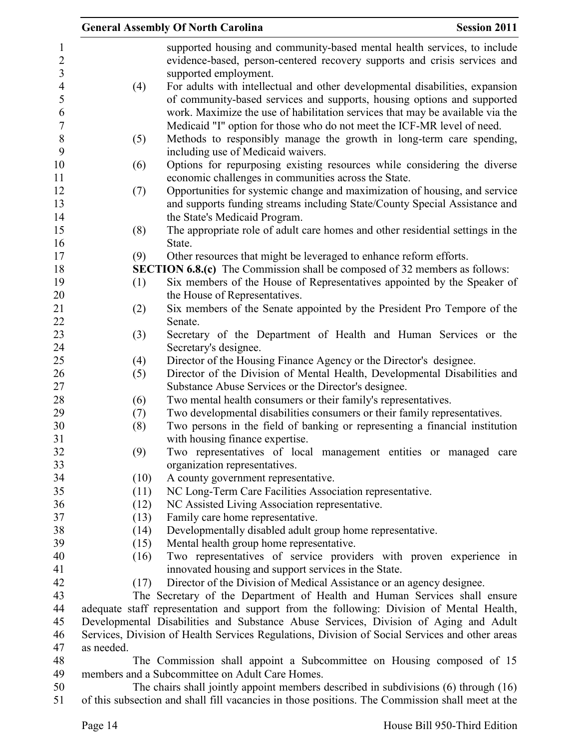|                                                  |            | <b>General Assembly Of North Carolina</b>                                                                                                                                                 | <b>Session 2011</b> |
|--------------------------------------------------|------------|-------------------------------------------------------------------------------------------------------------------------------------------------------------------------------------------|---------------------|
| $\mathbf{1}$<br>$\overline{2}$<br>$\mathfrak{Z}$ |            | supported housing and community-based mental health services, to include<br>evidence-based, person-centered recovery supports and crisis services and<br>supported employment.            |                     |
| $\overline{4}$<br>5                              | (4)        | For adults with intellectual and other developmental disabilities, expansion<br>of community-based services and supports, housing options and supported                                   |                     |
| 6<br>$\overline{7}$                              |            | work. Maximize the use of habilitation services that may be available via the<br>Medicaid "I" option for those who do not meet the ICF-MR level of need.                                  |                     |
| $\,8\,$<br>9                                     | (5)        | Methods to responsibly manage the growth in long-term care spending,<br>including use of Medicaid waivers.                                                                                |                     |
| 10<br>11                                         | (6)        | Options for repurposing existing resources while considering the diverse<br>economic challenges in communities across the State.                                                          |                     |
| 12<br>13<br>14                                   | (7)        | Opportunities for systemic change and maximization of housing, and service<br>and supports funding streams including State/County Special Assistance and<br>the State's Medicaid Program. |                     |
| 15<br>16                                         | (8)        | The appropriate role of adult care homes and other residential settings in the<br>State.                                                                                                  |                     |
| 17                                               | (9)        | Other resources that might be leveraged to enhance reform efforts.                                                                                                                        |                     |
| 18                                               |            | <b>SECTION 6.8.(c)</b> The Commission shall be composed of 32 members as follows:                                                                                                         |                     |
| 19                                               | (1)        | Six members of the House of Representatives appointed by the Speaker of                                                                                                                   |                     |
| 20                                               |            | the House of Representatives.                                                                                                                                                             |                     |
| 21                                               | (2)        | Six members of the Senate appointed by the President Pro Tempore of the                                                                                                                   |                     |
| 22                                               |            | Senate.                                                                                                                                                                                   |                     |
| 23                                               | (3)        | Secretary of the Department of Health and Human Services or the                                                                                                                           |                     |
| 24                                               |            | Secretary's designee.                                                                                                                                                                     |                     |
| 25                                               | (4)        | Director of the Housing Finance Agency or the Director's designee.                                                                                                                        |                     |
| 26<br>27                                         | (5)        | Director of the Division of Mental Health, Developmental Disabilities and<br>Substance Abuse Services or the Director's designee.                                                         |                     |
| 28                                               | (6)        | Two mental health consumers or their family's representatives.                                                                                                                            |                     |
| 29                                               | (7)        | Two developmental disabilities consumers or their family representatives.                                                                                                                 |                     |
| 30                                               | (8)        | Two persons in the field of banking or representing a financial institution                                                                                                               |                     |
| 31                                               |            | with housing finance expertise.                                                                                                                                                           |                     |
| 32                                               | (9)        | Two representatives of local management entities or managed care                                                                                                                          |                     |
| 33                                               |            | organization representatives.                                                                                                                                                             |                     |
| 34                                               | (10)       | A county government representative.                                                                                                                                                       |                     |
| 35                                               | (11)       | NC Long-Term Care Facilities Association representative.                                                                                                                                  |                     |
| 36                                               | (12)       | NC Assisted Living Association representative.                                                                                                                                            |                     |
| 37                                               | (13)       | Family care home representative.                                                                                                                                                          |                     |
| 38                                               | (14)       | Developmentally disabled adult group home representative.                                                                                                                                 |                     |
| 39                                               | (15)       | Mental health group home representative.                                                                                                                                                  |                     |
| 40                                               | (16)       | Two representatives of service providers with proven experience in                                                                                                                        |                     |
| 41                                               |            | innovated housing and support services in the State.                                                                                                                                      |                     |
| 42<br>43                                         | (17)       | Director of the Division of Medical Assistance or an agency designee.<br>The Secretary of the Department of Health and Human Services shall ensure                                        |                     |
| 44                                               |            | adequate staff representation and support from the following: Division of Mental Health,                                                                                                  |                     |
| 45                                               |            | Developmental Disabilities and Substance Abuse Services, Division of Aging and Adult                                                                                                      |                     |
| 46                                               |            | Services, Division of Health Services Regulations, Division of Social Services and other areas                                                                                            |                     |
| 47                                               | as needed. |                                                                                                                                                                                           |                     |
| 48                                               |            | The Commission shall appoint a Subcommittee on Housing composed of 15                                                                                                                     |                     |
| 49                                               |            | members and a Subcommittee on Adult Care Homes.                                                                                                                                           |                     |
| 50                                               |            | The chairs shall jointly appoint members described in subdivisions (6) through (16)                                                                                                       |                     |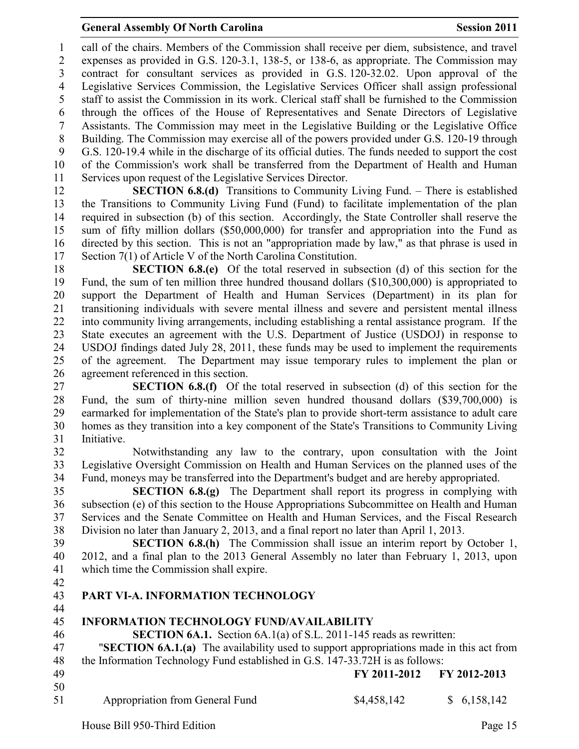call of the chairs. Members of the Commission shall receive per diem, subsistence, and travel expenses as provided in G.S. 120-3.1, 138-5, or 138-6, as appropriate. The Commission may contract for consultant services as provided in G.S. 120-32.02. Upon approval of the Legislative Services Commission, the Legislative Services Officer shall assign professional staff to assist the Commission in its work. Clerical staff shall be furnished to the Commission through the offices of the House of Representatives and Senate Directors of Legislative Assistants. The Commission may meet in the Legislative Building or the Legislative Office Building. The Commission may exercise all of the powers provided under G.S. 120-19 through G.S. 120-19.4 while in the discharge of its official duties. The funds needed to support the cost of the Commission's work shall be transferred from the Department of Health and Human Services upon request of the Legislative Services Director.

 **SECTION 6.8.(d)** Transitions to Community Living Fund. – There is established the Transitions to Community Living Fund (Fund) to facilitate implementation of the plan required in subsection (b) of this section. Accordingly, the State Controller shall reserve the sum of fifty million dollars (\$50,000,000) for transfer and appropriation into the Fund as directed by this section. This is not an "appropriation made by law," as that phrase is used in Section 7(1) of Article V of the North Carolina Constitution.

 **SECTION 6.8.(e)** Of the total reserved in subsection (d) of this section for the Fund, the sum of ten million three hundred thousand dollars (\$10,300,000) is appropriated to support the Department of Health and Human Services (Department) in its plan for transitioning individuals with severe mental illness and severe and persistent mental illness into community living arrangements, including establishing a rental assistance program. If the State executes an agreement with the U.S. Department of Justice (USDOJ) in response to USDOJ findings dated July 28, 2011, these funds may be used to implement the requirements of the agreement. The Department may issue temporary rules to implement the plan or agreement referenced in this section.

 **SECTION 6.8.(f)** Of the total reserved in subsection (d) of this section for the Fund, the sum of thirty-nine million seven hundred thousand dollars (\$39,700,000) is earmarked for implementation of the State's plan to provide short-term assistance to adult care homes as they transition into a key component of the State's Transitions to Community Living Initiative.

 Notwithstanding any law to the contrary, upon consultation with the Joint Legislative Oversight Commission on Health and Human Services on the planned uses of the Fund, moneys may be transferred into the Department's budget and are hereby appropriated.

 **SECTION 6.8.(g)** The Department shall report its progress in complying with subsection (e) of this section to the House Appropriations Subcommittee on Health and Human Services and the Senate Committee on Health and Human Services, and the Fiscal Research Division no later than January 2, 2013, and a final report no later than April 1, 2013.

 **SECTION 6.8.(h)** The Commission shall issue an interim report by October 1, 2012, and a final plan to the 2013 General Assembly no later than February 1, 2013, upon which time the Commission shall expire.

#### **PART VI-A. INFORMATION TECHNOLOGY**

#### **INFORMATION TECHNOLOGY FUND/AVAILABILITY**

**SECTION 6A.1.** Section 6A.1(a) of S.L. 2011-145 reads as rewritten:

 "**SECTION 6A.1.(a)** The availability used to support appropriations made in this act from the Information Technology Fund established in G.S. 147-33.72H is as follows:

| 49 |                                 | FY 2011-2012 FY 2012-2013 |             |
|----|---------------------------------|---------------------------|-------------|
| 50 |                                 |                           |             |
| 51 | Appropriation from General Fund | \$4,458,142               | \$6,158,142 |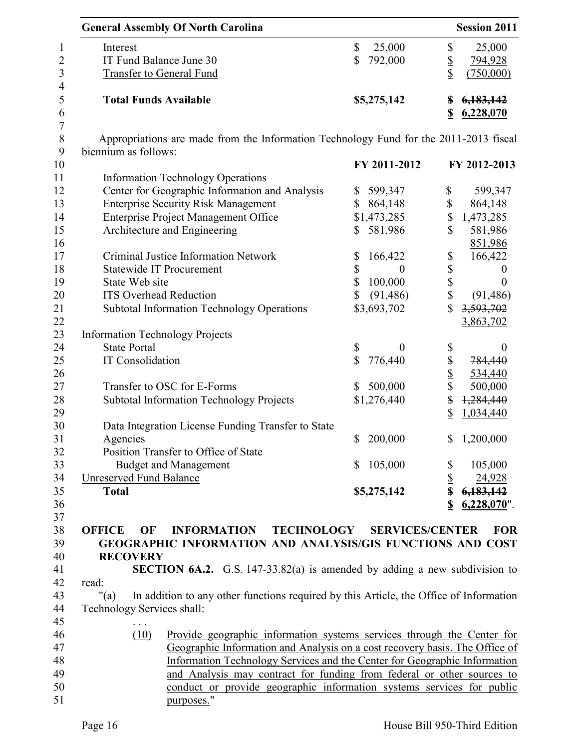| <b>General Assembly Of North Carolina</b>                                                      |                         |                              | <b>Session 2011</b> |
|------------------------------------------------------------------------------------------------|-------------------------|------------------------------|---------------------|
| Interest                                                                                       | \$<br>25,000            | \$                           | 25,000              |
| IT Fund Balance June 30                                                                        | \$<br>792,000           |                              | 794,928             |
| <b>Transfer to General Fund</b>                                                                |                         | $rac{S}{S}$                  | (750,000)           |
|                                                                                                |                         |                              |                     |
| <b>Total Funds Available</b>                                                                   | \$5,275,142             | \$                           | 6,183,142           |
|                                                                                                |                         | $\underline{\underline{\$}}$ | 6,228,070           |
| Appropriations are made from the Information Technology Fund for the 2011-2013 fiscal          |                         |                              |                     |
| biennium as follows:                                                                           |                         |                              |                     |
|                                                                                                | FY 2011-2012            |                              | FY 2012-2013        |
| <b>Information Technology Operations</b>                                                       |                         |                              |                     |
| Center for Geographic Information and Analysis                                                 | \$<br>599,347           | \$                           | 599,347             |
| <b>Enterprise Security Risk Management</b>                                                     | 864,148<br>\$           | \$                           | 864,148             |
| <b>Enterprise Project Management Office</b>                                                    | \$1,473,285             | \$                           | 1,473,285           |
| Architecture and Engineering                                                                   | 581,986<br>\$           | \$                           | 581,986             |
|                                                                                                |                         |                              | 851,986             |
| Criminal Justice Information Network                                                           | \$<br>166,422           | \$                           | 166,422             |
| <b>Statewide IT Procurement</b>                                                                | \$<br>$\boldsymbol{0}$  | $\boldsymbol{\$}$            | $\boldsymbol{0}$    |
| State Web site                                                                                 | \$<br>100,000           | \$                           | $\boldsymbol{0}$    |
|                                                                                                |                         |                              |                     |
| <b>ITS Overhead Reduction</b>                                                                  | (91, 486)<br>\$         | \$                           | (91, 486)           |
| <b>Subtotal Information Technology Operations</b>                                              | \$3,693,702             | \$                           | 3,593,702           |
|                                                                                                |                         |                              | 3,863,702           |
| <b>Information Technology Projects</b>                                                         |                         |                              |                     |
| <b>State Portal</b>                                                                            | \$<br>$\theta$          | \$                           | $\boldsymbol{0}$    |
| IT Consolidation                                                                               | $\mathbb{S}$<br>776,440 |                              | 784,440             |
|                                                                                                |                         | $\frac{\$}{\$}$              | 534,440             |
| Transfer to OSC for E-Forms                                                                    | 500,000<br>\$           |                              | 500,000             |
| <b>Subtotal Information Technology Projects</b>                                                | \$1,276,440             | \$                           | 1,284,440           |
|                                                                                                |                         | \$                           | 1,034,440           |
| Data Integration License Funding Transfer to State                                             |                         |                              |                     |
| Agencies                                                                                       | 200,000<br>\$           | \$                           | 1,200,000           |
| Position Transfer to Office of State                                                           |                         |                              |                     |
| <b>Budget and Management</b>                                                                   | 105,000<br>$\mathbb{S}$ | \$                           | 105,000             |
| <b>Unreserved Fund Balance</b>                                                                 |                         |                              |                     |
|                                                                                                |                         | $\underline{\$}$             | 24,928              |
| <b>Total</b>                                                                                   | \$5,275,142             | \$                           | 6,183,142           |
|                                                                                                |                         | <u>\$</u>                    | $6,228,070$ ".      |
|                                                                                                |                         |                              |                     |
| <b>OFFICE</b><br><b>INFORMATION</b><br><b>TECHNOLOGY</b><br>OF                                 | <b>SERVICES/CENTER</b>  |                              | <b>FOR</b>          |
| <b>GEOGRAPHIC INFORMATION AND ANALYSIS/GIS FUNCTIONS AND COST</b>                              |                         |                              |                     |
| <b>RECOVERY</b>                                                                                |                         |                              |                     |
| <b>SECTION 6A.2.</b> G.S. 147-33.82(a) is amended by adding a new subdivision to               |                         |                              |                     |
| read:                                                                                          |                         |                              |                     |
| In addition to any other functions required by this Article, the Office of Information<br>"(a) |                         |                              |                     |
| Technology Services shall:                                                                     |                         |                              |                     |
|                                                                                                |                         |                              |                     |
| Provide geographic information systems services through the Center for<br>(10)                 |                         |                              |                     |
| Geographic Information and Analysis on a cost recovery basis. The Office of                    |                         |                              |                     |
| Information Technology Services and the Center for Geographic Information                      |                         |                              |                     |
|                                                                                                |                         |                              |                     |
| and Analysis may contract for funding from federal or other sources to                         |                         |                              |                     |
| conduct or provide geographic information systems services for public                          |                         |                              |                     |
| purposes."                                                                                     |                         |                              |                     |
|                                                                                                |                         |                              |                     |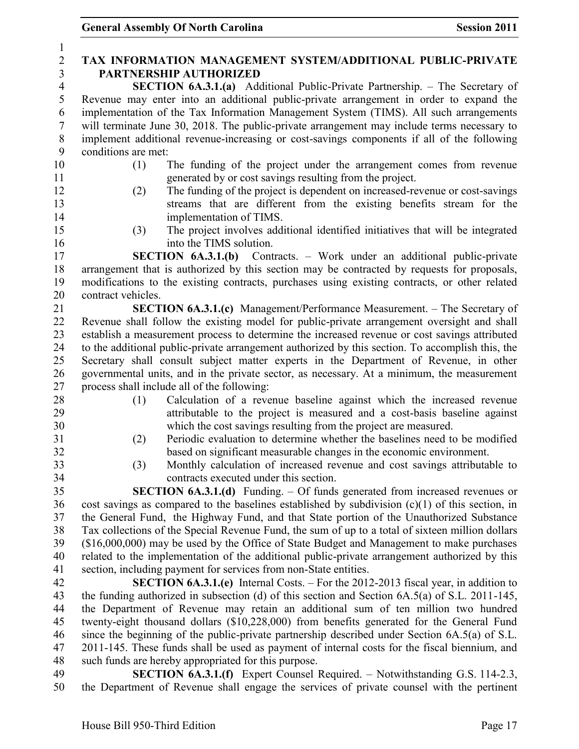| $\mathbf{1}$   |                                                                                                   |  |  |  |  |
|----------------|---------------------------------------------------------------------------------------------------|--|--|--|--|
| $\overline{2}$ | TAX INFORMATION MANAGEMENT SYSTEM/ADDITIONAL PUBLIC-PRIVATE                                       |  |  |  |  |
| 3              | PARTNERSHIP AUTHORIZED                                                                            |  |  |  |  |
| $\overline{4}$ | <b>SECTION 6A.3.1.(a)</b> Additional Public-Private Partnership. – The Secretary of               |  |  |  |  |
| 5              | Revenue may enter into an additional public-private arrangement in order to expand the            |  |  |  |  |
| 6              | implementation of the Tax Information Management System (TIMS). All such arrangements             |  |  |  |  |
| $\overline{7}$ | will terminate June 30, 2018. The public-private arrangement may include terms necessary to       |  |  |  |  |
| $\,8\,$        | implement additional revenue-increasing or cost-savings components if all of the following        |  |  |  |  |
| 9              | conditions are met:                                                                               |  |  |  |  |
| 10             | The funding of the project under the arrangement comes from revenue<br>(1)                        |  |  |  |  |
| 11             |                                                                                                   |  |  |  |  |
|                | generated by or cost savings resulting from the project.                                          |  |  |  |  |
| 12             | The funding of the project is dependent on increased-revenue or cost-savings<br>(2)               |  |  |  |  |
| 13             | streams that are different from the existing benefits stream for the                              |  |  |  |  |
| 14             | implementation of TIMS.                                                                           |  |  |  |  |
| 15             | The project involves additional identified initiatives that will be integrated<br>(3)             |  |  |  |  |
| 16             | into the TIMS solution.                                                                           |  |  |  |  |
| 17             | <b>SECTION 6A.3.1.(b)</b> Contracts. – Work under an additional public-private                    |  |  |  |  |
| 18             | arrangement that is authorized by this section may be contracted by requests for proposals,       |  |  |  |  |
| 19             | modifications to the existing contracts, purchases using existing contracts, or other related     |  |  |  |  |
| 20             | contract vehicles.                                                                                |  |  |  |  |
| 21             | <b>SECTION 6A.3.1.(c)</b> Management/Performance Measurement. – The Secretary of                  |  |  |  |  |
| 22             | Revenue shall follow the existing model for public-private arrangement oversight and shall        |  |  |  |  |
| 23             | establish a measurement process to determine the increased revenue or cost savings attributed     |  |  |  |  |
| 24             | to the additional public-private arrangement authorized by this section. To accomplish this, the  |  |  |  |  |
| 25             | Secretary shall consult subject matter experts in the Department of Revenue, in other             |  |  |  |  |
| 26             | governmental units, and in the private sector, as necessary. At a minimum, the measurement        |  |  |  |  |
| 27             | process shall include all of the following:                                                       |  |  |  |  |
| 28             | Calculation of a revenue baseline against which the increased revenue<br>(1)                      |  |  |  |  |
| 29             | attributable to the project is measured and a cost-basis baseline against                         |  |  |  |  |
| 30             | which the cost savings resulting from the project are measured.                                   |  |  |  |  |
| 31             | Periodic evaluation to determine whether the baselines need to be modified<br>(2)                 |  |  |  |  |
| 32             | based on significant measurable changes in the economic environment.                              |  |  |  |  |
| 33             | Monthly calculation of increased revenue and cost savings attributable to<br>(3)                  |  |  |  |  |
| 34             | contracts executed under this section.                                                            |  |  |  |  |
| 35             | <b>SECTION 6A.3.1.(d)</b> Funding. – Of funds generated from increased revenues or                |  |  |  |  |
| 36             | cost savings as compared to the baselines established by subdivision $(c)(1)$ of this section, in |  |  |  |  |
| 37             | the General Fund, the Highway Fund, and that State portion of the Unauthorized Substance          |  |  |  |  |
| 38             | Tax collections of the Special Revenue Fund, the sum of up to a total of sixteen million dollars  |  |  |  |  |
| 39             | (\$16,000,000) may be used by the Office of State Budget and Management to make purchases         |  |  |  |  |
| 40             | related to the implementation of the additional public-private arrangement authorized by this     |  |  |  |  |
| 41             | section, including payment for services from non-State entities.                                  |  |  |  |  |
| 42             | <b>SECTION 6A.3.1.(e)</b> Internal Costs. – For the 2012-2013 fiscal year, in addition to         |  |  |  |  |
| 43             | the funding authorized in subsection (d) of this section and Section $6A.5(a)$ of S.L. 2011-145,  |  |  |  |  |
| 44             |                                                                                                   |  |  |  |  |
| 45             | the Department of Revenue may retain an additional sum of ten million two hundred                 |  |  |  |  |
|                | twenty-eight thousand dollars (\$10,228,000) from benefits generated for the General Fund         |  |  |  |  |
| 46             | since the beginning of the public-private partnership described under Section 6A.5(a) of S.L.     |  |  |  |  |
| 47             | 2011-145. These funds shall be used as payment of internal costs for the fiscal biennium, and     |  |  |  |  |
| 48             | such funds are hereby appropriated for this purpose.                                              |  |  |  |  |

 **SECTION 6A.3.1.(f)** Expert Counsel Required. – Notwithstanding G.S. 114-2.3, the Department of Revenue shall engage the services of private counsel with the pertinent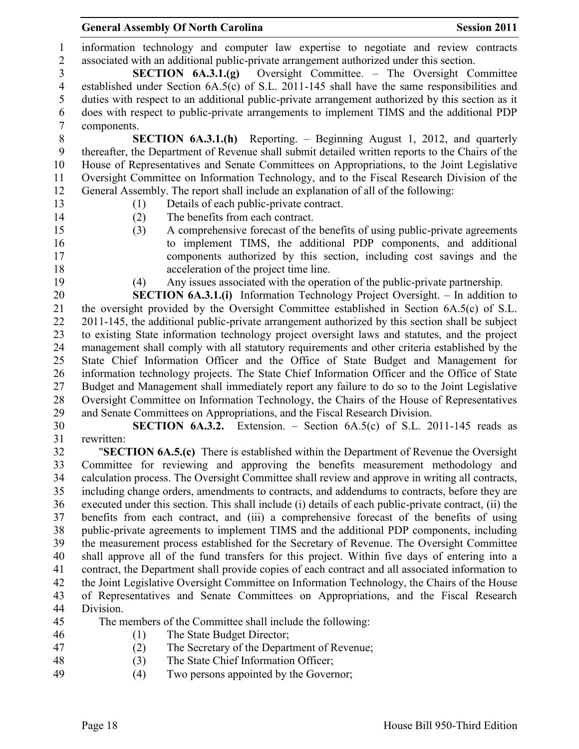information technology and computer law expertise to negotiate and review contracts associated with an additional public-private arrangement authorized under this section. **SECTION 6A.3.1.(g)** Oversight Committee. – The Oversight Committee established under Section 6A.5(c) of S.L. 2011-145 shall have the same responsibilities and duties with respect to an additional public-private arrangement authorized by this section as it does with respect to public-private arrangements to implement TIMS and the additional PDP components.

**SECTION 6A.3.1.(h)** Reporting. – Beginning August 1, 2012, and quarterly thereafter, the Department of Revenue shall submit detailed written reports to the Chairs of the thereafter, the Department of Revenue shall submit detailed written reports to the Chairs of the House of Representatives and Senate Committees on Appropriations, to the Joint Legislative Oversight Committee on Information Technology, and to the Fiscal Research Division of the General Assembly. The report shall include an explanation of all of the following:

- 
- (1) Details of each public-private contract.
- 
- (2) The benefits from each contract.
- 
- 

 (3) A comprehensive forecast of the benefits of using public-private agreements to implement TIMS, the additional PDP components, and additional components authorized by this section, including cost savings and the acceleration of the project time line.

- 
- (4) Any issues associated with the operation of the public-private partnership.

 **SECTION 6A.3.1.(i)** Information Technology Project Oversight. – In addition to the oversight provided by the Oversight Committee established in Section 6A.5(c) of S.L. 2011-145, the additional public-private arrangement authorized by this section shall be subject to existing State information technology project oversight laws and statutes, and the project management shall comply with all statutory requirements and other criteria established by the State Chief Information Officer and the Office of State Budget and Management for information technology projects. The State Chief Information Officer and the Office of State Budget and Management shall immediately report any failure to do so to the Joint Legislative Oversight Committee on Information Technology, the Chairs of the House of Representatives and Senate Committees on Appropriations, and the Fiscal Research Division.

 **SECTION 6A.3.2.** Extension. – Section 6A.5(c) of S.L. 2011-145 reads as rewritten:

 "**SECTION 6A.5.(c)** There is established within the Department of Revenue the Oversight Committee for reviewing and approving the benefits measurement methodology and calculation process. The Oversight Committee shall review and approve in writing all contracts, including change orders, amendments to contracts, and addendums to contracts, before they are executed under this section. This shall include (i) details of each public-private contract, (ii) the benefits from each contract, and (iii) a comprehensive forecast of the benefits of using public-private agreements to implement TIMS and the additional PDP components, including the measurement process established for the Secretary of Revenue. The Oversight Committee shall approve all of the fund transfers for this project. Within five days of entering into a contract, the Department shall provide copies of each contract and all associated information to the Joint Legislative Oversight Committee on Information Technology, the Chairs of the House of Representatives and Senate Committees on Appropriations, and the Fiscal Research Division.

- The members of the Committee shall include the following:
- (1) The State Budget Director;
- (2) The Secretary of the Department of Revenue;
- (3) The State Chief Information Officer;
- 49 (4) Two persons appointed by the Governor;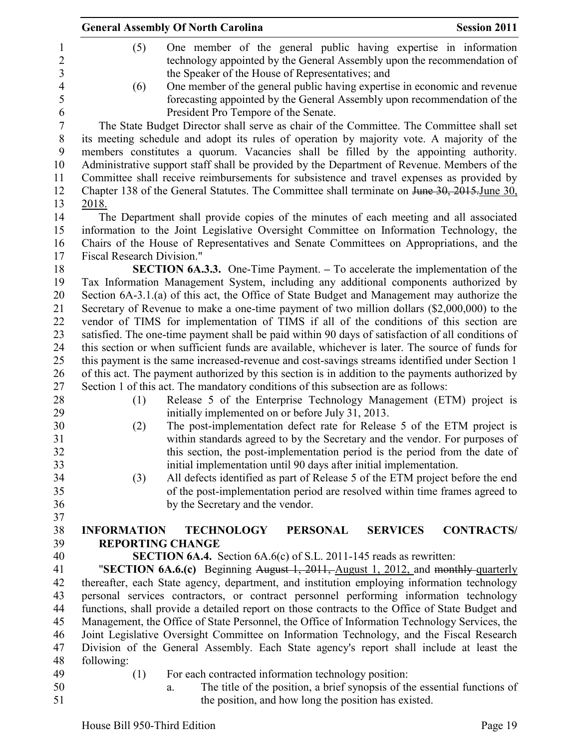|                         | <b>General Assembly Of North Carolina</b><br><b>Session 2011</b>                                                                                                                  |
|-------------------------|-----------------------------------------------------------------------------------------------------------------------------------------------------------------------------------|
| 1                       | (5)<br>One member of the general public having expertise in information                                                                                                           |
| $\overline{2}$          | technology appointed by the General Assembly upon the recommendation of                                                                                                           |
| $\overline{\mathbf{3}}$ | the Speaker of the House of Representatives; and                                                                                                                                  |
| $\overline{4}$          | One member of the general public having expertise in economic and revenue<br>(6)                                                                                                  |
| 5<br>6                  | forecasting appointed by the General Assembly upon recommendation of the<br>President Pro Tempore of the Senate.                                                                  |
| 7                       | The State Budget Director shall serve as chair of the Committee. The Committee shall set                                                                                          |
| $\,8\,$<br>9            | its meeting schedule and adopt its rules of operation by majority vote. A majority of the<br>members constitutes a quorum. Vacancies shall be filled by the appointing authority. |
| 10                      | Administrative support staff shall be provided by the Department of Revenue. Members of the                                                                                       |
| 11                      | Committee shall receive reimbursements for subsistence and travel expenses as provided by                                                                                         |
| 12                      | Chapter 138 of the General Statutes. The Committee shall terminate on June 30, 2015. June 30,                                                                                     |
| 13                      | 2018.                                                                                                                                                                             |
| 14                      | The Department shall provide copies of the minutes of each meeting and all associated                                                                                             |
| 15                      | information to the Joint Legislative Oversight Committee on Information Technology, the                                                                                           |
| 16                      | Chairs of the House of Representatives and Senate Committees on Appropriations, and the                                                                                           |
| 17                      | Fiscal Research Division."                                                                                                                                                        |
| 18                      | <b>SECTION 6A.3.3.</b> One-Time Payment. – To accelerate the implementation of the                                                                                                |
| 19                      | Tax Information Management System, including any additional components authorized by                                                                                              |
| 20                      | Section 6A-3.1.(a) of this act, the Office of State Budget and Management may authorize the                                                                                       |
| 21                      | Secretary of Revenue to make a one-time payment of two million dollars (\$2,000,000) to the                                                                                       |
| 22                      | vendor of TIMS for implementation of TIMS if all of the conditions of this section are                                                                                            |
| 23                      | satisfied. The one-time payment shall be paid within 90 days of satisfaction of all conditions of                                                                                 |
| 24                      | this section or when sufficient funds are available, whichever is later. The source of funds for                                                                                  |
| 25                      | this payment is the same increased-revenue and cost-savings streams identified under Section 1                                                                                    |
| 26                      | of this act. The payment authorized by this section is in addition to the payments authorized by                                                                                  |
| 27                      | Section 1 of this act. The mandatory conditions of this subsection are as follows:                                                                                                |
| 28                      | Release 5 of the Enterprise Technology Management (ETM) project is<br>(1)                                                                                                         |
| 29                      | initially implemented on or before July 31, 2013.                                                                                                                                 |
| 30                      | The post-implementation defect rate for Release 5 of the ETM project is<br>(2)                                                                                                    |
| 31                      | within standards agreed to by the Secretary and the vendor. For purposes of                                                                                                       |
| 32                      | this section, the post-implementation period is the period from the date of                                                                                                       |
| 33                      | initial implementation until 90 days after initial implementation.                                                                                                                |
| 34                      | All defects identified as part of Release 5 of the ETM project before the end<br>(3)                                                                                              |
| 35                      | of the post-implementation period are resolved within time frames agreed to                                                                                                       |
| 36                      | by the Secretary and the vendor.                                                                                                                                                  |
| 37<br>38                | <b>INFORMATION</b><br><b>TECHNOLOGY</b><br><b>PERSONAL</b><br><b>SERVICES</b><br><b>CONTRACTS/</b>                                                                                |
| 39                      | <b>REPORTING CHANGE</b>                                                                                                                                                           |
| 40                      | <b>SECTION 6A.4.</b> Section 6A.6(c) of S.L. 2011-145 reads as rewritten:                                                                                                         |
| 41                      | "SECTION 6A.6.(c) Beginning August 1, 2011, August 1, 2012, and monthly quarterly                                                                                                 |
| 42                      | thereafter, each State agency, department, and institution employing information technology                                                                                       |
| 43                      | personal services contractors, or contract personnel performing information technology                                                                                            |
| 44                      | functions, shall provide a detailed report on those contracts to the Office of State Budget and                                                                                   |
| 45                      | Management, the Office of State Personnel, the Office of Information Technology Services, the                                                                                     |
| 46                      | Joint Legislative Oversight Committee on Information Technology, and the Fiscal Research                                                                                          |
| 47                      | Division of the General Assembly. Each State agency's report shall include at least the                                                                                           |
| 48                      | following:                                                                                                                                                                        |
| 49                      | For each contracted information technology position:<br>(1)                                                                                                                       |
| 50                      | The title of the position, a brief synopsis of the essential functions of<br>a.                                                                                                   |
| 51                      | the position, and how long the position has existed.                                                                                                                              |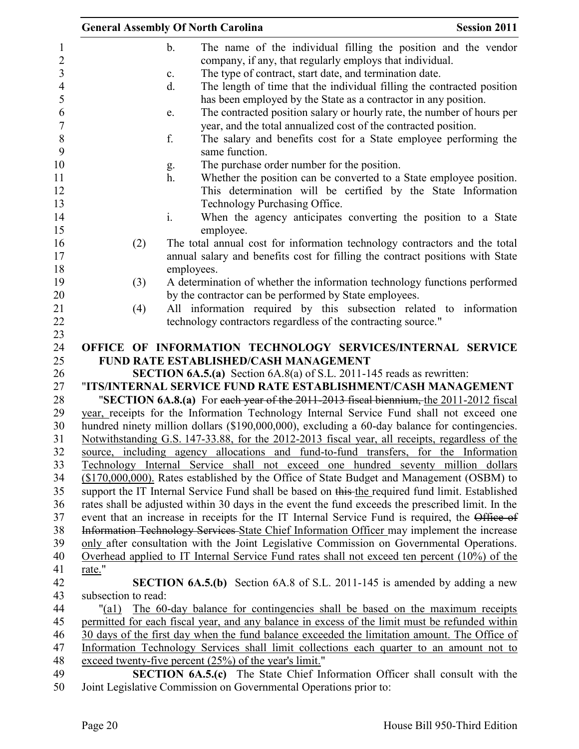|                     | <b>General Assembly Of North Carolina</b>                                                                                                                                              | <b>Session 2011</b> |
|---------------------|----------------------------------------------------------------------------------------------------------------------------------------------------------------------------------------|---------------------|
|                     | $\mathbf b$ .<br>The name of the individual filling the position and the vendor                                                                                                        |                     |
|                     | company, if any, that regularly employs that individual.                                                                                                                               |                     |
|                     | The type of contract, start date, and termination date.<br>c.                                                                                                                          |                     |
|                     | d.<br>The length of time that the individual filling the contracted position                                                                                                           |                     |
|                     | has been employed by the State as a contractor in any position.                                                                                                                        |                     |
|                     | The contracted position salary or hourly rate, the number of hours per<br>e.                                                                                                           |                     |
|                     | year, and the total annualized cost of the contracted position.                                                                                                                        |                     |
|                     | f.<br>The salary and benefits cost for a State employee performing the<br>same function.                                                                                               |                     |
|                     | The purchase order number for the position.<br>g.                                                                                                                                      |                     |
|                     | h.<br>Whether the position can be converted to a State employee position.                                                                                                              |                     |
|                     | This determination will be certified by the State Information                                                                                                                          |                     |
|                     | Technology Purchasing Office.                                                                                                                                                          |                     |
|                     | i.<br>When the agency anticipates converting the position to a State                                                                                                                   |                     |
|                     | employee.                                                                                                                                                                              |                     |
| (2)                 | The total annual cost for information technology contractors and the total                                                                                                             |                     |
|                     | annual salary and benefits cost for filling the contract positions with State                                                                                                          |                     |
|                     | employees.                                                                                                                                                                             |                     |
| (3)                 | A determination of whether the information technology functions performed                                                                                                              |                     |
|                     | by the contractor can be performed by State employees.                                                                                                                                 |                     |
| (4)                 | All information required by this subsection related to information                                                                                                                     |                     |
|                     | technology contractors regardless of the contracting source."                                                                                                                          |                     |
|                     |                                                                                                                                                                                        |                     |
|                     | OFFICE OF INFORMATION TECHNOLOGY SERVICES/INTERNAL SERVICE                                                                                                                             |                     |
|                     | FUND RATE ESTABLISHED/CASH MANAGEMENT                                                                                                                                                  |                     |
|                     | <b>SECTION 6A.5.(a)</b> Section $6A.8(a)$ of S.L. 2011-145 reads as rewritten:                                                                                                         |                     |
|                     | "ITS/INTERNAL SERVICE FUND RATE ESTABLISHMENT/CASH MANAGEMENT                                                                                                                          |                     |
|                     | "SECTION 6A.8.(a) For each year of the 2011-2013 fiscal biennium, the 2011-2012 fiscal                                                                                                 |                     |
|                     | year, receipts for the Information Technology Internal Service Fund shall not exceed one                                                                                               |                     |
|                     | hundred ninety million dollars (\$190,000,000), excluding a 60-day balance for contingencies.                                                                                          |                     |
|                     | Notwithstanding G.S. 147-33.88, for the 2012-2013 fiscal year, all receipts, regardless of the<br>source, including agency allocations and fund-to-fund transfers, for the Information |                     |
|                     | Technology Internal Service shall not exceed one hundred seventy million dollars                                                                                                       |                     |
|                     | (\$170,000,000). Rates established by the Office of State Budget and Management (OSBM) to                                                                                              |                     |
|                     | support the IT Internal Service Fund shall be based on this the required fund limit. Established                                                                                       |                     |
|                     | rates shall be adjusted within 30 days in the event the fund exceeds the prescribed limit. In the                                                                                      |                     |
|                     | event that an increase in receipts for the IT Internal Service Fund is required, the Office of                                                                                         |                     |
|                     | Information Technology Services-State Chief Information Officer may implement the increase                                                                                             |                     |
|                     | only after consultation with the Joint Legislative Commission on Governmental Operations.                                                                                              |                     |
|                     | Overhead applied to IT Internal Service Fund rates shall not exceed ten percent (10%) of the                                                                                           |                     |
| rate."              |                                                                                                                                                                                        |                     |
|                     | <b>SECTION 6A.5.(b)</b> Section 6A.8 of S.L. 2011-145 is amended by adding a new                                                                                                       |                     |
| subsection to read: |                                                                                                                                                                                        |                     |
|                     | "(a1) The 60-day balance for contingencies shall be based on the maximum receipts                                                                                                      |                     |
|                     | permitted for each fiscal year, and any balance in excess of the limit must be refunded within                                                                                         |                     |
|                     | 30 days of the first day when the fund balance exceeded the limitation amount. The Office of                                                                                           |                     |
|                     | Information Technology Services shall limit collections each quarter to an amount not to                                                                                               |                     |
|                     | exceed twenty-five percent (25%) of the year's limit."                                                                                                                                 |                     |
|                     | <b>SECTION 6A.5.(c)</b> The State Chief Information Officer shall consult with the                                                                                                     |                     |
|                     | Leint Localitive Commission on Covernmental Operations and                                                                                                                             |                     |

Joint Legislative Commission on Governmental Operations prior to: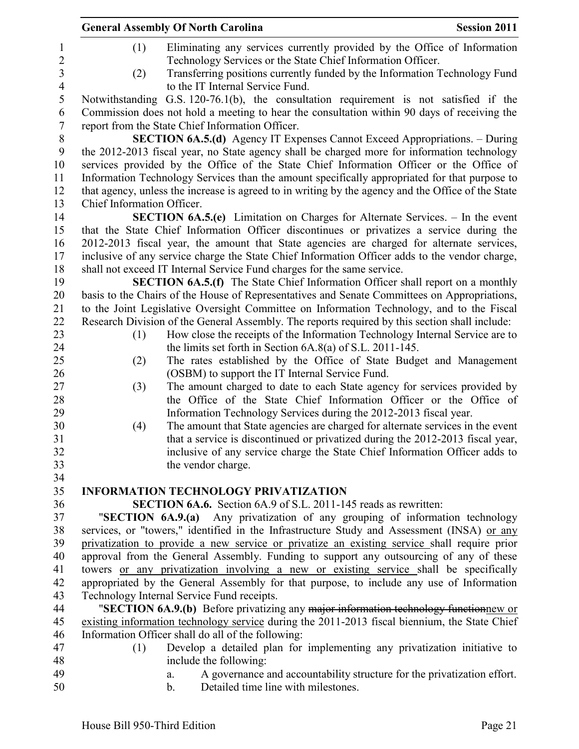|                |                            | <b>General Assembly Of North Carolina</b>                                                                                                                                                   | <b>Session 2011</b> |
|----------------|----------------------------|---------------------------------------------------------------------------------------------------------------------------------------------------------------------------------------------|---------------------|
| 1              | (1)                        | Eliminating any services currently provided by the Office of Information                                                                                                                    |                     |
| $\overline{2}$ |                            | Technology Services or the State Chief Information Officer.                                                                                                                                 |                     |
| 3              | (2)                        | Transferring positions currently funded by the Information Technology Fund                                                                                                                  |                     |
| $\overline{4}$ |                            | to the IT Internal Service Fund.                                                                                                                                                            |                     |
| 5              | Notwithstanding            | G.S. $120-76.1(b)$ , the consultation requirement is not satisfied if the                                                                                                                   |                     |
| 6              |                            | Commission does not hold a meeting to hear the consultation within 90 days of receiving the                                                                                                 |                     |
| 7              |                            | report from the State Chief Information Officer.                                                                                                                                            |                     |
| $\,8\,$        |                            | <b>SECTION 6A.5.(d)</b> Agency IT Expenses Cannot Exceed Appropriations. – During                                                                                                           |                     |
| 9              |                            | the 2012-2013 fiscal year, no State agency shall be charged more for information technology                                                                                                 |                     |
| 10             |                            | services provided by the Office of the State Chief Information Officer or the Office of                                                                                                     |                     |
| 11             |                            | Information Technology Services than the amount specifically appropriated for that purpose to                                                                                               |                     |
| 12             |                            | that agency, unless the increase is agreed to in writing by the agency and the Office of the State                                                                                          |                     |
| 13             | Chief Information Officer. |                                                                                                                                                                                             |                     |
| 14             |                            | <b>SECTION 6A.5.(e)</b> Limitation on Charges for Alternate Services. – In the event                                                                                                        |                     |
| 15             |                            | that the State Chief Information Officer discontinues or privatizes a service during the                                                                                                    |                     |
| 16             |                            | 2012-2013 fiscal year, the amount that State agencies are charged for alternate services,                                                                                                   |                     |
| 17             |                            | inclusive of any service charge the State Chief Information Officer adds to the vendor charge,                                                                                              |                     |
| 18             |                            | shall not exceed IT Internal Service Fund charges for the same service.                                                                                                                     |                     |
| 19             |                            | <b>SECTION 6A.5.(f)</b> The State Chief Information Officer shall report on a monthly                                                                                                       |                     |
| 20             |                            | basis to the Chairs of the House of Representatives and Senate Committees on Appropriations,                                                                                                |                     |
| 21<br>22       |                            | to the Joint Legislative Oversight Committee on Information Technology, and to the Fiscal<br>Research Division of the General Assembly. The reports required by this section shall include: |                     |
| 23             | (1)                        | How close the receipts of the Information Technology Internal Service are to                                                                                                                |                     |
| 24             |                            | the limits set forth in Section $6A.8(a)$ of S.L. 2011-145.                                                                                                                                 |                     |
| 25             | (2)                        | The rates established by the Office of State Budget and Management                                                                                                                          |                     |
| 26             |                            | (OSBM) to support the IT Internal Service Fund.                                                                                                                                             |                     |
| 27             | (3)                        | The amount charged to date to each State agency for services provided by                                                                                                                    |                     |
| 28             |                            | the Office of the State Chief Information Officer or the Office of                                                                                                                          |                     |
| 29             |                            | Information Technology Services during the 2012-2013 fiscal year.                                                                                                                           |                     |
| 30             | (4)                        | The amount that State agencies are charged for alternate services in the event                                                                                                              |                     |
| 31             |                            | that a service is discontinued or privatized during the 2012-2013 fiscal year,                                                                                                              |                     |
| 32             |                            | inclusive of any service charge the State Chief Information Officer adds to                                                                                                                 |                     |
| 33             |                            | the vendor charge.                                                                                                                                                                          |                     |
| 34             |                            |                                                                                                                                                                                             |                     |
| 35             |                            | <b>INFORMATION TECHNOLOGY PRIVATIZATION</b>                                                                                                                                                 |                     |
| 36             |                            | <b>SECTION 6A.6.</b> Section 6A.9 of S.L. 2011-145 reads as rewritten:                                                                                                                      |                     |
| 37             | "SECTION $6A.9(a)$         | Any privatization of any grouping of information technology                                                                                                                                 |                     |
| 38             |                            | services, or "towers," identified in the Infrastructure Study and Assessment (INSA) or any                                                                                                  |                     |
| 39             |                            | privatization to provide a new service or privatize an existing service shall require prior                                                                                                 |                     |
| 40             |                            | approval from the General Assembly. Funding to support any outsourcing of any of these                                                                                                      |                     |
| 41             |                            | towers or any privatization involving a new or existing service shall be specifically                                                                                                       |                     |
| 42             |                            | appropriated by the General Assembly for that purpose, to include any use of Information                                                                                                    |                     |
| 43             |                            | Technology Internal Service Fund receipts.                                                                                                                                                  |                     |
| 44             |                            | "SECTION 6A.9.(b) Before privatizing any major information technology functionnew or                                                                                                        |                     |
| 45             |                            | existing information technology service during the 2011-2013 fiscal biennium, the State Chief                                                                                               |                     |
| 46             |                            | Information Officer shall do all of the following:                                                                                                                                          |                     |
| 47<br>48       | (1)                        | Develop a detailed plan for implementing any privatization initiative to<br>include the following:                                                                                          |                     |
| 49             |                            | A governance and accountability structure for the privatization effort.<br>a.                                                                                                               |                     |
| 50             |                            | Detailed time line with milestones.<br>b.                                                                                                                                                   |                     |
|                |                            |                                                                                                                                                                                             |                     |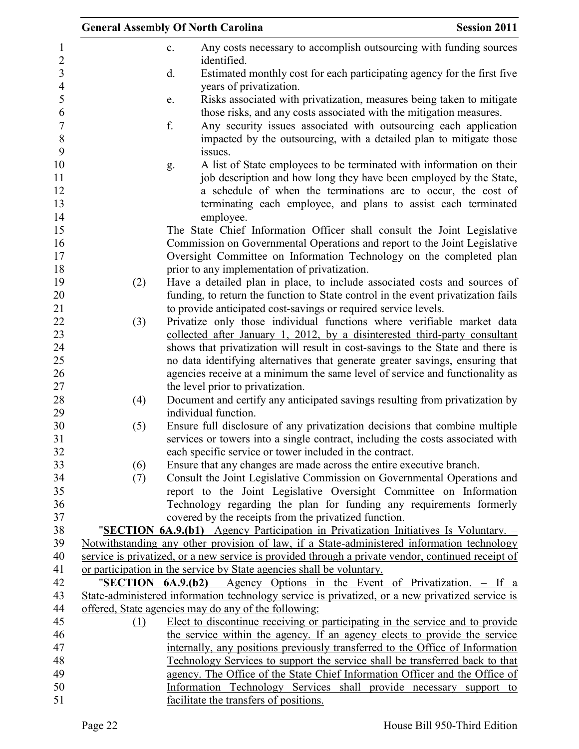|                                  |                      | <b>General Assembly Of North Carolina</b>                                                                                                                                                                                                                                                        | <b>Session 2011</b> |
|----------------------------------|----------------------|--------------------------------------------------------------------------------------------------------------------------------------------------------------------------------------------------------------------------------------------------------------------------------------------------|---------------------|
| $\mathbf{1}$<br>$\overline{2}$   |                      | Any costs necessary to accomplish outsourcing with funding sources<br>c.<br>identified.                                                                                                                                                                                                          |                     |
| $\mathfrak{Z}$<br>$\overline{4}$ |                      | Estimated monthly cost for each participating agency for the first five<br>d.<br>years of privatization.                                                                                                                                                                                         |                     |
| 5<br>6                           |                      | Risks associated with privatization, measures being taken to mitigate<br>e.<br>those risks, and any costs associated with the mitigation measures.                                                                                                                                               |                     |
|                                  |                      | f.<br>Any security issues associated with outsourcing each application<br>impacted by the outsourcing, with a detailed plan to mitigate those<br>issues.                                                                                                                                         |                     |
|                                  |                      | A list of State employees to be terminated with information on their<br>g.<br>job description and how long they have been employed by the State,<br>a schedule of when the terminations are to occur, the cost of<br>terminating each employee, and plans to assist each terminated<br>employee. |                     |
|                                  |                      |                                                                                                                                                                                                                                                                                                  |                     |
|                                  |                      | The State Chief Information Officer shall consult the Joint Legislative<br>Commission on Governmental Operations and report to the Joint Legislative                                                                                                                                             |                     |
|                                  |                      | Oversight Committee on Information Technology on the completed plan                                                                                                                                                                                                                              |                     |
|                                  |                      | prior to any implementation of privatization.                                                                                                                                                                                                                                                    |                     |
|                                  | (2)                  | Have a detailed plan in place, to include associated costs and sources of                                                                                                                                                                                                                        |                     |
|                                  |                      | funding, to return the function to State control in the event privatization fails                                                                                                                                                                                                                |                     |
|                                  |                      | to provide anticipated cost-savings or required service levels.                                                                                                                                                                                                                                  |                     |
|                                  | (3)                  | Privatize only those individual functions where verifiable market data                                                                                                                                                                                                                           |                     |
|                                  |                      | collected after January 1, 2012, by a disinterested third-party consultant                                                                                                                                                                                                                       |                     |
|                                  |                      | shows that privatization will result in cost-savings to the State and there is                                                                                                                                                                                                                   |                     |
|                                  |                      | no data identifying alternatives that generate greater savings, ensuring that                                                                                                                                                                                                                    |                     |
|                                  |                      | agencies receive at a minimum the same level of service and functionality as                                                                                                                                                                                                                     |                     |
|                                  |                      | the level prior to privatization.                                                                                                                                                                                                                                                                |                     |
|                                  | (4)                  | Document and certify any anticipated savings resulting from privatization by                                                                                                                                                                                                                     |                     |
|                                  |                      | individual function.                                                                                                                                                                                                                                                                             |                     |
|                                  | (5)                  | Ensure full disclosure of any privatization decisions that combine multiple                                                                                                                                                                                                                      |                     |
|                                  |                      | services or towers into a single contract, including the costs associated with<br>each specific service or tower included in the contract.                                                                                                                                                       |                     |
|                                  | (6)                  | Ensure that any changes are made across the entire executive branch.                                                                                                                                                                                                                             |                     |
|                                  | (7)                  | Consult the Joint Legislative Commission on Governmental Operations and                                                                                                                                                                                                                          |                     |
|                                  |                      | report to the Joint Legislative Oversight Committee on Information                                                                                                                                                                                                                               |                     |
|                                  |                      | Technology regarding the plan for funding any requirements formerly                                                                                                                                                                                                                              |                     |
|                                  |                      | covered by the receipts from the privatized function.                                                                                                                                                                                                                                            |                     |
|                                  |                      | "SECTION 6A.9.(b1) Agency Participation in Privatization Initiatives Is Voluntary. -                                                                                                                                                                                                             |                     |
|                                  |                      | Notwithstanding any other provision of law, if a State-administered information technology                                                                                                                                                                                                       |                     |
|                                  |                      | service is privatized, or a new service is provided through a private vendor, continued receipt of                                                                                                                                                                                               |                     |
|                                  | "SECTION $6A.9.(b2)$ | or participation in the service by State agencies shall be voluntary.<br>Agency Options in the Event of Privatization. – If a                                                                                                                                                                    |                     |
|                                  |                      | State-administered information technology service is privatized, or a new privatized service is                                                                                                                                                                                                  |                     |
|                                  |                      | offered, State agencies may do any of the following:                                                                                                                                                                                                                                             |                     |
|                                  | (1)                  | Elect to discontinue receiving or participating in the service and to provide                                                                                                                                                                                                                    |                     |
|                                  |                      | the service within the agency. If an agency elects to provide the service                                                                                                                                                                                                                        |                     |
|                                  |                      | internally, any positions previously transferred to the Office of Information                                                                                                                                                                                                                    |                     |
|                                  |                      | Technology Services to support the service shall be transferred back to that                                                                                                                                                                                                                     |                     |
|                                  |                      | agency. The Office of the State Chief Information Officer and the Office of                                                                                                                                                                                                                      |                     |
|                                  |                      | Information Technology Services shall provide necessary support to                                                                                                                                                                                                                               |                     |
|                                  |                      | facilitate the transfers of positions.                                                                                                                                                                                                                                                           |                     |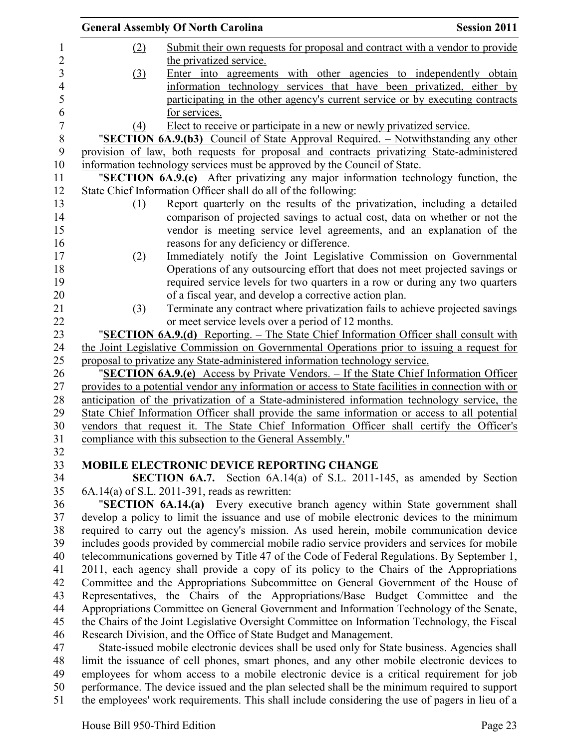|                  | <b>General Assembly Of North Carolina</b>                                                                                                                                                | <b>Session 2011</b> |
|------------------|------------------------------------------------------------------------------------------------------------------------------------------------------------------------------------------|---------------------|
| (2)              | Submit their own requests for proposal and contract with a vendor to provide                                                                                                             |                     |
|                  | the privatized service.                                                                                                                                                                  |                     |
| $\left(3\right)$ | Enter into agreements with other agencies to independently obtain                                                                                                                        |                     |
|                  | information technology services that have been privatized, either by                                                                                                                     |                     |
|                  | participating in the other agency's current service or by executing contracts                                                                                                            |                     |
|                  | for services.                                                                                                                                                                            |                     |
| (4)              | Elect to receive or participate in a new or newly privatized service.                                                                                                                    |                     |
|                  | "SECTION 6A.9.(b3) Council of State Approval Required. – Notwithstanding any other                                                                                                       |                     |
|                  | provision of law, both requests for proposal and contracts privatizing State-administered                                                                                                |                     |
|                  | information technology services must be approved by the Council of State.                                                                                                                |                     |
|                  | "SECTION 6A.9.(c) After privatizing any major information technology function, the                                                                                                       |                     |
|                  | State Chief Information Officer shall do all of the following:                                                                                                                           |                     |
| (1)              | Report quarterly on the results of the privatization, including a detailed                                                                                                               |                     |
|                  | comparison of projected savings to actual cost, data on whether or not the                                                                                                               |                     |
|                  | vendor is meeting service level agreements, and an explanation of the                                                                                                                    |                     |
|                  | reasons for any deficiency or difference.                                                                                                                                                |                     |
| (2)              | Immediately notify the Joint Legislative Commission on Governmental                                                                                                                      |                     |
|                  | Operations of any outsourcing effort that does not meet projected savings or                                                                                                             |                     |
|                  | required service levels for two quarters in a row or during any two quarters                                                                                                             |                     |
|                  | of a fiscal year, and develop a corrective action plan.                                                                                                                                  |                     |
| (3)              | Terminate any contract where privatization fails to achieve projected savings<br>or meet service levels over a period of 12 months.                                                      |                     |
|                  | "SECTION 6A.9.(d) Reporting. – The State Chief Information Officer shall consult with                                                                                                    |                     |
|                  | the Joint Legislative Commission on Governmental Operations prior to issuing a request for                                                                                               |                     |
|                  | proposal to privatize any State-administered information technology service.                                                                                                             |                     |
|                  | "SECTION 6A.9.(e) Access by Private Vendors. – If the State Chief Information Officer                                                                                                    |                     |
|                  | provides to a potential vendor any information or access to State facilities in connection with or                                                                                       |                     |
|                  | anticipation of the privatization of a State-administered information technology service, the                                                                                            |                     |
|                  | State Chief Information Officer shall provide the same information or access to all potential                                                                                            |                     |
|                  | vendors that request it. The State Chief Information Officer shall certify the Officer's                                                                                                 |                     |
|                  | compliance with this subsection to the General Assembly."                                                                                                                                |                     |
|                  |                                                                                                                                                                                          |                     |
|                  | <b>MOBILE ELECTRONIC DEVICE REPORTING CHANGE</b>                                                                                                                                         |                     |
|                  | <b>SECTION 6A.7.</b> Section 6A.14(a) of S.L. 2011-145, as amended by Section                                                                                                            |                     |
|                  | $6A.14(a)$ of S.L. 2011-391, reads as rewritten:                                                                                                                                         |                     |
|                  | "SECTION 6A.14.(a) Every executive branch agency within State government shall                                                                                                           |                     |
|                  | develop a policy to limit the issuance and use of mobile electronic devices to the minimum                                                                                               |                     |
|                  | required to carry out the agency's mission. As used herein, mobile communication device                                                                                                  |                     |
|                  | includes goods provided by commercial mobile radio service providers and services for mobile                                                                                             |                     |
|                  | telecommunications governed by Title 47 of the Code of Federal Regulations. By September 1,                                                                                              |                     |
|                  | 2011, each agency shall provide a copy of its policy to the Chairs of the Appropriations                                                                                                 |                     |
|                  | Committee and the Appropriations Subcommittee on General Government of the House of                                                                                                      |                     |
|                  | Representatives, the Chairs of the Appropriations/Base Budget Committee and the                                                                                                          |                     |
|                  | Appropriations Committee on General Government and Information Technology of the Senate,                                                                                                 |                     |
|                  | the Chairs of the Joint Legislative Oversight Committee on Information Technology, the Fiscal                                                                                            |                     |
|                  | Research Division, and the Office of State Budget and Management.                                                                                                                        |                     |
|                  | State-issued mobile electronic devices shall be used only for State business. Agencies shall                                                                                             |                     |
|                  | limit the issuance of cell phones, smart phones, and any other mobile electronic devices to<br>employees for whom access to a mobile electronic device is a critical requirement for job |                     |
|                  | performance. The device issued and the plan selected shall be the minimum required to support                                                                                            |                     |
|                  |                                                                                                                                                                                          |                     |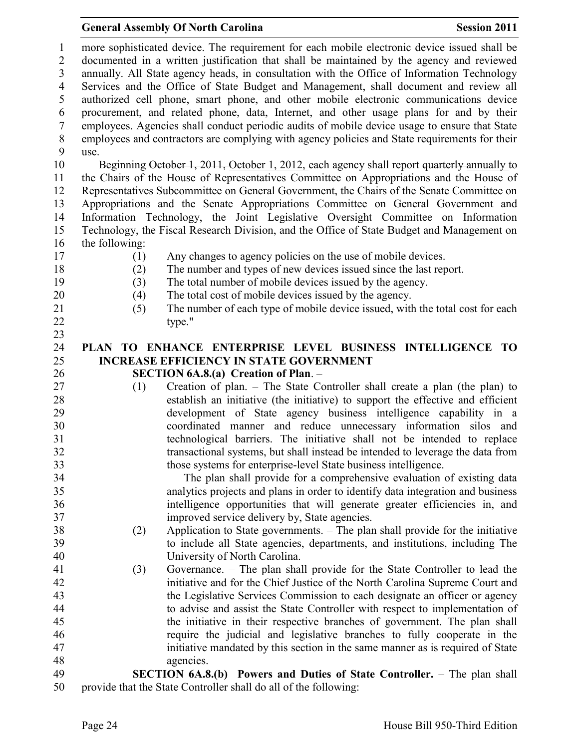#### General Assembly Of North Carolina Session 2011 more sophisticated device. The requirement for each mobile electronic device issued shall be documented in a written justification that shall be maintained by the agency and reviewed annually. All State agency heads, in consultation with the Office of Information Technology Services and the Office of State Budget and Management, shall document and review all authorized cell phone, smart phone, and other mobile electronic communications device procurement, and related phone, data, Internet, and other usage plans for and by their employees. Agencies shall conduct periodic audits of mobile device usage to ensure that State 8 employees and contractors are complying with agency policies and State requirements for their<br>9 use. use. 10 Beginning October 1, 2011, October 1, 2012, each agency shall report quarterly annually to the Chairs of the House of Representatives Committee on Appropriations and the House of Representatives Subcommittee on General Government, the Chairs of the Senate Committee on Appropriations and the Senate Appropriations Committee on General Government and Information Technology, the Joint Legislative Oversight Committee on Information Technology, the Fiscal Research Division, and the Office of State Budget and Management on the following: (1) Any changes to agency policies on the use of mobile devices. (2) The number and types of new devices issued since the last report. (3) The total number of mobile devices issued by the agency. (4) The total cost of mobile devices issued by the agency. (5) The number of each type of mobile device issued, with the total cost for each 22 type." **PLAN TO ENHANCE ENTERPRISE LEVEL BUSINESS INTELLIGENCE TO INCREASE EFFICIENCY IN STATE GOVERNMENT SECTION 6A.8.(a) Creation of Plan**. – (1) Creation of plan. – The State Controller shall create a plan (the plan) to establish an initiative (the initiative) to support the effective and efficient development of State agency business intelligence capability in a coordinated manner and reduce unnecessary information silos and technological barriers. The initiative shall not be intended to replace transactional systems, but shall instead be intended to leverage the data from those systems for enterprise-level State business intelligence. 34 The plan shall provide for a comprehensive evaluation of existing data analytics projects and plans in order to identify data integration and business intelligence opportunities that will generate greater efficiencies in, and improved service delivery by, State agencies. (2) Application to State governments. – The plan shall provide for the initiative to include all State agencies, departments, and institutions, including The University of North Carolina. (3) Governance. – The plan shall provide for the State Controller to lead the initiative and for the Chief Justice of the North Carolina Supreme Court and the Legislative Services Commission to each designate an officer or agency to advise and assist the State Controller with respect to implementation of the initiative in their respective branches of government. The plan shall require the judicial and legislative branches to fully cooperate in the initiative mandated by this section in the same manner as is required of State agencies. **SECTION 6A.8.(b) Powers and Duties of State Controller.** – The plan shall

provide that the State Controller shall do all of the following: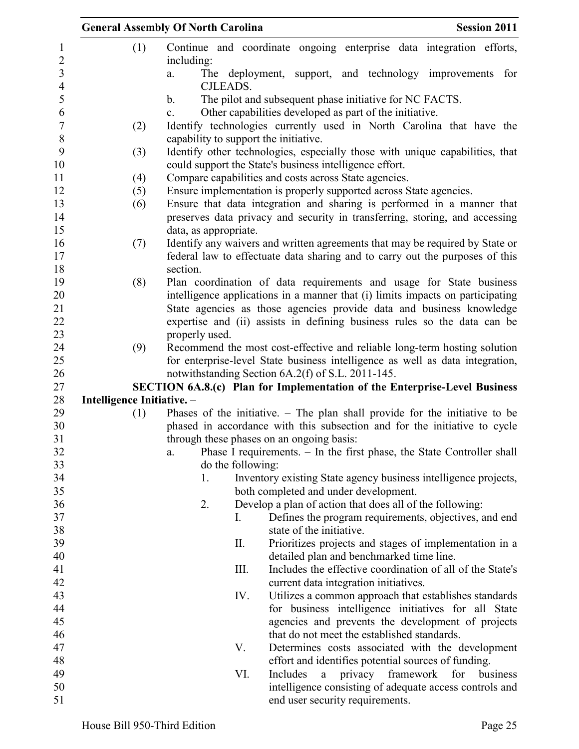|                                   | <b>General Assembly Of North Carolina</b><br><b>Session 2011</b>                                                                                  |
|-----------------------------------|---------------------------------------------------------------------------------------------------------------------------------------------------|
| (1)                               | Continue and coordinate ongoing enterprise data integration efforts,                                                                              |
|                                   | including:                                                                                                                                        |
|                                   | The deployment, support, and technology improvements for<br>a.                                                                                    |
|                                   | CJLEADS.                                                                                                                                          |
|                                   | The pilot and subsequent phase initiative for NC FACTS.<br>$\mathbf b$ .                                                                          |
|                                   | Other capabilities developed as part of the initiative.<br>$\mathbf{c}$ .<br>Identify technologies currently used in North Carolina that have the |
| (2)                               | capability to support the initiative.                                                                                                             |
| (3)                               | Identify other technologies, especially those with unique capabilities, that                                                                      |
|                                   | could support the State's business intelligence effort.                                                                                           |
| (4)                               | Compare capabilities and costs across State agencies.                                                                                             |
| (5)                               | Ensure implementation is properly supported across State agencies.                                                                                |
| (6)                               | Ensure that data integration and sharing is performed in a manner that                                                                            |
|                                   | preserves data privacy and security in transferring, storing, and accessing                                                                       |
|                                   | data, as appropriate.                                                                                                                             |
| (7)                               | Identify any waivers and written agreements that may be required by State or                                                                      |
|                                   | federal law to effectuate data sharing and to carry out the purposes of this                                                                      |
|                                   | section.                                                                                                                                          |
| (8)                               | Plan coordination of data requirements and usage for State business                                                                               |
|                                   | intelligence applications in a manner that (i) limits impacts on participating                                                                    |
|                                   | State agencies as those agencies provide data and business knowledge                                                                              |
|                                   | expertise and (ii) assists in defining business rules so the data can be                                                                          |
|                                   | properly used.                                                                                                                                    |
| (9)                               | Recommend the most cost-effective and reliable long-term hosting solution                                                                         |
|                                   | for enterprise-level State business intelligence as well as data integration,                                                                     |
|                                   | notwithstanding Section 6A.2(f) of S.L. 2011-145.                                                                                                 |
|                                   | SECTION 6A.8.(c) Plan for Implementation of the Enterprise-Level Business                                                                         |
| Intelligence Initiative. -<br>(1) | Phases of the initiative. $-$ The plan shall provide for the initiative to be                                                                     |
|                                   | phased in accordance with this subsection and for the initiative to cycle                                                                         |
|                                   | through these phases on an ongoing basis:                                                                                                         |
|                                   | Phase I requirements. - In the first phase, the State Controller shall<br>a.                                                                      |
|                                   | do the following:                                                                                                                                 |
|                                   | Inventory existing State agency business intelligence projects,<br>1.                                                                             |
|                                   | both completed and under development.                                                                                                             |
|                                   | Develop a plan of action that does all of the following:<br>2.                                                                                    |
|                                   | Defines the program requirements, objectives, and end<br>$\mathbf{I}$ .                                                                           |
|                                   | state of the initiative.                                                                                                                          |
|                                   | Prioritizes projects and stages of implementation in a<br>$\prod$ .                                                                               |
|                                   | detailed plan and benchmarked time line.                                                                                                          |
|                                   | Includes the effective coordination of all of the State's<br>Ш.                                                                                   |
|                                   | current data integration initiatives.                                                                                                             |
|                                   | IV.<br>Utilizes a common approach that establishes standards                                                                                      |
|                                   | for business intelligence initiatives for all State                                                                                               |
|                                   | agencies and prevents the development of projects                                                                                                 |
|                                   | that do not meet the established standards.                                                                                                       |
|                                   | V.<br>Determines costs associated with the development                                                                                            |
|                                   | effort and identifies potential sources of funding.                                                                                               |
|                                   | VI.<br>Includes<br>privacy<br>framework<br>for<br>business<br>$\mathbf{a}$                                                                        |
|                                   | intelligence consisting of adequate access controls and                                                                                           |
|                                   | end user security requirements.                                                                                                                   |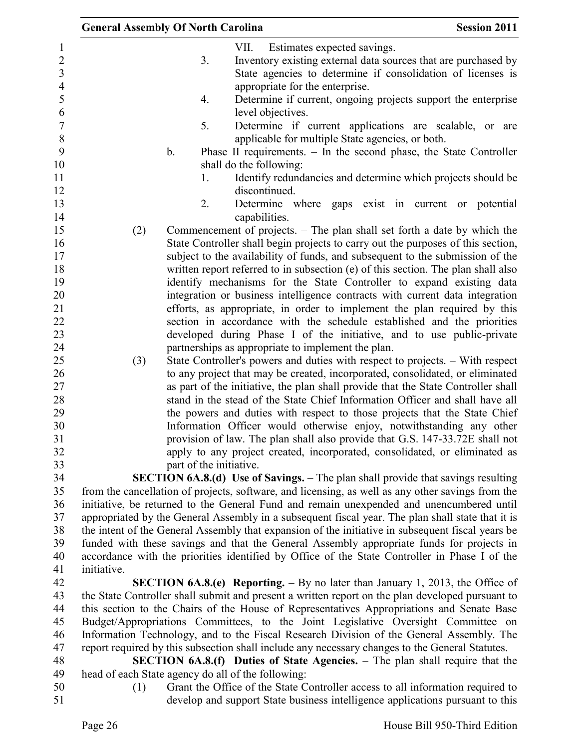| <b>General Assembly Of North Carolina</b> |                         |                                                                                                                                    | <b>Session 2011</b> |
|-------------------------------------------|-------------------------|------------------------------------------------------------------------------------------------------------------------------------|---------------------|
|                                           |                         | Estimates expected savings.<br>VII.                                                                                                |                     |
|                                           | 3.                      | Inventory existing external data sources that are purchased by                                                                     |                     |
|                                           |                         | State agencies to determine if consolidation of licenses is                                                                        |                     |
|                                           |                         | appropriate for the enterprise.                                                                                                    |                     |
|                                           | 4.                      | Determine if current, ongoing projects support the enterprise                                                                      |                     |
|                                           |                         | level objectives.                                                                                                                  |                     |
|                                           | 5.                      | Determine if current applications are scalable, or are                                                                             |                     |
|                                           |                         | applicable for multiple State agencies, or both.                                                                                   |                     |
|                                           | b.                      | Phase II requirements. - In the second phase, the State Controller                                                                 |                     |
|                                           |                         | shall do the following:                                                                                                            |                     |
|                                           | 1.                      | Identify redundancies and determine which projects should be                                                                       |                     |
|                                           |                         | discontinued.                                                                                                                      |                     |
|                                           | 2.                      | Determine where gaps exist in current or potential                                                                                 |                     |
|                                           |                         | capabilities.                                                                                                                      |                     |
| (2)                                       |                         | Commencement of projects. – The plan shall set forth a date by which the                                                           |                     |
|                                           |                         | State Controller shall begin projects to carry out the purposes of this section,                                                   |                     |
|                                           |                         | subject to the availability of funds, and subsequent to the submission of the                                                      |                     |
|                                           |                         | written report referred to in subsection (e) of this section. The plan shall also                                                  |                     |
|                                           |                         | identify mechanisms for the State Controller to expand existing data                                                               |                     |
|                                           |                         | integration or business intelligence contracts with current data integration                                                       |                     |
|                                           |                         | efforts, as appropriate, in order to implement the plan required by this                                                           |                     |
|                                           |                         | section in accordance with the schedule established and the priorities                                                             |                     |
|                                           |                         | developed during Phase I of the initiative, and to use public-private                                                              |                     |
|                                           |                         | partnerships as appropriate to implement the plan.                                                                                 |                     |
| (3)                                       |                         | State Controller's powers and duties with respect to projects. - With respect                                                      |                     |
|                                           |                         | to any project that may be created, incorporated, consolidated, or eliminated                                                      |                     |
|                                           |                         | as part of the initiative, the plan shall provide that the State Controller shall                                                  |                     |
|                                           |                         | stand in the stead of the State Chief Information Officer and shall have all                                                       |                     |
|                                           |                         | the powers and duties with respect to those projects that the State Chief                                                          |                     |
|                                           |                         | Information Officer would otherwise enjoy, notwithstanding any other                                                               |                     |
|                                           |                         | provision of law. The plan shall also provide that G.S. 147-33.72E shall not                                                       |                     |
|                                           |                         | apply to any project created, incorporated, consolidated, or eliminated as                                                         |                     |
|                                           | part of the initiative. |                                                                                                                                    |                     |
|                                           |                         | <b>SECTION 6A.8.(d)</b> Use of Savings. – The plan shall provide that savings resulting                                            |                     |
|                                           |                         | from the cancellation of projects, software, and licensing, as well as any other savings from the                                  |                     |
|                                           |                         | initiative, be returned to the General Fund and remain unexpended and unencumbered until                                           |                     |
|                                           |                         | appropriated by the General Assembly in a subsequent fiscal year. The plan shall state that it is                                  |                     |
|                                           |                         | the intent of the General Assembly that expansion of the initiative in subsequent fiscal years be                                  |                     |
|                                           |                         | funded with these savings and that the General Assembly appropriate funds for projects in                                          |                     |
|                                           |                         | accordance with the priorities identified by Office of the State Controller in Phase I of the                                      |                     |
| initiative.                               |                         |                                                                                                                                    |                     |
|                                           |                         | <b>SECTION 6A.8.(e)</b> Reporting. $-$ By no later than January 1, 2013, the Office of                                             |                     |
|                                           |                         | the State Controller shall submit and present a written report on the plan developed pursuant to                                   |                     |
|                                           |                         | this section to the Chairs of the House of Representatives Appropriations and Senate Base                                          |                     |
|                                           |                         | Budget/Appropriations Committees, to the Joint Legislative Oversight Committee on                                                  |                     |
|                                           |                         | Information Technology, and to the Fiscal Research Division of the General Assembly. The                                           |                     |
|                                           |                         | report required by this subsection shall include any necessary changes to the General Statutes.                                    |                     |
|                                           |                         | SECTION 6A.8.(f) Duties of State Agencies. - The plan shall require that the<br>head of saak State against de all of the following |                     |

- head of each State agency do all of the following:
- 

 (1) Grant the Office of the State Controller access to all information required to develop and support State business intelligence applications pursuant to this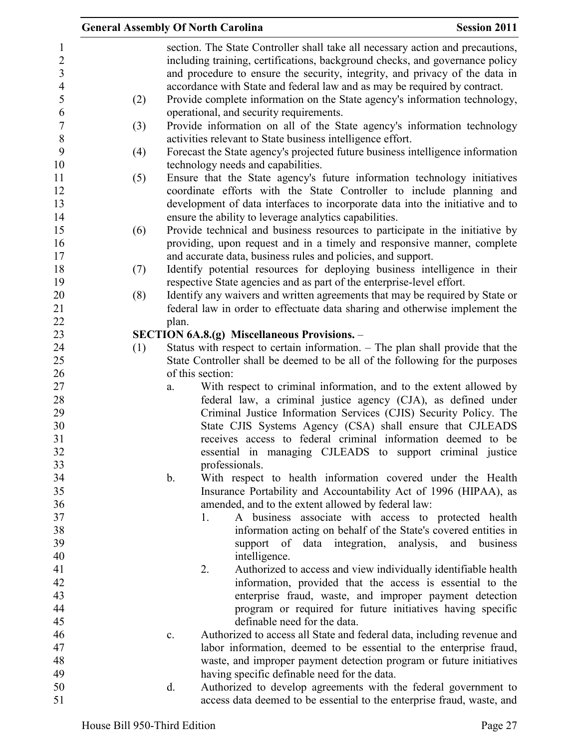|                                                                             | <b>General Assembly Of North Carolina</b> |                  |                                                                                                                                                                                                                                                                                             | <b>Session 2011</b> |
|-----------------------------------------------------------------------------|-------------------------------------------|------------------|---------------------------------------------------------------------------------------------------------------------------------------------------------------------------------------------------------------------------------------------------------------------------------------------|---------------------|
| $\mathbf{1}$<br>$\overline{2}$<br>$\overline{\mathbf{3}}$<br>$\overline{4}$ |                                           |                  | section. The State Controller shall take all necessary action and precautions,<br>including training, certifications, background checks, and governance policy<br>and procedure to ensure the security, integrity, and privacy of the data in                                               |                     |
| 5<br>6                                                                      | (2)                                       |                  | accordance with State and federal law and as may be required by contract.<br>Provide complete information on the State agency's information technology,<br>operational, and security requirements.                                                                                          |                     |
| $\overline{7}$<br>$\,$ $\,$                                                 | (3)                                       |                  | Provide information on all of the State agency's information technology<br>activities relevant to State business intelligence effort.                                                                                                                                                       |                     |
| 9<br>10                                                                     | (4)                                       |                  | Forecast the State agency's projected future business intelligence information<br>technology needs and capabilities.                                                                                                                                                                        |                     |
| 11<br>12<br>13<br>14                                                        | (5)                                       |                  | Ensure that the State agency's future information technology initiatives<br>coordinate efforts with the State Controller to include planning and<br>development of data interfaces to incorporate data into the initiative and to<br>ensure the ability to leverage analytics capabilities. |                     |
| 15<br>16<br>17                                                              | (6)                                       |                  | Provide technical and business resources to participate in the initiative by<br>providing, upon request and in a timely and responsive manner, complete<br>and accurate data, business rules and policies, and support.                                                                     |                     |
| 18<br>19                                                                    | (7)                                       |                  | Identify potential resources for deploying business intelligence in their<br>respective State agencies and as part of the enterprise-level effort.                                                                                                                                          |                     |
| 20<br>21<br>22                                                              | (8)                                       |                  | Identify any waivers and written agreements that may be required by State or<br>federal law in order to effectuate data sharing and otherwise implement the                                                                                                                                 |                     |
| 23                                                                          |                                           | plan.            |                                                                                                                                                                                                                                                                                             |                     |
| 24                                                                          |                                           |                  | <b>SECTION 6A.8.(g) Miscellaneous Provisions.</b> -<br>Status with respect to certain information. - The plan shall provide that the                                                                                                                                                        |                     |
| 25                                                                          | (1)                                       |                  | State Controller shall be deemed to be all of the following for the purposes                                                                                                                                                                                                                |                     |
| 26                                                                          |                                           | of this section: |                                                                                                                                                                                                                                                                                             |                     |
| 27                                                                          |                                           | a.               | With respect to criminal information, and to the extent allowed by                                                                                                                                                                                                                          |                     |
| 28<br>29                                                                    |                                           |                  | federal law, a criminal justice agency (CJA), as defined under<br>Criminal Justice Information Services (CJIS) Security Policy. The                                                                                                                                                         |                     |
| 30                                                                          |                                           |                  | State CJIS Systems Agency (CSA) shall ensure that CJLEADS                                                                                                                                                                                                                                   |                     |
| 31<br>32                                                                    |                                           |                  | receives access to federal criminal information deemed to be<br>essential in managing CJLEADS to support criminal justice                                                                                                                                                                   |                     |
| 33<br>34                                                                    |                                           |                  | professionals.<br>With respect to health information covered under the Health                                                                                                                                                                                                               |                     |
| 35                                                                          |                                           | $\mathbf b$ .    | Insurance Portability and Accountability Act of 1996 (HIPAA), as                                                                                                                                                                                                                            |                     |
| 36                                                                          |                                           |                  | amended, and to the extent allowed by federal law:                                                                                                                                                                                                                                          |                     |
| 37                                                                          |                                           | 1.               | A business associate with access to protected health                                                                                                                                                                                                                                        |                     |
| 38                                                                          |                                           |                  | information acting on behalf of the State's covered entities in                                                                                                                                                                                                                             |                     |
| 39                                                                          |                                           |                  | support of data integration, analysis,                                                                                                                                                                                                                                                      | and<br>business     |
| 40                                                                          |                                           |                  | intelligence.                                                                                                                                                                                                                                                                               |                     |
| 41                                                                          |                                           | 2.               | Authorized to access and view individually identifiable health                                                                                                                                                                                                                              |                     |
| 42                                                                          |                                           |                  | information, provided that the access is essential to the                                                                                                                                                                                                                                   |                     |
| 43                                                                          |                                           |                  | enterprise fraud, waste, and improper payment detection                                                                                                                                                                                                                                     |                     |
| 44                                                                          |                                           |                  | program or required for future initiatives having specific                                                                                                                                                                                                                                  |                     |
| 45                                                                          |                                           |                  | definable need for the data.                                                                                                                                                                                                                                                                |                     |
| 46                                                                          |                                           | c.               | Authorized to access all State and federal data, including revenue and                                                                                                                                                                                                                      |                     |
| 47                                                                          |                                           |                  | labor information, deemed to be essential to the enterprise fraud,                                                                                                                                                                                                                          |                     |
| 48                                                                          |                                           |                  | waste, and improper payment detection program or future initiatives                                                                                                                                                                                                                         |                     |
| 49<br>50                                                                    |                                           | d.               | having specific definable need for the data.<br>Authorized to develop agreements with the federal government to                                                                                                                                                                             |                     |
| 51                                                                          |                                           |                  | access data deemed to be essential to the enterprise fraud, waste, and                                                                                                                                                                                                                      |                     |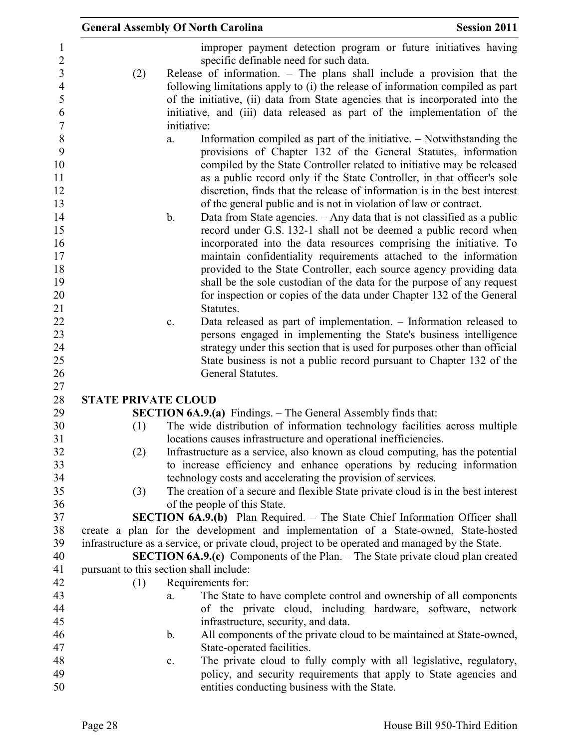|                            | <b>General Assembly Of North Carolina</b>                                                                                                                                                                                                                                                                                                                                                                                                            | <b>Session 2011</b> |
|----------------------------|------------------------------------------------------------------------------------------------------------------------------------------------------------------------------------------------------------------------------------------------------------------------------------------------------------------------------------------------------------------------------------------------------------------------------------------------------|---------------------|
|                            | improper payment detection program or future initiatives having                                                                                                                                                                                                                                                                                                                                                                                      |                     |
|                            | specific definable need for such data.                                                                                                                                                                                                                                                                                                                                                                                                               |                     |
| (2)                        | Release of information. $-$ The plans shall include a provision that the<br>following limitations apply to (i) the release of information compiled as part<br>of the initiative, (ii) data from State agencies that is incorporated into the<br>initiative, and (iii) data released as part of the implementation of the                                                                                                                             |                     |
|                            | initiative:                                                                                                                                                                                                                                                                                                                                                                                                                                          |                     |
|                            | Information compiled as part of the initiative. – Notwithstanding the<br>a.<br>provisions of Chapter 132 of the General Statutes, information<br>compiled by the State Controller related to initiative may be released<br>as a public record only if the State Controller, in that officer's sole<br>discretion, finds that the release of information is in the best interest<br>of the general public and is not in violation of law or contract. |                     |
|                            | $\mathbf b$ .<br>Data from State agencies. - Any data that is not classified as a public                                                                                                                                                                                                                                                                                                                                                             |                     |
|                            | record under G.S. 132-1 shall not be deemed a public record when<br>incorporated into the data resources comprising the initiative. To                                                                                                                                                                                                                                                                                                               |                     |
|                            | maintain confidentiality requirements attached to the information                                                                                                                                                                                                                                                                                                                                                                                    |                     |
|                            | provided to the State Controller, each source agency providing data                                                                                                                                                                                                                                                                                                                                                                                  |                     |
|                            | shall be the sole custodian of the data for the purpose of any request                                                                                                                                                                                                                                                                                                                                                                               |                     |
|                            | for inspection or copies of the data under Chapter 132 of the General<br>Statutes.                                                                                                                                                                                                                                                                                                                                                                   |                     |
|                            | Data released as part of implementation. - Information released to<br>$\mathbf{c}$ .                                                                                                                                                                                                                                                                                                                                                                 |                     |
|                            | persons engaged in implementing the State's business intelligence                                                                                                                                                                                                                                                                                                                                                                                    |                     |
|                            | strategy under this section that is used for purposes other than official                                                                                                                                                                                                                                                                                                                                                                            |                     |
|                            | State business is not a public record pursuant to Chapter 132 of the                                                                                                                                                                                                                                                                                                                                                                                 |                     |
|                            | General Statutes.                                                                                                                                                                                                                                                                                                                                                                                                                                    |                     |
| <b>STATE PRIVATE CLOUD</b> |                                                                                                                                                                                                                                                                                                                                                                                                                                                      |                     |
|                            | <b>SECTION 6A.9.(a)</b> Findings. – The General Assembly finds that:                                                                                                                                                                                                                                                                                                                                                                                 |                     |
| (1)                        | The wide distribution of information technology facilities across multiple                                                                                                                                                                                                                                                                                                                                                                           |                     |
|                            | locations causes infrastructure and operational inefficiencies.                                                                                                                                                                                                                                                                                                                                                                                      |                     |
| (2)                        | Infrastructure as a service, also known as cloud computing, has the potential                                                                                                                                                                                                                                                                                                                                                                        |                     |
|                            | to increase efficiency and enhance operations by reducing information                                                                                                                                                                                                                                                                                                                                                                                |                     |
| (3)                        | technology costs and accelerating the provision of services.<br>The creation of a secure and flexible State private cloud is in the best interest                                                                                                                                                                                                                                                                                                    |                     |
|                            | of the people of this State.                                                                                                                                                                                                                                                                                                                                                                                                                         |                     |
|                            | <b>SECTION 6A.9.(b)</b> Plan Required. - The State Chief Information Officer shall                                                                                                                                                                                                                                                                                                                                                                   |                     |
|                            | create a plan for the development and implementation of a State-owned, State-hosted                                                                                                                                                                                                                                                                                                                                                                  |                     |
|                            | infrastructure as a service, or private cloud, project to be operated and managed by the State.<br><b>SECTION 6A.9.(c)</b> Components of the Plan. – The State private cloud plan created                                                                                                                                                                                                                                                            |                     |
|                            | pursuant to this section shall include:                                                                                                                                                                                                                                                                                                                                                                                                              |                     |
| (1)                        | Requirements for:                                                                                                                                                                                                                                                                                                                                                                                                                                    |                     |
|                            | The State to have complete control and ownership of all components<br>a.                                                                                                                                                                                                                                                                                                                                                                             |                     |
|                            | of the private cloud, including hardware, software, network<br>infrastructure, security, and data.                                                                                                                                                                                                                                                                                                                                                   |                     |
|                            | $\mathbf b$ .<br>All components of the private cloud to be maintained at State-owned,                                                                                                                                                                                                                                                                                                                                                                |                     |
|                            | State-operated facilities.                                                                                                                                                                                                                                                                                                                                                                                                                           |                     |
|                            | The private cloud to fully comply with all legislative, regulatory,<br>$\mathbf{c}$ .                                                                                                                                                                                                                                                                                                                                                                |                     |
|                            | policy, and security requirements that apply to State agencies and<br>entities conducting business with the State.                                                                                                                                                                                                                                                                                                                                   |                     |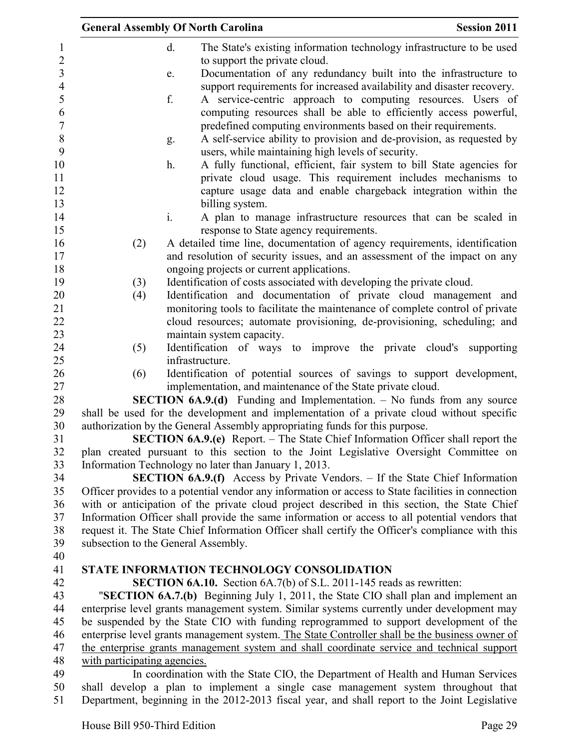| <b>General Assembly Of North Carolina</b>                                                          |                 |                                           |  |                                                                     |                                                                                        | <b>Session 2011</b> |
|----------------------------------------------------------------------------------------------------|-----------------|-------------------------------------------|--|---------------------------------------------------------------------|----------------------------------------------------------------------------------------|---------------------|
|                                                                                                    | d.              |                                           |  |                                                                     | The State's existing information technology infrastructure to be used                  |                     |
|                                                                                                    |                 | to support the private cloud.             |  |                                                                     |                                                                                        |                     |
|                                                                                                    | e.              |                                           |  |                                                                     | Documentation of any redundancy built into the infrastructure to                       |                     |
|                                                                                                    |                 |                                           |  |                                                                     | support requirements for increased availability and disaster recovery.                 |                     |
|                                                                                                    | f.              |                                           |  |                                                                     | A service-centric approach to computing resources. Users of                            |                     |
|                                                                                                    |                 |                                           |  |                                                                     | computing resources shall be able to efficiently access powerful,                      |                     |
|                                                                                                    |                 |                                           |  |                                                                     | predefined computing environments based on their requirements.                         |                     |
|                                                                                                    | g.              |                                           |  |                                                                     | A self-service ability to provision and de-provision, as requested by                  |                     |
|                                                                                                    |                 |                                           |  | users, while maintaining high levels of security.                   |                                                                                        |                     |
|                                                                                                    | h.              |                                           |  |                                                                     | A fully functional, efficient, fair system to bill State agencies for                  |                     |
|                                                                                                    |                 |                                           |  |                                                                     | private cloud usage. This requirement includes mechanisms to                           |                     |
|                                                                                                    |                 |                                           |  |                                                                     | capture usage data and enable chargeback integration within the                        |                     |
|                                                                                                    |                 | billing system.                           |  |                                                                     |                                                                                        |                     |
|                                                                                                    | $i$ .           |                                           |  |                                                                     | A plan to manage infrastructure resources that can be scaled in                        |                     |
|                                                                                                    |                 | response to State agency requirements.    |  |                                                                     |                                                                                        |                     |
| (2)                                                                                                |                 |                                           |  |                                                                     | A detailed time line, documentation of agency requirements, identification             |                     |
|                                                                                                    |                 |                                           |  |                                                                     | and resolution of security issues, and an assessment of the impact on any              |                     |
|                                                                                                    |                 | ongoing projects or current applications. |  |                                                                     |                                                                                        |                     |
| (3)                                                                                                |                 |                                           |  |                                                                     | Identification of costs associated with developing the private cloud.                  |                     |
| (4)                                                                                                |                 |                                           |  |                                                                     | Identification and documentation of private cloud management and                       |                     |
|                                                                                                    |                 |                                           |  |                                                                     | monitoring tools to facilitate the maintenance of complete control of private          |                     |
|                                                                                                    |                 |                                           |  |                                                                     | cloud resources; automate provisioning, de-provisioning, scheduling; and               |                     |
|                                                                                                    |                 | maintain system capacity.                 |  |                                                                     |                                                                                        |                     |
| (5)                                                                                                |                 |                                           |  |                                                                     | Identification of ways to improve the private cloud's supporting                       |                     |
|                                                                                                    | infrastructure. |                                           |  |                                                                     |                                                                                        |                     |
| (6)                                                                                                |                 |                                           |  | implementation, and maintenance of the State private cloud.         | Identification of potential sources of savings to support development,                 |                     |
|                                                                                                    |                 |                                           |  |                                                                     | <b>SECTION 6A.9.(d)</b> Funding and Implementation. – No funds from any source         |                     |
| shall be used for the development and implementation of a private cloud without specific           |                 |                                           |  |                                                                     |                                                                                        |                     |
| authorization by the General Assembly appropriating funds for this purpose.                        |                 |                                           |  |                                                                     |                                                                                        |                     |
|                                                                                                    |                 |                                           |  |                                                                     | <b>SECTION 6A.9.(e)</b> Report. – The State Chief Information Officer shall report the |                     |
| plan created pursuant to this section to the Joint Legislative Oversight Committee on              |                 |                                           |  |                                                                     |                                                                                        |                     |
| Information Technology no later than January 1, 2013.                                              |                 |                                           |  |                                                                     |                                                                                        |                     |
|                                                                                                    |                 |                                           |  |                                                                     | <b>SECTION 6A.9.(f)</b> Access by Private Vendors. – If the State Chief Information    |                     |
| Officer provides to a potential vendor any information or access to State facilities in connection |                 |                                           |  |                                                                     |                                                                                        |                     |
| with or anticipation of the private cloud project described in this section, the State Chief       |                 |                                           |  |                                                                     |                                                                                        |                     |
| Information Officer shall provide the same information or access to all potential vendors that     |                 |                                           |  |                                                                     |                                                                                        |                     |
| request it. The State Chief Information Officer shall certify the Officer's compliance with this   |                 |                                           |  |                                                                     |                                                                                        |                     |
| subsection to the General Assembly.                                                                |                 |                                           |  |                                                                     |                                                                                        |                     |
|                                                                                                    |                 |                                           |  |                                                                     |                                                                                        |                     |
| STATE INFORMATION TECHNOLOGY CONSOLIDATION                                                         |                 |                                           |  |                                                                     |                                                                                        |                     |
|                                                                                                    |                 |                                           |  | SECTION 6A.10. Section 6A.7(b) of S.L. 2011-145 reads as rewritten: |                                                                                        |                     |
| "SECTION 6A.7.(b) Beginning July 1, 2011, the State CIO shall plan and implement an                |                 |                                           |  |                                                                     |                                                                                        |                     |
| enterprise level grants management system. Similar systems currently under development may         |                 |                                           |  |                                                                     |                                                                                        |                     |
| be suspended by the State CIO with funding reprogrammed to support development of the              |                 |                                           |  |                                                                     |                                                                                        |                     |
| enterprise level grants management system. The State Controller shall be the business owner of     |                 |                                           |  |                                                                     |                                                                                        |                     |
| the enterprise grants management system and shall coordinate service and technical support         |                 |                                           |  |                                                                     |                                                                                        |                     |
| with participating agencies.                                                                       |                 |                                           |  |                                                                     |                                                                                        |                     |
|                                                                                                    |                 |                                           |  |                                                                     | In coordination with the State CIO, the Department of Health and Human Services        |                     |
| shall develop a plan to implement a single case management system throughout that                  |                 |                                           |  |                                                                     |                                                                                        |                     |

Department, beginning in the 2012-2013 fiscal year, and shall report to the Joint Legislative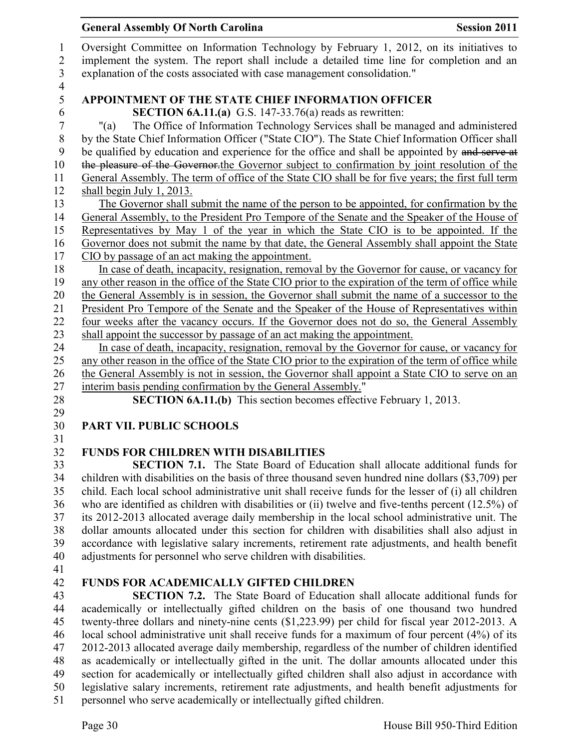|                                                           | <b>General Assembly Of North Carolina</b>                                                                                                                                                                                                                         | <b>Session 2011</b> |
|-----------------------------------------------------------|-------------------------------------------------------------------------------------------------------------------------------------------------------------------------------------------------------------------------------------------------------------------|---------------------|
| $\mathbf{1}$<br>$\overline{2}$<br>$\overline{\mathbf{3}}$ | Oversight Committee on Information Technology by February 1, 2012, on its initiatives to<br>implement the system. The report shall include a detailed time line for completion and an<br>explanation of the costs associated with case management consolidation." |                     |
| 4                                                         |                                                                                                                                                                                                                                                                   |                     |
| 5                                                         | <b>APPOINTMENT OF THE STATE CHIEF INFORMATION OFFICER</b>                                                                                                                                                                                                         |                     |
| 6                                                         | <b>SECTION 6A.11.(a)</b> G.S. 147-33.76(a) reads as rewritten:                                                                                                                                                                                                    |                     |
| $\boldsymbol{7}$                                          | The Office of Information Technology Services shall be managed and administered<br>$"$ (a)                                                                                                                                                                        |                     |
| 8                                                         | by the State Chief Information Officer ("State CIO"). The State Chief Information Officer shall                                                                                                                                                                   |                     |
| 9                                                         | be qualified by education and experience for the office and shall be appointed by and serve at                                                                                                                                                                    |                     |
| 10                                                        | the pleasure of the Governor-the Governor subject to confirmation by joint resolution of the                                                                                                                                                                      |                     |
| 11                                                        | General Assembly. The term of office of the State CIO shall be for five years; the first full term                                                                                                                                                                |                     |
| 12                                                        | shall begin July 1, 2013.                                                                                                                                                                                                                                         |                     |
| 13                                                        | The Governor shall submit the name of the person to be appointed, for confirmation by the                                                                                                                                                                         |                     |
| 14                                                        | General Assembly, to the President Pro Tempore of the Senate and the Speaker of the House of                                                                                                                                                                      |                     |
| 15                                                        | Representatives by May 1 of the year in which the State CIO is to be appointed. If the                                                                                                                                                                            |                     |
| 16                                                        | Governor does not submit the name by that date, the General Assembly shall appoint the State                                                                                                                                                                      |                     |
| 17                                                        | CIO by passage of an act making the appointment.                                                                                                                                                                                                                  |                     |
| 18<br>19                                                  | In case of death, incapacity, resignation, removal by the Governor for cause, or vacancy for                                                                                                                                                                      |                     |
| 20                                                        | any other reason in the office of the State CIO prior to the expiration of the term of office while<br>the General Assembly is in session, the Governor shall submit the name of a successor to the                                                               |                     |
| 21                                                        | President Pro Tempore of the Senate and the Speaker of the House of Representatives within                                                                                                                                                                        |                     |
| 22                                                        | <u>four weeks after the vacancy occurs. If the Governor does not do so, the General Assembly</u>                                                                                                                                                                  |                     |
| 23                                                        | shall appoint the successor by passage of an act making the appointment.                                                                                                                                                                                          |                     |
| 24                                                        | In case of death, incapacity, resignation, removal by the Governor for cause, or vacancy for                                                                                                                                                                      |                     |
| 25                                                        | any other reason in the office of the State CIO prior to the expiration of the term of office while                                                                                                                                                               |                     |
| 26                                                        | the General Assembly is not in session, the Governor shall appoint a State CIO to serve on an                                                                                                                                                                     |                     |
| 27                                                        | interim basis pending confirmation by the General Assembly."                                                                                                                                                                                                      |                     |
| 28                                                        | <b>SECTION 6A.11.(b)</b> This section becomes effective February 1, 2013.                                                                                                                                                                                         |                     |
| 29                                                        |                                                                                                                                                                                                                                                                   |                     |
| 30                                                        | PART VII. PUBLIC SCHOOLS                                                                                                                                                                                                                                          |                     |
| 31                                                        |                                                                                                                                                                                                                                                                   |                     |
| 32                                                        | <b>FUNDS FOR CHILDREN WITH DISABILITIES</b>                                                                                                                                                                                                                       |                     |
| 33                                                        | <b>SECTION 7.1.</b> The State Board of Education shall allocate additional funds for                                                                                                                                                                              |                     |
| 34                                                        | children with disabilities on the basis of three thousand seven hundred nine dollars (\$3,709) per                                                                                                                                                                |                     |
| 35                                                        | child. Each local school administrative unit shall receive funds for the lesser of (i) all children                                                                                                                                                               |                     |
| 36                                                        | who are identified as children with disabilities or (ii) twelve and five-tenths percent $(12.5\%)$ of                                                                                                                                                             |                     |
| 37                                                        | its 2012-2013 allocated average daily membership in the local school administrative unit. The                                                                                                                                                                     |                     |
| 38                                                        | dollar amounts allocated under this section for children with disabilities shall also adjust in                                                                                                                                                                   |                     |
| 39                                                        | accordance with legislative salary increments, retirement rate adjustments, and health benefit                                                                                                                                                                    |                     |
| 40                                                        | adjustments for personnel who serve children with disabilities.                                                                                                                                                                                                   |                     |
| 41                                                        |                                                                                                                                                                                                                                                                   |                     |
| 42<br>43                                                  | <b>FUNDS FOR ACADEMICALLY GIFTED CHILDREN</b>                                                                                                                                                                                                                     |                     |
| 44                                                        | <b>SECTION 7.2.</b> The State Board of Education shall allocate additional funds for<br>academically or intellectually gifted children on the basis of one thousand two hundred                                                                                   |                     |
| 45                                                        | twenty-three dollars and ninety-nine cents (\$1,223.99) per child for fiscal year 2012-2013. A                                                                                                                                                                    |                     |
| 46                                                        | local school administrative unit shall receive funds for a maximum of four percent (4%) of its                                                                                                                                                                    |                     |
| 47                                                        | 2012-2013 allocated average daily membership, regardless of the number of children identified                                                                                                                                                                     |                     |
| 48                                                        | as academically or intellectually gifted in the unit. The dollar amounts allocated under this                                                                                                                                                                     |                     |
| 49                                                        | section for academically or intellectually gifted children shall also adjust in accordance with                                                                                                                                                                   |                     |
| 50                                                        | legislative salary increments, retirement rate adjustments, and health benefit adjustments for                                                                                                                                                                    |                     |
| 51                                                        | personnel who serve academically or intellectually gifted children.                                                                                                                                                                                               |                     |
|                                                           |                                                                                                                                                                                                                                                                   |                     |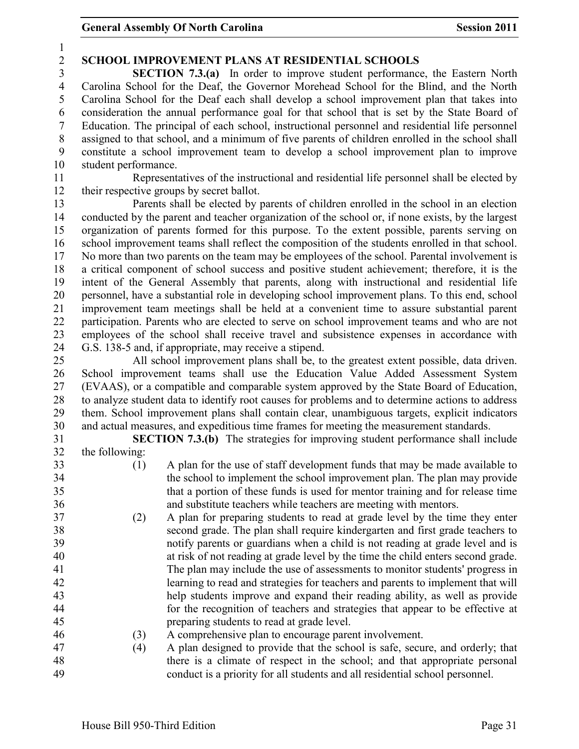# 

## **SCHOOL IMPROVEMENT PLANS AT RESIDENTIAL SCHOOLS**

 **SECTION 7.3.(a)** In order to improve student performance, the Eastern North Carolina School for the Deaf, the Governor Morehead School for the Blind, and the North Carolina School for the Deaf each shall develop a school improvement plan that takes into consideration the annual performance goal for that school that is set by the State Board of Education. The principal of each school, instructional personnel and residential life personnel 8 assigned to that school, and a minimum of five parents of children enrolled in the school shall<br>9 constitute a school improvement team to develop a school improvement plan to improve constitute a school improvement team to develop a school improvement plan to improve student performance.

 Representatives of the instructional and residential life personnel shall be elected by their respective groups by secret ballot.

 Parents shall be elected by parents of children enrolled in the school in an election conducted by the parent and teacher organization of the school or, if none exists, by the largest organization of parents formed for this purpose. To the extent possible, parents serving on school improvement teams shall reflect the composition of the students enrolled in that school. No more than two parents on the team may be employees of the school. Parental involvement is a critical component of school success and positive student achievement; therefore, it is the intent of the General Assembly that parents, along with instructional and residential life personnel, have a substantial role in developing school improvement plans. To this end, school improvement team meetings shall be held at a convenient time to assure substantial parent participation. Parents who are elected to serve on school improvement teams and who are not employees of the school shall receive travel and subsistence expenses in accordance with G.S. 138-5 and, if appropriate, may receive a stipend.

 All school improvement plans shall be, to the greatest extent possible, data driven. School improvement teams shall use the Education Value Added Assessment System (EVAAS), or a compatible and comparable system approved by the State Board of Education, to analyze student data to identify root causes for problems and to determine actions to address them. School improvement plans shall contain clear, unambiguous targets, explicit indicators and actual measures, and expeditious time frames for meeting the measurement standards.

 **SECTION 7.3.(b)** The strategies for improving student performance shall include the following:

 (1) A plan for the use of staff development funds that may be made available to the school to implement the school improvement plan. The plan may provide that a portion of these funds is used for mentor training and for release time and substitute teachers while teachers are meeting with mentors. (2) A plan for preparing students to read at grade level by the time they enter second grade. The plan shall require kindergarten and first grade teachers to notify parents or guardians when a child is not reading at grade level and is at risk of not reading at grade level by the time the child enters second grade. The plan may include the use of assessments to monitor students' progress in learning to read and strategies for teachers and parents to implement that will help students improve and expand their reading ability, as well as provide for the recognition of teachers and strategies that appear to be effective at preparing students to read at grade level. (3) A comprehensive plan to encourage parent involvement. (4) A plan designed to provide that the school is safe, secure, and orderly; that there is a climate of respect in the school; and that appropriate personal conduct is a priority for all students and all residential school personnel.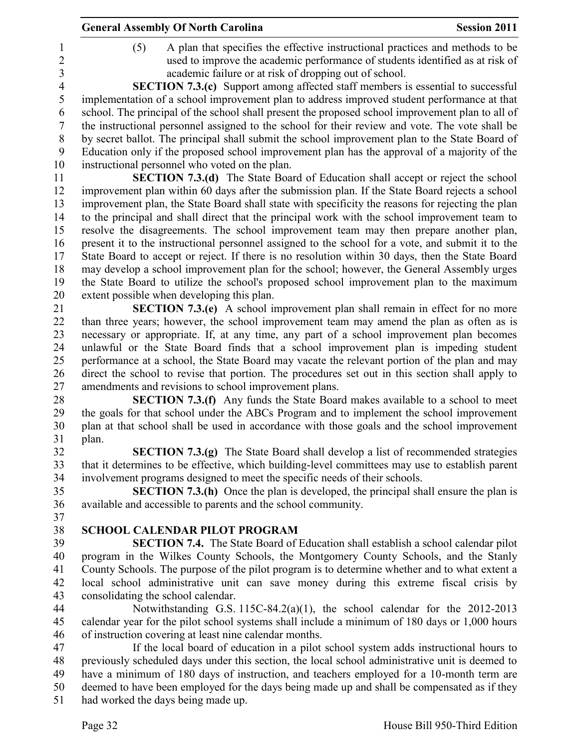|                | <b>General Assembly Of North Carolina</b><br><b>Session 2011</b>                                     |
|----------------|------------------------------------------------------------------------------------------------------|
| 1              | A plan that specifies the effective instructional practices and methods to be<br>(5)                 |
| $\overline{2}$ | used to improve the academic performance of students identified as at risk of                        |
| 3              | academic failure or at risk of dropping out of school.                                               |
| $\overline{4}$ | <b>SECTION 7.3.(c)</b> Support among affected staff members is essential to successful               |
| 5              | implementation of a school improvement plan to address improved student performance at that          |
| 6              | school. The principal of the school shall present the proposed school improvement plan to all of     |
| $\tau$         | the instructional personnel assigned to the school for their review and vote. The vote shall be      |
| $\,8\,$        | by secret ballot. The principal shall submit the school improvement plan to the State Board of       |
| 9              | Education only if the proposed school improvement plan has the approval of a majority of the         |
| 10             | instructional personnel who voted on the plan.                                                       |
| 11             | <b>SECTION 7.3.(d)</b> The State Board of Education shall accept or reject the school                |
| 12             | improvement plan within 60 days after the submission plan. If the State Board rejects a school       |
| 13             | improvement plan, the State Board shall state with specificity the reasons for rejecting the plan    |
| 14             | to the principal and shall direct that the principal work with the school improvement team to        |
| 15             | resolve the disagreements. The school improvement team may then prepare another plan,                |
| 16             | present it to the instructional personnel assigned to the school for a vote, and submit it to the    |
| 17             | State Board to accept or reject. If there is no resolution within 30 days, then the State Board      |
| 18             | may develop a school improvement plan for the school; however, the General Assembly urges            |
| 19             | the State Board to utilize the school's proposed school improvement plan to the maximum              |
| 20             | extent possible when developing this plan.                                                           |
| 21             | <b>SECTION 7.3.(e)</b> A school improvement plan shall remain in effect for no more                  |
| 22             | than three years; however, the school improvement team may amend the plan as often as is             |
| 23             | necessary or appropriate. If, at any time, any part of a school improvement plan becomes             |
| 24             | unlawful or the State Board finds that a school improvement plan is impeding student                 |
| 25             | performance at a school, the State Board may vacate the relevant portion of the plan and may         |
| 26             | direct the school to revise that portion. The procedures set out in this section shall apply to      |
| 27             | amendments and revisions to school improvement plans.                                                |
| 28             | <b>SECTION 7.3.(f)</b> Any funds the State Board makes available to a school to meet                 |
| 29<br>30       | the goals for that school under the ABCs Program and to implement the school improvement             |
| 31             | plan at that school shall be used in accordance with those goals and the school improvement<br>plan. |
| 32             | <b>SECTION 7.3.(g)</b> The State Board shall develop a list of recommended strategies                |
| 33             | that it determines to be effective, which building-level committees may use to establish parent      |
| 34             | involvement programs designed to meet the specific needs of their schools.                           |
| 35             | <b>SECTION 7.3.(h)</b> Once the plan is developed, the principal shall ensure the plan is            |
| 36             | available and accessible to parents and the school community.                                        |
| 37             |                                                                                                      |
| 38             | <b>SCHOOL CALENDAR PILOT PROGRAM</b>                                                                 |
| 39             | <b>SECTION 7.4.</b> The State Board of Education shall establish a school calendar pilot             |
| 40             | program in the Wilkes County Schools, the Montgomery County Schools, and the Stanly                  |
| 41             | County Schools. The purpose of the pilot program is to determine whether and to what extent a        |
| 42             | local school administrative unit can save money during this extreme fiscal crisis by                 |
| 43             | consolidating the school calendar.                                                                   |
| 44             | Notwithstanding G.S. 115C-84.2(a)(1), the school calendar for the $2012-2013$                        |
| 45             | calendar year for the pilot school systems shall include a minimum of 180 days or 1,000 hours        |
| 46             | of instruction covering at least nine calendar months.                                               |
| 47             | If the local board of education in a pilot school system adds instructional hours to                 |
| 48             | previously scheduled days under this section, the local school administrative unit is deemed to      |
| 49             | have a minimum of 180 days of instruction, and teachers employed for a 10-month term are             |
| 50             | deemed to have been employed for the days being made up and shall be compensated as if they          |
| 51             | had worked the days being made up.                                                                   |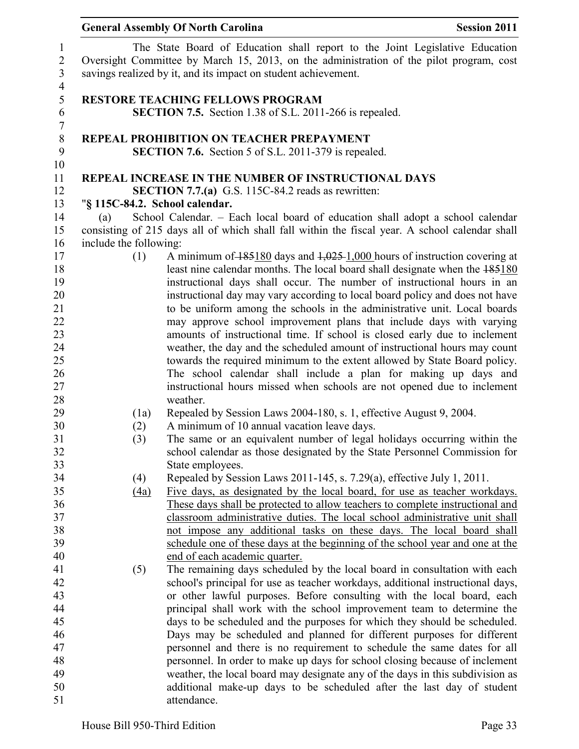|                        | <b>General Assembly Of North Carolina</b><br><b>Session 2011</b>                                                                                                                                                                                                                                                                                                                                                                                                                                                                                                                                                                                                                                                                                                                                                                                                         |  |
|------------------------|--------------------------------------------------------------------------------------------------------------------------------------------------------------------------------------------------------------------------------------------------------------------------------------------------------------------------------------------------------------------------------------------------------------------------------------------------------------------------------------------------------------------------------------------------------------------------------------------------------------------------------------------------------------------------------------------------------------------------------------------------------------------------------------------------------------------------------------------------------------------------|--|
|                        | The State Board of Education shall report to the Joint Legislative Education<br>Oversight Committee by March 15, 2013, on the administration of the pilot program, cost<br>savings realized by it, and its impact on student achievement.                                                                                                                                                                                                                                                                                                                                                                                                                                                                                                                                                                                                                                |  |
|                        | <b>RESTORE TEACHING FELLOWS PROGRAM</b>                                                                                                                                                                                                                                                                                                                                                                                                                                                                                                                                                                                                                                                                                                                                                                                                                                  |  |
|                        | <b>SECTION 7.5.</b> Section 1.38 of S.L. 2011-266 is repealed.                                                                                                                                                                                                                                                                                                                                                                                                                                                                                                                                                                                                                                                                                                                                                                                                           |  |
|                        | REPEAL PROHIBITION ON TEACHER PREPAYMENT<br><b>SECTION 7.6.</b> Section 5 of S.L. 2011-379 is repealed.                                                                                                                                                                                                                                                                                                                                                                                                                                                                                                                                                                                                                                                                                                                                                                  |  |
|                        | REPEAL INCREASE IN THE NUMBER OF INSTRUCTIONAL DAYS<br><b>SECTION 7.7.(a)</b> G.S. 115C-84.2 reads as rewritten:                                                                                                                                                                                                                                                                                                                                                                                                                                                                                                                                                                                                                                                                                                                                                         |  |
|                        | "§ 115C-84.2. School calendar.                                                                                                                                                                                                                                                                                                                                                                                                                                                                                                                                                                                                                                                                                                                                                                                                                                           |  |
| (a)                    | School Calendar. - Each local board of education shall adopt a school calendar                                                                                                                                                                                                                                                                                                                                                                                                                                                                                                                                                                                                                                                                                                                                                                                           |  |
| include the following: | consisting of 215 days all of which shall fall within the fiscal year. A school calendar shall                                                                                                                                                                                                                                                                                                                                                                                                                                                                                                                                                                                                                                                                                                                                                                           |  |
| (1)                    | A minimum of 185180 days and 1,025 1,000 hours of instruction covering at<br>least nine calendar months. The local board shall designate when the 185180<br>instructional days shall occur. The number of instructional hours in an<br>instructional day may vary according to local board policy and does not have<br>to be uniform among the schools in the administrative unit. Local boards<br>may approve school improvement plans that include days with varying<br>amounts of instructional time. If school is closed early due to inclement<br>weather, the day and the scheduled amount of instructional hours may count<br>towards the required minimum to the extent allowed by State Board policy.<br>The school calendar shall include a plan for making up days and<br>instructional hours missed when schools are not opened due to inclement<br>weather. |  |
| (1a)                   | Repealed by Session Laws 2004-180, s. 1, effective August 9, 2004.                                                                                                                                                                                                                                                                                                                                                                                                                                                                                                                                                                                                                                                                                                                                                                                                       |  |
| (2)                    | A minimum of 10 annual vacation leave days.                                                                                                                                                                                                                                                                                                                                                                                                                                                                                                                                                                                                                                                                                                                                                                                                                              |  |
| (3)                    | The same or an equivalent number of legal holidays occurring within the<br>school calendar as those designated by the State Personnel Commission for                                                                                                                                                                                                                                                                                                                                                                                                                                                                                                                                                                                                                                                                                                                     |  |
|                        | State employees.<br>Repealed by Session Laws 2011-145, s. 7.29(a), effective July 1, 2011.                                                                                                                                                                                                                                                                                                                                                                                                                                                                                                                                                                                                                                                                                                                                                                               |  |
| (4)<br>(4a)            | Five days, as designated by the local board, for use as teacher workdays.                                                                                                                                                                                                                                                                                                                                                                                                                                                                                                                                                                                                                                                                                                                                                                                                |  |
|                        | These days shall be protected to allow teachers to complete instructional and                                                                                                                                                                                                                                                                                                                                                                                                                                                                                                                                                                                                                                                                                                                                                                                            |  |
|                        | classroom administrative duties. The local school administrative unit shall                                                                                                                                                                                                                                                                                                                                                                                                                                                                                                                                                                                                                                                                                                                                                                                              |  |
|                        | not impose any additional tasks on these days. The local board shall                                                                                                                                                                                                                                                                                                                                                                                                                                                                                                                                                                                                                                                                                                                                                                                                     |  |
|                        | schedule one of these days at the beginning of the school year and one at the                                                                                                                                                                                                                                                                                                                                                                                                                                                                                                                                                                                                                                                                                                                                                                                            |  |
|                        | end of each academic quarter.                                                                                                                                                                                                                                                                                                                                                                                                                                                                                                                                                                                                                                                                                                                                                                                                                                            |  |
| (5)                    | The remaining days scheduled by the local board in consultation with each                                                                                                                                                                                                                                                                                                                                                                                                                                                                                                                                                                                                                                                                                                                                                                                                |  |
|                        | school's principal for use as teacher workdays, additional instructional days,                                                                                                                                                                                                                                                                                                                                                                                                                                                                                                                                                                                                                                                                                                                                                                                           |  |
|                        | or other lawful purposes. Before consulting with the local board, each                                                                                                                                                                                                                                                                                                                                                                                                                                                                                                                                                                                                                                                                                                                                                                                                   |  |
|                        | principal shall work with the school improvement team to determine the                                                                                                                                                                                                                                                                                                                                                                                                                                                                                                                                                                                                                                                                                                                                                                                                   |  |
|                        | days to be scheduled and the purposes for which they should be scheduled.                                                                                                                                                                                                                                                                                                                                                                                                                                                                                                                                                                                                                                                                                                                                                                                                |  |
|                        | Days may be scheduled and planned for different purposes for different                                                                                                                                                                                                                                                                                                                                                                                                                                                                                                                                                                                                                                                                                                                                                                                                   |  |
|                        | personnel and there is no requirement to schedule the same dates for all                                                                                                                                                                                                                                                                                                                                                                                                                                                                                                                                                                                                                                                                                                                                                                                                 |  |
|                        | personnel. In order to make up days for school closing because of inclement                                                                                                                                                                                                                                                                                                                                                                                                                                                                                                                                                                                                                                                                                                                                                                                              |  |
|                        | weather, the local board may designate any of the days in this subdivision as                                                                                                                                                                                                                                                                                                                                                                                                                                                                                                                                                                                                                                                                                                                                                                                            |  |
|                        | additional make-up days to be scheduled after the last day of student                                                                                                                                                                                                                                                                                                                                                                                                                                                                                                                                                                                                                                                                                                                                                                                                    |  |
|                        | attendance.                                                                                                                                                                                                                                                                                                                                                                                                                                                                                                                                                                                                                                                                                                                                                                                                                                                              |  |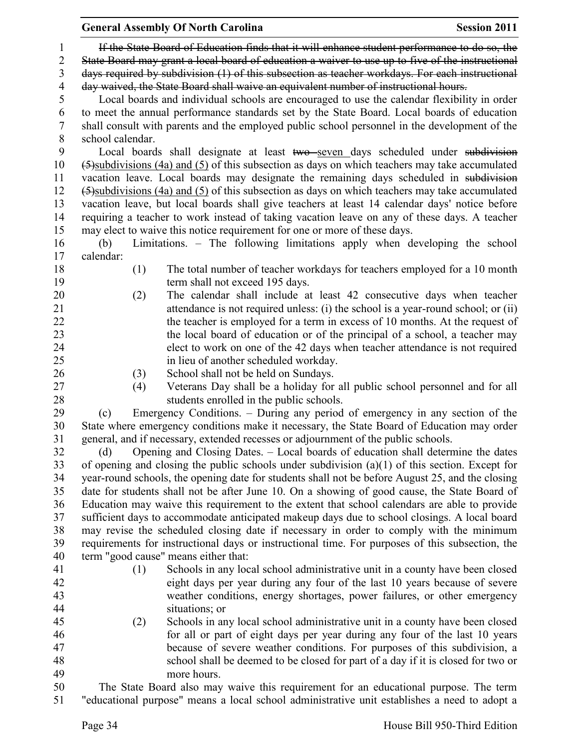|                | <b>Session 2011</b><br><b>General Assembly Of North Carolina</b>                                                                                                                  |
|----------------|-----------------------------------------------------------------------------------------------------------------------------------------------------------------------------------|
| 1              | If the State Board of Education finds that it will enhance student performance to do so, the                                                                                      |
| $\overline{2}$ | State Board may grant a local board of education a waiver to use up to five of the instructional                                                                                  |
| 3              | days required by subdivision (1) of this subsection as teacher workdays. For each instructional                                                                                   |
| $\overline{4}$ | day waived, the State Board shall waive an equivalent number of instructional hours.                                                                                              |
| 5              | Local boards and individual schools are encouraged to use the calendar flexibility in order                                                                                       |
| 6              | to meet the annual performance standards set by the State Board. Local boards of education                                                                                        |
| $\overline{7}$ | shall consult with parents and the employed public school personnel in the development of the                                                                                     |
| $8\phantom{1}$ | school calendar.                                                                                                                                                                  |
| 9              | Local boards shall designate at least two-seven days scheduled under subdivision                                                                                                  |
| 10             | $\left(\frac{5}{2}\right)$ subdivisions (4a) and (5) of this subsection as days on which teachers may take accumulated                                                            |
| 11             | vacation leave. Local boards may designate the remaining days scheduled in subdivision                                                                                            |
| 12             | $\left(\frac{5}{2}\right)$ subdivisions (4a) and (5) of this subsection as days on which teachers may take accumulated                                                            |
| 13             | vacation leave, but local boards shall give teachers at least 14 calendar days' notice before                                                                                     |
| 14             | requiring a teacher to work instead of taking vacation leave on any of these days. A teacher                                                                                      |
| 15             | may elect to waive this notice requirement for one or more of these days.                                                                                                         |
| 16             | Limitations. - The following limitations apply when developing the school<br>(b)                                                                                                  |
| 17             | calendar:                                                                                                                                                                         |
| 18             | The total number of teacher workdays for teachers employed for a 10 month<br>(1)                                                                                                  |
| 19             | term shall not exceed 195 days.                                                                                                                                                   |
| 20             | The calendar shall include at least 42 consecutive days when teacher<br>(2)                                                                                                       |
| 21             | attendance is not required unless: (i) the school is a year-round school; or (ii)                                                                                                 |
| 22             | the teacher is employed for a term in excess of 10 months. At the request of                                                                                                      |
| 23             | the local board of education or of the principal of a school, a teacher may                                                                                                       |
| 24             | elect to work on one of the 42 days when teacher attendance is not required                                                                                                       |
| 25             | in lieu of another scheduled workday.                                                                                                                                             |
| 26             | School shall not be held on Sundays.<br>(3)                                                                                                                                       |
| 27             | Veterans Day shall be a holiday for all public school personnel and for all<br>(4)                                                                                                |
| 28             | students enrolled in the public schools.                                                                                                                                          |
| 29<br>30       | Emergency Conditions. - During any period of emergency in any section of the<br>(c)<br>State where emergency conditions make it necessary, the State Board of Education may order |
| 31             | general, and if necessary, extended recesses or adjournment of the public schools.                                                                                                |
| 32             | Opening and Closing Dates. – Local boards of education shall determine the dates<br>(d)                                                                                           |
| 33             | of opening and closing the public schools under subdivision $(a)(1)$ of this section. Except for                                                                                  |
| 34             | year-round schools, the opening date for students shall not be before August 25, and the closing                                                                                  |
| 35             | date for students shall not be after June 10. On a showing of good cause, the State Board of                                                                                      |
| 36             | Education may waive this requirement to the extent that school calendars are able to provide                                                                                      |
| 37             | sufficient days to accommodate anticipated makeup days due to school closings. A local board                                                                                      |
| 38             | may revise the scheduled closing date if necessary in order to comply with the minimum                                                                                            |
| 39             | requirements for instructional days or instructional time. For purposes of this subsection, the                                                                                   |
| 40             | term "good cause" means either that:                                                                                                                                              |
| 41             | Schools in any local school administrative unit in a county have been closed<br>(1)                                                                                               |
| 42             | eight days per year during any four of the last 10 years because of severe                                                                                                        |
| 43             | weather conditions, energy shortages, power failures, or other emergency                                                                                                          |
| 44             | situations; or                                                                                                                                                                    |
| 45             | Schools in any local school administrative unit in a county have been closed<br>(2)                                                                                               |
| 46             | for all or part of eight days per year during any four of the last 10 years                                                                                                       |
| 47             | because of severe weather conditions. For purposes of this subdivision, a                                                                                                         |
| 48             | school shall be deemed to be closed for part of a day if it is closed for two or                                                                                                  |
| 49             | more hours.                                                                                                                                                                       |
| 50             | The State Board also may waive this requirement for an educational purpose. The term                                                                                              |
| 51             | "educational purpose" means a local school administrative unit establishes a need to adopt a                                                                                      |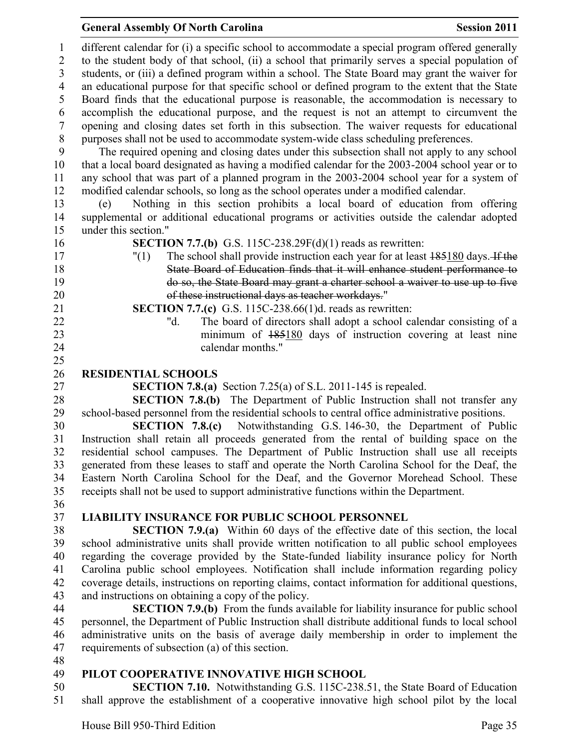different calendar for (i) a specific school to accommodate a special program offered generally to the student body of that school, (ii) a school that primarily serves a special population of students, or (iii) a defined program within a school. The State Board may grant the waiver for an educational purpose for that specific school or defined program to the extent that the State Board finds that the educational purpose is reasonable, the accommodation is necessary to accomplish the educational purpose, and the request is not an attempt to circumvent the opening and closing dates set forth in this subsection. The waiver requests for educational 8 purposes shall not be used to accommodate system-wide class scheduling preferences.<br>9 The required opening and closing dates under this subsection shall not apply to a The required opening and closing dates under this subsection shall not apply to any school that a local board designated as having a modified calendar for the 2003-2004 school year or to any school that was part of a planned program in the 2003-2004 school year for a system of modified calendar schools, so long as the school operates under a modified calendar. (e) Nothing in this section prohibits a local board of education from offering supplemental or additional educational programs or activities outside the calendar adopted under this section." **SECTION 7.7.(b)** G.S. 115C-238.29F(d)(1) reads as rewritten: 17 "(1) The school shall provide instruction each year for at least days. If the State Board of Education finds that it will enhance student performance to do so, the State Board may grant a charter school a waiver to use up to five of these instructional days as teacher workdays." **SECTION 7.7.(c)** G.S. 115C-238.66(1)d. reads as rewritten: "d. The board of directors shall adopt a school calendar consisting of a minimum of 185180 days of instruction covering at least nine 24 calendar months." **RESIDENTIAL SCHOOLS SECTION 7.8.(a)** Section 7.25(a) of S.L. 2011-145 is repealed. **SECTION 7.8.(b)** The Department of Public Instruction shall not transfer any school-based personnel from the residential schools to central office administrative positions. **SECTION 7.8.(c)** Notwithstanding G.S. 146-30, the Department of Public Instruction shall retain all proceeds generated from the rental of building space on the residential school campuses. The Department of Public Instruction shall use all receipts generated from these leases to staff and operate the North Carolina School for the Deaf, the Eastern North Carolina School for the Deaf, and the Governor Morehead School. These receipts shall not be used to support administrative functions within the Department. **LIABILITY INSURANCE FOR PUBLIC SCHOOL PERSONNEL SECTION 7.9.(a)** Within 60 days of the effective date of this section, the local school administrative units shall provide written notification to all public school employees regarding the coverage provided by the State-funded liability insurance policy for North Carolina public school employees. Notification shall include information regarding policy coverage details, instructions on reporting claims, contact information for additional questions, and instructions on obtaining a copy of the policy. **SECTION 7.9.(b)** From the funds available for liability insurance for public school personnel, the Department of Public Instruction shall distribute additional funds to local school administrative units on the basis of average daily membership in order to implement the requirements of subsection (a) of this section. **PILOT COOPERATIVE INNOVATIVE HIGH SCHOOL** 

 **SECTION 7.10.** Notwithstanding G.S. 115C-238.51, the State Board of Education shall approve the establishment of a cooperative innovative high school pilot by the local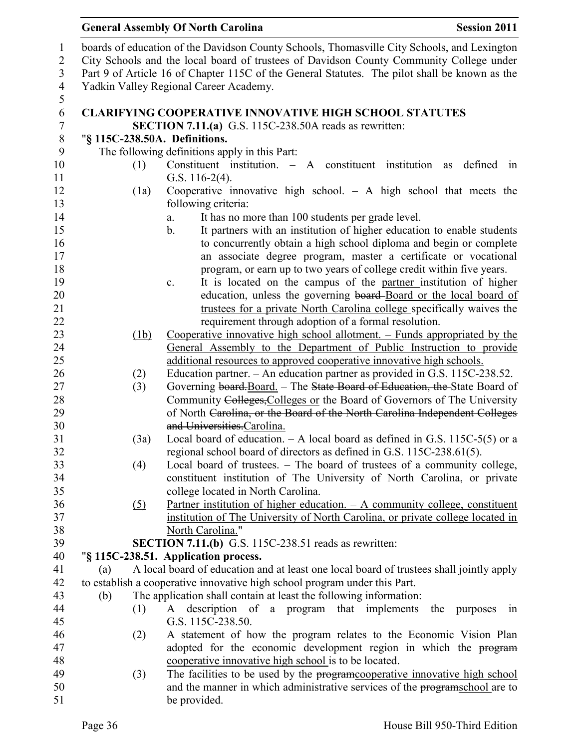|     |            | <b>General Assembly Of North Carolina</b>                                                     | <b>Session 2011</b> |
|-----|------------|-----------------------------------------------------------------------------------------------|---------------------|
|     |            | boards of education of the Davidson County Schools, Thomasville City Schools, and Lexington   |                     |
|     |            | City Schools and the local board of trustees of Davidson County Community College under       |                     |
|     |            | Part 9 of Article 16 of Chapter 115C of the General Statutes. The pilot shall be known as the |                     |
|     |            | Yadkin Valley Regional Career Academy.                                                        |                     |
|     |            | <b>CLARIFYING COOPERATIVE INNOVATIVE HIGH SCHOOL STATUTES</b>                                 |                     |
|     |            | <b>SECTION 7.11.(a)</b> G.S. 115C-238.50A reads as rewritten:                                 |                     |
|     |            | "§ 115C-238.50A. Definitions.                                                                 |                     |
|     |            | The following definitions apply in this Part:                                                 |                     |
|     | (1)        | Constituent institution. - A constituent institution as                                       | defined<br>1n       |
|     |            | G.S. $116-2(4)$ .                                                                             |                     |
|     | (1a)       | Cooperative innovative high school. $-$ A high school that meets the                          |                     |
|     |            | following criteria:                                                                           |                     |
|     |            | It has no more than 100 students per grade level.<br>a.                                       |                     |
|     |            | It partners with an institution of higher education to enable students<br>b.                  |                     |
|     |            | to concurrently obtain a high school diploma and begin or complete                            |                     |
|     |            | an associate degree program, master a certificate or vocational                               |                     |
|     |            | program, or earn up to two years of college credit within five years.                         |                     |
|     |            | It is located on the campus of the partner institution of higher<br>$\mathbf{c}$ .            |                     |
|     |            | education, unless the governing board-Board or the local board of                             |                     |
|     |            | trustees for a private North Carolina college specifically waives the                         |                     |
|     |            | requirement through adoption of a formal resolution.                                          |                     |
|     | (1b)       | Cooperative innovative high school allotment. – Funds appropriated by the                     |                     |
|     |            | General Assembly to the Department of Public Instruction to provide                           |                     |
|     |            | additional resources to approved cooperative innovative high schools.                         |                     |
|     | (2)        | Education partner. $-$ An education partner as provided in G.S. 115C-238.52.                  |                     |
|     | (3)        | Governing board-Board. - The State Board of Education, the State Board of                     |                     |
|     |            | Community Colleges, Colleges or the Board of Governors of The University                      |                     |
|     |            | of North Carolina, or the Board of the North Carolina Independent Colleges                    |                     |
|     |            | and Universities.Carolina.                                                                    |                     |
|     | (3a)       | Local board of education. $-$ A local board as defined in G.S. 115C-5(5) or a                 |                     |
|     |            | regional school board of directors as defined in G.S. 115C-238.61(5).                         |                     |
|     | (4)        | Local board of trustees. - The board of trustees of a community college,                      |                     |
|     |            | constituent institution of The University of North Carolina, or private                       |                     |
|     |            | college located in North Carolina.                                                            |                     |
|     | <u>(5)</u> | Partner institution of higher education. $- A$ community college, constituent                 |                     |
|     |            | institution of The University of North Carolina, or private college located in                |                     |
|     |            | North Carolina."                                                                              |                     |
|     |            | <b>SECTION 7.11.(b)</b> G.S. 115C-238.51 reads as rewritten:                                  |                     |
|     |            | "§ 115C-238.51. Application process.                                                          |                     |
| (a) |            | A local board of education and at least one local board of trustees shall jointly apply       |                     |
|     |            | to establish a cooperative innovative high school program under this Part.                    |                     |
| (b) |            | The application shall contain at least the following information:                             |                     |
|     | (1)        | description of a program that implements<br>$\mathbf{A}$<br>the                               | purposes<br>1n      |
|     |            | G.S. 115C-238.50.                                                                             |                     |
|     | (2)        | A statement of how the program relates to the Economic Vision Plan                            |                     |
|     |            | adopted for the economic development region in which the program                              |                     |
|     |            | cooperative innovative high school is to be located.                                          |                     |
|     | (3)        | The facilities to be used by the programcooperative innovative high school                    |                     |
|     |            | and the manner in which administrative services of the programschool are to                   |                     |
|     |            | be provided.                                                                                  |                     |
|     |            |                                                                                               |                     |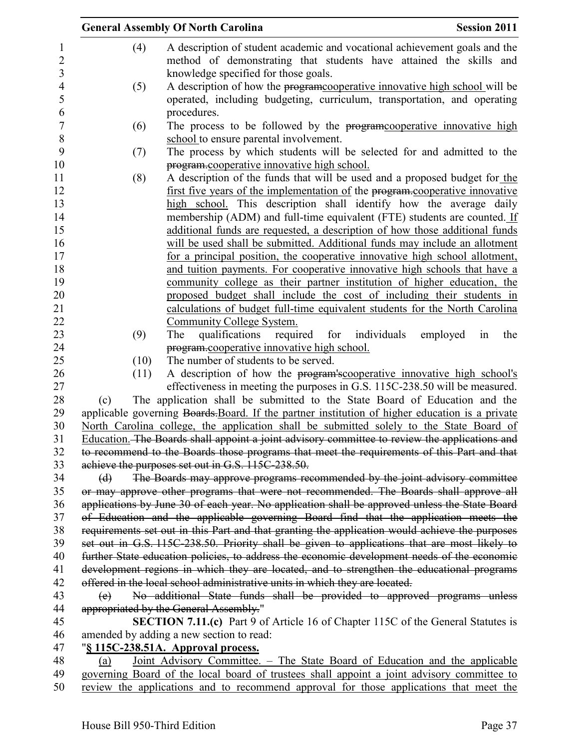|          | <b>General Assembly Of North Carolina</b><br><b>Session 2011</b>                                                                                       |
|----------|--------------------------------------------------------------------------------------------------------------------------------------------------------|
| (4)      | A description of student academic and vocational achievement goals and the                                                                             |
|          | method of demonstrating that students have attained the skills and                                                                                     |
|          | knowledge specified for those goals.                                                                                                                   |
| (5)      | A description of how the program cooperative innovative high school will be                                                                            |
|          | operated, including budgeting, curriculum, transportation, and operating                                                                               |
|          | procedures.                                                                                                                                            |
| (6)      | The process to be followed by the program cooperative innovative high                                                                                  |
|          | school to ensure parental involvement.                                                                                                                 |
| (7)      | The process by which students will be selected for and admitted to the                                                                                 |
|          | program.cooperative innovative high school.                                                                                                            |
| (8)      | A description of the funds that will be used and a proposed budget for the                                                                             |
|          | first five years of the implementation of the program-cooperative innovative                                                                           |
|          | high school. This description shall identify how the average daily                                                                                     |
|          | membership (ADM) and full-time equivalent (FTE) students are counted. If                                                                               |
|          | additional funds are requested, a description of how those additional funds                                                                            |
|          | will be used shall be submitted. Additional funds may include an allotment                                                                             |
|          | for a principal position, the cooperative innovative high school allotment,                                                                            |
|          | and tuition payments. For cooperative innovative high schools that have a                                                                              |
|          | community college as their partner institution of higher education, the                                                                                |
|          | proposed budget shall include the cost of including their students in                                                                                  |
|          | calculations of budget full-time equivalent students for the North Carolina                                                                            |
|          | Community College System.                                                                                                                              |
|          | qualifications<br>The<br>in                                                                                                                            |
| (9)      | for individuals<br>required<br>employed<br>the                                                                                                         |
| (10)     | program.cooperative innovative high school.<br>The number of students to be served.                                                                    |
| (11)     |                                                                                                                                                        |
|          | A description of how the program's cooperative innovative high school's<br>effectiveness in meeting the purposes in G.S. 115C-238.50 will be measured. |
| (c)      | The application shall be submitted to the State Board of Education and the                                                                             |
|          | applicable governing Boards. Board. If the partner institution of higher education is a private                                                        |
|          | North Carolina college, the application shall be submitted solely to the State Board of                                                                |
|          | Education. The Boards shall appoint a joint advisory committee to review the applications and                                                          |
|          | to recommend to the Boards those programs that meet the requirements of this Part and that                                                             |
|          | achieve the purposes set out in G.S. 115C-238.50.                                                                                                      |
| $\Theta$ | The Boards may approve programs recommended by the joint advisory committee                                                                            |
|          | or may approve other programs that were not recommended. The Boards shall approve all                                                                  |
|          | applications by June 30 of each year. No application shall be approved unless the State Board                                                          |
|          | of Education and the applicable governing Board find that the application meets the                                                                    |
|          | requirements set out in this Part and that granting the application would achieve the purposes                                                         |
|          | set out in G.S. 115C-238.50. Priority shall be given to applications that are most likely to                                                           |
|          | further State education policies, to address the economic development needs of the economic                                                            |
|          | development regions in which they are located, and to strengthen the educational programs                                                              |
|          | offered in the local school administrative units in which they are located.                                                                            |
| (e)      | No additional State funds shall be provided to approved programs unless                                                                                |
|          | appropriated by the General Assembly."                                                                                                                 |
|          | <b>SECTION 7.11.(c)</b> Part 9 of Article 16 of Chapter 115C of the General Statutes is                                                                |
|          | amended by adding a new section to read:                                                                                                               |
|          | "§ 115C-238.51A. Approval process.                                                                                                                     |
| (a)      | <u>Joint Advisory Committee. – The State Board of Education and the applicable</u>                                                                     |
|          | governing Board of the local board of trustees shall appoint a joint advisory committee to                                                             |
|          | review the applications and to recommend approval for those applications that meet the                                                                 |
|          |                                                                                                                                                        |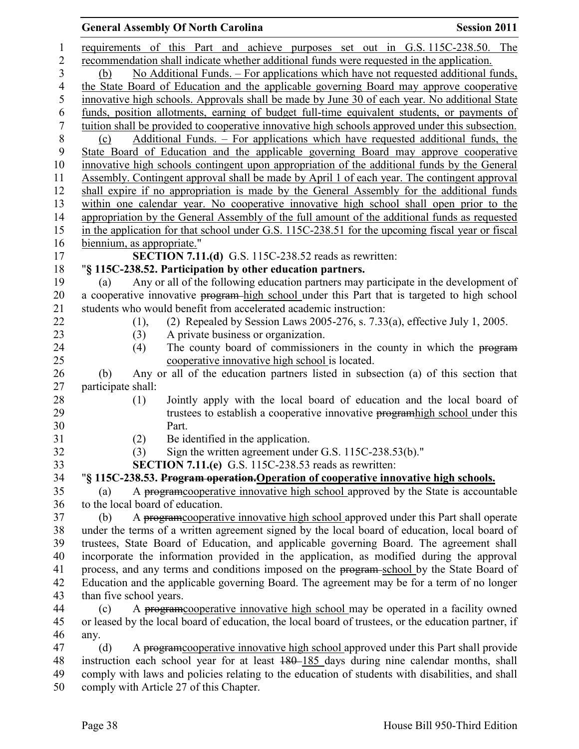| $\mathbf{1}$   | requirements of this Part and achieve purposes set out in G.S. 115C-238.50. The                                                                               |  |  |  |
|----------------|---------------------------------------------------------------------------------------------------------------------------------------------------------------|--|--|--|
| $\overline{2}$ | recommendation shall indicate whether additional funds were requested in the application.                                                                     |  |  |  |
| 3              | No Additional Funds. – For applications which have not requested additional funds,<br>(b)                                                                     |  |  |  |
| $\overline{4}$ | the State Board of Education and the applicable governing Board may approve cooperative                                                                       |  |  |  |
| 5              | innovative high schools. Approvals shall be made by June 30 of each year. No additional State                                                                 |  |  |  |
| 6              | funds, position allotments, earning of budget full-time equivalent students, or payments of                                                                   |  |  |  |
| $\tau$         | tuition shall be provided to cooperative innovative high schools approved under this subsection.                                                              |  |  |  |
| $\, 8$         | Additional Funds. – For applications which have requested additional funds, the<br>(c)                                                                        |  |  |  |
| 9              | State Board of Education and the applicable governing Board may approve cooperative                                                                           |  |  |  |
| 10             | innovative high schools contingent upon appropriation of the additional funds by the General                                                                  |  |  |  |
| 11             | Assembly. Contingent approval shall be made by April 1 of each year. The contingent approval                                                                  |  |  |  |
| 12             | shall expire if no appropriation is made by the General Assembly for the additional funds                                                                     |  |  |  |
| 13             | within one calendar year. No cooperative innovative high school shall open prior to the                                                                       |  |  |  |
| 14             | appropriation by the General Assembly of the full amount of the additional funds as requested                                                                 |  |  |  |
| 15             | in the application for that school under G.S. 115C-238.51 for the upcoming fiscal year or fiscal                                                              |  |  |  |
| 16             | biennium, as appropriate."                                                                                                                                    |  |  |  |
| 17             | SECTION 7.11.(d) G.S. 115C-238.52 reads as rewritten:                                                                                                         |  |  |  |
| 18             | "§ 115C-238.52. Participation by other education partners.                                                                                                    |  |  |  |
| 19             | Any or all of the following education partners may participate in the development of<br>(a)                                                                   |  |  |  |
| 20             | a cooperative innovative program-high school under this Part that is targeted to high school                                                                  |  |  |  |
| 21             | students who would benefit from accelerated academic instruction:                                                                                             |  |  |  |
| 22             | (2) Repealed by Session Laws 2005-276, s. 7.33(a), effective July 1, 2005.<br>(1),                                                                            |  |  |  |
| 23             | A private business or organization.<br>(3)                                                                                                                    |  |  |  |
| 24             | The county board of commissioners in the county in which the program<br>(4)                                                                                   |  |  |  |
| 25             | cooperative innovative high school is located.                                                                                                                |  |  |  |
| 26<br>27       | Any or all of the education partners listed in subsection (a) of this section that<br>(b)                                                                     |  |  |  |
| 28             | participate shall:                                                                                                                                            |  |  |  |
| 29             | Jointly apply with the local board of education and the local board of<br>(1)<br>trustees to establish a cooperative innovative programbigh school under this |  |  |  |
| 30             | Part.                                                                                                                                                         |  |  |  |
| 31             | Be identified in the application.<br>(2)                                                                                                                      |  |  |  |
| 32             | (3)<br>Sign the written agreement under G.S. 115C-238.53(b)."                                                                                                 |  |  |  |
| 33             | SECTION 7.11.(e) G.S. 115C-238.53 reads as rewritten:                                                                                                         |  |  |  |
| 34             | "§ 115C-238.53. Program operation. Operation of cooperative innovative high schools.                                                                          |  |  |  |
| 35             | A program cooperative innovative high school approved by the State is accountable<br>(a)                                                                      |  |  |  |
| 36             | to the local board of education.                                                                                                                              |  |  |  |
| 37             | A program cooperative innovative high school approved under this Part shall operate<br>(b)                                                                    |  |  |  |
| 38             | under the terms of a written agreement signed by the local board of education, local board of                                                                 |  |  |  |
| 39             | trustees, State Board of Education, and applicable governing Board. The agreement shall                                                                       |  |  |  |
| 40             | incorporate the information provided in the application, as modified during the approval                                                                      |  |  |  |
| 41             | process, and any terms and conditions imposed on the program-school by the State Board of                                                                     |  |  |  |
| 42             | Education and the applicable governing Board. The agreement may be for a term of no longer                                                                    |  |  |  |
| 43             | than five school years.                                                                                                                                       |  |  |  |
| 44             | A program cooperative innovative high school may be operated in a facility owned<br>(c)                                                                       |  |  |  |
| 45             | or leased by the local board of education, the local board of trustees, or the education partner, if                                                          |  |  |  |
| 46             | any.                                                                                                                                                          |  |  |  |
| 47             | A program cooperative innovative high school approved under this Part shall provide<br>(d)                                                                    |  |  |  |
| 48             | instruction each school year for at least 180–185 days during nine calendar months, shall                                                                     |  |  |  |

49 comply with laws and policies relating to the education of students with disabilities, and shall<br>50 comply with Article 27 of this Chapter. comply with Article 27 of this Chapter.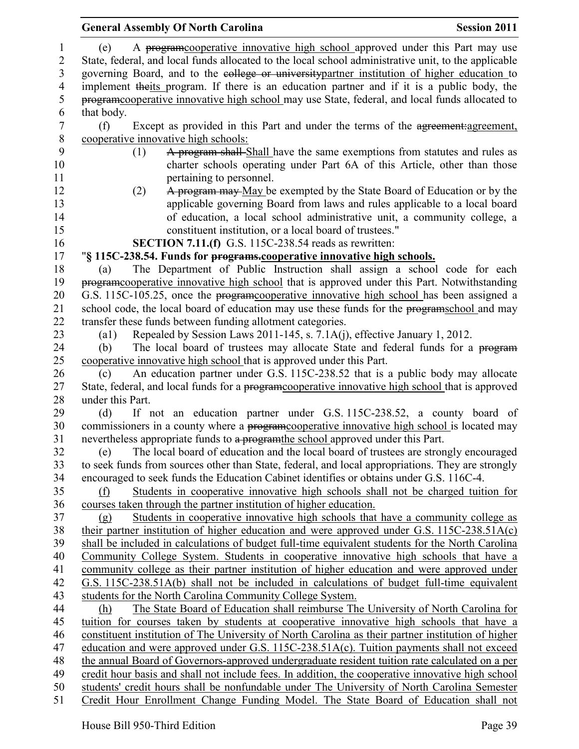#### **General Assembly Of North Carolina Session 2011** Session 2011 (e) A programcooperative innovative high school approved under this Part may use State, federal, and local funds allocated to the local school administrative unit, to the applicable governing Board, and to the college or universitypartner institution of higher education to implement theits program. If there is an education partner and if it is a public body, the programcooperative innovative high school may use State, federal, and local funds allocated to that body. (f) Except as provided in this Part and under the terms of the agreement:agreement, 8 cooperative innovative high schools:<br>9 (1) A program shall S (1) A program shall Shall have the same exemptions from statutes and rules as charter schools operating under Part 6A of this Article, other than those **pertaining to personnel.** 12 (2) A program may May be exempted by the State Board of Education or by the applicable governing Board from laws and rules applicable to a local board of education, a local school administrative unit, a community college, a constituent institution, or a local board of trustees." **SECTION 7.11.(f)** G.S. 115C-238.54 reads as rewritten: "**§ 115C-238.54. Funds for programs.cooperative innovative high schools.**  (a) The Department of Public Instruction shall assign a school code for each 19 <del>program</del>cooperative innovative high school that is approved under this Part. Notwithstanding G.S. 115C-105.25, once the programcooperative innovative high school has been assigned a 21 school code, the local board of education may use these funds for the programschool and may transfer these funds between funding allotment categories. (a1) Repealed by Session Laws 2011-145, s. 7.1A(j), effective January 1, 2012. (b) The local board of trustees may allocate State and federal funds for a program cooperative innovative high school that is approved under this Part. (c) An education partner under G.S. 115C-238.52 that is a public body may allocate 27 State, federal, and local funds for a programe coperative innovative high school that is approved under this Part. (d) If not an education partner under G.S. 115C-238.52, a county board of 30 commissioners in a county where a program cooperative innovative high school is located may nevertheless appropriate funds to a programthe school approved under this Part. (e) The local board of education and the local board of trustees are strongly encouraged to seek funds from sources other than State, federal, and local appropriations. They are strongly encouraged to seek funds the Education Cabinet identifies or obtains under G.S. 116C-4. (f) Students in cooperative innovative high schools shall not be charged tuition for courses taken through the partner institution of higher education. (g) Students in cooperative innovative high schools that have a community college as their partner institution of higher education and were approved under G.S. 115C-238.51A(c) shall be included in calculations of budget full-time equivalent students for the North Carolina Community College System. Students in cooperative innovative high schools that have a community college as their partner institution of higher education and were approved under G.S. 115C-238.51A(b) shall not be included in calculations of budget full-time equivalent students for the North Carolina Community College System. (h) The State Board of Education shall reimburse The University of North Carolina for tuition for courses taken by students at cooperative innovative high schools that have a constituent institution of The University of North Carolina as their partner institution of higher education and were approved under G.S. 115C-238.51A(c). Tuition payments shall not exceed the annual Board of Governors-approved undergraduate resident tuition rate calculated on a per credit hour basis and shall not include fees. In addition, the cooperative innovative high school students' credit hours shall be nonfundable under The University of North Carolina Semester Credit Hour Enrollment Change Funding Model. The State Board of Education shall not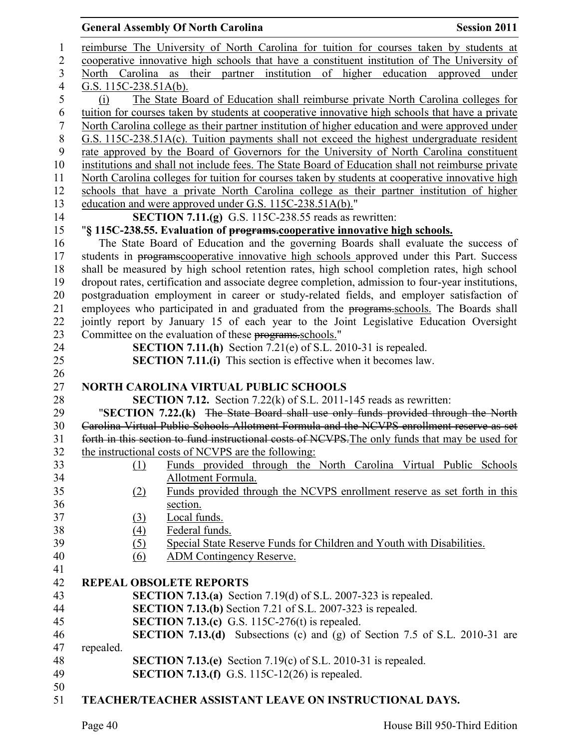|                | <b>Session 2011</b><br><b>General Assembly Of North Carolina</b>                                   |
|----------------|----------------------------------------------------------------------------------------------------|
| $\mathbf{1}$   | reimburse The University of North Carolina for tuition for courses taken by students at            |
| $\overline{2}$ | cooperative innovative high schools that have a constituent institution of The University of       |
| 3              | North Carolina as their partner institution of higher education approved under                     |
| $\overline{4}$ | G.S. 115C-238.51A(b).                                                                              |
| 5              | The State Board of Education shall reimburse private North Carolina colleges for<br>(i)            |
| 6              | tuition for courses taken by students at cooperative innovative high schools that have a private   |
| $\tau$         | North Carolina college as their partner institution of higher education and were approved under    |
| $\,8\,$        | G.S. 115C-238.51A(c). Tuition payments shall not exceed the highest undergraduate resident         |
| 9              | rate approved by the Board of Governors for the University of North Carolina constituent           |
| $10\,$         | institutions and shall not include fees. The State Board of Education shall not reimburse private  |
| 11             | North Carolina colleges for tuition for courses taken by students at cooperative innovative high   |
| 12             | schools that have a private North Carolina college as their partner institution of higher          |
| 13             | education and were approved under G.S. 115C-238.51A(b)."                                           |
| 14             | SECTION 7.11.(g) G.S. 115C-238.55 reads as rewritten:                                              |
| 15             | "§ 115C-238.55. Evaluation of programs.cooperative innovative high schools.                        |
| 16             | The State Board of Education and the governing Boards shall evaluate the success of                |
| 17             | students in programscooperative innovative high schools approved under this Part. Success          |
| 18             | shall be measured by high school retention rates, high school completion rates, high school        |
| 19             | dropout rates, certification and associate degree completion, admission to four-year institutions, |
| 20             | postgraduation employment in career or study-related fields, and employer satisfaction of          |
| 21             | employees who participated in and graduated from the programs-schools. The Boards shall            |
| 22             | jointly report by January 15 of each year to the Joint Legislative Education Oversight             |
| 23             | Committee on the evaluation of these programs.schools."                                            |
| 24             | <b>SECTION 7.11.(h)</b> Section 7.21(e) of S.L. 2010-31 is repealed.                               |
| 25             | <b>SECTION 7.11.(i)</b> This section is effective when it becomes law.                             |
| 26             |                                                                                                    |
| 27             | <b>NORTH CAROLINA VIRTUAL PUBLIC SCHOOLS</b>                                                       |
| 28             | <b>SECTION 7.12.</b> Section 7.22(k) of S.L. 2011-145 reads as rewritten:                          |
| 29             | "SECTION 7.22.(k) The State Board shall use only funds provided through the North                  |
| 30             | Carolina Virtual Public Schools Allotment Formula and the NCVPS enrollment reserve as set          |
| 31             | forth in this section to fund instructional costs of NCVPS. The only funds that may be used for    |
| 32             | the instructional costs of NCVPS are the following:                                                |
| 33             | Funds provided through the North Carolina Virtual Public Schools<br>(1)                            |
| 34             | Allotment Formula.                                                                                 |
| 35             | Funds provided through the NCVPS enrollment reserve as set forth in this<br>(2)                    |
| 36             | section.                                                                                           |
| 37             | Local funds.<br>$\left(3\right)$                                                                   |
| 38             | Federal funds.<br>$\left(4\right)$                                                                 |
| 39             | (5)<br>Special State Reserve Funds for Children and Youth with Disabilities.                       |
| 40             | (6)<br><b>ADM</b> Contingency Reserve.                                                             |
| 41<br>42       | <b>REPEAL OBSOLETE REPORTS</b>                                                                     |
| 43             | <b>SECTION 7.13.(a)</b> Section 7.19(d) of S.L. 2007-323 is repealed.                              |
| 44             | <b>SECTION 7.13.(b)</b> Section 7.21 of S.L. 2007-323 is repealed.                                 |
| 45             | <b>SECTION 7.13.(c)</b> G.S. 115C-276(t) is repealed.                                              |
| 46             | SECTION 7.13.(d) Subsections (c) and (g) of Section 7.5 of S.L. 2010-31 are                        |
| 47             | repealed.                                                                                          |
| 48             | <b>SECTION 7.13.(e)</b> Section 7.19(c) of S.L. 2010-31 is repealed.                               |
| 49             | <b>SECTION 7.13.(f)</b> G.S. 115C-12(26) is repealed.                                              |
| 50             |                                                                                                    |
| 51             | TEACHER/TEACHER ASSISTANT LEAVE ON INSTRUCTIONAL DAYS.                                             |
|                |                                                                                                    |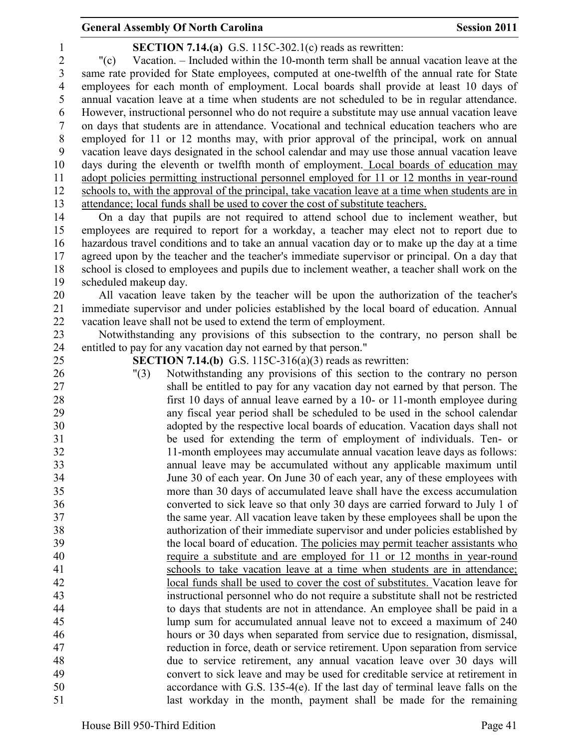| $\mathbf{1}$             | <b>SECTION 7.14.(a)</b> G.S. 115C-302.1(c) reads as rewritten:                                     |
|--------------------------|----------------------------------------------------------------------------------------------------|
| $\overline{2}$           | Vacation. – Included within the 10-month term shall be annual vacation leave at the<br>$"({c})$    |
| $\overline{3}$           | same rate provided for State employees, computed at one-twelfth of the annual rate for State       |
| $\overline{\mathcal{A}}$ | employees for each month of employment. Local boards shall provide at least 10 days of             |
| 5                        | annual vacation leave at a time when students are not scheduled to be in regular attendance.       |
| 6                        | However, instructional personnel who do not require a substitute may use annual vacation leave     |
| $\tau$                   | on days that students are in attendance. Vocational and technical education teachers who are       |
| $8\,$                    | employed for 11 or 12 months may, with prior approval of the principal, work on annual             |
| 9                        | vacation leave days designated in the school calendar and may use those annual vacation leave      |
| 10                       | days during the eleventh or twelfth month of employment. Local boards of education may             |
| 11                       | adopt policies permitting instructional personnel employed for 11 or 12 months in year-round       |
| 12                       | schools to, with the approval of the principal, take vacation leave at a time when students are in |
| 13                       | attendance; local funds shall be used to cover the cost of substitute teachers.                    |
| 14                       | On a day that pupils are not required to attend school due to inclement weather, but               |
| 15                       | employees are required to report for a workday, a teacher may elect not to report due to           |
| 16                       | hazardous travel conditions and to take an annual vacation day or to make up the day at a time     |
| 17                       | agreed upon by the teacher and the teacher's immediate supervisor or principal. On a day that      |
| 18                       | school is closed to employees and pupils due to inclement weather, a teacher shall work on the     |
| 19                       | scheduled makeup day.                                                                              |
| 20                       | All vacation leave taken by the teacher will be upon the authorization of the teacher's            |
| 21                       | immediate supervisor and under policies established by the local board of education. Annual        |
| 22                       | vacation leave shall not be used to extend the term of employment.                                 |
| 23                       | Notwithstanding any provisions of this subsection to the contrary, no person shall be              |
| 24                       | entitled to pay for any vacation day not earned by that person."                                   |
| 25                       | <b>SECTION 7.14.(b)</b> G.S. 115C-316(a)(3) reads as rewritten:                                    |
| 26                       | Notwithstanding any provisions of this section to the contrary no person<br>"(3)                   |
| 27                       | shall be entitled to pay for any vacation day not earned by that person. The                       |
| 28                       | first 10 days of annual leave earned by a 10- or 11-month employee during                          |
| 29                       | any fiscal year period shall be scheduled to be used in the school calendar                        |
| 30                       | adopted by the respective local boards of education. Vacation days shall not                       |
| 31                       | be used for extending the term of employment of individuals. Ten- or                               |
| 32                       | 11-month employees may accumulate annual vacation leave days as follows:                           |
| 33                       | annual leave may be accumulated without any applicable maximum until                               |
| 34                       | June 30 of each year. On June 30 of each year, any of these employees with                         |
| 35                       | more than 30 days of accumulated leave shall have the excess accumulation                          |
| 36                       | converted to sick leave so that only 30 days are carried forward to July 1 of                      |
| 37                       | the same year. All vacation leave taken by these employees shall be upon the                       |
| 38                       | authorization of their immediate supervisor and under policies established by                      |
| 39                       | the local board of education. The policies may permit teacher assistants who                       |
| 40                       | require a substitute and are employed for 11 or 12 months in year-round                            |
| 41                       | schools to take vacation leave at a time when students are in attendance;                          |
| 42                       | local funds shall be used to cover the cost of substitutes. Vacation leave for                     |
| 43                       | instructional personnel who do not require a substitute shall not be restricted                    |
| 44                       | to days that students are not in attendance. An employee shall be paid in a                        |
| 45                       | lump sum for accumulated annual leave not to exceed a maximum of 240                               |
| 46                       | hours or 30 days when separated from service due to resignation, dismissal,                        |
| 47                       | reduction in force, death or service retirement. Upon separation from service                      |
| 48                       | due to service retirement, any annual vacation leave over 30 days will                             |
| 49                       | convert to sick leave and may be used for creditable service at retirement in                      |
| 50                       | accordance with G.S. 135-4(e). If the last day of terminal leave falls on the                      |
| 51                       | last workday in the month, payment shall be made for the remaining                                 |
|                          |                                                                                                    |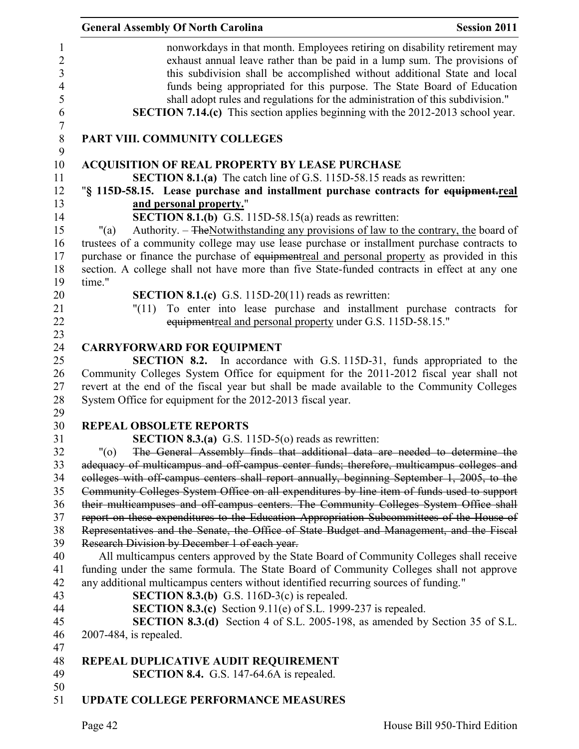|                                                                                       | <b>General Assembly Of North Carolina</b><br><b>Session 2011</b>                                                                                                                                                                                                                                                                                                                                                                                                                            |
|---------------------------------------------------------------------------------------|---------------------------------------------------------------------------------------------------------------------------------------------------------------------------------------------------------------------------------------------------------------------------------------------------------------------------------------------------------------------------------------------------------------------------------------------------------------------------------------------|
| $\mathbf{1}$<br>$\overline{2}$<br>$\overline{\mathbf{3}}$<br>$\overline{4}$<br>5<br>6 | nonworkdays in that month. Employees retiring on disability retirement may<br>exhaust annual leave rather than be paid in a lump sum. The provisions of<br>this subdivision shall be accomplished without additional State and local<br>funds being appropriated for this purpose. The State Board of Education<br>shall adopt rules and regulations for the administration of this subdivision."<br><b>SECTION 7.14.(c)</b> This section applies beginning with the 2012-2013 school year. |
| $\overline{7}$                                                                        |                                                                                                                                                                                                                                                                                                                                                                                                                                                                                             |
| $\,8\,$<br>9                                                                          | PART VIII. COMMUNITY COLLEGES                                                                                                                                                                                                                                                                                                                                                                                                                                                               |
| 10                                                                                    | <b>ACQUISITION OF REAL PROPERTY BY LEASE PURCHASE</b>                                                                                                                                                                                                                                                                                                                                                                                                                                       |
| 11                                                                                    | <b>SECTION 8.1.(a)</b> The catch line of G.S. 115D-58.15 reads as rewritten:                                                                                                                                                                                                                                                                                                                                                                                                                |
| 12                                                                                    | "§ 115D-58.15. Lease purchase and installment purchase contracts for equipment-real                                                                                                                                                                                                                                                                                                                                                                                                         |
| 13                                                                                    | and personal property."                                                                                                                                                                                                                                                                                                                                                                                                                                                                     |
| 14                                                                                    | <b>SECTION 8.1.(b)</b> G.S. 115D-58.15(a) reads as rewritten:                                                                                                                                                                                                                                                                                                                                                                                                                               |
| 15                                                                                    | Authority. – The Notwithstanding any provisions of law to the contrary, the board of<br>"(a)                                                                                                                                                                                                                                                                                                                                                                                                |
| 16                                                                                    | trustees of a community college may use lease purchase or installment purchase contracts to                                                                                                                                                                                                                                                                                                                                                                                                 |
| 17                                                                                    | purchase or finance the purchase of equipment real and personal property as provided in this                                                                                                                                                                                                                                                                                                                                                                                                |
| 18                                                                                    | section. A college shall not have more than five State-funded contracts in effect at any one                                                                                                                                                                                                                                                                                                                                                                                                |
| 19                                                                                    | time."                                                                                                                                                                                                                                                                                                                                                                                                                                                                                      |
| 20                                                                                    | <b>SECTION 8.1.(c)</b> G.S. 115D-20(11) reads as rewritten:                                                                                                                                                                                                                                                                                                                                                                                                                                 |
| 21                                                                                    | To enter into lease purchase and installment purchase contracts for<br>"(11)                                                                                                                                                                                                                                                                                                                                                                                                                |
| 22                                                                                    | equipmentreal and personal property under G.S. 115D-58.15."                                                                                                                                                                                                                                                                                                                                                                                                                                 |
| 23                                                                                    |                                                                                                                                                                                                                                                                                                                                                                                                                                                                                             |
| 24                                                                                    | <b>CARRYFORWARD FOR EQUIPMENT</b>                                                                                                                                                                                                                                                                                                                                                                                                                                                           |
| 25                                                                                    | <b>SECTION 8.2.</b> In accordance with G.S. 115D-31, funds appropriated to the                                                                                                                                                                                                                                                                                                                                                                                                              |
| 26                                                                                    | Community Colleges System Office for equipment for the 2011-2012 fiscal year shall not                                                                                                                                                                                                                                                                                                                                                                                                      |
| 27                                                                                    | revert at the end of the fiscal year but shall be made available to the Community Colleges                                                                                                                                                                                                                                                                                                                                                                                                  |
| 28<br>29                                                                              | System Office for equipment for the 2012-2013 fiscal year.                                                                                                                                                                                                                                                                                                                                                                                                                                  |
| 30                                                                                    | <b>REPEAL OBSOLETE REPORTS</b>                                                                                                                                                                                                                                                                                                                                                                                                                                                              |
| 31                                                                                    | <b>SECTION 8.3.(a)</b> G.S. 115D-5(o) reads as rewritten:                                                                                                                                                                                                                                                                                                                                                                                                                                   |
| 32                                                                                    | "(0)<br>The General Assembly finds that additional data are needed to determine the                                                                                                                                                                                                                                                                                                                                                                                                         |
| 33                                                                                    | adequacy of multicampus and off-campus center funds; therefore, multicampus colleges and                                                                                                                                                                                                                                                                                                                                                                                                    |
| 34                                                                                    | colleges with off-campus centers shall report annually, beginning September 1, 2005, to the                                                                                                                                                                                                                                                                                                                                                                                                 |
| 35                                                                                    | Community Colleges System Office on all expenditures by line item of funds used to support                                                                                                                                                                                                                                                                                                                                                                                                  |
| 36                                                                                    | their multicampuses and off-campus centers. The Community Colleges System Office shall                                                                                                                                                                                                                                                                                                                                                                                                      |
| 37                                                                                    | report on these expenditures to the Education Appropriation Subcommittees of the House of                                                                                                                                                                                                                                                                                                                                                                                                   |
| 38                                                                                    | Representatives and the Senate, the Office of State Budget and Management, and the Fiscal                                                                                                                                                                                                                                                                                                                                                                                                   |
| 39                                                                                    | Research Division by December 1 of each year.                                                                                                                                                                                                                                                                                                                                                                                                                                               |
| 40                                                                                    | All multicampus centers approved by the State Board of Community Colleges shall receive                                                                                                                                                                                                                                                                                                                                                                                                     |
| 41                                                                                    | funding under the same formula. The State Board of Community Colleges shall not approve                                                                                                                                                                                                                                                                                                                                                                                                     |
| 42                                                                                    | any additional multicampus centers without identified recurring sources of funding."                                                                                                                                                                                                                                                                                                                                                                                                        |
| 43                                                                                    | <b>SECTION 8.3.(b)</b> G.S. 116D-3(c) is repealed.                                                                                                                                                                                                                                                                                                                                                                                                                                          |
| 44                                                                                    | <b>SECTION 8.3.(c)</b> Section 9.11(e) of S.L. 1999-237 is repealed.                                                                                                                                                                                                                                                                                                                                                                                                                        |
| 45                                                                                    | <b>SECTION 8.3.(d)</b> Section 4 of S.L. 2005-198, as amended by Section 35 of S.L.                                                                                                                                                                                                                                                                                                                                                                                                         |
| 46                                                                                    | 2007-484, is repealed.                                                                                                                                                                                                                                                                                                                                                                                                                                                                      |
| 47                                                                                    |                                                                                                                                                                                                                                                                                                                                                                                                                                                                                             |
| 48                                                                                    | REPEAL DUPLICATIVE AUDIT REQUIREMENT                                                                                                                                                                                                                                                                                                                                                                                                                                                        |
| 49<br>50                                                                              | <b>SECTION 8.4.</b> G.S. 147-64.6A is repealed.                                                                                                                                                                                                                                                                                                                                                                                                                                             |
| 51                                                                                    | <b>UPDATE COLLEGE PERFORMANCE MEASURES</b>                                                                                                                                                                                                                                                                                                                                                                                                                                                  |
|                                                                                       |                                                                                                                                                                                                                                                                                                                                                                                                                                                                                             |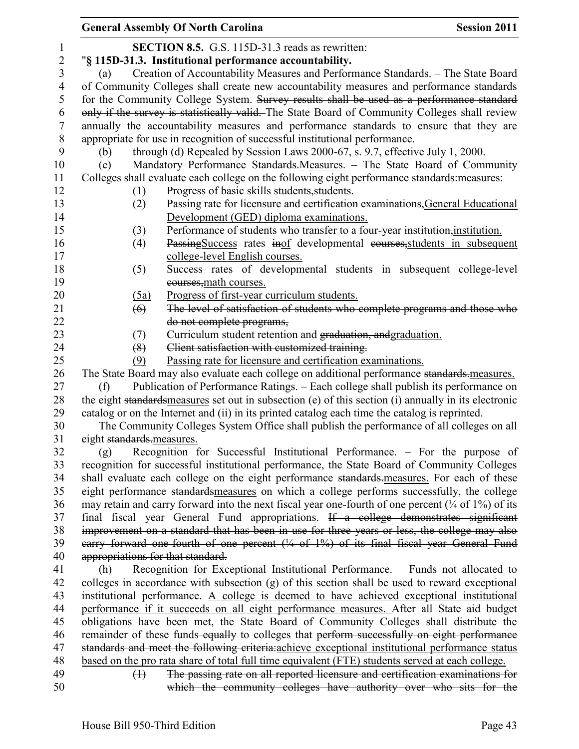|                | <b>General Assembly Of North Carolina</b>                                                                     | <b>Session 2011</b> |
|----------------|---------------------------------------------------------------------------------------------------------------|---------------------|
| $\bf{l}$       | <b>SECTION 8.5.</b> G.S. 115D-31.3 reads as rewritten:                                                        |                     |
| $\overline{2}$ | "§ 115D-31.3. Institutional performance accountability.                                                       |                     |
| 3              | Creation of Accountability Measures and Performance Standards. - The State Board<br>(a)                       |                     |
| $\overline{4}$ | of Community Colleges shall create new accountability measures and performance standards                      |                     |
| 5              | for the Community College System. Survey results shall be used as a performance standard                      |                     |
| 6              | only if the survey is statistically valid. The State Board of Community Colleges shall review                 |                     |
| $\overline{7}$ | annually the accountability measures and performance standards to ensure that they are                        |                     |
| $\,8\,$        | appropriate for use in recognition of successful institutional performance.                                   |                     |
| 9              | through (d) Repealed by Session Laws 2000-67, s. 9.7, effective July 1, 2000.<br>(b)                          |                     |
| 10             | Mandatory Performance Standards-Measures. - The State Board of Community<br>(e)                               |                     |
| 11             | Colleges shall evaluate each college on the following eight performance standards: measures:                  |                     |
| 12             | Progress of basic skills students, students.<br>(1)                                                           |                     |
| 13             | Passing rate for licensure and certification examinations, General Educational<br>(2)                         |                     |
| 14             | Development (GED) diploma examinations.                                                                       |                     |
| 15             | Performance of students who transfer to a four-year institution, institution.<br>(3)                          |                     |
| 16             | PassingSuccess rates inof developmental courses, students in subsequent<br>(4)                                |                     |
| 17             | college-level English courses.                                                                                |                     |
| 18             | Success rates of developmental students in subsequent college-level<br>(5)                                    |                     |
| 19             | courses, math courses.                                                                                        |                     |
| 20             | Progress of first-year curriculum students.<br>(5a)                                                           |                     |
| 21             | The level of satisfaction of students who complete programs and those who<br>(6)                              |                     |
| 22             | do not complete programs,                                                                                     |                     |
| 23             | Curriculum student retention and graduation, and graduation.<br>(7)                                           |                     |
| 24             | Client satisfaction with customized training.<br>(8)                                                          |                     |
| 25             | Passing rate for licensure and certification examinations.<br>(9)                                             |                     |
| 26             | The State Board may also evaluate each college on additional performance standards.measures.                  |                     |
| 27             | Publication of Performance Ratings. - Each college shall publish its performance on<br>(f)                    |                     |
| 28             | the eight standards measures set out in subsection (e) of this section (i) annually in its electronic         |                     |
| 29             | catalog or on the Internet and (ii) in its printed catalog each time the catalog is reprinted.                |                     |
| 30             | The Community Colleges System Office shall publish the performance of all colleges on all                     |                     |
| 31             | eight standards.measures.                                                                                     |                     |
| 32             | Recognition for Successful Institutional Performance. – For the purpose of<br>(g)                             |                     |
| 33             | recognition for successful institutional performance, the State Board of Community Colleges                   |                     |
| 34             | shall evaluate each college on the eight performance standards.measures. For each of these                    |                     |
| 35             | eight performance standardsmeasures on which a college performs successfully, the college                     |                     |
| 36             | may retain and carry forward into the next fiscal year one-fourth of one percent $(\frac{1}{4}$ of 1%) of its |                     |
| 37             | final fiscal year General Fund appropriations. If a college demonstrates significant                          |                     |
| 38             | improvement on a standard that has been in use for three years or less, the college may also                  |                     |
| 39             | earry forward one-fourth of one percent $(\frac{1}{4}$ of $1\%)$ of its final fiscal year General Fund        |                     |
| 40             | appropriations for that standard.                                                                             |                     |
| 41             | Recognition for Exceptional Institutional Performance. – Funds not allocated to<br>(h)                        |                     |
| 42             | colleges in accordance with subsection (g) of this section shall be used to reward exceptional                |                     |
| 43             | institutional performance. A college is deemed to have achieved exceptional institutional                     |                     |
| 44             | performance if it succeeds on all eight performance measures. After all State aid budget                      |                     |
| 45             | obligations have been met, the State Board of Community Colleges shall distribute the                         |                     |
| 46             | remainder of these funds-equally to colleges that perform successfully on eight performance                   |                     |
| 47             | standards and meet the following criteria: achieve exceptional institutional performance status               |                     |
| 48             | based on the pro rata share of total full time equivalent (FTE) students served at each college.              |                     |
| 49             | The passing rate on all reported licensure and certification examinations for<br>$\leftrightarrow$            |                     |
| 50             | which the community colleges have authority over who sits for the                                             |                     |
|                |                                                                                                               |                     |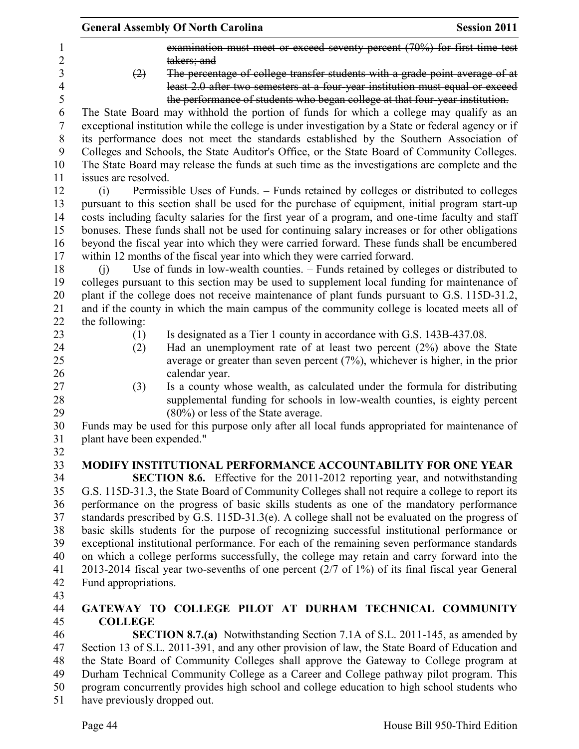|                      |     | <b>General Assembly Of North Carolina</b>                                 | <b>Session 2011</b>                                                                                        |
|----------------------|-----|---------------------------------------------------------------------------|------------------------------------------------------------------------------------------------------------|
|                      |     | takers; and                                                               | examination must meet or exceed seventy percent (70%) for first-time test                                  |
|                      | (2) |                                                                           | The percentage of college transfer students with a grade point average of at                               |
|                      |     |                                                                           | least 2.0 after two semesters at a four-year institution must equal or exceed                              |
|                      |     |                                                                           | the performance of students who began college at that four-year institution.                               |
|                      |     |                                                                           | The State Board may withhold the portion of funds for which a college may qualify as an                    |
|                      |     |                                                                           | exceptional institution while the college is under investigation by a State or federal agency or if        |
|                      |     |                                                                           | its performance does not meet the standards established by the Southern Association of                     |
|                      |     |                                                                           | Colleges and Schools, the State Auditor's Office, or the State Board of Community Colleges.                |
|                      |     |                                                                           | The State Board may release the funds at such time as the investigations are complete and the              |
| issues are resolved. |     |                                                                           |                                                                                                            |
| (i)                  |     |                                                                           | Permissible Uses of Funds. – Funds retained by colleges or distributed to colleges                         |
|                      |     |                                                                           | pursuant to this section shall be used for the purchase of equipment, initial program start-up             |
|                      |     |                                                                           | costs including faculty salaries for the first year of a program, and one-time faculty and staff           |
|                      |     |                                                                           | bonuses. These funds shall not be used for continuing salary increases or for other obligations            |
|                      |     |                                                                           | beyond the fiscal year into which they were carried forward. These funds shall be encumbered               |
|                      |     | within 12 months of the fiscal year into which they were carried forward. |                                                                                                            |
| (i)                  |     |                                                                           | Use of funds in low-wealth counties. – Funds retained by colleges or distributed to                        |
|                      |     |                                                                           | colleges pursuant to this section may be used to supplement local funding for maintenance of               |
|                      |     |                                                                           | plant if the college does not receive maintenance of plant funds pursuant to G.S. 115D-31.2,               |
|                      |     |                                                                           | and if the county in which the main campus of the community college is located meets all of                |
| the following:       |     |                                                                           |                                                                                                            |
|                      | (1) | Is designated as a Tier 1 county in accordance with G.S. 143B-437.08.     |                                                                                                            |
|                      | (2) |                                                                           | Had an unemployment rate of at least two percent $(2%)$ above the State                                    |
|                      |     |                                                                           | average or greater than seven percent $(7%)$ , whichever is higher, in the prior                           |
|                      |     | calendar year.                                                            |                                                                                                            |
|                      | (3) |                                                                           | Is a county whose wealth, as calculated under the formula for distributing                                 |
|                      |     |                                                                           | supplemental funding for schools in low-wealth counties, is eighty percent                                 |
|                      |     | $(80\%)$ or less of the State average.                                    |                                                                                                            |
|                      |     |                                                                           | Funds may be used for this purpose only after all local funds appropriated for maintenance of              |
|                      |     | plant have been expended."                                                |                                                                                                            |
|                      |     |                                                                           |                                                                                                            |
|                      |     |                                                                           | <b>MODIFY INSTITUTIONAL PERFORMANCE ACCOUNTABILITY FOR ONE YEAR</b>                                        |
|                      |     |                                                                           | <b>SECTION 8.6.</b> Effective for the 2011-2012 reporting year, and notwithstanding                        |
|                      |     |                                                                           | G.S. 115D-31.3, the State Board of Community Colleges shall not require a college to report its            |
|                      |     |                                                                           | performance on the progress of basic skills students as one of the mandatory performance                   |
|                      |     |                                                                           | standards prescribed by G.S. 115D-31.3(e). A college shall not be evaluated on the progress of             |
|                      |     |                                                                           | basic skills students for the purpose of recognizing successful institutional performance or               |
|                      |     |                                                                           | exceptional institutional performance. For each of the remaining seven performance standards               |
|                      |     |                                                                           | on which a college performs successfully, the college may retain and carry forward into the                |
|                      |     |                                                                           | 2013-2014 fiscal year two-sevenths of one percent $(2/7 \text{ of } 1\%)$ of its final fiscal year General |
| Fund appropriations. |     |                                                                           |                                                                                                            |
|                      |     |                                                                           | GATEWAY TO COLLEGE PILOT AT DURHAM TECHNICAL COMMUNITY                                                     |
| <b>COLLEGE</b>       |     |                                                                           |                                                                                                            |
|                      |     |                                                                           | <b>SECTION 8.7.(a)</b> Notwithstanding Section 7.1A of S.L. 2011-145, as amended by                        |
|                      |     |                                                                           | Section 13 of S.L. 2011-391, and any other provision of law, the State Board of Education and              |
|                      |     |                                                                           | the State Board of Community Colleges shall approve the Gateway to College program at                      |
|                      |     |                                                                           |                                                                                                            |

 Durham Technical Community College as a Career and College pathway pilot program. This program concurrently provides high school and college education to high school students who

51 have previously dropped out.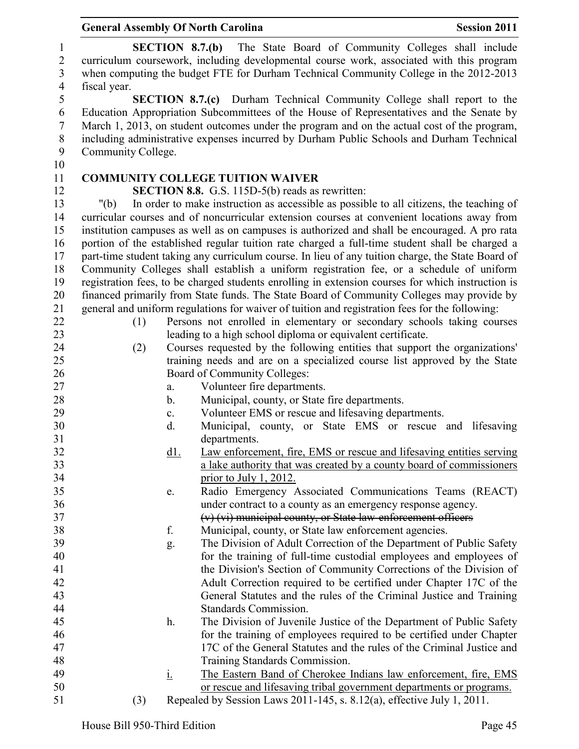|                | <b>General Assembly Of North Carolina</b> |                |                                                                                                   | <b>Session 2011</b> |
|----------------|-------------------------------------------|----------------|---------------------------------------------------------------------------------------------------|---------------------|
| $\mathbf 1$    |                                           |                | <b>SECTION 8.7.(b)</b> The State Board of Community Colleges shall include                        |                     |
| $\overline{2}$ |                                           |                | curriculum coursework, including developmental course work, associated with this program          |                     |
| 3              |                                           |                | when computing the budget FTE for Durham Technical Community College in the 2012-2013             |                     |
| $\overline{4}$ | fiscal year.                              |                |                                                                                                   |                     |
| 5              |                                           |                | SECTION 8.7.(c) Durham Technical Community College shall report to the                            |                     |
| 6              |                                           |                | Education Appropriation Subcommittees of the House of Representatives and the Senate by           |                     |
| $\overline{7}$ |                                           |                | March 1, 2013, on student outcomes under the program and on the actual cost of the program,       |                     |
| $\, 8$         |                                           |                | including administrative expenses incurred by Durham Public Schools and Durham Technical          |                     |
| 9              | Community College.                        |                |                                                                                                   |                     |
| 10             |                                           |                |                                                                                                   |                     |
| 11             |                                           |                | <b>COMMUNITY COLLEGE TUITION WAIVER</b>                                                           |                     |
| 12             |                                           |                | <b>SECTION 8.8.</b> G.S. 115D-5(b) reads as rewritten:                                            |                     |
| 13             | " $(b)$                                   |                | In order to make instruction as accessible as possible to all citizens, the teaching of           |                     |
| 14             |                                           |                | curricular courses and of noncurricular extension courses at convenient locations away from       |                     |
| 15             |                                           |                | institution campuses as well as on campuses is authorized and shall be encouraged. A pro rata     |                     |
| 16             |                                           |                | portion of the established regular tuition rate charged a full-time student shall be charged a    |                     |
| 17             |                                           |                | part-time student taking any curriculum course. In lieu of any tuition charge, the State Board of |                     |
| 18             |                                           |                | Community Colleges shall establish a uniform registration fee, or a schedule of uniform           |                     |
| 19             |                                           |                | registration fees, to be charged students enrolling in extension courses for which instruction is |                     |
| 20             |                                           |                | financed primarily from State funds. The State Board of Community Colleges may provide by         |                     |
| 21             |                                           |                | general and uniform regulations for waiver of tuition and registration fees for the following:    |                     |
| 22             | (1)                                       |                | Persons not enrolled in elementary or secondary schools taking courses                            |                     |
| 23             |                                           |                | leading to a high school diploma or equivalent certificate.                                       |                     |
| 24             | (2)                                       |                | Courses requested by the following entities that support the organizations'                       |                     |
| 25             |                                           |                | training needs and are on a specialized course list approved by the State                         |                     |
| 26             |                                           |                | Board of Community Colleges:                                                                      |                     |
| 27             |                                           | a.             | Volunteer fire departments.                                                                       |                     |
| 28             |                                           | b.             | Municipal, county, or State fire departments.                                                     |                     |
| 29             |                                           | $\mathbf{c}$ . | Volunteer EMS or rescue and lifesaving departments.                                               |                     |
| 30             |                                           | d.             | Municipal, county, or State EMS or rescue and lifesaving                                          |                     |
| 31             |                                           |                | departments.                                                                                      |                     |
| 32             |                                           | <u>d1.</u>     | Law enforcement, fire, EMS or rescue and lifesaving entities serving                              |                     |
| 33             |                                           |                | a lake authority that was created by a county board of commissioners                              |                     |
| 34             |                                           |                | prior to July 1, 2012.                                                                            |                     |
| 35             |                                           | e.             | Radio Emergency Associated Communications Teams (REACT)                                           |                     |
| 36             |                                           |                | under contract to a county as an emergency response agency.                                       |                     |
| 37             |                                           |                | (v) (vi) municipal county, or State law-enforcement officers                                      |                     |
| 38             |                                           | f.             | Municipal, county, or State law enforcement agencies.                                             |                     |
| 39             |                                           | g.             | The Division of Adult Correction of the Department of Public Safety                               |                     |
| 40             |                                           |                | for the training of full-time custodial employees and employees of                                |                     |
| 41             |                                           |                | the Division's Section of Community Corrections of the Division of                                |                     |
| 42             |                                           |                | Adult Correction required to be certified under Chapter 17C of the                                |                     |
| 43             |                                           |                | General Statutes and the rules of the Criminal Justice and Training                               |                     |
| 44             |                                           |                | Standards Commission.                                                                             |                     |
| 45             |                                           | h.             | The Division of Juvenile Justice of the Department of Public Safety                               |                     |
| 46             |                                           |                | for the training of employees required to be certified under Chapter                              |                     |
| 47             |                                           |                | 17C of the General Statutes and the rules of the Criminal Justice and                             |                     |
| 48             |                                           |                | Training Standards Commission.                                                                    |                     |
| 49             |                                           | <u>i.</u>      | The Eastern Band of Cherokee Indians law enforcement, fire, EMS                                   |                     |
| 50             |                                           |                | or rescue and lifesaving tribal government departments or programs.                               |                     |
| 51             | (3)                                       |                | Repealed by Session Laws 2011-145, s. 8.12(a), effective July 1, 2011.                            |                     |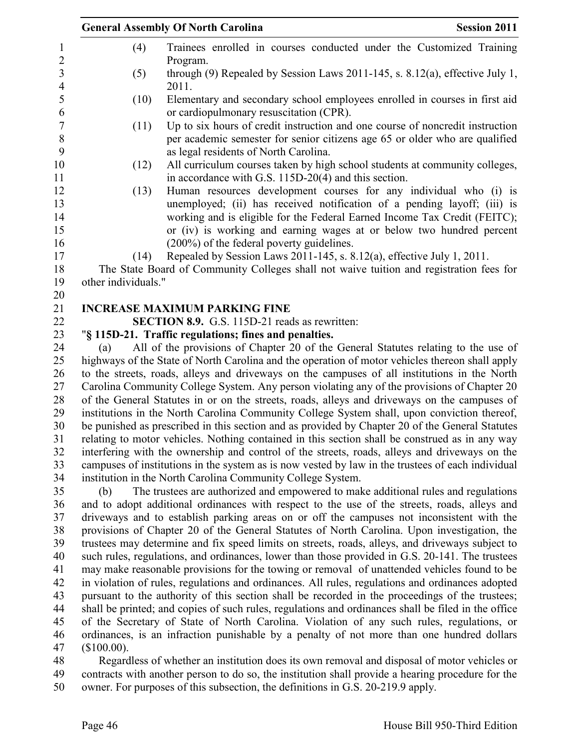|               |                     | <b>General Assembly Of North Carolina</b>                                                                                                                                                                                                                                                                                                       | <b>Session 2011</b> |
|---------------|---------------------|-------------------------------------------------------------------------------------------------------------------------------------------------------------------------------------------------------------------------------------------------------------------------------------------------------------------------------------------------|---------------------|
|               | (4)                 | Trainees enrolled in courses conducted under the Customized Training<br>Program.                                                                                                                                                                                                                                                                |                     |
|               | (5)                 | through $(9)$ Repealed by Session Laws 2011-145, s. 8.12(a), effective July 1,<br>2011.                                                                                                                                                                                                                                                         |                     |
|               | (10)                | Elementary and secondary school employees enrolled in courses in first aid<br>or cardiopulmonary resuscitation (CPR).                                                                                                                                                                                                                           |                     |
|               | (11)                | Up to six hours of credit instruction and one course of noncredit instruction<br>per academic semester for senior citizens age 65 or older who are qualified<br>as legal residents of North Carolina.                                                                                                                                           |                     |
|               | (12)                | All curriculum courses taken by high school students at community colleges,<br>in accordance with G.S. 115D-20(4) and this section.                                                                                                                                                                                                             |                     |
|               | (13)                | Human resources development courses for any individual who (i) is<br>unemployed; (ii) has received notification of a pending layoff; (iii) is<br>working and is eligible for the Federal Earned Income Tax Credit (FEITC);<br>or (iv) is working and earning wages at or below two hundred percent<br>(200%) of the federal poverty guidelines. |                     |
|               | (14)                | Repealed by Session Laws 2011-145, s. 8.12(a), effective July 1, 2011.                                                                                                                                                                                                                                                                          |                     |
|               |                     | The State Board of Community Colleges shall not waive tuition and registration fees for                                                                                                                                                                                                                                                         |                     |
|               | other individuals." |                                                                                                                                                                                                                                                                                                                                                 |                     |
|               |                     |                                                                                                                                                                                                                                                                                                                                                 |                     |
|               |                     | <b>INCREASE MAXIMUM PARKING FINE</b>                                                                                                                                                                                                                                                                                                            |                     |
|               |                     | <b>SECTION 8.9.</b> G.S. 115D-21 reads as rewritten:                                                                                                                                                                                                                                                                                            |                     |
|               |                     | "§ 115D-21. Traffic regulations; fines and penalties.                                                                                                                                                                                                                                                                                           |                     |
| (a)           |                     | All of the provisions of Chapter 20 of the General Statutes relating to the use of                                                                                                                                                                                                                                                              |                     |
|               |                     | highways of the State of North Carolina and the operation of motor vehicles thereon shall apply<br>to the streets, roads, alleys and driveways on the campuses of all institutions in the North                                                                                                                                                 |                     |
|               |                     | Carolina Community College System. Any person violating any of the provisions of Chapter 20                                                                                                                                                                                                                                                     |                     |
|               |                     | of the General Statutes in or on the streets, roads, alleys and driveways on the campuses of<br>institutions in the North Carolina Community College System shall, upon conviction thereof,                                                                                                                                                     |                     |
|               |                     | be punished as prescribed in this section and as provided by Chapter 20 of the General Statutes<br>relating to motor vehicles. Nothing contained in this section shall be construed as in any way                                                                                                                                               |                     |
|               |                     | interfering with the ownership and control of the streets, roads, alleys and driveways on the                                                                                                                                                                                                                                                   |                     |
|               |                     | campuses of institutions in the system as is now vested by law in the trustees of each individual                                                                                                                                                                                                                                               |                     |
|               |                     | institution in the North Carolina Community College System.                                                                                                                                                                                                                                                                                     |                     |
| (b)           |                     | The trustees are authorized and empowered to make additional rules and regulations                                                                                                                                                                                                                                                              |                     |
|               |                     | and to adopt additional ordinances with respect to the use of the streets, roads, alleys and                                                                                                                                                                                                                                                    |                     |
|               |                     | driveways and to establish parking areas on or off the campuses not inconsistent with the                                                                                                                                                                                                                                                       |                     |
|               |                     | provisions of Chapter 20 of the General Statutes of North Carolina. Upon investigation, the                                                                                                                                                                                                                                                     |                     |
|               |                     | trustees may determine and fix speed limits on streets, roads, alleys, and driveways subject to                                                                                                                                                                                                                                                 |                     |
|               |                     | such rules, regulations, and ordinances, lower than those provided in G.S. 20-141. The trustees                                                                                                                                                                                                                                                 |                     |
|               |                     | may make reasonable provisions for the towing or removal of unattended vehicles found to be                                                                                                                                                                                                                                                     |                     |
|               |                     | in violation of rules, regulations and ordinances. All rules, regulations and ordinances adopted<br>pursuant to the authority of this section shall be recorded in the proceedings of the trustees;                                                                                                                                             |                     |
|               |                     | shall be printed; and copies of such rules, regulations and ordinances shall be filed in the office                                                                                                                                                                                                                                             |                     |
|               |                     | of the Secretary of State of North Carolina. Violation of any such rules, regulations, or                                                                                                                                                                                                                                                       |                     |
|               |                     | ordinances, is an infraction punishable by a penalty of not more than one hundred dollars                                                                                                                                                                                                                                                       |                     |
| $($100.00)$ . |                     |                                                                                                                                                                                                                                                                                                                                                 |                     |
|               |                     | Regardless of whether an institution does its own removal and disposal of motor vehicles or                                                                                                                                                                                                                                                     |                     |
|               |                     |                                                                                                                                                                                                                                                                                                                                                 |                     |

 Regardless of whether an institution does its own removal and disposal of motor vehicles or contracts with another person to do so, the institution shall provide a hearing procedure for the owner. For purposes of this subsection, the definitions in G.S. 20-219.9 apply.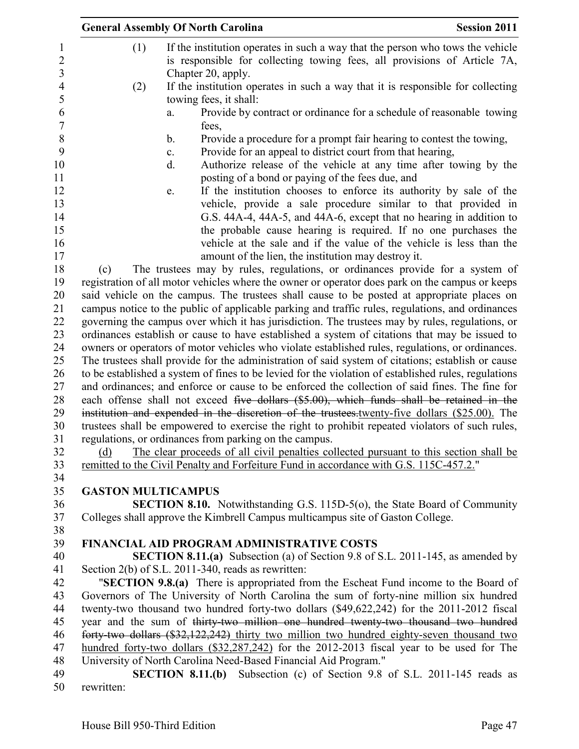|                           | <b>General Assembly Of North Carolina</b>                                                                                                                                                     | <b>Session 2011</b> |
|---------------------------|-----------------------------------------------------------------------------------------------------------------------------------------------------------------------------------------------|---------------------|
| (1)                       | If the institution operates in such a way that the person who tows the vehicle                                                                                                                |                     |
|                           | is responsible for collecting towing fees, all provisions of Article 7A,                                                                                                                      |                     |
|                           | Chapter 20, apply.                                                                                                                                                                            |                     |
| (2)                       | If the institution operates in such a way that it is responsible for collecting                                                                                                               |                     |
|                           | towing fees, it shall:                                                                                                                                                                        |                     |
|                           | Provide by contract or ordinance for a schedule of reasonable towing<br>a.                                                                                                                    |                     |
|                           | fees,                                                                                                                                                                                         |                     |
|                           | Provide a procedure for a prompt fair hearing to contest the towing,<br>b.                                                                                                                    |                     |
|                           | Provide for an appeal to district court from that hearing,<br>$\mathbf{c}$ .                                                                                                                  |                     |
|                           | d.<br>Authorize release of the vehicle at any time after towing by the                                                                                                                        |                     |
|                           | posting of a bond or paying of the fees due, and                                                                                                                                              |                     |
|                           | If the institution chooses to enforce its authority by sale of the<br>e.                                                                                                                      |                     |
|                           | vehicle, provide a sale procedure similar to that provided in                                                                                                                                 |                     |
|                           | G.S. 44A-4, 44A-5, and 44A-6, except that no hearing in addition to                                                                                                                           |                     |
|                           | the probable cause hearing is required. If no one purchases the                                                                                                                               |                     |
|                           | vehicle at the sale and if the value of the vehicle is less than the                                                                                                                          |                     |
|                           | amount of the lien, the institution may destroy it.                                                                                                                                           |                     |
| (c)                       | The trustees may by rules, regulations, or ordinances provide for a system of                                                                                                                 |                     |
|                           | registration of all motor vehicles where the owner or operator does park on the campus or keeps<br>said vehicle on the campus. The trustees shall cause to be posted at appropriate places on |                     |
|                           | campus notice to the public of applicable parking and traffic rules, regulations, and ordinances                                                                                              |                     |
|                           | governing the campus over which it has jurisdiction. The trustees may by rules, regulations, or                                                                                               |                     |
|                           | ordinances establish or cause to have established a system of citations that may be issued to                                                                                                 |                     |
|                           | owners or operators of motor vehicles who violate established rules, regulations, or ordinances.                                                                                              |                     |
|                           | The trustees shall provide for the administration of said system of citations; establish or cause                                                                                             |                     |
|                           | to be established a system of fines to be levied for the violation of established rules, regulations                                                                                          |                     |
|                           | and ordinances; and enforce or cause to be enforced the collection of said fines. The fine for                                                                                                |                     |
|                           | each offense shall not exceed five dollars (\$5.00), which funds shall be retained in the                                                                                                     |                     |
|                           | institution and expended in the discretion of the trustees twenty-five dollars (\$25.00). The                                                                                                 |                     |
|                           | trustees shall be empowered to exercise the right to prohibit repeated violators of such rules,                                                                                               |                     |
|                           | regulations, or ordinances from parking on the campus.                                                                                                                                        |                     |
| (d)                       | The clear proceeds of all civil penalties collected pursuant to this section shall be                                                                                                         |                     |
|                           | remitted to the Civil Penalty and Forfeiture Fund in accordance with G.S. 115C-457.2."                                                                                                        |                     |
| <b>GASTON MULTICAMPUS</b> |                                                                                                                                                                                               |                     |
|                           | <b>SECTION 8.10.</b> Notwithstanding G.S. 115D-5(o), the State Board of Community                                                                                                             |                     |
|                           | Colleges shall approve the Kimbrell Campus multicampus site of Gaston College.                                                                                                                |                     |
|                           |                                                                                                                                                                                               |                     |
|                           | FINANCIAL AID PROGRAM ADMINISTRATIVE COSTS                                                                                                                                                    |                     |
|                           | <b>SECTION 8.11.(a)</b> Subsection (a) of Section 9.8 of S.L. 2011-145, as amended by                                                                                                         |                     |
|                           | Section 2(b) of S.L. 2011-340, reads as rewritten:                                                                                                                                            |                     |
|                           | "SECTION 9.8.(a) There is appropriated from the Escheat Fund income to the Board of                                                                                                           |                     |
|                           | Governors of The University of North Carolina the sum of forty-nine million six hundred                                                                                                       |                     |
|                           | twenty-two thousand two hundred forty-two dollars (\$49,622,242) for the 2011-2012 fiscal                                                                                                     |                     |
|                           | year and the sum of thirty-two million one hundred twenty-two thousand two hundred                                                                                                            |                     |
|                           | forty-two-dollars (\$32,122,242) thirty two million two hundred eighty-seven thousand two                                                                                                     |                     |
|                           | hundred forty-two dollars (\$32,287,242) for the 2012-2013 fiscal year to be used for The                                                                                                     |                     |
|                           | University of North Carolina Need-Based Financial Aid Program."                                                                                                                               |                     |
|                           | <b>SECTION 8.11.(b)</b> Subsection (c) of Section 9.8 of S.L. 2011-145 reads as                                                                                                               |                     |
| rewritten:                |                                                                                                                                                                                               |                     |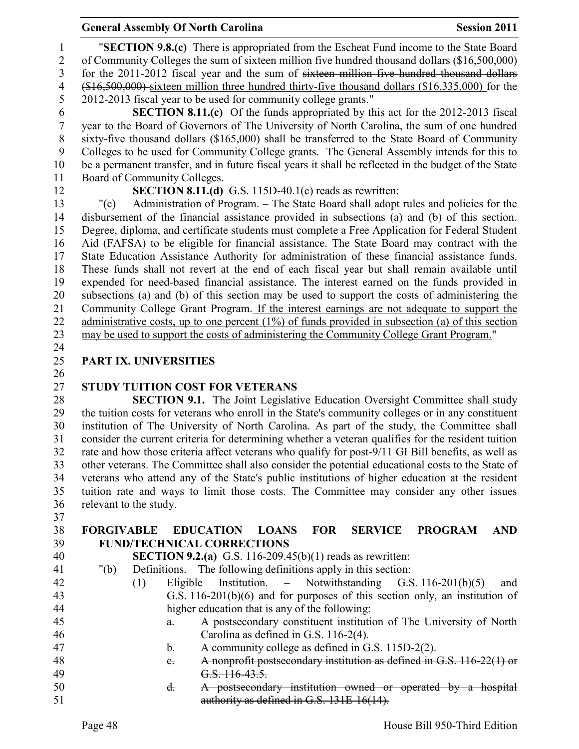"**SECTION 9.8.(c)** There is appropriated from the Escheat Fund income to the State Board of Community Colleges the sum of sixteen million five hundred thousand dollars (\$16,500,000) for the 2011-2012 fiscal year and the sum of sixteen million five hundred thousand dollars (\$16,500,000) sixteen million three hundred thirty-five thousand dollars (\$16,335,000) for the 2012-2013 fiscal year to be used for community college grants."

**SECTION 8.11.(c)** Of the funds appropriated by this act for the 2012-2013 fiscal<br>7 vear to the Board of Governors of The University of North Carolina, the sum of one hundred year to the Board of Governors of The University of North Carolina, the sum of one hundred 8 sixty-five thousand dollars (\$165,000) shall be transferred to the State Board of Community<br>9 Colleges to be used for Community College grants. The General Assembly intends for this to Colleges to be used for Community College grants. The General Assembly intends for this to be a permanent transfer, and in future fiscal years it shall be reflected in the budget of the State Board of Community Colleges.

**SECTION 8.11.(d)** G.S. 115D-40.1(c) reads as rewritten:

 "(c) Administration of Program. – The State Board shall adopt rules and policies for the disbursement of the financial assistance provided in subsections (a) and (b) of this section. Degree, diploma, and certificate students must complete a Free Application for Federal Student Aid (FAFSA) to be eligible for financial assistance. The State Board may contract with the State Education Assistance Authority for administration of these financial assistance funds. These funds shall not revert at the end of each fiscal year but shall remain available until expended for need-based financial assistance. The interest earned on the funds provided in subsections (a) and (b) of this section may be used to support the costs of administering the Community College Grant Program. If the interest earnings are not adequate to support the 22 administrative costs, up to one percent (1%) of funds provided in subsection (a) of this section may be used to support the costs of administering the Community College Grant Program."

**PART IX. UNIVERSITIES** 

# **STUDY TUITION COST FOR VETERANS**

**SECTION 9.1.** The Joint Legislative Education Oversight Committee shall study the tuition costs for veterans who enroll in the State's community colleges or in any constituent institution of The University of North Carolina. As part of the study, the Committee shall consider the current criteria for determining whether a veteran qualifies for the resident tuition rate and how those criteria affect veterans who qualify for post-9/11 GI Bill benefits, as well as other veterans. The Committee shall also consider the potential educational costs to the State of veterans who attend any of the State's public institutions of higher education at the resident tuition rate and ways to limit those costs. The Committee may consider any other issues relevant to the study.

# **FORGIVABLE EDUCATION LOANS FOR SERVICE PROGRAM AND FUND/TECHNICAL CORRECTIONS**

**SECTION 9.2.(a)** G.S. 116-209.45(b)(1) reads as rewritten:

- "(b) Definitions. The following definitions apply in this section:
- (1) Eligible Institution. Notwithstanding G.S. 116-201(b)(5) and G.S. 116-201(b)(6) and for purposes of this section only, an institution of higher education that is any of the following:
- a. A postsecondary constituent institution of The University of North Carolina as defined in G.S. 116-2(4).
- 47 b. A community college as defined in G.S. 115D-2(2).
- 48 e. A nonprofit postsecondary institution as defined in G.S. 116-22(1) or G.S. 116-43.5.
- d. A postsecondary institution owned or operated by a hospital 51 authority as defined in G.S. 131E-16(14).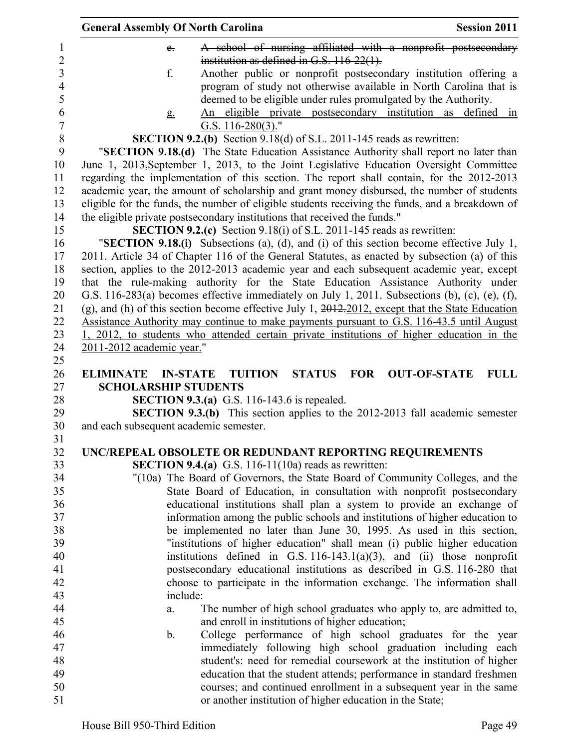| A school of nursing affiliated with a nonprofit postsecondary<br>1<br>$e_{\cdot}$<br>$\overline{2}$<br>institution as defined in G.S. 116-22(1).<br>$\mathfrak{Z}$<br>f.<br>Another public or nonprofit postsecondary institution offering a<br>program of study not otherwise available in North Carolina that is<br>$\overline{4}$<br>5<br>deemed to be eligible under rules promulgated by the Authority.<br>6<br>An eligible private postsecondary institution as defined in<br>$g_{\cdot}$<br>$\sqrt{ }$<br>G.S. $116-280(3)$ ."<br>$\,8$<br><b>SECTION 9.2.(b)</b> Section 9.18(d) of S.L. 2011-145 reads as rewritten:<br>9<br>"SECTION 9.18.(d) The State Education Assistance Authority shall report no later than<br>June 1, 2013, September 1, 2013, to the Joint Legislative Education Oversight Committee<br>regarding the implementation of this section. The report shall contain, for the 2012-2013<br>academic year, the amount of scholarship and grant money disbursed, the number of students<br>eligible for the funds, the number of eligible students receiving the funds, and a breakdown of<br>13<br>the eligible private postsecondary institutions that received the funds."<br>14<br><b>SECTION 9.2.(c)</b> Section 9.18(i) of S.L. 2011-145 reads as rewritten:<br>15<br>16<br>"SECTION 9.18. $(i)$ Subsections (a), (d), and (i) of this section become effective July 1,<br>17<br>2011. Article 34 of Chapter 116 of the General Statutes, as enacted by subsection (a) of this<br>section, applies to the 2012-2013 academic year and each subsequent academic year, except<br>18<br>that the rule-making authority for the State Education Assistance Authority under<br>19<br>G.S. 116-283(a) becomes effective immediately on July 1, 2011. Subsections (b), (c), (e), (f),<br>20<br>(g), and (h) of this section become effective July 1, 2012.2012, except that the State Education<br>21<br>22<br>Assistance Authority may continue to make payments pursuant to G.S. 116-43.5 until August<br>23<br>1, 2012, to students who attended certain private institutions of higher education in the<br>24<br>2011-2012 academic year."<br>25<br>26<br><b>ELIMINATE IN-STATE</b><br><b>STATUS</b><br><b>TUITION</b><br><b>FOR</b><br><b>OUT-OF-STATE</b><br><b>FULL</b><br><b>SCHOLARSHIP STUDENTS</b><br>27<br><b>SECTION 9.3.(a)</b> G.S. 116-143.6 is repealed.<br>SECTION 9.3.(b) This section applies to the 2012-2013 fall academic semester<br>and each subsequent academic semester.<br>UNC/REPEAL OBSOLETE OR REDUNDANT REPORTING REQUIREMENTS<br><b>SECTION 9.4.(a)</b> G.S. 116-11(10a) reads as rewritten:<br>"(10a) The Board of Governors, the State Board of Community Colleges, and the<br>State Board of Education, in consultation with nonprofit postsecondary<br>36<br>educational institutions shall plan a system to provide an exchange of<br>37<br>information among the public schools and institutions of higher education to<br>38<br>be implemented no later than June 30, 1995. As used in this section,<br>39<br>"institutions of higher education" shall mean (i) public higher education<br>40<br>institutions defined in G.S. $116-143.1(a)(3)$ , and (ii) those nonprofit<br>41<br>postsecondary educational institutions as described in G.S. 116-280 that<br>choose to participate in the information exchange. The information shall<br>42<br>43<br>include:<br>44<br>The number of high school graduates who apply to, are admitted to,<br>a.<br>45<br>and enroll in institutions of higher education;<br>46<br>College performance of high school graduates for the year<br>$\mathbf{b}$ .<br>immediately following high school graduation including each<br>47<br>student's: need for remedial coursework at the institution of higher<br>48<br>49<br>education that the student attends; performance in standard freshmen<br>50<br>courses; and continued enrollment in a subsequent year in the same |    | <b>General Assembly Of North Carolina</b><br><b>Session 2011</b> |
|--------------------------------------------------------------------------------------------------------------------------------------------------------------------------------------------------------------------------------------------------------------------------------------------------------------------------------------------------------------------------------------------------------------------------------------------------------------------------------------------------------------------------------------------------------------------------------------------------------------------------------------------------------------------------------------------------------------------------------------------------------------------------------------------------------------------------------------------------------------------------------------------------------------------------------------------------------------------------------------------------------------------------------------------------------------------------------------------------------------------------------------------------------------------------------------------------------------------------------------------------------------------------------------------------------------------------------------------------------------------------------------------------------------------------------------------------------------------------------------------------------------------------------------------------------------------------------------------------------------------------------------------------------------------------------------------------------------------------------------------------------------------------------------------------------------------------------------------------------------------------------------------------------------------------------------------------------------------------------------------------------------------------------------------------------------------------------------------------------------------------------------------------------------------------------------------------------------------------------------------------------------------------------------------------------------------------------------------------------------------------------------------------------------------------------------------------------------------------------------------------------------------------------------------------------------------------------------------------------------------------------------------------------------------------------------------------------------------------------------------------------------------------------------------------------------------------------------------------------------------------------------------------------------------------------------------------------------------------------------------------------------------------------------------------------------------------------------------------------------------------------------------------------------------------------------------------------------------------------------------------------------------------------------------------------------------------------------------------------------------------------------------------------------------------------------------------------------------------------------------------------------------------------------------------------------------------------------------------------------------------------------------------------------------------------------------------------------------------------------------------------------------------------------------------------------------------------------------------------------------------------------------------------------------------------------------------------------------------------|----|------------------------------------------------------------------|
|                                                                                                                                                                                                                                                                                                                                                                                                                                                                                                                                                                                                                                                                                                                                                                                                                                                                                                                                                                                                                                                                                                                                                                                                                                                                                                                                                                                                                                                                                                                                                                                                                                                                                                                                                                                                                                                                                                                                                                                                                                                                                                                                                                                                                                                                                                                                                                                                                                                                                                                                                                                                                                                                                                                                                                                                                                                                                                                                                                                                                                                                                                                                                                                                                                                                                                                                                                                                                                                                                                                                                                                                                                                                                                                                                                                                                                                                                                                                                                                |    |                                                                  |
|                                                                                                                                                                                                                                                                                                                                                                                                                                                                                                                                                                                                                                                                                                                                                                                                                                                                                                                                                                                                                                                                                                                                                                                                                                                                                                                                                                                                                                                                                                                                                                                                                                                                                                                                                                                                                                                                                                                                                                                                                                                                                                                                                                                                                                                                                                                                                                                                                                                                                                                                                                                                                                                                                                                                                                                                                                                                                                                                                                                                                                                                                                                                                                                                                                                                                                                                                                                                                                                                                                                                                                                                                                                                                                                                                                                                                                                                                                                                                                                |    |                                                                  |
|                                                                                                                                                                                                                                                                                                                                                                                                                                                                                                                                                                                                                                                                                                                                                                                                                                                                                                                                                                                                                                                                                                                                                                                                                                                                                                                                                                                                                                                                                                                                                                                                                                                                                                                                                                                                                                                                                                                                                                                                                                                                                                                                                                                                                                                                                                                                                                                                                                                                                                                                                                                                                                                                                                                                                                                                                                                                                                                                                                                                                                                                                                                                                                                                                                                                                                                                                                                                                                                                                                                                                                                                                                                                                                                                                                                                                                                                                                                                                                                |    |                                                                  |
|                                                                                                                                                                                                                                                                                                                                                                                                                                                                                                                                                                                                                                                                                                                                                                                                                                                                                                                                                                                                                                                                                                                                                                                                                                                                                                                                                                                                                                                                                                                                                                                                                                                                                                                                                                                                                                                                                                                                                                                                                                                                                                                                                                                                                                                                                                                                                                                                                                                                                                                                                                                                                                                                                                                                                                                                                                                                                                                                                                                                                                                                                                                                                                                                                                                                                                                                                                                                                                                                                                                                                                                                                                                                                                                                                                                                                                                                                                                                                                                |    |                                                                  |
|                                                                                                                                                                                                                                                                                                                                                                                                                                                                                                                                                                                                                                                                                                                                                                                                                                                                                                                                                                                                                                                                                                                                                                                                                                                                                                                                                                                                                                                                                                                                                                                                                                                                                                                                                                                                                                                                                                                                                                                                                                                                                                                                                                                                                                                                                                                                                                                                                                                                                                                                                                                                                                                                                                                                                                                                                                                                                                                                                                                                                                                                                                                                                                                                                                                                                                                                                                                                                                                                                                                                                                                                                                                                                                                                                                                                                                                                                                                                                                                |    |                                                                  |
|                                                                                                                                                                                                                                                                                                                                                                                                                                                                                                                                                                                                                                                                                                                                                                                                                                                                                                                                                                                                                                                                                                                                                                                                                                                                                                                                                                                                                                                                                                                                                                                                                                                                                                                                                                                                                                                                                                                                                                                                                                                                                                                                                                                                                                                                                                                                                                                                                                                                                                                                                                                                                                                                                                                                                                                                                                                                                                                                                                                                                                                                                                                                                                                                                                                                                                                                                                                                                                                                                                                                                                                                                                                                                                                                                                                                                                                                                                                                                                                |    |                                                                  |
|                                                                                                                                                                                                                                                                                                                                                                                                                                                                                                                                                                                                                                                                                                                                                                                                                                                                                                                                                                                                                                                                                                                                                                                                                                                                                                                                                                                                                                                                                                                                                                                                                                                                                                                                                                                                                                                                                                                                                                                                                                                                                                                                                                                                                                                                                                                                                                                                                                                                                                                                                                                                                                                                                                                                                                                                                                                                                                                                                                                                                                                                                                                                                                                                                                                                                                                                                                                                                                                                                                                                                                                                                                                                                                                                                                                                                                                                                                                                                                                |    |                                                                  |
|                                                                                                                                                                                                                                                                                                                                                                                                                                                                                                                                                                                                                                                                                                                                                                                                                                                                                                                                                                                                                                                                                                                                                                                                                                                                                                                                                                                                                                                                                                                                                                                                                                                                                                                                                                                                                                                                                                                                                                                                                                                                                                                                                                                                                                                                                                                                                                                                                                                                                                                                                                                                                                                                                                                                                                                                                                                                                                                                                                                                                                                                                                                                                                                                                                                                                                                                                                                                                                                                                                                                                                                                                                                                                                                                                                                                                                                                                                                                                                                |    |                                                                  |
|                                                                                                                                                                                                                                                                                                                                                                                                                                                                                                                                                                                                                                                                                                                                                                                                                                                                                                                                                                                                                                                                                                                                                                                                                                                                                                                                                                                                                                                                                                                                                                                                                                                                                                                                                                                                                                                                                                                                                                                                                                                                                                                                                                                                                                                                                                                                                                                                                                                                                                                                                                                                                                                                                                                                                                                                                                                                                                                                                                                                                                                                                                                                                                                                                                                                                                                                                                                                                                                                                                                                                                                                                                                                                                                                                                                                                                                                                                                                                                                | 10 |                                                                  |
|                                                                                                                                                                                                                                                                                                                                                                                                                                                                                                                                                                                                                                                                                                                                                                                                                                                                                                                                                                                                                                                                                                                                                                                                                                                                                                                                                                                                                                                                                                                                                                                                                                                                                                                                                                                                                                                                                                                                                                                                                                                                                                                                                                                                                                                                                                                                                                                                                                                                                                                                                                                                                                                                                                                                                                                                                                                                                                                                                                                                                                                                                                                                                                                                                                                                                                                                                                                                                                                                                                                                                                                                                                                                                                                                                                                                                                                                                                                                                                                | 11 |                                                                  |
|                                                                                                                                                                                                                                                                                                                                                                                                                                                                                                                                                                                                                                                                                                                                                                                                                                                                                                                                                                                                                                                                                                                                                                                                                                                                                                                                                                                                                                                                                                                                                                                                                                                                                                                                                                                                                                                                                                                                                                                                                                                                                                                                                                                                                                                                                                                                                                                                                                                                                                                                                                                                                                                                                                                                                                                                                                                                                                                                                                                                                                                                                                                                                                                                                                                                                                                                                                                                                                                                                                                                                                                                                                                                                                                                                                                                                                                                                                                                                                                | 12 |                                                                  |
|                                                                                                                                                                                                                                                                                                                                                                                                                                                                                                                                                                                                                                                                                                                                                                                                                                                                                                                                                                                                                                                                                                                                                                                                                                                                                                                                                                                                                                                                                                                                                                                                                                                                                                                                                                                                                                                                                                                                                                                                                                                                                                                                                                                                                                                                                                                                                                                                                                                                                                                                                                                                                                                                                                                                                                                                                                                                                                                                                                                                                                                                                                                                                                                                                                                                                                                                                                                                                                                                                                                                                                                                                                                                                                                                                                                                                                                                                                                                                                                |    |                                                                  |
|                                                                                                                                                                                                                                                                                                                                                                                                                                                                                                                                                                                                                                                                                                                                                                                                                                                                                                                                                                                                                                                                                                                                                                                                                                                                                                                                                                                                                                                                                                                                                                                                                                                                                                                                                                                                                                                                                                                                                                                                                                                                                                                                                                                                                                                                                                                                                                                                                                                                                                                                                                                                                                                                                                                                                                                                                                                                                                                                                                                                                                                                                                                                                                                                                                                                                                                                                                                                                                                                                                                                                                                                                                                                                                                                                                                                                                                                                                                                                                                |    |                                                                  |
|                                                                                                                                                                                                                                                                                                                                                                                                                                                                                                                                                                                                                                                                                                                                                                                                                                                                                                                                                                                                                                                                                                                                                                                                                                                                                                                                                                                                                                                                                                                                                                                                                                                                                                                                                                                                                                                                                                                                                                                                                                                                                                                                                                                                                                                                                                                                                                                                                                                                                                                                                                                                                                                                                                                                                                                                                                                                                                                                                                                                                                                                                                                                                                                                                                                                                                                                                                                                                                                                                                                                                                                                                                                                                                                                                                                                                                                                                                                                                                                |    |                                                                  |
|                                                                                                                                                                                                                                                                                                                                                                                                                                                                                                                                                                                                                                                                                                                                                                                                                                                                                                                                                                                                                                                                                                                                                                                                                                                                                                                                                                                                                                                                                                                                                                                                                                                                                                                                                                                                                                                                                                                                                                                                                                                                                                                                                                                                                                                                                                                                                                                                                                                                                                                                                                                                                                                                                                                                                                                                                                                                                                                                                                                                                                                                                                                                                                                                                                                                                                                                                                                                                                                                                                                                                                                                                                                                                                                                                                                                                                                                                                                                                                                |    |                                                                  |
|                                                                                                                                                                                                                                                                                                                                                                                                                                                                                                                                                                                                                                                                                                                                                                                                                                                                                                                                                                                                                                                                                                                                                                                                                                                                                                                                                                                                                                                                                                                                                                                                                                                                                                                                                                                                                                                                                                                                                                                                                                                                                                                                                                                                                                                                                                                                                                                                                                                                                                                                                                                                                                                                                                                                                                                                                                                                                                                                                                                                                                                                                                                                                                                                                                                                                                                                                                                                                                                                                                                                                                                                                                                                                                                                                                                                                                                                                                                                                                                |    |                                                                  |
|                                                                                                                                                                                                                                                                                                                                                                                                                                                                                                                                                                                                                                                                                                                                                                                                                                                                                                                                                                                                                                                                                                                                                                                                                                                                                                                                                                                                                                                                                                                                                                                                                                                                                                                                                                                                                                                                                                                                                                                                                                                                                                                                                                                                                                                                                                                                                                                                                                                                                                                                                                                                                                                                                                                                                                                                                                                                                                                                                                                                                                                                                                                                                                                                                                                                                                                                                                                                                                                                                                                                                                                                                                                                                                                                                                                                                                                                                                                                                                                |    |                                                                  |
|                                                                                                                                                                                                                                                                                                                                                                                                                                                                                                                                                                                                                                                                                                                                                                                                                                                                                                                                                                                                                                                                                                                                                                                                                                                                                                                                                                                                                                                                                                                                                                                                                                                                                                                                                                                                                                                                                                                                                                                                                                                                                                                                                                                                                                                                                                                                                                                                                                                                                                                                                                                                                                                                                                                                                                                                                                                                                                                                                                                                                                                                                                                                                                                                                                                                                                                                                                                                                                                                                                                                                                                                                                                                                                                                                                                                                                                                                                                                                                                |    |                                                                  |
|                                                                                                                                                                                                                                                                                                                                                                                                                                                                                                                                                                                                                                                                                                                                                                                                                                                                                                                                                                                                                                                                                                                                                                                                                                                                                                                                                                                                                                                                                                                                                                                                                                                                                                                                                                                                                                                                                                                                                                                                                                                                                                                                                                                                                                                                                                                                                                                                                                                                                                                                                                                                                                                                                                                                                                                                                                                                                                                                                                                                                                                                                                                                                                                                                                                                                                                                                                                                                                                                                                                                                                                                                                                                                                                                                                                                                                                                                                                                                                                |    |                                                                  |
|                                                                                                                                                                                                                                                                                                                                                                                                                                                                                                                                                                                                                                                                                                                                                                                                                                                                                                                                                                                                                                                                                                                                                                                                                                                                                                                                                                                                                                                                                                                                                                                                                                                                                                                                                                                                                                                                                                                                                                                                                                                                                                                                                                                                                                                                                                                                                                                                                                                                                                                                                                                                                                                                                                                                                                                                                                                                                                                                                                                                                                                                                                                                                                                                                                                                                                                                                                                                                                                                                                                                                                                                                                                                                                                                                                                                                                                                                                                                                                                |    |                                                                  |
|                                                                                                                                                                                                                                                                                                                                                                                                                                                                                                                                                                                                                                                                                                                                                                                                                                                                                                                                                                                                                                                                                                                                                                                                                                                                                                                                                                                                                                                                                                                                                                                                                                                                                                                                                                                                                                                                                                                                                                                                                                                                                                                                                                                                                                                                                                                                                                                                                                                                                                                                                                                                                                                                                                                                                                                                                                                                                                                                                                                                                                                                                                                                                                                                                                                                                                                                                                                                                                                                                                                                                                                                                                                                                                                                                                                                                                                                                                                                                                                |    |                                                                  |
|                                                                                                                                                                                                                                                                                                                                                                                                                                                                                                                                                                                                                                                                                                                                                                                                                                                                                                                                                                                                                                                                                                                                                                                                                                                                                                                                                                                                                                                                                                                                                                                                                                                                                                                                                                                                                                                                                                                                                                                                                                                                                                                                                                                                                                                                                                                                                                                                                                                                                                                                                                                                                                                                                                                                                                                                                                                                                                                                                                                                                                                                                                                                                                                                                                                                                                                                                                                                                                                                                                                                                                                                                                                                                                                                                                                                                                                                                                                                                                                |    |                                                                  |
|                                                                                                                                                                                                                                                                                                                                                                                                                                                                                                                                                                                                                                                                                                                                                                                                                                                                                                                                                                                                                                                                                                                                                                                                                                                                                                                                                                                                                                                                                                                                                                                                                                                                                                                                                                                                                                                                                                                                                                                                                                                                                                                                                                                                                                                                                                                                                                                                                                                                                                                                                                                                                                                                                                                                                                                                                                                                                                                                                                                                                                                                                                                                                                                                                                                                                                                                                                                                                                                                                                                                                                                                                                                                                                                                                                                                                                                                                                                                                                                |    |                                                                  |
|                                                                                                                                                                                                                                                                                                                                                                                                                                                                                                                                                                                                                                                                                                                                                                                                                                                                                                                                                                                                                                                                                                                                                                                                                                                                                                                                                                                                                                                                                                                                                                                                                                                                                                                                                                                                                                                                                                                                                                                                                                                                                                                                                                                                                                                                                                                                                                                                                                                                                                                                                                                                                                                                                                                                                                                                                                                                                                                                                                                                                                                                                                                                                                                                                                                                                                                                                                                                                                                                                                                                                                                                                                                                                                                                                                                                                                                                                                                                                                                |    |                                                                  |
|                                                                                                                                                                                                                                                                                                                                                                                                                                                                                                                                                                                                                                                                                                                                                                                                                                                                                                                                                                                                                                                                                                                                                                                                                                                                                                                                                                                                                                                                                                                                                                                                                                                                                                                                                                                                                                                                                                                                                                                                                                                                                                                                                                                                                                                                                                                                                                                                                                                                                                                                                                                                                                                                                                                                                                                                                                                                                                                                                                                                                                                                                                                                                                                                                                                                                                                                                                                                                                                                                                                                                                                                                                                                                                                                                                                                                                                                                                                                                                                |    |                                                                  |
|                                                                                                                                                                                                                                                                                                                                                                                                                                                                                                                                                                                                                                                                                                                                                                                                                                                                                                                                                                                                                                                                                                                                                                                                                                                                                                                                                                                                                                                                                                                                                                                                                                                                                                                                                                                                                                                                                                                                                                                                                                                                                                                                                                                                                                                                                                                                                                                                                                                                                                                                                                                                                                                                                                                                                                                                                                                                                                                                                                                                                                                                                                                                                                                                                                                                                                                                                                                                                                                                                                                                                                                                                                                                                                                                                                                                                                                                                                                                                                                | 28 |                                                                  |
|                                                                                                                                                                                                                                                                                                                                                                                                                                                                                                                                                                                                                                                                                                                                                                                                                                                                                                                                                                                                                                                                                                                                                                                                                                                                                                                                                                                                                                                                                                                                                                                                                                                                                                                                                                                                                                                                                                                                                                                                                                                                                                                                                                                                                                                                                                                                                                                                                                                                                                                                                                                                                                                                                                                                                                                                                                                                                                                                                                                                                                                                                                                                                                                                                                                                                                                                                                                                                                                                                                                                                                                                                                                                                                                                                                                                                                                                                                                                                                                | 29 |                                                                  |
|                                                                                                                                                                                                                                                                                                                                                                                                                                                                                                                                                                                                                                                                                                                                                                                                                                                                                                                                                                                                                                                                                                                                                                                                                                                                                                                                                                                                                                                                                                                                                                                                                                                                                                                                                                                                                                                                                                                                                                                                                                                                                                                                                                                                                                                                                                                                                                                                                                                                                                                                                                                                                                                                                                                                                                                                                                                                                                                                                                                                                                                                                                                                                                                                                                                                                                                                                                                                                                                                                                                                                                                                                                                                                                                                                                                                                                                                                                                                                                                | 30 |                                                                  |
|                                                                                                                                                                                                                                                                                                                                                                                                                                                                                                                                                                                                                                                                                                                                                                                                                                                                                                                                                                                                                                                                                                                                                                                                                                                                                                                                                                                                                                                                                                                                                                                                                                                                                                                                                                                                                                                                                                                                                                                                                                                                                                                                                                                                                                                                                                                                                                                                                                                                                                                                                                                                                                                                                                                                                                                                                                                                                                                                                                                                                                                                                                                                                                                                                                                                                                                                                                                                                                                                                                                                                                                                                                                                                                                                                                                                                                                                                                                                                                                | 31 |                                                                  |
|                                                                                                                                                                                                                                                                                                                                                                                                                                                                                                                                                                                                                                                                                                                                                                                                                                                                                                                                                                                                                                                                                                                                                                                                                                                                                                                                                                                                                                                                                                                                                                                                                                                                                                                                                                                                                                                                                                                                                                                                                                                                                                                                                                                                                                                                                                                                                                                                                                                                                                                                                                                                                                                                                                                                                                                                                                                                                                                                                                                                                                                                                                                                                                                                                                                                                                                                                                                                                                                                                                                                                                                                                                                                                                                                                                                                                                                                                                                                                                                | 32 |                                                                  |
|                                                                                                                                                                                                                                                                                                                                                                                                                                                                                                                                                                                                                                                                                                                                                                                                                                                                                                                                                                                                                                                                                                                                                                                                                                                                                                                                                                                                                                                                                                                                                                                                                                                                                                                                                                                                                                                                                                                                                                                                                                                                                                                                                                                                                                                                                                                                                                                                                                                                                                                                                                                                                                                                                                                                                                                                                                                                                                                                                                                                                                                                                                                                                                                                                                                                                                                                                                                                                                                                                                                                                                                                                                                                                                                                                                                                                                                                                                                                                                                | 33 |                                                                  |
|                                                                                                                                                                                                                                                                                                                                                                                                                                                                                                                                                                                                                                                                                                                                                                                                                                                                                                                                                                                                                                                                                                                                                                                                                                                                                                                                                                                                                                                                                                                                                                                                                                                                                                                                                                                                                                                                                                                                                                                                                                                                                                                                                                                                                                                                                                                                                                                                                                                                                                                                                                                                                                                                                                                                                                                                                                                                                                                                                                                                                                                                                                                                                                                                                                                                                                                                                                                                                                                                                                                                                                                                                                                                                                                                                                                                                                                                                                                                                                                | 34 |                                                                  |
|                                                                                                                                                                                                                                                                                                                                                                                                                                                                                                                                                                                                                                                                                                                                                                                                                                                                                                                                                                                                                                                                                                                                                                                                                                                                                                                                                                                                                                                                                                                                                                                                                                                                                                                                                                                                                                                                                                                                                                                                                                                                                                                                                                                                                                                                                                                                                                                                                                                                                                                                                                                                                                                                                                                                                                                                                                                                                                                                                                                                                                                                                                                                                                                                                                                                                                                                                                                                                                                                                                                                                                                                                                                                                                                                                                                                                                                                                                                                                                                | 35 |                                                                  |
|                                                                                                                                                                                                                                                                                                                                                                                                                                                                                                                                                                                                                                                                                                                                                                                                                                                                                                                                                                                                                                                                                                                                                                                                                                                                                                                                                                                                                                                                                                                                                                                                                                                                                                                                                                                                                                                                                                                                                                                                                                                                                                                                                                                                                                                                                                                                                                                                                                                                                                                                                                                                                                                                                                                                                                                                                                                                                                                                                                                                                                                                                                                                                                                                                                                                                                                                                                                                                                                                                                                                                                                                                                                                                                                                                                                                                                                                                                                                                                                |    |                                                                  |
|                                                                                                                                                                                                                                                                                                                                                                                                                                                                                                                                                                                                                                                                                                                                                                                                                                                                                                                                                                                                                                                                                                                                                                                                                                                                                                                                                                                                                                                                                                                                                                                                                                                                                                                                                                                                                                                                                                                                                                                                                                                                                                                                                                                                                                                                                                                                                                                                                                                                                                                                                                                                                                                                                                                                                                                                                                                                                                                                                                                                                                                                                                                                                                                                                                                                                                                                                                                                                                                                                                                                                                                                                                                                                                                                                                                                                                                                                                                                                                                |    |                                                                  |
|                                                                                                                                                                                                                                                                                                                                                                                                                                                                                                                                                                                                                                                                                                                                                                                                                                                                                                                                                                                                                                                                                                                                                                                                                                                                                                                                                                                                                                                                                                                                                                                                                                                                                                                                                                                                                                                                                                                                                                                                                                                                                                                                                                                                                                                                                                                                                                                                                                                                                                                                                                                                                                                                                                                                                                                                                                                                                                                                                                                                                                                                                                                                                                                                                                                                                                                                                                                                                                                                                                                                                                                                                                                                                                                                                                                                                                                                                                                                                                                |    |                                                                  |
|                                                                                                                                                                                                                                                                                                                                                                                                                                                                                                                                                                                                                                                                                                                                                                                                                                                                                                                                                                                                                                                                                                                                                                                                                                                                                                                                                                                                                                                                                                                                                                                                                                                                                                                                                                                                                                                                                                                                                                                                                                                                                                                                                                                                                                                                                                                                                                                                                                                                                                                                                                                                                                                                                                                                                                                                                                                                                                                                                                                                                                                                                                                                                                                                                                                                                                                                                                                                                                                                                                                                                                                                                                                                                                                                                                                                                                                                                                                                                                                |    |                                                                  |
|                                                                                                                                                                                                                                                                                                                                                                                                                                                                                                                                                                                                                                                                                                                                                                                                                                                                                                                                                                                                                                                                                                                                                                                                                                                                                                                                                                                                                                                                                                                                                                                                                                                                                                                                                                                                                                                                                                                                                                                                                                                                                                                                                                                                                                                                                                                                                                                                                                                                                                                                                                                                                                                                                                                                                                                                                                                                                                                                                                                                                                                                                                                                                                                                                                                                                                                                                                                                                                                                                                                                                                                                                                                                                                                                                                                                                                                                                                                                                                                |    |                                                                  |
|                                                                                                                                                                                                                                                                                                                                                                                                                                                                                                                                                                                                                                                                                                                                                                                                                                                                                                                                                                                                                                                                                                                                                                                                                                                                                                                                                                                                                                                                                                                                                                                                                                                                                                                                                                                                                                                                                                                                                                                                                                                                                                                                                                                                                                                                                                                                                                                                                                                                                                                                                                                                                                                                                                                                                                                                                                                                                                                                                                                                                                                                                                                                                                                                                                                                                                                                                                                                                                                                                                                                                                                                                                                                                                                                                                                                                                                                                                                                                                                |    |                                                                  |
|                                                                                                                                                                                                                                                                                                                                                                                                                                                                                                                                                                                                                                                                                                                                                                                                                                                                                                                                                                                                                                                                                                                                                                                                                                                                                                                                                                                                                                                                                                                                                                                                                                                                                                                                                                                                                                                                                                                                                                                                                                                                                                                                                                                                                                                                                                                                                                                                                                                                                                                                                                                                                                                                                                                                                                                                                                                                                                                                                                                                                                                                                                                                                                                                                                                                                                                                                                                                                                                                                                                                                                                                                                                                                                                                                                                                                                                                                                                                                                                |    |                                                                  |
|                                                                                                                                                                                                                                                                                                                                                                                                                                                                                                                                                                                                                                                                                                                                                                                                                                                                                                                                                                                                                                                                                                                                                                                                                                                                                                                                                                                                                                                                                                                                                                                                                                                                                                                                                                                                                                                                                                                                                                                                                                                                                                                                                                                                                                                                                                                                                                                                                                                                                                                                                                                                                                                                                                                                                                                                                                                                                                                                                                                                                                                                                                                                                                                                                                                                                                                                                                                                                                                                                                                                                                                                                                                                                                                                                                                                                                                                                                                                                                                |    |                                                                  |
|                                                                                                                                                                                                                                                                                                                                                                                                                                                                                                                                                                                                                                                                                                                                                                                                                                                                                                                                                                                                                                                                                                                                                                                                                                                                                                                                                                                                                                                                                                                                                                                                                                                                                                                                                                                                                                                                                                                                                                                                                                                                                                                                                                                                                                                                                                                                                                                                                                                                                                                                                                                                                                                                                                                                                                                                                                                                                                                                                                                                                                                                                                                                                                                                                                                                                                                                                                                                                                                                                                                                                                                                                                                                                                                                                                                                                                                                                                                                                                                |    |                                                                  |
|                                                                                                                                                                                                                                                                                                                                                                                                                                                                                                                                                                                                                                                                                                                                                                                                                                                                                                                                                                                                                                                                                                                                                                                                                                                                                                                                                                                                                                                                                                                                                                                                                                                                                                                                                                                                                                                                                                                                                                                                                                                                                                                                                                                                                                                                                                                                                                                                                                                                                                                                                                                                                                                                                                                                                                                                                                                                                                                                                                                                                                                                                                                                                                                                                                                                                                                                                                                                                                                                                                                                                                                                                                                                                                                                                                                                                                                                                                                                                                                |    |                                                                  |
|                                                                                                                                                                                                                                                                                                                                                                                                                                                                                                                                                                                                                                                                                                                                                                                                                                                                                                                                                                                                                                                                                                                                                                                                                                                                                                                                                                                                                                                                                                                                                                                                                                                                                                                                                                                                                                                                                                                                                                                                                                                                                                                                                                                                                                                                                                                                                                                                                                                                                                                                                                                                                                                                                                                                                                                                                                                                                                                                                                                                                                                                                                                                                                                                                                                                                                                                                                                                                                                                                                                                                                                                                                                                                                                                                                                                                                                                                                                                                                                |    |                                                                  |
|                                                                                                                                                                                                                                                                                                                                                                                                                                                                                                                                                                                                                                                                                                                                                                                                                                                                                                                                                                                                                                                                                                                                                                                                                                                                                                                                                                                                                                                                                                                                                                                                                                                                                                                                                                                                                                                                                                                                                                                                                                                                                                                                                                                                                                                                                                                                                                                                                                                                                                                                                                                                                                                                                                                                                                                                                                                                                                                                                                                                                                                                                                                                                                                                                                                                                                                                                                                                                                                                                                                                                                                                                                                                                                                                                                                                                                                                                                                                                                                |    |                                                                  |
|                                                                                                                                                                                                                                                                                                                                                                                                                                                                                                                                                                                                                                                                                                                                                                                                                                                                                                                                                                                                                                                                                                                                                                                                                                                                                                                                                                                                                                                                                                                                                                                                                                                                                                                                                                                                                                                                                                                                                                                                                                                                                                                                                                                                                                                                                                                                                                                                                                                                                                                                                                                                                                                                                                                                                                                                                                                                                                                                                                                                                                                                                                                                                                                                                                                                                                                                                                                                                                                                                                                                                                                                                                                                                                                                                                                                                                                                                                                                                                                |    |                                                                  |
|                                                                                                                                                                                                                                                                                                                                                                                                                                                                                                                                                                                                                                                                                                                                                                                                                                                                                                                                                                                                                                                                                                                                                                                                                                                                                                                                                                                                                                                                                                                                                                                                                                                                                                                                                                                                                                                                                                                                                                                                                                                                                                                                                                                                                                                                                                                                                                                                                                                                                                                                                                                                                                                                                                                                                                                                                                                                                                                                                                                                                                                                                                                                                                                                                                                                                                                                                                                                                                                                                                                                                                                                                                                                                                                                                                                                                                                                                                                                                                                |    |                                                                  |
| or another institution of higher education in the State;                                                                                                                                                                                                                                                                                                                                                                                                                                                                                                                                                                                                                                                                                                                                                                                                                                                                                                                                                                                                                                                                                                                                                                                                                                                                                                                                                                                                                                                                                                                                                                                                                                                                                                                                                                                                                                                                                                                                                                                                                                                                                                                                                                                                                                                                                                                                                                                                                                                                                                                                                                                                                                                                                                                                                                                                                                                                                                                                                                                                                                                                                                                                                                                                                                                                                                                                                                                                                                                                                                                                                                                                                                                                                                                                                                                                                                                                                                                       | 51 |                                                                  |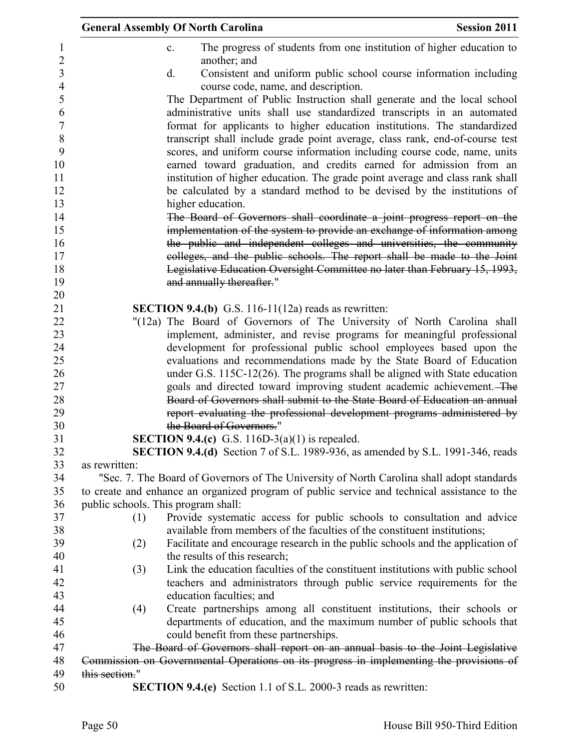|                | <b>General Assembly Of North Carolina</b>                                                                                                                                                                                                                                                                   | <b>Session 2011</b> |
|----------------|-------------------------------------------------------------------------------------------------------------------------------------------------------------------------------------------------------------------------------------------------------------------------------------------------------------|---------------------|
|                | The progress of students from one institution of higher education to<br>$\mathbf{c}$ .<br>another; and                                                                                                                                                                                                      |                     |
|                | Consistent and uniform public school course information including<br>d.<br>course code, name, and description.                                                                                                                                                                                              |                     |
|                | The Department of Public Instruction shall generate and the local school<br>administrative units shall use standardized transcripts in an automated                                                                                                                                                         |                     |
|                | format for applicants to higher education institutions. The standardized<br>transcript shall include grade point average, class rank, end-of-course test<br>scores, and uniform course information including course code, name, units<br>earned toward graduation, and credits earned for admission from an |                     |
|                | institution of higher education. The grade point average and class rank shall<br>be calculated by a standard method to be devised by the institutions of<br>higher education.                                                                                                                               |                     |
|                | The Board of Governors shall coordinate a joint progress report on the                                                                                                                                                                                                                                      |                     |
|                | implementation of the system to provide an exchange of information among                                                                                                                                                                                                                                    |                     |
|                | the public and independent colleges and universities, the community                                                                                                                                                                                                                                         |                     |
|                | colleges, and the public schools. The report shall be made to the Joint                                                                                                                                                                                                                                     |                     |
|                | Legislative Education Oversight Committee no later than February 15, 1993,<br>and annually thereafter."                                                                                                                                                                                                     |                     |
|                |                                                                                                                                                                                                                                                                                                             |                     |
|                | <b>SECTION 9.4.(b)</b> G.S. 116-11(12a) reads as rewritten:                                                                                                                                                                                                                                                 |                     |
|                | "(12a) The Board of Governors of The University of North Carolina shall                                                                                                                                                                                                                                     |                     |
|                | implement, administer, and revise programs for meaningful professional                                                                                                                                                                                                                                      |                     |
|                | development for professional public school employees based upon the                                                                                                                                                                                                                                         |                     |
|                | evaluations and recommendations made by the State Board of Education                                                                                                                                                                                                                                        |                     |
|                | under G.S. 115C-12(26). The programs shall be aligned with State education                                                                                                                                                                                                                                  |                     |
|                | goals and directed toward improving student academic achievement. The                                                                                                                                                                                                                                       |                     |
|                | Board of Governors shall submit to the State Board of Education an annual                                                                                                                                                                                                                                   |                     |
|                | report evaluating the professional development programs administered by                                                                                                                                                                                                                                     |                     |
|                | the Board of Governors."                                                                                                                                                                                                                                                                                    |                     |
|                | <b>SECTION 9.4.(c)</b> G.S. 116D-3(a)(1) is repealed.                                                                                                                                                                                                                                                       |                     |
|                | <b>SECTION 9.4.(d)</b> Section 7 of S.L. 1989-936, as amended by S.L. 1991-346, reads                                                                                                                                                                                                                       |                     |
| as rewritten:  | "Sec. 7. The Board of Governors of The University of North Carolina shall adopt standards                                                                                                                                                                                                                   |                     |
|                | to create and enhance an organized program of public service and technical assistance to the                                                                                                                                                                                                                |                     |
|                | public schools. This program shall:                                                                                                                                                                                                                                                                         |                     |
| (1)            | Provide systematic access for public schools to consultation and advice                                                                                                                                                                                                                                     |                     |
|                | available from members of the faculties of the constituent institutions;                                                                                                                                                                                                                                    |                     |
| (2)            | Facilitate and encourage research in the public schools and the application of                                                                                                                                                                                                                              |                     |
|                | the results of this research;                                                                                                                                                                                                                                                                               |                     |
| (3)            | Link the education faculties of the constituent institutions with public school                                                                                                                                                                                                                             |                     |
|                | teachers and administrators through public service requirements for the                                                                                                                                                                                                                                     |                     |
|                | education faculties; and                                                                                                                                                                                                                                                                                    |                     |
| (4)            | Create partnerships among all constituent institutions, their schools or                                                                                                                                                                                                                                    |                     |
|                | departments of education, and the maximum number of public schools that                                                                                                                                                                                                                                     |                     |
|                | could benefit from these partnerships.                                                                                                                                                                                                                                                                      |                     |
|                | The Board of Governors shall report on an annual basis to the Joint Legislative                                                                                                                                                                                                                             |                     |
|                | Commission on Governmental Operations on its progress in implementing the provisions of                                                                                                                                                                                                                     |                     |
| this section." |                                                                                                                                                                                                                                                                                                             |                     |
|                | <b>SECTION 9.4.(e)</b> Section 1.1 of S.L. 2000-3 reads as rewritten:                                                                                                                                                                                                                                       |                     |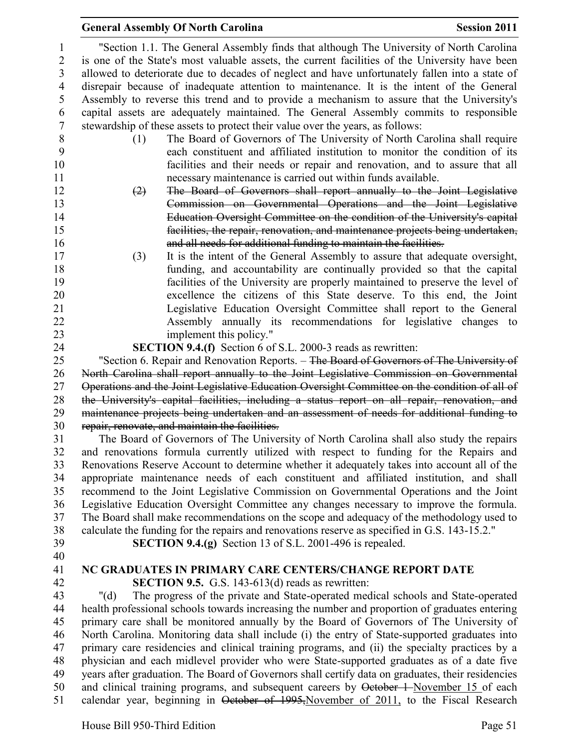"Section 1.1. The General Assembly finds that although The University of North Carolina is one of the State's most valuable assets, the current facilities of the University have been allowed to deteriorate due to decades of neglect and have unfortunately fallen into a state of disrepair because of inadequate attention to maintenance. It is the intent of the General Assembly to reverse this trend and to provide a mechanism to assure that the University's capital assets are adequately maintained. The General Assembly commits to responsible stewardship of these assets to protect their value over the years, as follows:

- (1) The Board of Governors of The University of North Carolina shall require each constituent and affiliated institution to monitor the condition of its facilities and their needs or repair and renovation, and to assure that all necessary maintenance is carried out within funds available.
- (2) The Board of Governors shall report annually to the Joint Legislative Commission on Governmental Operations and the Joint Legislative Education Oversight Committee on the condition of the University's capital facilities, the repair, renovation, and maintenance projects being undertaken, and all needs for additional funding to maintain the facilities.
- (3) It is the intent of the General Assembly to assure that adequate oversight, funding, and accountability are continually provided so that the capital facilities of the University are properly maintained to preserve the level of excellence the citizens of this State deserve. To this end, the Joint Legislative Education Oversight Committee shall report to the General Assembly annually its recommendations for legislative changes to **implement** this policy."
- 

**SECTION 9.4.(f)** Section 6 of S.L. 2000-3 reads as rewritten:

25 "Section 6. Repair and Renovation Reports. – The Board of Governors of The University of North Carolina shall report annually to the Joint Legislative Commission on Governmental Operations and the Joint Legislative Education Oversight Committee on the condition of all of the University's capital facilities, including a status report on all repair, renovation, and maintenance projects being undertaken and an assessment of needs for additional funding to repair, renovate, and maintain the facilities.

 The Board of Governors of The University of North Carolina shall also study the repairs and renovations formula currently utilized with respect to funding for the Repairs and Renovations Reserve Account to determine whether it adequately takes into account all of the appropriate maintenance needs of each constituent and affiliated institution, and shall recommend to the Joint Legislative Commission on Governmental Operations and the Joint Legislative Education Oversight Committee any changes necessary to improve the formula. The Board shall make recommendations on the scope and adequacy of the methodology used to calculate the funding for the repairs and renovations reserve as specified in G.S. 143-15.2."

- 
- 

**SECTION 9.4.(g)** Section 13 of S.L. 2001-496 is repealed.

# **NC GRADUATES IN PRIMARY CARE CENTERS/CHANGE REPORT DATE**

**SECTION 9.5.** G.S. 143-613(d) reads as rewritten:

 "(d) The progress of the private and State-operated medical schools and State-operated health professional schools towards increasing the number and proportion of graduates entering primary care shall be monitored annually by the Board of Governors of The University of North Carolina. Monitoring data shall include (i) the entry of State-supported graduates into primary care residencies and clinical training programs, and (ii) the specialty practices by a physician and each midlevel provider who were State-supported graduates as of a date five years after graduation. The Board of Governors shall certify data on graduates, their residencies and clinical training programs, and subsequent careers by October 1 November 15 of each 51 calendar year, beginning in October of 1995, November of 2011, to the Fiscal Research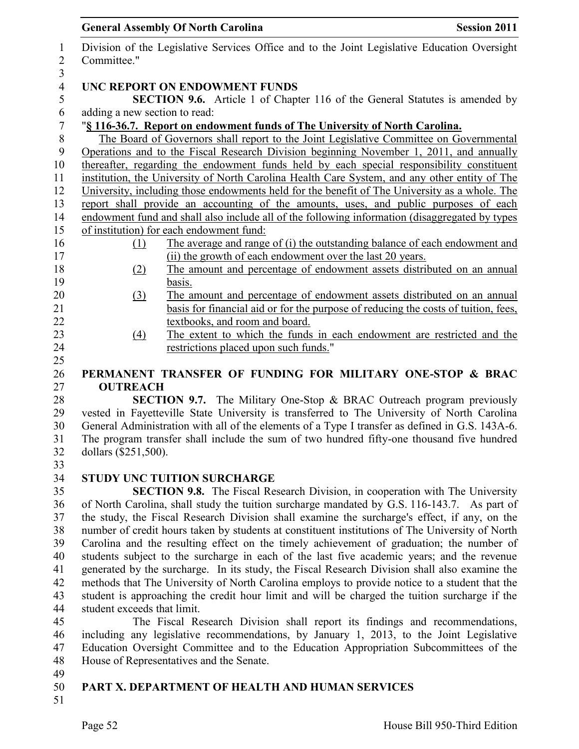|                               | <b>General Assembly Of North Carolina</b>                                                       | <b>Session 2011</b> |
|-------------------------------|-------------------------------------------------------------------------------------------------|---------------------|
| Committee."                   | Division of the Legislative Services Office and to the Joint Legislative Education Oversight    |                     |
|                               | UNC REPORT ON ENDOWMENT FUNDS                                                                   |                     |
|                               | <b>SECTION 9.6.</b> Article 1 of Chapter 116 of the General Statutes is amended by              |                     |
| adding a new section to read: |                                                                                                 |                     |
|                               | "§ 116-36.7. Report on endowment funds of The University of North Carolina.                     |                     |
|                               | The Board of Governors shall report to the Joint Legislative Committee on Governmental          |                     |
|                               | Operations and to the Fiscal Research Division beginning November 1, 2011, and annually         |                     |
|                               | thereafter, regarding the endowment funds held by each special responsibility constituent       |                     |
|                               | institution, the University of North Carolina Health Care System, and any other entity of The   |                     |
|                               | University, including those endowments held for the benefit of The University as a whole. The   |                     |
|                               | report shall provide an accounting of the amounts, uses, and public purposes of each            |                     |
|                               | endowment fund and shall also include all of the following information (disaggregated by types  |                     |
|                               | of institution) for each endowment fund:                                                        |                     |
| (1)                           | The average and range of (i) the outstanding balance of each endowment and                      |                     |
|                               | (ii) the growth of each endowment over the last 20 years.                                       |                     |
| (2)                           | The amount and percentage of endowment assets distributed on an annual                          |                     |
|                               | basis.                                                                                          |                     |
| (3)                           | The amount and percentage of endowment assets distributed on an annual                          |                     |
|                               | basis for financial aid or for the purpose of reducing the costs of tuition, fees,              |                     |
|                               | textbooks, and room and board.                                                                  |                     |
| $\left(4\right)$              | The extent to which the funds in each endowment are restricted and the                          |                     |
|                               | restrictions placed upon such funds."                                                           |                     |
|                               |                                                                                                 |                     |
|                               | PERMANENT TRANSFER OF FUNDING FOR MILITARY ONE-STOP & BRAC                                      |                     |
| <b>OUTREACH</b>               |                                                                                                 |                     |
|                               | <b>SECTION 9.7.</b> The Military One-Stop & BRAC Outreach program previously                    |                     |
|                               | vested in Fayetteville State University is transferred to The University of North Carolina      |                     |
|                               | General Administration with all of the elements of a Type I transfer as defined in G.S. 143A-6. |                     |
|                               | The program transfer shall include the sum of two hundred fifty-one thousand five hundred       |                     |
| dollars (\$251,500).          |                                                                                                 |                     |
|                               |                                                                                                 |                     |
|                               | <b>STUDY UNC TUITION SURCHARGE</b>                                                              |                     |
|                               | <b>SECTION 9.8.</b> The Fiscal Research Division, in cooperation with The University            |                     |
|                               | of North Carolina, shall study the tuition surcharge mandated by $G_S$ 116-143.7 As part of     |                     |

 of North Carolina, shall study the tuition surcharge mandated by G.S. 116-143.7. As part of the study, the Fiscal Research Division shall examine the surcharge's effect, if any, on the number of credit hours taken by students at constituent institutions of The University of North Carolina and the resulting effect on the timely achievement of graduation; the number of students subject to the surcharge in each of the last five academic years; and the revenue generated by the surcharge. In its study, the Fiscal Research Division shall also examine the methods that The University of North Carolina employs to provide notice to a student that the student is approaching the credit hour limit and will be charged the tuition surcharge if the student exceeds that limit.

45 The Fiscal Research Division shall report its findings and recommendations, including any legislative recommendations, by January 1, 2013, to the Joint Legislative Education Oversight Committee and to the Education Appropriation Subcommittees of the House of Representatives and the Senate.

# **PART X. DEPARTMENT OF HEALTH AND HUMAN SERVICES**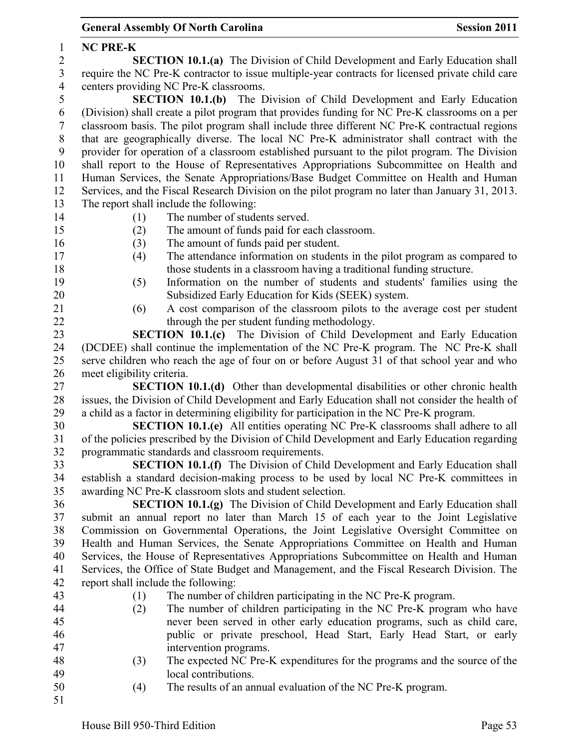| <b>Session 2011</b><br><b>General Assembly Of North Carolina</b>                                                                          |
|-------------------------------------------------------------------------------------------------------------------------------------------|
| <b>NC PRE-K</b>                                                                                                                           |
| <b>SECTION 10.1.(a)</b> The Division of Child Development and Early Education shall                                                       |
| require the NC Pre-K contractor to issue multiple-year contracts for licensed private child care                                          |
| centers providing NC Pre-K classrooms.                                                                                                    |
| <b>SECTION 10.1.(b)</b> The Division of Child Development and Early Education                                                             |
| (Division) shall create a pilot program that provides funding for NC Pre-K classrooms on a per                                            |
| classroom basis. The pilot program shall include three different NC Pre-K contractual regions                                             |
| that are geographically diverse. The local NC Pre-K administrator shall contract with the                                                 |
| provider for operation of a classroom established pursuant to the pilot program. The Division                                             |
| shall report to the House of Representatives Appropriations Subcommittee on Health and                                                    |
| Human Services, the Senate Appropriations/Base Budget Committee on Health and Human                                                       |
| Services, and the Fiscal Research Division on the pilot program no later than January 31, 2013.                                           |
| The report shall include the following:                                                                                                   |
| The number of students served.<br>(1)                                                                                                     |
| The amount of funds paid for each classroom.<br>(2)                                                                                       |
| The amount of funds paid per student.<br>(3)                                                                                              |
| The attendance information on students in the pilot program as compared to<br>(4)                                                         |
| those students in a classroom having a traditional funding structure.                                                                     |
| Information on the number of students and students' families using the<br>(5)                                                             |
| Subsidized Early Education for Kids (SEEK) system.                                                                                        |
| A cost comparison of the classroom pilots to the average cost per student<br>(6)                                                          |
| through the per student funding methodology.                                                                                              |
| <b>SECTION 10.1.(c)</b> The Division of Child Development and Early Education                                                             |
| (DCDEE) shall continue the implementation of the NC Pre-K program. The NC Pre-K shall                                                     |
| serve children who reach the age of four on or before August 31 of that school year and who                                               |
| meet eligibility criteria.                                                                                                                |
| SECTION 10.1.(d) Other than developmental disabilities or other chronic health                                                            |
| issues, the Division of Child Development and Early Education shall not consider the health of                                            |
| a child as a factor in determining eligibility for participation in the NC Pre-K program.                                                 |
| <b>SECTION 10.1.(e)</b> All entities operating NC Pre-K classrooms shall adhere to all                                                    |
| of the policies prescribed by the Division of Child Development and Early Education regarding                                             |
| programmatic standards and classroom requirements.<br><b>SECTION 10.1.(f)</b> The Division of Child Development and Early Education shall |
| establish a standard decision-making process to be used by local NC Pre-K committees in                                                   |
| awarding NC Pre-K classroom slots and student selection.                                                                                  |
| <b>SECTION 10.1.(g)</b> The Division of Child Development and Early Education shall                                                       |
| submit an annual report no later than March 15 of each year to the Joint Legislative                                                      |
| Commission on Governmental Operations, the Joint Legislative Oversight Committee on                                                       |
| Health and Human Services, the Senate Appropriations Committee on Health and Human                                                        |
| Services, the House of Representatives Appropriations Subcommittee on Health and Human                                                    |
| Services, the Office of State Budget and Management, and the Fiscal Research Division. The                                                |
| report shall include the following:                                                                                                       |
| The number of children participating in the NC Pre-K program.<br>(1)                                                                      |
| The number of children participating in the NC Pre-K program who have<br>(2)                                                              |
| never been served in other early education programs, such as child care,                                                                  |
| public or private preschool, Head Start, Early Head Start, or early                                                                       |
| intervention programs.                                                                                                                    |
| The expected NC Pre-K expenditures for the programs and the source of the<br>(3)                                                          |
| local contributions.                                                                                                                      |
| The results of an annual evaluation of the NC Pre-K program.<br>(4)                                                                       |

 $\frac{50}{51}$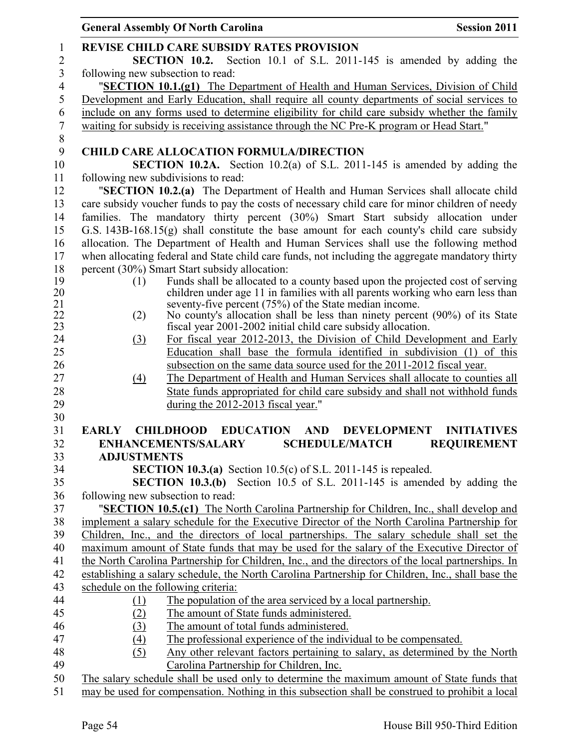|                | <b>Session 2011</b><br><b>General Assembly Of North Carolina</b>                                                                                                      |
|----------------|-----------------------------------------------------------------------------------------------------------------------------------------------------------------------|
| $\mathbf{1}$   | <b>REVISE CHILD CARE SUBSIDY RATES PROVISION</b>                                                                                                                      |
| $\overline{2}$ | <b>SECTION 10.2.</b> Section 10.1 of S.L. 2011-145 is amended by adding the                                                                                           |
| $\mathfrak{Z}$ | following new subsection to read:                                                                                                                                     |
| $\overline{4}$ | "SECTION 10.1.(g1) The Department of Health and Human Services, Division of Child                                                                                     |
| 5              | Development and Early Education, shall require all county departments of social services to                                                                           |
| 6              | include on any forms used to determine eligibility for child care subsidy whether the family                                                                          |
| $\overline{7}$ | waiting for subsidy is receiving assistance through the NC Pre-K program or Head Start."                                                                              |
| $\,8\,$        |                                                                                                                                                                       |
| 9              | <b>CHILD CARE ALLOCATION FORMULA/DIRECTION</b>                                                                                                                        |
| 10             | <b>SECTION 10.2A.</b> Section 10.2(a) of S.L. 2011-145 is amended by adding the                                                                                       |
| 11             | following new subdivisions to read:                                                                                                                                   |
| 12             | "SECTION 10.2.(a) The Department of Health and Human Services shall allocate child                                                                                    |
| 13             | care subsidy voucher funds to pay the costs of necessary child care for minor children of needy                                                                       |
| 14             | families. The mandatory thirty percent (30%) Smart Start subsidy allocation under                                                                                     |
| 15             | G.S. 143B-168.15(g) shall constitute the base amount for each county's child care subsidy                                                                             |
| 16             | allocation. The Department of Health and Human Services shall use the following method                                                                                |
| 17             | when allocating federal and State child care funds, not including the aggregate mandatory thirty                                                                      |
| 18             | percent (30%) Smart Start subsidy allocation:                                                                                                                         |
| 19<br>20       | Funds shall be allocated to a county based upon the projected cost of serving<br>(1)<br>children under age 11 in families with all parents working who earn less than |
| 21             | seventy-five percent (75%) of the State median income.                                                                                                                |
| 22             | No county's allocation shall be less than ninety percent (90%) of its State<br>(2)                                                                                    |
| 23             | fiscal year 2001-2002 initial child care subsidy allocation.                                                                                                          |
| 24             | For fiscal year 2012-2013, the Division of Child Development and Early<br>$\left(3\right)$                                                                            |
| 25             | Education shall base the formula identified in subdivision (1) of this                                                                                                |
| 26             | subsection on the same data source used for the 2011-2012 fiscal year.                                                                                                |
| 27             | The Department of Health and Human Services shall allocate to counties all<br>$\left(4\right)$                                                                        |
| 28             | State funds appropriated for child care subsidy and shall not withhold funds                                                                                          |
| 29             | during the 2012-2013 fiscal year."                                                                                                                                    |
| 30             |                                                                                                                                                                       |
| 31             | <b>CHILDHOOD</b><br><b>EDUCATION AND</b><br><b>DEVELOPMENT</b><br><b>INITIATIVES</b><br><b>EARLY</b>                                                                  |
| 32             | <b>ENHANCEMENTS/SALARY</b><br><b>SCHEDULE/MATCH</b><br><b>REQUIREMENT</b>                                                                                             |
| 33             | <b>ADJUSTMENTS</b><br><b>SECTION 10.3.(a)</b> Section 10.5(c) of S.L. 2011-145 is repealed.                                                                           |
| 34<br>35       | <b>SECTION 10.3.(b)</b> Section 10.5 of S.L. 2011-145 is amended by adding the                                                                                        |
| 36             | following new subsection to read:                                                                                                                                     |
| 37             | "SECTION 10.5.(c1) The North Carolina Partnership for Children, Inc., shall develop and                                                                               |
| 38             | implement a salary schedule for the Executive Director of the North Carolina Partnership for                                                                          |
| 39             | Children, Inc., and the directors of local partnerships. The salary schedule shall set the                                                                            |
| 40             | maximum amount of State funds that may be used for the salary of the Executive Director of                                                                            |
| 41             | the North Carolina Partnership for Children, Inc., and the directors of the local partnerships. In                                                                    |
| 42             | establishing a salary schedule, the North Carolina Partnership for Children, Inc., shall base the                                                                     |
| 43             | schedule on the following criteria:                                                                                                                                   |
| 44             | The population of the area serviced by a local partnership.<br>(1)                                                                                                    |
| 45             | (2)<br>The amount of State funds administered.                                                                                                                        |
| 46             | (3)<br>The amount of total funds administered.                                                                                                                        |
| 47             | (4)<br>The professional experience of the individual to be compensated.                                                                                               |
| 48             | (5)<br>Any other relevant factors pertaining to salary, as determined by the North                                                                                    |
| 49             | Carolina Partnership for Children, Inc.                                                                                                                               |
| 50             | The salary schedule shall be used only to determine the maximum amount of State funds that                                                                            |
| 51             | may be used for compensation. Nothing in this subsection shall be construed to prohibit a local                                                                       |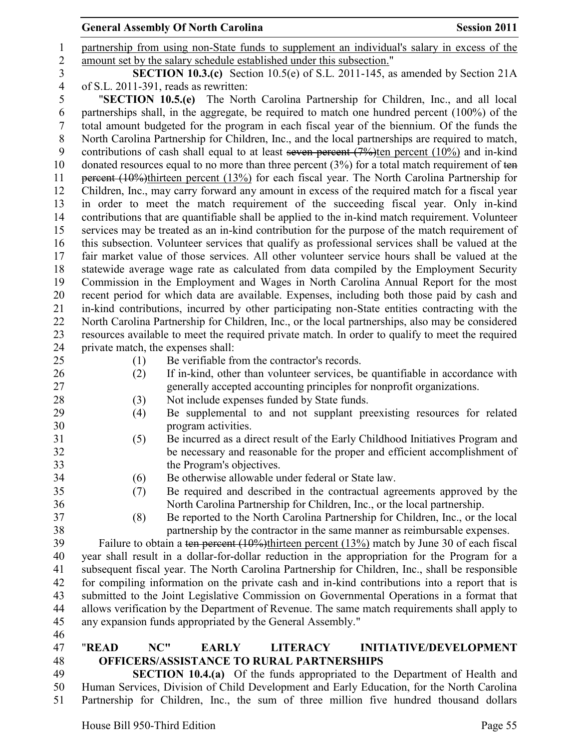| <b>General Assembly Of North Carolina</b> |  |  |
|-------------------------------------------|--|--|
|-------------------------------------------|--|--|

 partnership from using non-State funds to supplement an individual's salary in excess of the amount set by the salary schedule established under this subsection." **SECTION 10.3.(c)** Section 10.5(e) of S.L. 2011-145, as amended by Section 21A of S.L. 2011-391, reads as rewritten: "**SECTION 10.5.(e)** The North Carolina Partnership for Children, Inc., and all local partnerships shall, in the aggregate, be required to match one hundred percent (100%) of the total amount budgeted for the program in each fiscal year of the biennium. Of the funds the 8 North Carolina Partnership for Children, Inc., and the local partnerships are required to match,<br>9 contributions of cash shall equal to at least seven percent (7%) ten percent (10%) and in-kind contributions of cash shall equal to at least seven percent  $(7%)$ ten percent  $(10%)$  and in-kind 10 donated resources equal to no more than three percent (3%) for a total match requirement of ten percent (10%)thirteen percent (13%) for each fiscal year. The North Carolina Partnership for Children, Inc., may carry forward any amount in excess of the required match for a fiscal year in order to meet the match requirement of the succeeding fiscal year. Only in-kind contributions that are quantifiable shall be applied to the in-kind match requirement. Volunteer services may be treated as an in-kind contribution for the purpose of the match requirement of this subsection. Volunteer services that qualify as professional services shall be valued at the fair market value of those services. All other volunteer service hours shall be valued at the statewide average wage rate as calculated from data compiled by the Employment Security Commission in the Employment and Wages in North Carolina Annual Report for the most recent period for which data are available. Expenses, including both those paid by cash and in-kind contributions, incurred by other participating non-State entities contracting with the North Carolina Partnership for Children, Inc., or the local partnerships, also may be considered resources available to meet the required private match. In order to qualify to meet the required private match, the expenses shall: (1) Be verifiable from the contractor's records. (2) If in-kind, other than volunteer services, be quantifiable in accordance with generally accepted accounting principles for nonprofit organizations. 28 (3) Not include expenses funded by State funds. (4) Be supplemental to and not supplant preexisting resources for related program activities. (5) Be incurred as a direct result of the Early Childhood Initiatives Program and be necessary and reasonable for the proper and efficient accomplishment of the Program's objectives. (6) Be otherwise allowable under federal or State law. (7) Be required and described in the contractual agreements approved by the North Carolina Partnership for Children, Inc., or the local partnership. (8) Be reported to the North Carolina Partnership for Children, Inc., or the local partnership by the contractor in the same manner as reimbursable expenses. 39 Failure to obtain a ten percent  $(10\%)$  thirteen percent  $(13\%)$  match by June 30 of each fiscal year shall result in a dollar-for-dollar reduction in the appropriation for the Program for a subsequent fiscal year. The North Carolina Partnership for Children, Inc., shall be responsible for compiling information on the private cash and in-kind contributions into a report that is submitted to the Joint Legislative Commission on Governmental Operations in a format that allows verification by the Department of Revenue. The same match requirements shall apply to any expansion funds appropriated by the General Assembly." "**READ NC" EARLY LITERACY INITIATIVE/DEVELOPMENT OFFICERS/ASSISTANCE TO RURAL PARTNERSHIPS SECTION 10.4.(a)** Of the funds appropriated to the Department of Health and

 Human Services, Division of Child Development and Early Education, for the North Carolina Partnership for Children, Inc., the sum of three million five hundred thousand dollars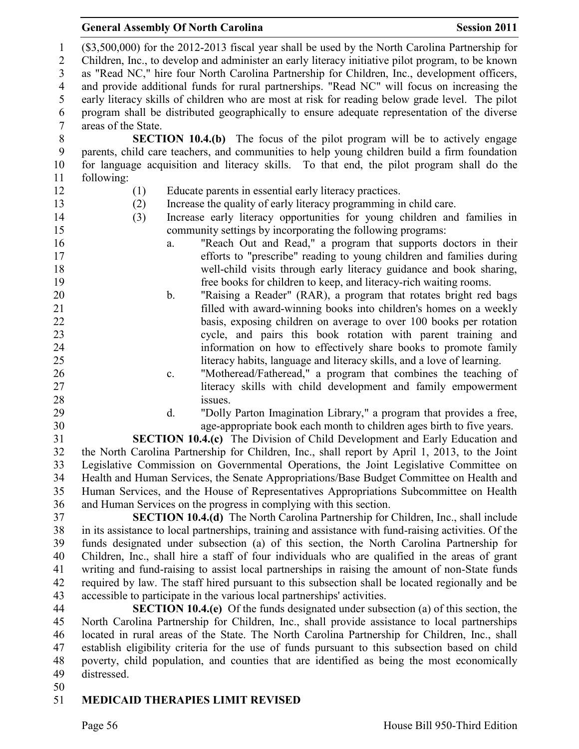(\$3,500,000) for the 2012-2013 fiscal year shall be used by the North Carolina Partnership for Children, Inc., to develop and administer an early literacy initiative pilot program, to be known as "Read NC," hire four North Carolina Partnership for Children, Inc., development officers, and provide additional funds for rural partnerships. "Read NC" will focus on increasing the early literacy skills of children who are most at risk for reading below grade level. The pilot program shall be distributed geographically to ensure adequate representation of the diverse areas of the State.

**SECTION 10.4.(b)** The focus of the pilot program will be to actively engage parents, child care teachers, and communities to help young children build a firm foundation parents, child care teachers, and communities to help young children build a firm foundation for language acquisition and literacy skills. To that end, the pilot program shall do the following:

(1) Educate parents in essential early literacy practices.

- (2) Increase the quality of early literacy programming in child care.
- (3) Increase early literacy opportunities for young children and families in community settings by incorporating the following programs:
- a. "Reach Out and Read," a program that supports doctors in their efforts to "prescribe" reading to young children and families during well-child visits through early literacy guidance and book sharing, free books for children to keep, and literacy-rich waiting rooms.
- b. "Raising a Reader" (RAR), a program that rotates bright red bags filled with award-winning books into children's homes on a weekly basis, exposing children on average to over 100 books per rotation cycle, and pairs this book rotation with parent training and information on how to effectively share books to promote family literacy habits, language and literacy skills, and a love of learning.
- c. "Motheread/Fatheread," a program that combines the teaching of literacy skills with child development and family empowerment 28 issues.
- 
- d. "Dolly Parton Imagination Library," a program that provides a free, age-appropriate book each month to children ages birth to five years.

 **SECTION 10.4.(c)** The Division of Child Development and Early Education and the North Carolina Partnership for Children, Inc., shall report by April 1, 2013, to the Joint Legislative Commission on Governmental Operations, the Joint Legislative Committee on Health and Human Services, the Senate Appropriations/Base Budget Committee on Health and Human Services, and the House of Representatives Appropriations Subcommittee on Health and Human Services on the progress in complying with this section.

 **SECTION 10.4.(d)** The North Carolina Partnership for Children, Inc., shall include in its assistance to local partnerships, training and assistance with fund-raising activities. Of the funds designated under subsection (a) of this section, the North Carolina Partnership for Children, Inc., shall hire a staff of four individuals who are qualified in the areas of grant writing and fund-raising to assist local partnerships in raising the amount of non-State funds required by law. The staff hired pursuant to this subsection shall be located regionally and be accessible to participate in the various local partnerships' activities.

 **SECTION 10.4.(e)** Of the funds designated under subsection (a) of this section, the North Carolina Partnership for Children, Inc., shall provide assistance to local partnerships located in rural areas of the State. The North Carolina Partnership for Children, Inc., shall establish eligibility criteria for the use of funds pursuant to this subsection based on child poverty, child population, and counties that are identified as being the most economically distressed.

# **MEDICAID THERAPIES LIMIT REVISED**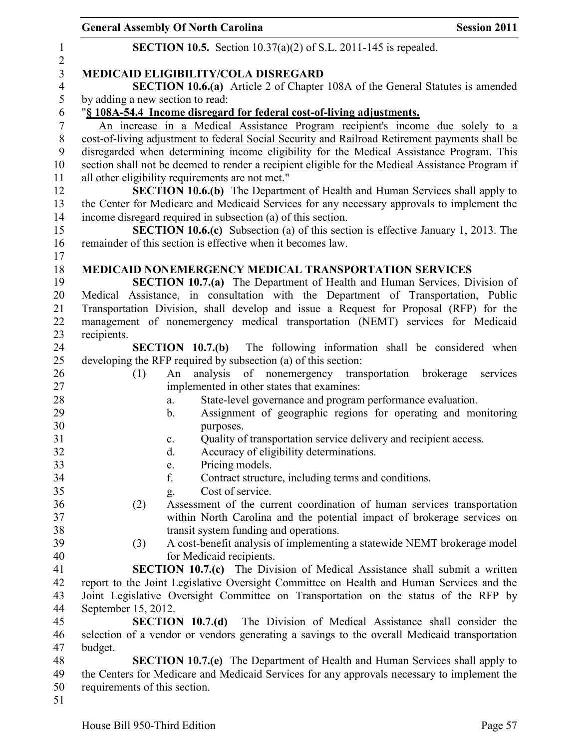|                     | <b>General Assembly Of North Carolina</b><br><b>Session 2011</b>                                                                                                                  |  |
|---------------------|-----------------------------------------------------------------------------------------------------------------------------------------------------------------------------------|--|
| 1<br>$\overline{2}$ | <b>SECTION 10.5.</b> Section $10.37(a)(2)$ of S.L. 2011-145 is repealed.                                                                                                          |  |
| $\overline{3}$      | MEDICAID ELIGIBILITY/COLA DISREGARD                                                                                                                                               |  |
| $\overline{4}$      | <b>SECTION 10.6.(a)</b> Article 2 of Chapter 108A of the General Statutes is amended                                                                                              |  |
| 5                   | by adding a new section to read:                                                                                                                                                  |  |
| 6                   | "§ 108A-54.4 Income disregard for federal cost-of-living adjustments.                                                                                                             |  |
| $\tau$              | An increase in a Medical Assistance Program recipient's income due solely to a                                                                                                    |  |
| $8\phantom{1}$      | cost-of-living adjustment to federal Social Security and Railroad Retirement payments shall be                                                                                    |  |
| 9                   | disregarded when determining income eligibility for the Medical Assistance Program. This                                                                                          |  |
| 10                  | section shall not be deemed to render a recipient eligible for the Medical Assistance Program if                                                                                  |  |
| 11                  | all other eligibility requirements are not met."                                                                                                                                  |  |
| 12                  | SECTION 10.6.(b) The Department of Health and Human Services shall apply to                                                                                                       |  |
| 13                  | the Center for Medicare and Medicaid Services for any necessary approvals to implement the                                                                                        |  |
| 14                  | income disregard required in subsection (a) of this section.                                                                                                                      |  |
| 15                  | <b>SECTION 10.6.(c)</b> Subsection (a) of this section is effective January 1, 2013. The                                                                                          |  |
| 16                  | remainder of this section is effective when it becomes law.                                                                                                                       |  |
| 17                  |                                                                                                                                                                                   |  |
| 18                  | <b>MEDICAID NONEMERGENCY MEDICAL TRANSPORTATION SERVICES</b>                                                                                                                      |  |
| 19                  | <b>SECTION 10.7.(a)</b> The Department of Health and Human Services, Division of                                                                                                  |  |
| 20                  | Medical Assistance, in consultation with the Department of Transportation, Public                                                                                                 |  |
| 21                  | Transportation Division, shall develop and issue a Request for Proposal (RFP) for the                                                                                             |  |
| 22                  | management of nonemergency medical transportation (NEMT) services for Medicaid                                                                                                    |  |
| 23<br>24            | recipients.<br>SECTION 10.7.(b) The following information shall be considered when                                                                                                |  |
| 25                  | developing the RFP required by subsection (a) of this section:                                                                                                                    |  |
| 26                  | analysis<br>of nonemergency transportation<br>(1)<br>An<br>brokerage<br>services                                                                                                  |  |
| 27                  | implemented in other states that examines:                                                                                                                                        |  |
| 28                  | State-level governance and program performance evaluation.<br>a.                                                                                                                  |  |
| 29                  | Assignment of geographic regions for operating and monitoring<br>b.                                                                                                               |  |
| 30                  | purposes.                                                                                                                                                                         |  |
| 31                  | Quality of transportation service delivery and recipient access.<br>$\mathbf{c}$ .                                                                                                |  |
| 32                  | Accuracy of eligibility determinations.<br>d.                                                                                                                                     |  |
| 33                  | Pricing models.<br>e.                                                                                                                                                             |  |
| 34                  | Contract structure, including terms and conditions.<br>f.                                                                                                                         |  |
| 35                  | Cost of service.<br>g.                                                                                                                                                            |  |
| 36                  | Assessment of the current coordination of human services transportation<br>(2)                                                                                                    |  |
| 37                  | within North Carolina and the potential impact of brokerage services on                                                                                                           |  |
| 38                  | transit system funding and operations.                                                                                                                                            |  |
| 39                  | A cost-benefit analysis of implementing a statewide NEMT brokerage model<br>(3)                                                                                                   |  |
| 40                  | for Medicaid recipients.                                                                                                                                                          |  |
| 41                  | <b>SECTION 10.7.(c)</b> The Division of Medical Assistance shall submit a written                                                                                                 |  |
| 42                  | report to the Joint Legislative Oversight Committee on Health and Human Services and the                                                                                          |  |
| 43                  | Joint Legislative Oversight Committee on Transportation on the status of the RFP by                                                                                               |  |
| 44                  | September 15, 2012.                                                                                                                                                               |  |
| 45                  | SECTION $10.7(d)$<br>The Division of Medical Assistance shall consider the                                                                                                        |  |
| 46                  | selection of a vendor or vendors generating a savings to the overall Medicaid transportation                                                                                      |  |
| 47                  | budget.                                                                                                                                                                           |  |
| 48<br>49            | <b>SECTION 10.7.(e)</b> The Department of Health and Human Services shall apply to<br>the Centers for Medicare and Medicaid Services for any approvals necessary to implement the |  |
| 50                  | requirements of this section.                                                                                                                                                     |  |
|                     |                                                                                                                                                                                   |  |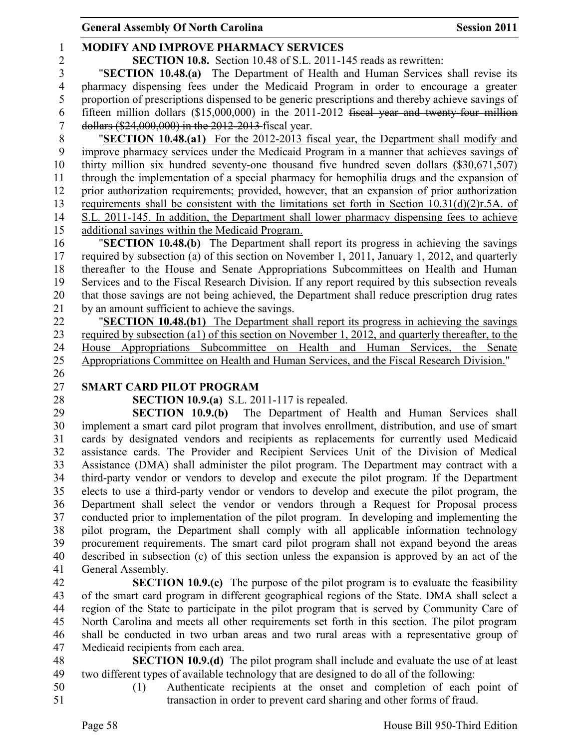1 **MODIFY AND IMPROVE PHARMACY SERVICES**<br>2 **SECTION 10.8.** Section 10.48 of S.L. 2011-14

**SECTION 10.8.** Section 10.48 of S.L. 2011-145 reads as rewritten:

 "**SECTION 10.48.(a)** The Department of Health and Human Services shall revise its pharmacy dispensing fees under the Medicaid Program in order to encourage a greater proportion of prescriptions dispensed to be generic prescriptions and thereby achieve savings of fifteen million dollars (\$15,000,000) in the 2011-2012 fiscal year and twenty-four million dollars (\$24,000,000) in the 2012-2013 fiscal year.

 "**SECTION 10.48.(a1)** For the 2012-2013 fiscal year, the Department shall modify and improve pharmacy services under the Medicaid Program in a manner that achieves savings of thirty million six hundred seventy-one thousand five hundred seven dollars (\$30,671,507) through the implementation of a special pharmacy for hemophilia drugs and the expansion of prior authorization requirements; provided, however, that an expansion of prior authorization requirements shall be consistent with the limitations set forth in Section 10.31(d)(2)r.5A. of S.L. 2011-145. In addition, the Department shall lower pharmacy dispensing fees to achieve additional savings within the Medicaid Program.

 "**SECTION 10.48.(b)** The Department shall report its progress in achieving the savings required by subsection (a) of this section on November 1, 2011, January 1, 2012, and quarterly thereafter to the House and Senate Appropriations Subcommittees on Health and Human Services and to the Fiscal Research Division. If any report required by this subsection reveals that those savings are not being achieved, the Department shall reduce prescription drug rates by an amount sufficient to achieve the savings.

 "**SECTION 10.48.(b1)** The Department shall report its progress in achieving the savings required by subsection (a1) of this section on November 1, 2012, and quarterly thereafter, to the House Appropriations Subcommittee on Health and Human Services, the Senate Appropriations Committee on Health and Human Services, and the Fiscal Research Division." 

# **SMART CARD PILOT PROGRAM**

# **SECTION 10.9.(a)** S.L. 2011-117 is repealed.

 **SECTION 10.9.(b)** The Department of Health and Human Services shall implement a smart card pilot program that involves enrollment, distribution, and use of smart cards by designated vendors and recipients as replacements for currently used Medicaid assistance cards. The Provider and Recipient Services Unit of the Division of Medical Assistance (DMA) shall administer the pilot program. The Department may contract with a third-party vendor or vendors to develop and execute the pilot program. If the Department elects to use a third-party vendor or vendors to develop and execute the pilot program, the Department shall select the vendor or vendors through a Request for Proposal process conducted prior to implementation of the pilot program. In developing and implementing the pilot program, the Department shall comply with all applicable information technology procurement requirements. The smart card pilot program shall not expand beyond the areas described in subsection (c) of this section unless the expansion is approved by an act of the General Assembly.

 **SECTION 10.9.(c)** The purpose of the pilot program is to evaluate the feasibility of the smart card program in different geographical regions of the State. DMA shall select a region of the State to participate in the pilot program that is served by Community Care of North Carolina and meets all other requirements set forth in this section. The pilot program shall be conducted in two urban areas and two rural areas with a representative group of Medicaid recipients from each area.

 **SECTION 10.9.(d)** The pilot program shall include and evaluate the use of at least two different types of available technology that are designed to do all of the following:

 (1) Authenticate recipients at the onset and completion of each point of transaction in order to prevent card sharing and other forms of fraud.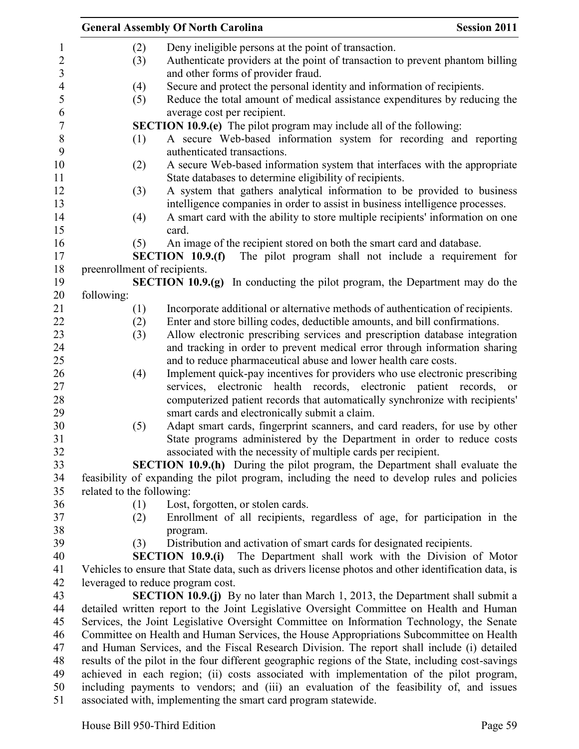|                                  |                              | <b>General Assembly Of North Carolina</b>                                                                                                                   | <b>Session 2011</b>               |
|----------------------------------|------------------------------|-------------------------------------------------------------------------------------------------------------------------------------------------------------|-----------------------------------|
| $\mathbf{1}$                     | (2)                          | Deny ineligible persons at the point of transaction.                                                                                                        |                                   |
| $\overline{2}$<br>$\overline{3}$ | (3)                          | Authenticate providers at the point of transaction to prevent phantom billing<br>and other forms of provider fraud.                                         |                                   |
| $\overline{4}$                   |                              | Secure and protect the personal identity and information of recipients.                                                                                     |                                   |
| 5<br>6                           | (4)<br>(5)                   | Reduce the total amount of medical assistance expenditures by reducing the                                                                                  |                                   |
| $\overline{7}$                   |                              | average cost per recipient.                                                                                                                                 |                                   |
| $\,$ $\,$                        | (1)                          | <b>SECTION 10.9.(e)</b> The pilot program may include all of the following:<br>A secure Web-based information system for recording and reporting            |                                   |
| 9                                |                              | authenticated transactions.                                                                                                                                 |                                   |
| 10<br>11                         | (2)                          | A secure Web-based information system that interfaces with the appropriate<br>State databases to determine eligibility of recipients.                       |                                   |
| 12                               | (3)                          | A system that gathers analytical information to be provided to business                                                                                     |                                   |
| 13                               |                              | intelligence companies in order to assist in business intelligence processes.                                                                               |                                   |
| 14<br>15                         | (4)                          | A smart card with the ability to store multiple recipients' information on one<br>card.                                                                     |                                   |
| 16                               | (5)                          | An image of the recipient stored on both the smart card and database.                                                                                       |                                   |
| 17                               |                              | SECTION $10.9(f)$<br>The pilot program shall not include a requirement for                                                                                  |                                   |
| 18                               | preenrollment of recipients. |                                                                                                                                                             |                                   |
| 19                               |                              | <b>SECTION 10.9.(g)</b> In conducting the pilot program, the Department may do the                                                                          |                                   |
| 20                               | following:                   |                                                                                                                                                             |                                   |
| 21                               | (1)                          | Incorporate additional or alternative methods of authentication of recipients.                                                                              |                                   |
| 22                               | (2)                          | Enter and store billing codes, deductible amounts, and bill confirmations.                                                                                  |                                   |
| 23                               | (3)                          | Allow electronic prescribing services and prescription database integration                                                                                 |                                   |
| 24                               |                              | and tracking in order to prevent medical error through information sharing                                                                                  |                                   |
| 25                               |                              | and to reduce pharmaceutical abuse and lower health care costs.                                                                                             |                                   |
| 26                               | (4)                          | Implement quick-pay incentives for providers who use electronic prescribing                                                                                 |                                   |
| 27                               |                              | services, electronic health records, electronic                                                                                                             | patient records,<br><sub>or</sub> |
| 28                               |                              | computerized patient records that automatically synchronize with recipients'                                                                                |                                   |
| 29                               |                              | smart cards and electronically submit a claim.                                                                                                              |                                   |
| 30                               | (5)                          | Adapt smart cards, fingerprint scanners, and card readers, for use by other                                                                                 |                                   |
| 31                               |                              | State programs administered by the Department in order to reduce costs                                                                                      |                                   |
| 32                               |                              | associated with the necessity of multiple cards per recipient.                                                                                              |                                   |
| 33                               |                              | <b>SECTION 10.9.(h)</b> During the pilot program, the Department shall evaluate the                                                                         |                                   |
| 34                               |                              | feasibility of expanding the pilot program, including the need to develop rules and policies                                                                |                                   |
| 35                               | related to the following:    |                                                                                                                                                             |                                   |
| 36                               | (1)                          | Lost, forgotten, or stolen cards.                                                                                                                           |                                   |
| 37                               | (2)                          | Enrollment of all recipients, regardless of age, for participation in the                                                                                   |                                   |
| 38                               |                              | program.                                                                                                                                                    |                                   |
| 39                               | (3)                          | Distribution and activation of smart cards for designated recipients.                                                                                       |                                   |
| 40                               |                              | <b>SECTION 10.9.(i)</b> The Department shall work with the Division of Motor                                                                                |                                   |
| 41                               |                              | Vehicles to ensure that State data, such as drivers license photos and other identification data, is                                                        |                                   |
| 42                               |                              | leveraged to reduce program cost.                                                                                                                           |                                   |
| 43                               |                              | <b>SECTION 10.9.(j)</b> By no later than March 1, 2013, the Department shall submit a                                                                       |                                   |
| 44                               |                              | detailed written report to the Joint Legislative Oversight Committee on Health and Human                                                                    |                                   |
| 45                               |                              | Services, the Joint Legislative Oversight Committee on Information Technology, the Senate                                                                   |                                   |
| 46                               |                              | Committee on Health and Human Services, the House Appropriations Subcommittee on Health                                                                     |                                   |
| 47                               |                              | and Human Services, and the Fiscal Research Division. The report shall include (i) detailed                                                                 |                                   |
| 48                               |                              | results of the pilot in the four different geographic regions of the State, including cost-savings                                                          |                                   |
| 49                               |                              | achieved in each region; (ii) costs associated with implementation of the pilot program,                                                                    |                                   |
| 50<br>51                         |                              | including payments to vendors; and (iii) an evaluation of the feasibility of, and issues<br>associated with, implementing the smart card program statewide. |                                   |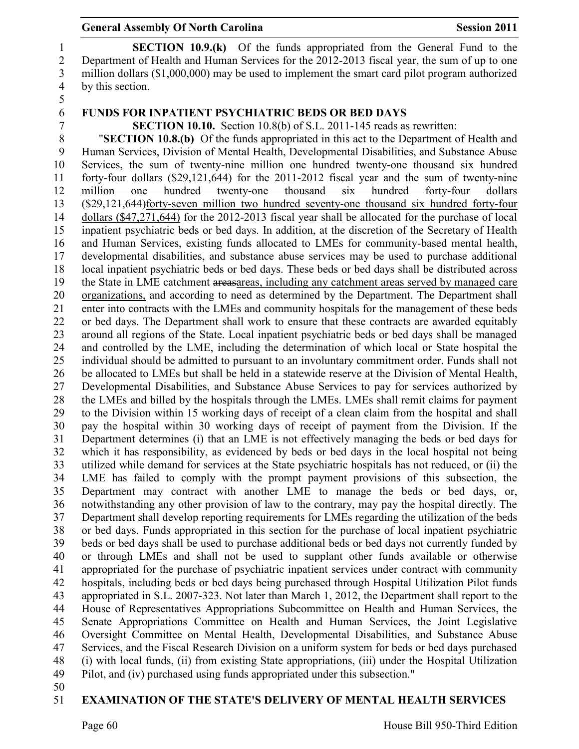**SECTION 10.9.(k)** Of the funds appropriated from the General Fund to the Department of Health and Human Services for the 2012-2013 fiscal year, the sum of up to one million dollars (\$1,000,000) may be used to implement the smart card pilot program authorized by this section.

- 
- 

# **FUNDS FOR INPATIENT PSYCHIATRIC BEDS OR BED DAYS**

**SECTION 10.10.** Section 10.8(b) of S.L. 2011-145 reads as rewritten:

**8 "SECTION 10.8.(b)** Of the funds appropriated in this act to the Department of Health and Human Services, Division of Mental Health, Developmental Disabilities, and Substance Abuse Human Services, Division of Mental Health, Developmental Disabilities, and Substance Abuse Services, the sum of twenty-nine million one hundred twenty-one thousand six hundred forty-four dollars (\$29,121,644) for the 2011-2012 fiscal year and the sum of twenty-nine 12 million one hundred twenty-one thousand six hundred forty-four dollars (\$29,121,644)forty-seven million two hundred seventy-one thousand six hundred forty-four dollars (\$47,271,644) for the 2012-2013 fiscal year shall be allocated for the purchase of local inpatient psychiatric beds or bed days. In addition, at the discretion of the Secretary of Health and Human Services, existing funds allocated to LMEs for community-based mental health, developmental disabilities, and substance abuse services may be used to purchase additional local inpatient psychiatric beds or bed days. These beds or bed days shall be distributed across 19 the State in LME catchment areasareas, including any catchment areas served by managed care organizations, and according to need as determined by the Department. The Department shall enter into contracts with the LMEs and community hospitals for the management of these beds or bed days. The Department shall work to ensure that these contracts are awarded equitably around all regions of the State. Local inpatient psychiatric beds or bed days shall be managed and controlled by the LME, including the determination of which local or State hospital the individual should be admitted to pursuant to an involuntary commitment order. Funds shall not be allocated to LMEs but shall be held in a statewide reserve at the Division of Mental Health, Developmental Disabilities, and Substance Abuse Services to pay for services authorized by the LMEs and billed by the hospitals through the LMEs. LMEs shall remit claims for payment to the Division within 15 working days of receipt of a clean claim from the hospital and shall pay the hospital within 30 working days of receipt of payment from the Division. If the Department determines (i) that an LME is not effectively managing the beds or bed days for which it has responsibility, as evidenced by beds or bed days in the local hospital not being utilized while demand for services at the State psychiatric hospitals has not reduced, or (ii) the LME has failed to comply with the prompt payment provisions of this subsection, the Department may contract with another LME to manage the beds or bed days, or, notwithstanding any other provision of law to the contrary, may pay the hospital directly. The Department shall develop reporting requirements for LMEs regarding the utilization of the beds or bed days. Funds appropriated in this section for the purchase of local inpatient psychiatric beds or bed days shall be used to purchase additional beds or bed days not currently funded by or through LMEs and shall not be used to supplant other funds available or otherwise appropriated for the purchase of psychiatric inpatient services under contract with community hospitals, including beds or bed days being purchased through Hospital Utilization Pilot funds appropriated in S.L. 2007-323. Not later than March 1, 2012, the Department shall report to the House of Representatives Appropriations Subcommittee on Health and Human Services, the Senate Appropriations Committee on Health and Human Services, the Joint Legislative Oversight Committee on Mental Health, Developmental Disabilities, and Substance Abuse Services, and the Fiscal Research Division on a uniform system for beds or bed days purchased (i) with local funds, (ii) from existing State appropriations, (iii) under the Hospital Utilization Pilot, and (iv) purchased using funds appropriated under this subsection."

#### **EXAMINATION OF THE STATE'S DELIVERY OF MENTAL HEALTH SERVICES**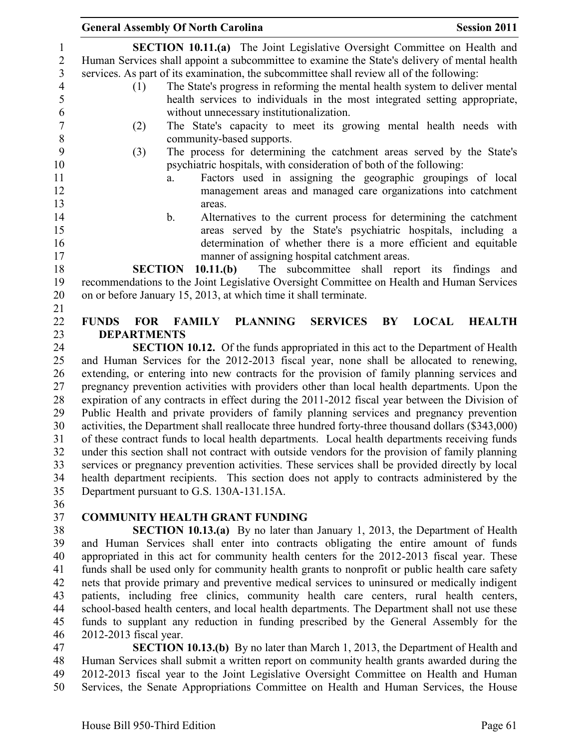| <b>General Assembly Of North Carolina</b>                                                                                                                                 | <b>Session 2011</b> |
|---------------------------------------------------------------------------------------------------------------------------------------------------------------------------|---------------------|
| SECTION 10.11.(a) The Joint Legislative Oversight Committee on Health and<br>Human Services shall appoint a subcommittee to examine the State's delivery of mental health |                     |
| services. As part of its examination, the subcommittee shall review all of the following:                                                                                 |                     |
| The State's progress in reforming the mental health system to deliver mental<br>(1)                                                                                       |                     |
| health services to individuals in the most integrated setting appropriate,                                                                                                |                     |
| without unnecessary institutionalization.                                                                                                                                 |                     |
| The State's capacity to meet its growing mental health needs with<br>(2)                                                                                                  |                     |
| community-based supports.                                                                                                                                                 |                     |
| (3)<br>The process for determining the catchment areas served by the State's                                                                                              |                     |
| psychiatric hospitals, with consideration of both of the following:                                                                                                       |                     |
| Factors used in assigning the geographic groupings of local<br>a.                                                                                                         |                     |
| management areas and managed care organizations into catchment                                                                                                            |                     |
| areas.                                                                                                                                                                    |                     |
| b.<br>Alternatives to the current process for determining the catchment                                                                                                   |                     |
| areas served by the State's psychiatric hospitals, including a                                                                                                            |                     |
| determination of whether there is a more efficient and equitable                                                                                                          |                     |
| manner of assigning hospital catchment areas.                                                                                                                             |                     |
| 10.11(b)<br>The subcommittee shall report its findings<br><b>SECTION</b>                                                                                                  | and                 |
| recommendations to the Joint Legislative Oversight Committee on Health and Human Services                                                                                 |                     |
| on or before January 15, 2013, at which time it shall terminate.                                                                                                          |                     |
| <b>PLANNING</b><br><b>SERVICES BY</b><br><b>LOCAL</b>                                                                                                                     |                     |
| <b>FOR FAMILY</b><br><b>FUNDS</b><br><b>DEPARTMENTS</b>                                                                                                                   | <b>HEALTH</b>       |
| <b>SECTION 10.12.</b> Of the funds appropriated in this act to the Department of Health                                                                                   |                     |
| and Human Services for the 2012-2013 fiscal year, none shall be allocated to renewing,                                                                                    |                     |
| extending, or entering into new contracts for the provision of family planning services and                                                                               |                     |
| pregnancy prevention activities with providers other than local health departments. Upon the                                                                              |                     |
| expiration of any contracts in effect during the 2011-2012 fiscal year between the Division of                                                                            |                     |
| Public Health and private providers of family planning services and pregnancy prevention                                                                                  |                     |
| activities, the Department shall reallocate three hundred forty-three thousand dollars (\$343,000)                                                                        |                     |
| of these contract funds to local health departments. Local health departments receiving funds                                                                             |                     |
| under this section shall not contract with outside vendors for the provision of family planning                                                                           |                     |
| services or pregnancy prevention activities. These services shall be provided directly by local                                                                           |                     |
| health department recipients. This section does not apply to contracts administered by the                                                                                |                     |
| Department pursuant to G.S. 130A-131.15A.                                                                                                                                 |                     |
|                                                                                                                                                                           |                     |
| <b>COMMUNITY HEALTH GRANT FUNDING</b>                                                                                                                                     |                     |

 **SECTION 10.13.(a)** By no later than January 1, 2013, the Department of Health and Human Services shall enter into contracts obligating the entire amount of funds appropriated in this act for community health centers for the 2012-2013 fiscal year. These funds shall be used only for community health grants to nonprofit or public health care safety nets that provide primary and preventive medical services to uninsured or medically indigent patients, including free clinics, community health care centers, rural health centers, school-based health centers, and local health departments. The Department shall not use these funds to supplant any reduction in funding prescribed by the General Assembly for the 2012-2013 fiscal year.

 **SECTION 10.13.(b)** By no later than March 1, 2013, the Department of Health and Human Services shall submit a written report on community health grants awarded during the 2012-2013 fiscal year to the Joint Legislative Oversight Committee on Health and Human Services, the Senate Appropriations Committee on Health and Human Services, the House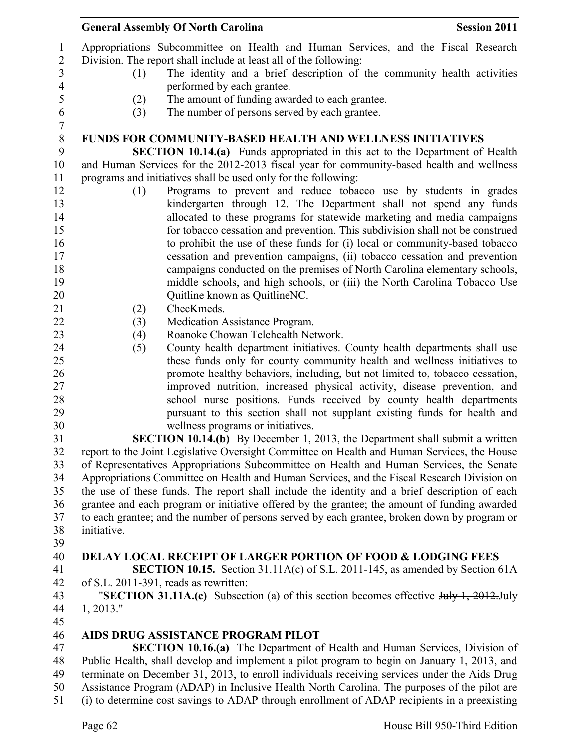|                | <b>Session 2011</b><br><b>General Assembly Of North Carolina</b>                                                                                                                            |
|----------------|---------------------------------------------------------------------------------------------------------------------------------------------------------------------------------------------|
| $\mathbf{1}$   | Appropriations Subcommittee on Health and Human Services, and the Fiscal Research                                                                                                           |
| $\overline{2}$ | Division. The report shall include at least all of the following:                                                                                                                           |
| $\mathfrak{Z}$ | The identity and a brief description of the community health activities<br>(1)                                                                                                              |
| $\overline{4}$ | performed by each grantee.                                                                                                                                                                  |
| 5              | The amount of funding awarded to each grantee.<br>(2)                                                                                                                                       |
| 6              | The number of persons served by each grantee.<br>(3)                                                                                                                                        |
| $\overline{7}$ |                                                                                                                                                                                             |
| $\,8\,$        | <b>FUNDS FOR COMMUNITY-BASED HEALTH AND WELLNESS INITIATIVES</b>                                                                                                                            |
| 9              | <b>SECTION 10.14.(a)</b> Funds appropriated in this act to the Department of Health                                                                                                         |
| 10             | and Human Services for the 2012-2013 fiscal year for community-based health and wellness                                                                                                    |
| 11             | programs and initiatives shall be used only for the following:                                                                                                                              |
| 12             | Programs to prevent and reduce tobacco use by students in grades<br>(1)                                                                                                                     |
| 13             | kindergarten through 12. The Department shall not spend any funds                                                                                                                           |
| 14             | allocated to these programs for statewide marketing and media campaigns                                                                                                                     |
| 15             | for tobacco cessation and prevention. This subdivision shall not be construed                                                                                                               |
| 16             | to prohibit the use of these funds for (i) local or community-based tobacco                                                                                                                 |
| 17             | cessation and prevention campaigns, (ii) tobacco cessation and prevention                                                                                                                   |
| 18             | campaigns conducted on the premises of North Carolina elementary schools,                                                                                                                   |
| 19             | middle schools, and high schools, or (iii) the North Carolina Tobacco Use                                                                                                                   |
| 20             | Quitline known as QuitlineNC.                                                                                                                                                               |
| 21             | ChecKmeds.<br>(2)                                                                                                                                                                           |
| 22<br>23       | Medication Assistance Program.<br>(3)<br>Roanoke Chowan Telehealth Network.                                                                                                                 |
| 24             | (4)<br>County health department initiatives. County health departments shall use<br>(5)                                                                                                     |
| 25             | these funds only for county community health and wellness initiatives to                                                                                                                    |
| 26             | promote healthy behaviors, including, but not limited to, tobacco cessation,                                                                                                                |
| 27             | improved nutrition, increased physical activity, disease prevention, and                                                                                                                    |
| 28             | school nurse positions. Funds received by county health departments                                                                                                                         |
| 29             | pursuant to this section shall not supplant existing funds for health and                                                                                                                   |
| 30             | wellness programs or initiatives.                                                                                                                                                           |
| 31             | <b>SECTION 10.14.(b)</b> By December 1, 2013, the Department shall submit a written                                                                                                         |
| 32             | report to the Joint Legislative Oversight Committee on Health and Human Services, the House                                                                                                 |
| 33             | of Representatives Appropriations Subcommittee on Health and Human Services, the Senate                                                                                                     |
| 34             | Appropriations Committee on Health and Human Services, and the Fiscal Research Division on                                                                                                  |
| 35             | the use of these funds. The report shall include the identity and a brief description of each                                                                                               |
| 36             | grantee and each program or initiative offered by the grantee; the amount of funding awarded                                                                                                |
| 37             | to each grantee; and the number of persons served by each grantee, broken down by program or                                                                                                |
| 38             | initiative.                                                                                                                                                                                 |
| 39             |                                                                                                                                                                                             |
| 40             | <b>DELAY LOCAL RECEIPT OF LARGER PORTION OF FOOD &amp; LODGING FEES</b>                                                                                                                     |
| 41             | <b>SECTION 10.15.</b> Section 31.11A(c) of S.L. 2011-145, as amended by Section 61A                                                                                                         |
| 42             | of S.L. 2011-391, reads as rewritten:                                                                                                                                                       |
| 43             | "SECTION 31.11A.(c) Subsection (a) of this section becomes effective $\frac{\text{Hily 1}}{2012}$ . July                                                                                    |
| 44             | 1, 2013."                                                                                                                                                                                   |
| 45             |                                                                                                                                                                                             |
| 46             | AIDS DRUG ASSISTANCE PROGRAM PILOT                                                                                                                                                          |
| 47             | <b>SECTION 10.16.(a)</b> The Department of Health and Human Services, Division of                                                                                                           |
| 48<br>49       | Public Health, shall develop and implement a pilot program to begin on January 1, 2013, and<br>terminate on December 31, 2013, to enroll individuals receiving services under the Aids Drug |

 Assistance Program (ADAP) in Inclusive Health North Carolina. The purposes of the pilot are (i) to determine cost savings to ADAP through enrollment of ADAP recipients in a preexisting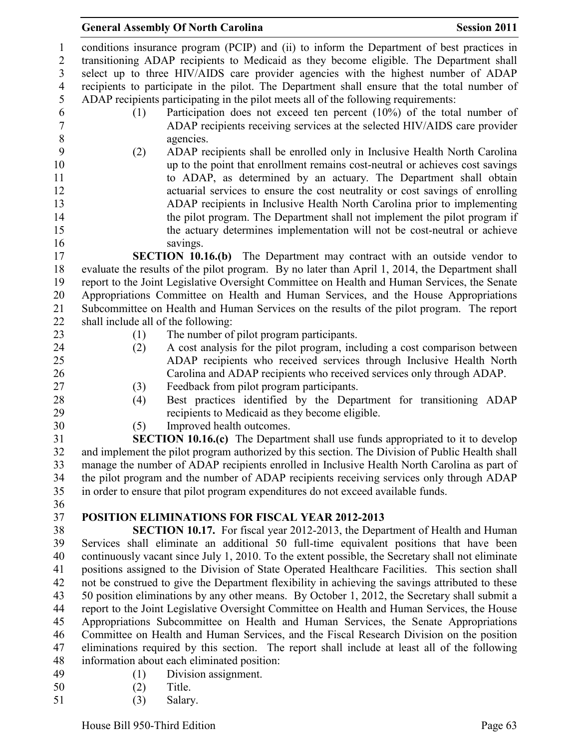conditions insurance program (PCIP) and (ii) to inform the Department of best practices in transitioning ADAP recipients to Medicaid as they become eligible. The Department shall select up to three HIV/AIDS care provider agencies with the highest number of ADAP recipients to participate in the pilot. The Department shall ensure that the total number of ADAP recipients participating in the pilot meets all of the following requirements: (1) Participation does not exceed ten percent (10%) of the total number of ADAP recipients receiving services at the selected HIV/AIDS care provider agencies. (2) ADAP recipients shall be enrolled only in Inclusive Health North Carolina up to the point that enrollment remains cost-neutral or achieves cost savings to ADAP, as determined by an actuary. The Department shall obtain actuarial services to ensure the cost neutrality or cost savings of enrolling ADAP recipients in Inclusive Health North Carolina prior to implementing the pilot program. The Department shall not implement the pilot program if the actuary determines implementation will not be cost-neutral or achieve 16 savings. **SECTION 10.16.(b)** The Department may contract with an outside vendor to evaluate the results of the pilot program. By no later than April 1, 2014, the Department shall report to the Joint Legislative Oversight Committee on Health and Human Services, the Senate Appropriations Committee on Health and Human Services, and the House Appropriations Subcommittee on Health and Human Services on the results of the pilot program. The report shall include all of the following: 23 (1) The number of pilot program participants. (2) A cost analysis for the pilot program, including a cost comparison between ADAP recipients who received services through Inclusive Health North Carolina and ADAP recipients who received services only through ADAP. (3) Feedback from pilot program participants. (4) Best practices identified by the Department for transitioning ADAP recipients to Medicaid as they become eligible. (5) Improved health outcomes. **SECTION 10.16.(c)** The Department shall use funds appropriated to it to develop and implement the pilot program authorized by this section. The Division of Public Health shall manage the number of ADAP recipients enrolled in Inclusive Health North Carolina as part of the pilot program and the number of ADAP recipients receiving services only through ADAP in order to ensure that pilot program expenditures do not exceed available funds. **POSITION ELIMINATIONS FOR FISCAL YEAR 2012-2013 SECTION 10.17.** For fiscal year 2012-2013, the Department of Health and Human Services shall eliminate an additional 50 full-time equivalent positions that have been continuously vacant since July 1, 2010. To the extent possible, the Secretary shall not eliminate positions assigned to the Division of State Operated Healthcare Facilities. This section shall not be construed to give the Department flexibility in achieving the savings attributed to these 50 position eliminations by any other means. By October 1, 2012, the Secretary shall submit a report to the Joint Legislative Oversight Committee on Health and Human Services, the House Appropriations Subcommittee on Health and Human Services, the Senate Appropriations Committee on Health and Human Services, and the Fiscal Research Division on the position eliminations required by this section. The report shall include at least all of the following information about each eliminated position: (1) Division assignment.

- (2) Title.
- (3) Salary.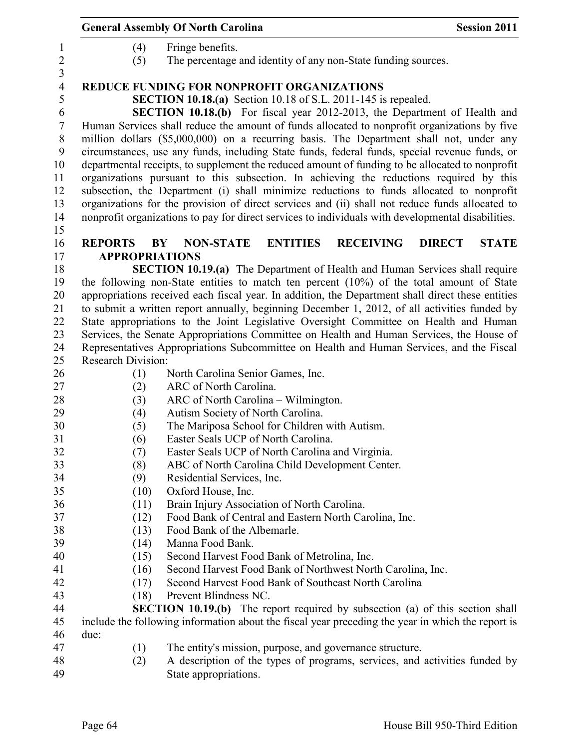|                           | <b>General Assembly Of North Carolina</b>                                                          | <b>Session 2011</b>           |
|---------------------------|----------------------------------------------------------------------------------------------------|-------------------------------|
| (4)                       | Fringe benefits.                                                                                   |                               |
| (5)                       | The percentage and identity of any non-State funding sources.                                      |                               |
|                           | REDUCE FUNDING FOR NONPROFIT ORGANIZATIONS                                                         |                               |
|                           | SECTION 10.18.(a) Section 10.18 of S.L. 2011-145 is repealed.                                      |                               |
|                           | <b>SECTION 10.18.(b)</b> For fiscal year 2012-2013, the Department of Health and                   |                               |
|                           | Human Services shall reduce the amount of funds allocated to nonprofit organizations by five       |                               |
|                           | million dollars (\$5,000,000) on a recurring basis. The Department shall not, under any            |                               |
|                           | circumstances, use any funds, including State funds, federal funds, special revenue funds, or      |                               |
|                           | departmental receipts, to supplement the reduced amount of funding to be allocated to nonprofit    |                               |
|                           | organizations pursuant to this subsection. In achieving the reductions required by this            |                               |
|                           | subsection, the Department (i) shall minimize reductions to funds allocated to nonprofit           |                               |
|                           | organizations for the provision of direct services and (ii) shall not reduce funds allocated to    |                               |
|                           | nonprofit organizations to pay for direct services to individuals with developmental disabilities. |                               |
|                           |                                                                                                    |                               |
| <b>REPORTS</b>            | <b>NON-STATE</b><br><b>ENTITIES</b><br><b>RECEIVING</b><br>BY                                      | <b>DIRECT</b><br><b>STATE</b> |
|                           | <b>APPROPRIATIONS</b>                                                                              |                               |
|                           | <b>SECTION 10.19.(a)</b> The Department of Health and Human Services shall require                 |                               |
|                           | the following non-State entities to match ten percent (10%) of the total amount of State           |                               |
|                           | appropriations received each fiscal year. In addition, the Department shall direct these entities  |                               |
|                           | to submit a written report annually, beginning December 1, 2012, of all activities funded by       |                               |
|                           | State appropriations to the Joint Legislative Oversight Committee on Health and Human              |                               |
|                           | Services, the Senate Appropriations Committee on Health and Human Services, the House of           |                               |
|                           | Representatives Appropriations Subcommittee on Health and Human Services, and the Fiscal           |                               |
| <b>Research Division:</b> |                                                                                                    |                               |
| (1)                       | North Carolina Senior Games, Inc.                                                                  |                               |
| (2)                       | ARC of North Carolina.                                                                             |                               |
| (3)                       | ARC of North Carolina – Wilmington.                                                                |                               |
| (4)                       | Autism Society of North Carolina.                                                                  |                               |
| (5)                       | The Mariposa School for Children with Autism.                                                      |                               |
| (6)                       | Easter Seals UCP of North Carolina.                                                                |                               |
| (7)                       | Easter Seals UCP of North Carolina and Virginia.                                                   |                               |
| (8)                       | ABC of North Carolina Child Development Center.<br>Residential Services, Inc.                      |                               |
| (9)<br>(10)               | Oxford House, Inc.                                                                                 |                               |
| (11)                      | Brain Injury Association of North Carolina.                                                        |                               |
| (12)                      | Food Bank of Central and Eastern North Carolina, Inc.                                              |                               |
| (13)                      | Food Bank of the Albemarle.                                                                        |                               |
| (14)                      | Manna Food Bank.                                                                                   |                               |
| (15)                      | Second Harvest Food Bank of Metrolina, Inc.                                                        |                               |
| (16)                      | Second Harvest Food Bank of Northwest North Carolina, Inc.                                         |                               |
| (17)                      | Second Harvest Food Bank of Southeast North Carolina                                               |                               |
| (18)                      | Prevent Blindness NC.                                                                              |                               |
|                           | <b>SECTION 10.19.(b)</b> The report required by subsection (a) of this section shall               |                               |
|                           | include the following information about the fiscal year preceding the year in which the report is  |                               |
| due:                      |                                                                                                    |                               |
| (1)                       | The entity's mission, purpose, and governance structure.                                           |                               |
| (2)                       | A description of the types of programs, services, and activities funded by                         |                               |
|                           |                                                                                                    |                               |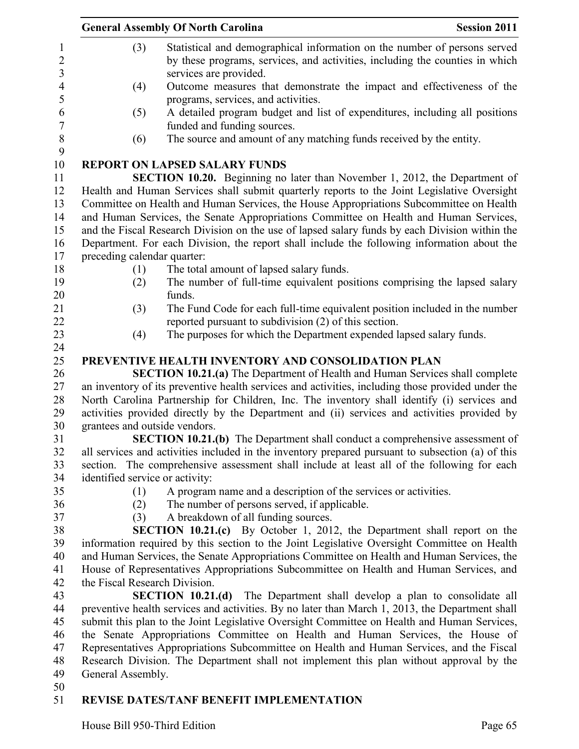|                                           |                                 | <b>General Assembly Of North Carolina</b>                                                                          | <b>Session 2011</b> |
|-------------------------------------------|---------------------------------|--------------------------------------------------------------------------------------------------------------------|---------------------|
| $\mathbf{1}$                              | (3)                             | Statistical and demographical information on the number of persons served                                          |                     |
| $\overline{2}$<br>$\overline{\mathbf{3}}$ |                                 | by these programs, services, and activities, including the counties in which<br>services are provided.             |                     |
| $\overline{4}$<br>5                       | (4)                             | Outcome measures that demonstrate the impact and effectiveness of the                                              |                     |
| 6                                         | (5)                             | programs, services, and activities.<br>A detailed program budget and list of expenditures, including all positions |                     |
| $\overline{7}$<br>$\,$ $\,$               | (6)                             | funded and funding sources.<br>The source and amount of any matching funds received by the entity.                 |                     |
| 9                                         |                                 |                                                                                                                    |                     |
| 10                                        |                                 | <b>REPORT ON LAPSED SALARY FUNDS</b>                                                                               |                     |
| 11                                        |                                 | <b>SECTION 10.20.</b> Beginning no later than November 1, 2012, the Department of                                  |                     |
| 12                                        |                                 | Health and Human Services shall submit quarterly reports to the Joint Legislative Oversight                        |                     |
| 13                                        |                                 | Committee on Health and Human Services, the House Appropriations Subcommittee on Health                            |                     |
| 14                                        |                                 | and Human Services, the Senate Appropriations Committee on Health and Human Services,                              |                     |
| 15                                        |                                 | and the Fiscal Research Division on the use of lapsed salary funds by each Division within the                     |                     |
| 16                                        |                                 | Department. For each Division, the report shall include the following information about the                        |                     |
| 17                                        | preceding calendar quarter:     |                                                                                                                    |                     |
| 18                                        | (1)                             | The total amount of lapsed salary funds.                                                                           |                     |
| 19                                        | (2)                             | The number of full-time equivalent positions comprising the lapsed salary                                          |                     |
| 20                                        |                                 | funds.                                                                                                             |                     |
| 21                                        | (3)                             | The Fund Code for each full-time equivalent position included in the number                                        |                     |
| 22                                        |                                 | reported pursuant to subdivision (2) of this section.                                                              |                     |
| 23                                        |                                 | The purposes for which the Department expended lapsed salary funds.                                                |                     |
|                                           | (4)                             |                                                                                                                    |                     |
| 24                                        |                                 |                                                                                                                    |                     |
| 25                                        |                                 | PREVENTIVE HEALTH INVENTORY AND CONSOLIDATION PLAN                                                                 |                     |
| 26                                        |                                 | <b>SECTION 10.21.(a)</b> The Department of Health and Human Services shall complete                                |                     |
| 27                                        |                                 | an inventory of its preventive health services and activities, including those provided under the                  |                     |
| 28                                        |                                 | North Carolina Partnership for Children, Inc. The inventory shall identify (i) services and                        |                     |
| 29                                        |                                 | activities provided directly by the Department and (ii) services and activities provided by                        |                     |
| 30                                        | grantees and outside vendors.   |                                                                                                                    |                     |
| 31                                        |                                 | <b>SECTION 10.21.(b)</b> The Department shall conduct a comprehensive assessment of                                |                     |
| 32                                        |                                 | all services and activities included in the inventory prepared pursuant to subsection (a) of this                  |                     |
| 33                                        |                                 | section. The comprehensive assessment shall include at least all of the following for each                         |                     |
| 34                                        | identified service or activity: |                                                                                                                    |                     |
| 35                                        | (1)                             | A program name and a description of the services or activities.                                                    |                     |
| 36                                        | (2)                             | The number of persons served, if applicable.                                                                       |                     |
| 37                                        | (3)                             | A breakdown of all funding sources.                                                                                |                     |
| 38                                        |                                 | <b>SECTION 10.21.(c)</b> By October 1, 2012, the Department shall report on the                                    |                     |
| 39                                        |                                 | information required by this section to the Joint Legislative Oversight Committee on Health                        |                     |
| 40                                        |                                 | and Human Services, the Senate Appropriations Committee on Health and Human Services, the                          |                     |
| 41                                        |                                 | House of Representatives Appropriations Subcommittee on Health and Human Services, and                             |                     |
| 42                                        | the Fiscal Research Division.   |                                                                                                                    |                     |
| 43                                        |                                 | <b>SECTION 10.21.(d)</b> The Department shall develop a plan to consolidate all                                    |                     |
| 44                                        |                                 | preventive health services and activities. By no later than March 1, 2013, the Department shall                    |                     |
| 45                                        |                                 |                                                                                                                    |                     |
|                                           |                                 | submit this plan to the Joint Legislative Oversight Committee on Health and Human Services,                        |                     |
| 46                                        |                                 | the Senate Appropriations Committee on Health and Human Services, the House of                                     |                     |
| 47                                        |                                 | Representatives Appropriations Subcommittee on Health and Human Services, and the Fiscal                           |                     |
| 48                                        |                                 | Research Division. The Department shall not implement this plan without approval by the                            |                     |
| 49                                        | General Assembly.               |                                                                                                                    |                     |
| 50                                        |                                 |                                                                                                                    |                     |
| 51                                        |                                 | <b>REVISE DATES/TANF BENEFIT IMPLEMENTATION</b>                                                                    |                     |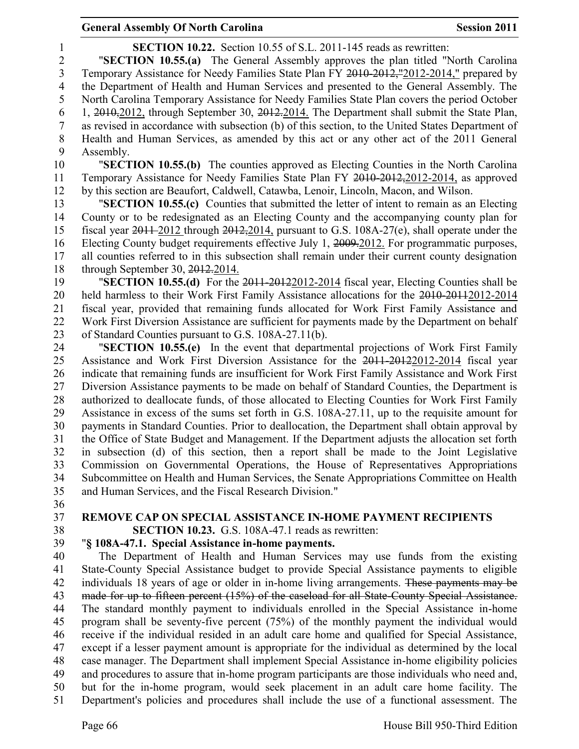**SECTION 10.22.** Section 10.55 of S.L. 2011-145 reads as rewritten: "**SECTION 10.55.(a)** The General Assembly approves the plan titled "North Carolina Temporary Assistance for Needy Families State Plan FY 2010-2012,"2012-2014," prepared by the Department of Health and Human Services and presented to the General Assembly. The North Carolina Temporary Assistance for Needy Families State Plan covers the period October 1, 2010,2012, through September 30, 2012.2014. The Department shall submit the State Plan, as revised in accordance with subsection (b) of this section, to the United States Department of Health and Human Services, as amended by this act or any other act of the 2011 General Assembly. "**SECTION 10.55.(b)** The counties approved as Electing Counties in the North Carolina Temporary Assistance for Needy Families State Plan FY 2010-2012,2012-2014, as approved by this section are Beaufort, Caldwell, Catawba, Lenoir, Lincoln, Macon, and Wilson. "**SECTION 10.55.(c)** Counties that submitted the letter of intent to remain as an Electing County or to be redesignated as an Electing County and the accompanying county plan for fiscal year 2011 2012 through 2012,2014, pursuant to G.S. 108A-27(e), shall operate under the Electing County budget requirements effective July 1, 2009.2012. For programmatic purposes, all counties referred to in this subsection shall remain under their current county designation through September 30, 2012.2014. "**SECTION 10.55.(d)** For the 2011-20122012-2014 fiscal year, Electing Counties shall be 20 held harmless to their Work First Family Assistance allocations for the 2010-2011-2012-2014 fiscal year, provided that remaining funds allocated for Work First Family Assistance and Work First Diversion Assistance are sufficient for payments made by the Department on behalf of Standard Counties pursuant to G.S. 108A-27.11(b). "**SECTION 10.55.(e)** In the event that departmental projections of Work First Family Assistance and Work First Diversion Assistance for the 2011-20122012-2014 fiscal year indicate that remaining funds are insufficient for Work First Family Assistance and Work First Diversion Assistance payments to be made on behalf of Standard Counties, the Department is authorized to deallocate funds, of those allocated to Electing Counties for Work First Family Assistance in excess of the sums set forth in G.S. 108A-27.11, up to the requisite amount for payments in Standard Counties. Prior to deallocation, the Department shall obtain approval by the Office of State Budget and Management. If the Department adjusts the allocation set forth in subsection (d) of this section, then a report shall be made to the Joint Legislative Commission on Governmental Operations, the House of Representatives Appropriations Subcommittee on Health and Human Services, the Senate Appropriations Committee on Health and Human Services, and the Fiscal Research Division." **REMOVE CAP ON SPECIAL ASSISTANCE IN-HOME PAYMENT RECIPIENTS SECTION 10.23.** G.S. 108A-47.1 reads as rewritten: "**§ 108A-47.1. Special Assistance in-home payments.**  The Department of Health and Human Services may use funds from the existing State-County Special Assistance budget to provide Special Assistance payments to eligible 42 individuals 18 years of age or older in in-home living arrangements. These payments may be made for up to fifteen percent (15%) of the caseload for all State-County Special Assistance. The standard monthly payment to individuals enrolled in the Special Assistance in-home program shall be seventy-five percent (75%) of the monthly payment the individual would receive if the individual resided in an adult care home and qualified for Special Assistance, except if a lesser payment amount is appropriate for the individual as determined by the local case manager. The Department shall implement Special Assistance in-home eligibility policies and procedures to assure that in-home program participants are those individuals who need and, but for the in-home program, would seek placement in an adult care home facility. The Department's policies and procedures shall include the use of a functional assessment. The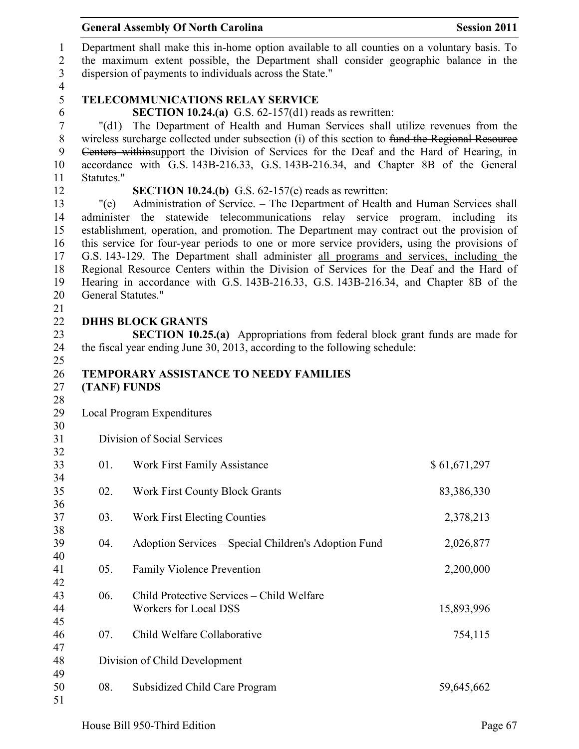|                                                                                       |                            | <b>General Assembly Of North Carolina</b>                                                                                                                                                                                                                                                                                                                                                                                                                                                                                                                                                                                                                                                                    | <b>Session 2011</b> |  |
|---------------------------------------------------------------------------------------|----------------------------|--------------------------------------------------------------------------------------------------------------------------------------------------------------------------------------------------------------------------------------------------------------------------------------------------------------------------------------------------------------------------------------------------------------------------------------------------------------------------------------------------------------------------------------------------------------------------------------------------------------------------------------------------------------------------------------------------------------|---------------------|--|
| $\mathbf{1}$<br>$\overline{2}$<br>$\overline{\mathbf{3}}$<br>$\overline{\mathcal{A}}$ |                            | Department shall make this in-home option available to all counties on a voluntary basis. To<br>the maximum extent possible, the Department shall consider geographic balance in the<br>dispersion of payments to individuals across the State."                                                                                                                                                                                                                                                                                                                                                                                                                                                             |                     |  |
| 5<br>6<br>$\sqrt{ }$<br>$\,8\,$<br>9<br>10<br>11                                      | " $(d1)$<br>Statutes."     | <b>TELECOMMUNICATIONS RELAY SERVICE</b><br><b>SECTION 10.24.(a)</b> G.S. $62-157(d1)$ reads as rewritten:<br>The Department of Health and Human Services shall utilize revenues from the<br>wireless surcharge collected under subsection (i) of this section to fund the Regional Resource<br>Centers withinsupport the Division of Services for the Deaf and the Hard of Hearing, in<br>accordance with G.S. 143B-216.33, G.S. 143B-216.34, and Chapter 8B of the General                                                                                                                                                                                                                                  |                     |  |
| 12<br>13<br>14<br>15<br>16<br>17<br>18<br>19<br>20                                    | "(e)<br>General Statutes." | <b>SECTION 10.24.(b)</b> G.S. $62-157(e)$ reads as rewritten:<br>Administration of Service. - The Department of Health and Human Services shall<br>administer the statewide telecommunications relay service program, including its<br>establishment, operation, and promotion. The Department may contract out the provision of<br>this service for four-year periods to one or more service providers, using the provisions of<br>G.S. 143-129. The Department shall administer all programs and services, including the<br>Regional Resource Centers within the Division of Services for the Deaf and the Hard of<br>Hearing in accordance with G.S. 143B-216.33, G.S. 143B-216.34, and Chapter 8B of the |                     |  |
| 21<br>22<br>23<br>24<br>25                                                            |                            | <b>DHHS BLOCK GRANTS</b><br><b>SECTION 10.25.(a)</b> Appropriations from federal block grant funds are made for<br>the fiscal year ending June 30, 2013, according to the following schedule:                                                                                                                                                                                                                                                                                                                                                                                                                                                                                                                |                     |  |
| 26<br>27<br>28                                                                        | (TANF) FUNDS               | <b>TEMPORARY ASSISTANCE TO NEEDY FAMILIES</b>                                                                                                                                                                                                                                                                                                                                                                                                                                                                                                                                                                                                                                                                |                     |  |
| 29<br>30                                                                              |                            | Local Program Expenditures                                                                                                                                                                                                                                                                                                                                                                                                                                                                                                                                                                                                                                                                                   |                     |  |
| 31<br>32                                                                              |                            | Division of Social Services                                                                                                                                                                                                                                                                                                                                                                                                                                                                                                                                                                                                                                                                                  |                     |  |
| 33<br>34                                                                              | 01.                        | Work First Family Assistance                                                                                                                                                                                                                                                                                                                                                                                                                                                                                                                                                                                                                                                                                 | \$61,671,297        |  |
| 35<br>36                                                                              | 02.                        | <b>Work First County Block Grants</b>                                                                                                                                                                                                                                                                                                                                                                                                                                                                                                                                                                                                                                                                        | 83,386,330          |  |
| 37<br>38                                                                              | 03.                        | <b>Work First Electing Counties</b>                                                                                                                                                                                                                                                                                                                                                                                                                                                                                                                                                                                                                                                                          | 2,378,213           |  |
| 39<br>40                                                                              | 04.                        | Adoption Services – Special Children's Adoption Fund                                                                                                                                                                                                                                                                                                                                                                                                                                                                                                                                                                                                                                                         | 2,026,877           |  |
| 41                                                                                    | 05.                        | <b>Family Violence Prevention</b>                                                                                                                                                                                                                                                                                                                                                                                                                                                                                                                                                                                                                                                                            | 2,200,000           |  |
| 42<br>43<br>44<br>45                                                                  | 06.                        | Child Protective Services - Child Welfare<br><b>Workers for Local DSS</b>                                                                                                                                                                                                                                                                                                                                                                                                                                                                                                                                                                                                                                    | 15,893,996          |  |
| 46                                                                                    | 07.                        | Child Welfare Collaborative                                                                                                                                                                                                                                                                                                                                                                                                                                                                                                                                                                                                                                                                                  | 754,115             |  |
| 47<br>48                                                                              |                            | Division of Child Development                                                                                                                                                                                                                                                                                                                                                                                                                                                                                                                                                                                                                                                                                |                     |  |
| 49<br>50<br>51                                                                        | 08.                        | Subsidized Child Care Program                                                                                                                                                                                                                                                                                                                                                                                                                                                                                                                                                                                                                                                                                | 59,645,662          |  |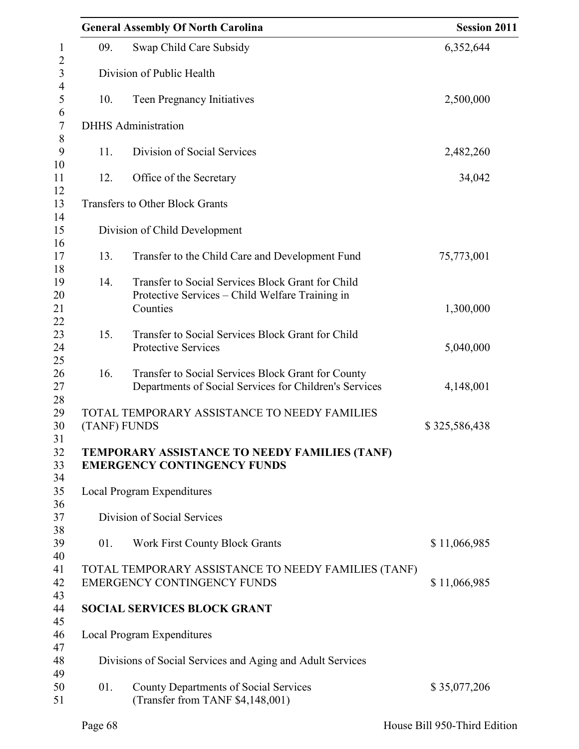| <b>General Assembly Of North Carolina</b> |                                                                                                                  | <b>Session 2011</b> |
|-------------------------------------------|------------------------------------------------------------------------------------------------------------------|---------------------|
| 09.                                       | Swap Child Care Subsidy                                                                                          | 6,352,644           |
|                                           | Division of Public Health                                                                                        |                     |
| 10.                                       | <b>Teen Pregnancy Initiatives</b>                                                                                | 2,500,000           |
|                                           | <b>DHHS</b> Administration                                                                                       |                     |
| 11.                                       | Division of Social Services                                                                                      | 2,482,260           |
| 12.                                       | Office of the Secretary                                                                                          | 34,042              |
|                                           | <b>Transfers to Other Block Grants</b>                                                                           |                     |
|                                           | Division of Child Development                                                                                    |                     |
| 13.                                       | Transfer to the Child Care and Development Fund                                                                  | 75,773,001          |
| 14.                                       | Transfer to Social Services Block Grant for Child<br>Protective Services – Child Welfare Training in<br>Counties | 1,300,000           |
| 15.                                       | Transfer to Social Services Block Grant for Child<br>Protective Services                                         | 5,040,000           |
| 16.                                       | Transfer to Social Services Block Grant for County<br>Departments of Social Services for Children's Services     | 4,148,001           |
| (TANF) FUNDS                              | TOTAL TEMPORARY ASSISTANCE TO NEEDY FAMILIES                                                                     | \$325,586,438       |
|                                           | TEMPORARY ASSISTANCE TO NEEDY FAMILIES (TANF)<br><b>EMERGENCY CONTINGENCY FUNDS</b>                              |                     |
|                                           | Local Program Expenditures                                                                                       |                     |
|                                           | Division of Social Services                                                                                      |                     |
| 01.                                       | <b>Work First County Block Grants</b>                                                                            | \$11,066,985        |
|                                           | TOTAL TEMPORARY ASSISTANCE TO NEEDY FAMILIES (TANF)<br><b>EMERGENCY CONTINGENCY FUNDS</b>                        | \$11,066,985        |
|                                           | <b>SOCIAL SERVICES BLOCK GRANT</b>                                                                               |                     |
|                                           | Local Program Expenditures                                                                                       |                     |
|                                           | Divisions of Social Services and Aging and Adult Services                                                        |                     |
| 01.                                       | <b>County Departments of Social Services</b><br>(Transfer from TANF \$4,148,001)                                 | \$35,077,206        |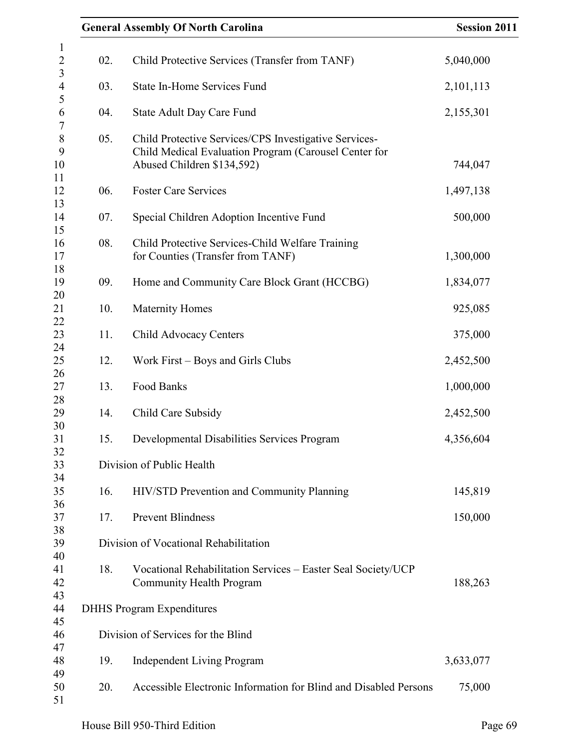|     | <b>General Assembly Of North Carolina</b>                                                                                                    |           |
|-----|----------------------------------------------------------------------------------------------------------------------------------------------|-----------|
| 02. | Child Protective Services (Transfer from TANF)                                                                                               | 5,040,000 |
| 03. | State In-Home Services Fund                                                                                                                  | 2,101,113 |
| 04. | <b>State Adult Day Care Fund</b>                                                                                                             | 2,155,301 |
| 05. | Child Protective Services/CPS Investigative Services-<br>Child Medical Evaluation Program (Carousel Center for<br>Abused Children \$134,592) | 744,047   |
| 06. | <b>Foster Care Services</b>                                                                                                                  | 1,497,138 |
| 07. | Special Children Adoption Incentive Fund                                                                                                     | 500,000   |
| 08. | Child Protective Services-Child Welfare Training<br>for Counties (Transfer from TANF)                                                        | 1,300,000 |
| 09. | Home and Community Care Block Grant (HCCBG)                                                                                                  | 1,834,077 |
| 10. | <b>Maternity Homes</b>                                                                                                                       | 925,085   |
| 11. | <b>Child Advocacy Centers</b>                                                                                                                | 375,000   |
| 12. | Work First – Boys and Girls Clubs                                                                                                            | 2,452,500 |
| 13. | Food Banks                                                                                                                                   | 1,000,000 |
| 14. | Child Care Subsidy                                                                                                                           | 2,452,500 |
| 15. | Developmental Disabilities Services Program                                                                                                  | 4,356,604 |
|     | Division of Public Health                                                                                                                    |           |
| 16. | HIV/STD Prevention and Community Planning                                                                                                    | 145,819   |
| 17. | <b>Prevent Blindness</b>                                                                                                                     | 150,000   |
|     | Division of Vocational Rehabilitation                                                                                                        |           |
| 18. | Vocational Rehabilitation Services – Easter Seal Society/UCP<br>Community Health Program                                                     | 188,263   |
|     | <b>DHHS Program Expenditures</b>                                                                                                             |           |
|     | Division of Services for the Blind                                                                                                           |           |
| 19. | <b>Independent Living Program</b>                                                                                                            | 3,633,077 |
| 20. | Accessible Electronic Information for Blind and Disabled Persons                                                                             | 75,000    |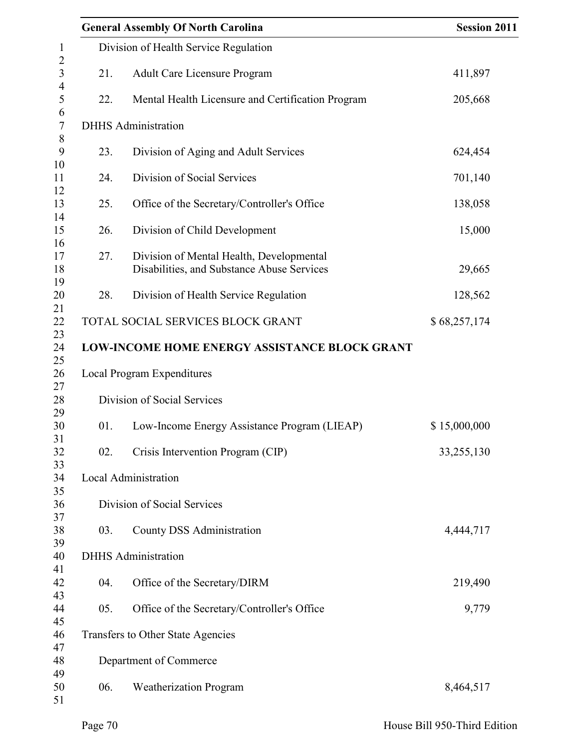| <b>General Assembly Of North Carolina</b> |                                                                                        | <b>Session 2011</b> |
|-------------------------------------------|----------------------------------------------------------------------------------------|---------------------|
|                                           | Division of Health Service Regulation                                                  |                     |
| 21.                                       | <b>Adult Care Licensure Program</b>                                                    | 411,897             |
| 22.                                       | Mental Health Licensure and Certification Program                                      | 205,668             |
|                                           | <b>DHHS</b> Administration                                                             |                     |
| 23.                                       | Division of Aging and Adult Services                                                   | 624,454             |
| 24.                                       | Division of Social Services                                                            | 701,140             |
| 25.                                       | Office of the Secretary/Controller's Office                                            | 138,058             |
| 26.                                       | Division of Child Development                                                          | 15,000              |
| 27.                                       | Division of Mental Health, Developmental<br>Disabilities, and Substance Abuse Services | 29,665              |
| 28.                                       | Division of Health Service Regulation                                                  | 128,562             |
|                                           | TOTAL SOCIAL SERVICES BLOCK GRANT                                                      | \$68,257,174        |
|                                           | <b>LOW-INCOME HOME ENERGY ASSISTANCE BLOCK GRANT</b>                                   |                     |
|                                           | Local Program Expenditures                                                             |                     |
|                                           | Division of Social Services                                                            |                     |
| 01.                                       | Low-Income Energy Assistance Program (LIEAP)                                           | \$15,000,000        |
| 02.                                       | Crisis Intervention Program (CIP)                                                      | 33,255,130          |
|                                           | Local Administration                                                                   |                     |
|                                           | Division of Social Services                                                            |                     |
| 03.                                       | County DSS Administration                                                              | 4,444,717           |
|                                           | <b>DHHS</b> Administration                                                             |                     |
| 04.                                       | Office of the Secretary/DIRM                                                           | 219,490             |
| 05.                                       | Office of the Secretary/Controller's Office                                            | 9,779               |
|                                           | Transfers to Other State Agencies                                                      |                     |
|                                           | Department of Commerce                                                                 |                     |
| 06.                                       | <b>Weatherization Program</b>                                                          | 8,464,517           |
|                                           |                                                                                        |                     |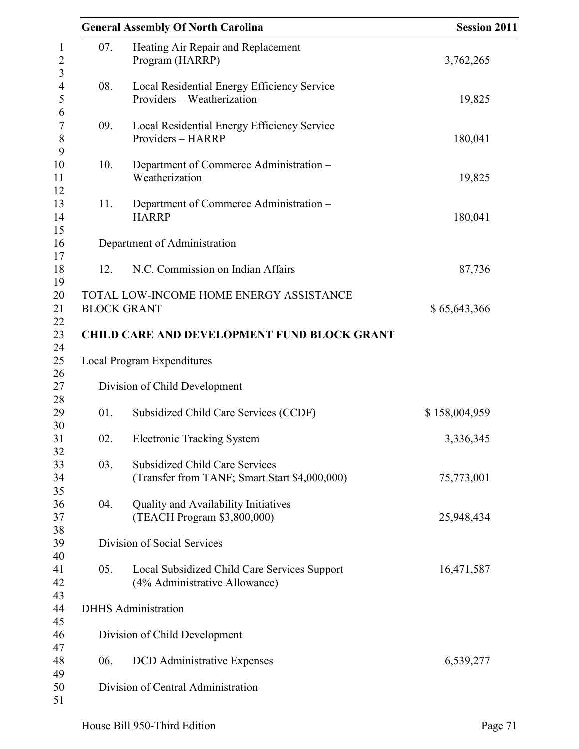|     | <b>General Assembly Of North Carolina</b>                                              | <b>Session 2011</b> |
|-----|----------------------------------------------------------------------------------------|---------------------|
| 07. | Heating Air Repair and Replacement<br>Program (HARRP)                                  | 3,762,265           |
| 08. | Local Residential Energy Efficiency Service<br>Providers - Weatherization              | 19,825              |
| 09. | Local Residential Energy Efficiency Service<br>Providers - HARRP                       | 180,041             |
| 10. | Department of Commerce Administration -<br>Weatherization                              | 19,825              |
| 11. | Department of Commerce Administration -<br><b>HARRP</b>                                | 180,041             |
|     | Department of Administration                                                           |                     |
| 12. | N.C. Commission on Indian Affairs                                                      | 87,736              |
|     | TOTAL LOW-INCOME HOME ENERGY ASSISTANCE<br><b>BLOCK GRANT</b>                          | \$65,643,366        |
|     | <b>CHILD CARE AND DEVELOPMENT FUND BLOCK GRANT</b>                                     |                     |
|     | Local Program Expenditures                                                             |                     |
|     | Division of Child Development                                                          |                     |
| 01. | Subsidized Child Care Services (CCDF)                                                  | \$158,004,959       |
| 02. | <b>Electronic Tracking System</b>                                                      | 3,336,345           |
| 03. | <b>Subsidized Child Care Services</b><br>(Transfer from TANF; Smart Start \$4,000,000) | 75,773,001          |
| 04. | Quality and Availability Initiatives<br>(TEACH Program \$3,800,000)                    | 25,948,434          |
|     | Division of Social Services                                                            |                     |
| 05. | Local Subsidized Child Care Services Support<br>(4% Administrative Allowance)          | 16,471,587          |
|     | <b>DHHS</b> Administration                                                             |                     |
|     | Division of Child Development                                                          |                     |
| 06. | <b>DCD</b> Administrative Expenses                                                     | 6,539,277           |
|     | Division of Central Administration                                                     |                     |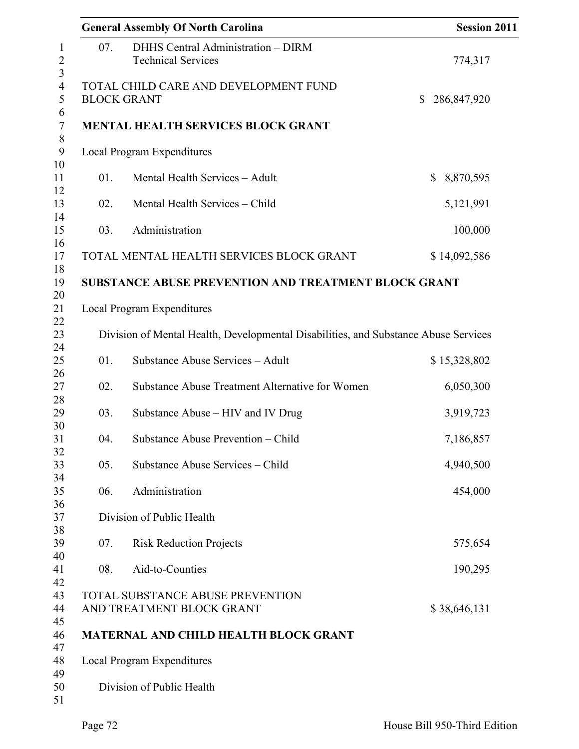| <b>General Assembly Of North Carolina</b> |                                                                                     | <b>Session 2011</b>         |
|-------------------------------------------|-------------------------------------------------------------------------------------|-----------------------------|
| 07.                                       | <b>DHHS Central Administration - DIRM</b><br><b>Technical Services</b>              | 774,317                     |
|                                           | TOTAL CHILD CARE AND DEVELOPMENT FUND<br><b>BLOCK GRANT</b>                         | $\mathbb{S}$<br>286,847,920 |
|                                           | <b>MENTAL HEALTH SERVICES BLOCK GRANT</b>                                           |                             |
|                                           | Local Program Expenditures                                                          |                             |
| 01.                                       | Mental Health Services - Adult                                                      | $\mathbb{S}$<br>8,870,595   |
| 02.                                       | Mental Health Services - Child                                                      | 5,121,991                   |
| 03.                                       | Administration                                                                      | 100,000                     |
|                                           | TOTAL MENTAL HEALTH SERVICES BLOCK GRANT                                            | \$14,092,586                |
|                                           | SUBSTANCE ABUSE PREVENTION AND TREATMENT BLOCK GRANT                                |                             |
|                                           | Local Program Expenditures                                                          |                             |
|                                           | Division of Mental Health, Developmental Disabilities, and Substance Abuse Services |                             |
| 01.                                       | Substance Abuse Services - Adult                                                    | \$15,328,802                |
| 02.                                       | Substance Abuse Treatment Alternative for Women                                     | 6,050,300                   |
| 03.                                       | Substance Abuse – HIV and IV Drug                                                   | 3,919,723                   |
| 04.                                       | Substance Abuse Prevention - Child                                                  | 7,186,857                   |
| 05.                                       | Substance Abuse Services - Child                                                    | 4,940,500                   |
| 06.                                       | Administration                                                                      | 454,000                     |
|                                           | Division of Public Health                                                           |                             |
| 07.                                       | <b>Risk Reduction Projects</b>                                                      | 575,654                     |
| 08.                                       | Aid-to-Counties                                                                     | 190,295                     |
|                                           | TOTAL SUBSTANCE ABUSE PREVENTION<br>AND TREATMENT BLOCK GRANT                       | \$38,646,131                |
|                                           | <b>MATERNAL AND CHILD HEALTH BLOCK GRANT</b>                                        |                             |
|                                           | Local Program Expenditures                                                          |                             |
|                                           | Division of Public Health                                                           |                             |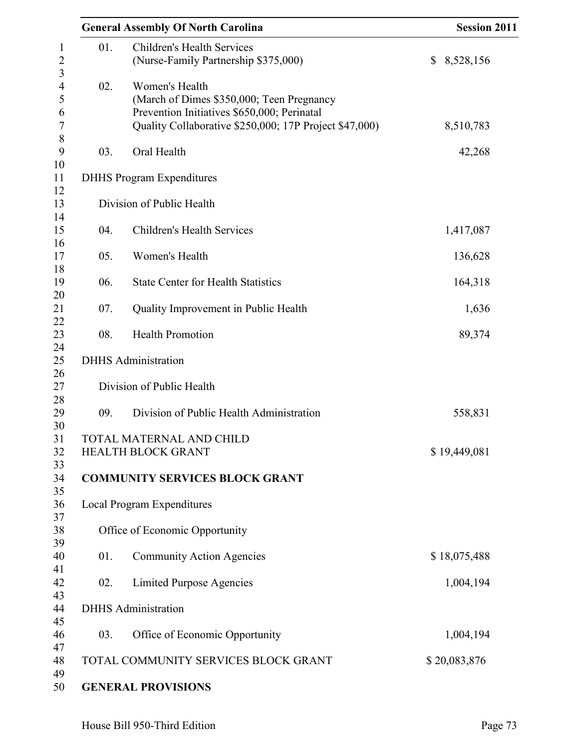| <b>General Assembly Of North Carolina</b> | <b>Session 2011</b>                                                                                                                                                                                                                                                                                                                                                                                                                                                                                                                                                                                                                                                                                                                                                                                                                                                                                                |
|-------------------------------------------|--------------------------------------------------------------------------------------------------------------------------------------------------------------------------------------------------------------------------------------------------------------------------------------------------------------------------------------------------------------------------------------------------------------------------------------------------------------------------------------------------------------------------------------------------------------------------------------------------------------------------------------------------------------------------------------------------------------------------------------------------------------------------------------------------------------------------------------------------------------------------------------------------------------------|
|                                           | \$<br>8,528,156                                                                                                                                                                                                                                                                                                                                                                                                                                                                                                                                                                                                                                                                                                                                                                                                                                                                                                    |
|                                           | 8,510,783                                                                                                                                                                                                                                                                                                                                                                                                                                                                                                                                                                                                                                                                                                                                                                                                                                                                                                          |
|                                           | 42,268                                                                                                                                                                                                                                                                                                                                                                                                                                                                                                                                                                                                                                                                                                                                                                                                                                                                                                             |
|                                           |                                                                                                                                                                                                                                                                                                                                                                                                                                                                                                                                                                                                                                                                                                                                                                                                                                                                                                                    |
|                                           |                                                                                                                                                                                                                                                                                                                                                                                                                                                                                                                                                                                                                                                                                                                                                                                                                                                                                                                    |
|                                           | 1,417,087                                                                                                                                                                                                                                                                                                                                                                                                                                                                                                                                                                                                                                                                                                                                                                                                                                                                                                          |
|                                           | 136,628                                                                                                                                                                                                                                                                                                                                                                                                                                                                                                                                                                                                                                                                                                                                                                                                                                                                                                            |
|                                           | 164,318                                                                                                                                                                                                                                                                                                                                                                                                                                                                                                                                                                                                                                                                                                                                                                                                                                                                                                            |
|                                           | 1,636                                                                                                                                                                                                                                                                                                                                                                                                                                                                                                                                                                                                                                                                                                                                                                                                                                                                                                              |
|                                           | 89,374                                                                                                                                                                                                                                                                                                                                                                                                                                                                                                                                                                                                                                                                                                                                                                                                                                                                                                             |
|                                           |                                                                                                                                                                                                                                                                                                                                                                                                                                                                                                                                                                                                                                                                                                                                                                                                                                                                                                                    |
|                                           |                                                                                                                                                                                                                                                                                                                                                                                                                                                                                                                                                                                                                                                                                                                                                                                                                                                                                                                    |
|                                           | 558,831                                                                                                                                                                                                                                                                                                                                                                                                                                                                                                                                                                                                                                                                                                                                                                                                                                                                                                            |
|                                           |                                                                                                                                                                                                                                                                                                                                                                                                                                                                                                                                                                                                                                                                                                                                                                                                                                                                                                                    |
|                                           | \$19,449,081                                                                                                                                                                                                                                                                                                                                                                                                                                                                                                                                                                                                                                                                                                                                                                                                                                                                                                       |
|                                           |                                                                                                                                                                                                                                                                                                                                                                                                                                                                                                                                                                                                                                                                                                                                                                                                                                                                                                                    |
|                                           |                                                                                                                                                                                                                                                                                                                                                                                                                                                                                                                                                                                                                                                                                                                                                                                                                                                                                                                    |
|                                           |                                                                                                                                                                                                                                                                                                                                                                                                                                                                                                                                                                                                                                                                                                                                                                                                                                                                                                                    |
|                                           | \$18,075,488                                                                                                                                                                                                                                                                                                                                                                                                                                                                                                                                                                                                                                                                                                                                                                                                                                                                                                       |
|                                           | 1,004,194                                                                                                                                                                                                                                                                                                                                                                                                                                                                                                                                                                                                                                                                                                                                                                                                                                                                                                          |
|                                           |                                                                                                                                                                                                                                                                                                                                                                                                                                                                                                                                                                                                                                                                                                                                                                                                                                                                                                                    |
|                                           | 1,004,194                                                                                                                                                                                                                                                                                                                                                                                                                                                                                                                                                                                                                                                                                                                                                                                                                                                                                                          |
|                                           | \$20,083,876                                                                                                                                                                                                                                                                                                                                                                                                                                                                                                                                                                                                                                                                                                                                                                                                                                                                                                       |
|                                           |                                                                                                                                                                                                                                                                                                                                                                                                                                                                                                                                                                                                                                                                                                                                                                                                                                                                                                                    |
| Oral Health                               | <b>Children's Health Services</b><br>(Nurse-Family Partnership \$375,000)<br>Women's Health<br>(March of Dimes \$350,000; Teen Pregnancy<br>Prevention Initiatives \$650,000; Perinatal<br>Quality Collaborative \$250,000; 17P Project \$47,000)<br><b>DHHS</b> Program Expenditures<br>Division of Public Health<br><b>Children's Health Services</b><br>Women's Health<br><b>State Center for Health Statistics</b><br>Quality Improvement in Public Health<br><b>Health Promotion</b><br>Division of Public Health<br>Division of Public Health Administration<br><b>TOTAL MATERNAL AND CHILD</b><br>HEALTH BLOCK GRANT<br><b>COMMUNITY SERVICES BLOCK GRANT</b><br>Local Program Expenditures<br>Office of Economic Opportunity<br><b>Community Action Agencies</b><br><b>Limited Purpose Agencies</b><br>Office of Economic Opportunity<br>TOTAL COMMUNITY SERVICES BLOCK GRANT<br><b>GENERAL PROVISIONS</b> |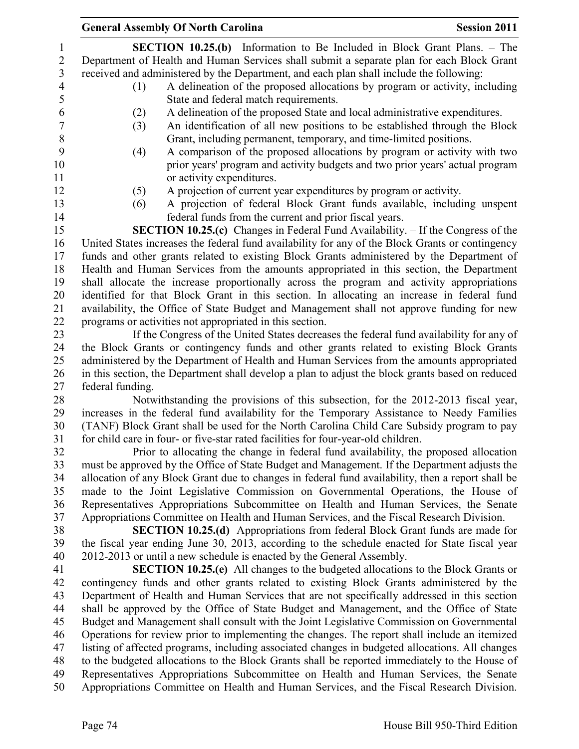| <b>General Assembly Of North Carolina</b><br><b>Session 2011</b>                                                                                                               |
|--------------------------------------------------------------------------------------------------------------------------------------------------------------------------------|
| <b>SECTION 10.25.(b)</b> Information to Be Included in Block Grant Plans. – The                                                                                                |
| Department of Health and Human Services shall submit a separate plan for each Block Grant                                                                                      |
| received and administered by the Department, and each plan shall include the following:                                                                                        |
| A delineation of the proposed allocations by program or activity, including<br>(1)                                                                                             |
| State and federal match requirements.                                                                                                                                          |
| A delineation of the proposed State and local administrative expenditures.<br>(2)                                                                                              |
| An identification of all new positions to be established through the Block<br>(3)                                                                                              |
| Grant, including permanent, temporary, and time-limited positions.                                                                                                             |
| A comparison of the proposed allocations by program or activity with two<br>(4)                                                                                                |
| prior years' program and activity budgets and two prior years' actual program                                                                                                  |
| or activity expenditures.                                                                                                                                                      |
| A projection of current year expenditures by program or activity.<br>(5)                                                                                                       |
| A projection of federal Block Grant funds available, including unspent<br>(6)                                                                                                  |
| federal funds from the current and prior fiscal years.                                                                                                                         |
| <b>SECTION 10.25.(c)</b> Changes in Federal Fund Availability. – If the Congress of the                                                                                        |
| United States increases the federal fund availability for any of the Block Grants or contingency                                                                               |
| funds and other grants related to existing Block Grants administered by the Department of                                                                                      |
| Health and Human Services from the amounts appropriated in this section, the Department                                                                                        |
| shall allocate the increase proportionally across the program and activity appropriations                                                                                      |
| identified for that Block Grant in this section. In allocating an increase in federal fund                                                                                     |
| availability, the Office of State Budget and Management shall not approve funding for new                                                                                      |
| programs or activities not appropriated in this section.                                                                                                                       |
| If the Congress of the United States decreases the federal fund availability for any of                                                                                        |
| the Block Grants or contingency funds and other grants related to existing Block Grants                                                                                        |
| administered by the Department of Health and Human Services from the amounts appropriated                                                                                      |
| in this section, the Department shall develop a plan to adjust the block grants based on reduced                                                                               |
| federal funding.                                                                                                                                                               |
| Notwithstanding the provisions of this subsection, for the 2012-2013 fiscal year,<br>increases in the federal fund availability for the Temporary Assistance to Needy Families |
| (TANF) Block Grant shall be used for the North Carolina Child Care Subsidy program to pay                                                                                      |
| for child care in four- or five-star rated facilities for four-year-old children.                                                                                              |
| Prior to allocating the change in federal fund availability, the proposed allocation                                                                                           |
| must be approved by the Office of State Budget and Management. If the Department adjusts the                                                                                   |
| allocation of any Block Grant due to changes in federal fund availability, then a report shall be                                                                              |
| made to the Joint Legislative Commission on Governmental Operations, the House of                                                                                              |
| Representatives Appropriations Subcommittee on Health and Human Services, the Senate                                                                                           |
| Appropriations Committee on Health and Human Services, and the Fiscal Research Division.                                                                                       |
| <b>SECTION 10.25.(d)</b> Appropriations from federal Block Grant funds are made for                                                                                            |
| the fiscal year ending June 30, 2013, according to the schedule enacted for State fiscal year                                                                                  |
| 2012-2013 or until a new schedule is enacted by the General Assembly.                                                                                                          |
| <b>SECTION 10.25.(e)</b> All changes to the budgeted allocations to the Block Grants or                                                                                        |
| contingency funds and other grants related to existing Block Grants administered by the                                                                                        |
| Department of Health and Human Services that are not specifically addressed in this section                                                                                    |
| shall be approved by the Office of State Budget and Management, and the Office of State                                                                                        |
| Budget and Management shall consult with the Joint Legislative Commission on Governmental                                                                                      |
| Operations for review prior to implementing the changes. The report shall include an itemized                                                                                  |
| listing of affected programs, including associated changes in budgeted allocations. All changes                                                                                |
| to the budgeted allocations to the Block Grants shall be reported immediately to the House of                                                                                  |
| Representatives Appropriations Subcommittee on Health and Human Services, the Senate                                                                                           |
| Appropriations Committee on Health and Human Services, and the Fiscal Research Division.                                                                                       |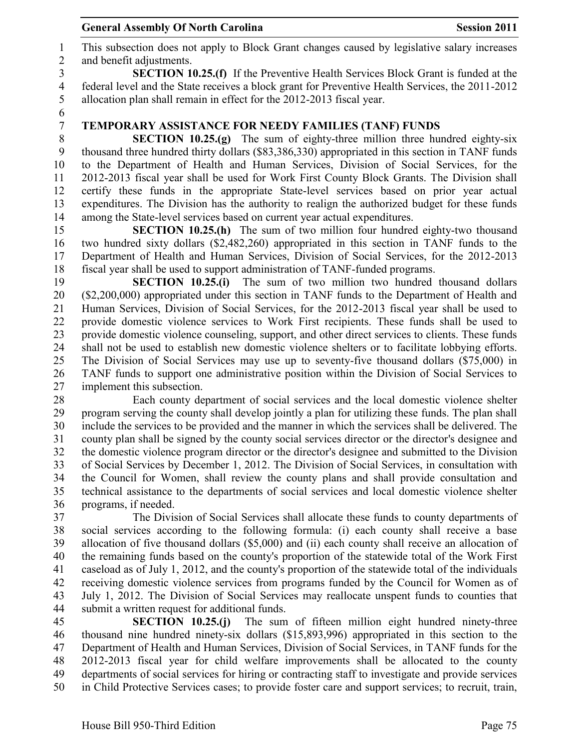This subsection does not apply to Block Grant changes caused by legislative salary increases and benefit adjustments.

 **SECTION 10.25.(f)** If the Preventive Health Services Block Grant is funded at the federal level and the State receives a block grant for Preventive Health Services, the 2011-2012 allocation plan shall remain in effect for the 2012-2013 fiscal year.

- 
- 

## **TEMPORARY ASSISTANCE FOR NEEDY FAMILIES (TANF) FUNDS**

**SECTION 10.25.(g)** The sum of eighty-three million three hundred eighty-six<br>9 thousand three hundred thirty dollars (\$83,386,330) appropriated in this section in TANF funds thousand three hundred thirty dollars (\$83,386,330) appropriated in this section in TANF funds to the Department of Health and Human Services, Division of Social Services, for the 2012-2013 fiscal year shall be used for Work First County Block Grants. The Division shall certify these funds in the appropriate State-level services based on prior year actual expenditures. The Division has the authority to realign the authorized budget for these funds among the State-level services based on current year actual expenditures.

 **SECTION 10.25.(h)** The sum of two million four hundred eighty-two thousand two hundred sixty dollars (\$2,482,260) appropriated in this section in TANF funds to the Department of Health and Human Services, Division of Social Services, for the 2012-2013 fiscal year shall be used to support administration of TANF-funded programs.

 **SECTION 10.25.(i)** The sum of two million two hundred thousand dollars (\$2,200,000) appropriated under this section in TANF funds to the Department of Health and Human Services, Division of Social Services, for the 2012-2013 fiscal year shall be used to provide domestic violence services to Work First recipients. These funds shall be used to provide domestic violence counseling, support, and other direct services to clients. These funds shall not be used to establish new domestic violence shelters or to facilitate lobbying efforts. The Division of Social Services may use up to seventy-five thousand dollars (\$75,000) in TANF funds to support one administrative position within the Division of Social Services to implement this subsection.

 Each county department of social services and the local domestic violence shelter program serving the county shall develop jointly a plan for utilizing these funds. The plan shall include the services to be provided and the manner in which the services shall be delivered. The county plan shall be signed by the county social services director or the director's designee and the domestic violence program director or the director's designee and submitted to the Division of Social Services by December 1, 2012. The Division of Social Services, in consultation with the Council for Women, shall review the county plans and shall provide consultation and technical assistance to the departments of social services and local domestic violence shelter programs, if needed.

 The Division of Social Services shall allocate these funds to county departments of social services according to the following formula: (i) each county shall receive a base allocation of five thousand dollars (\$5,000) and (ii) each county shall receive an allocation of the remaining funds based on the county's proportion of the statewide total of the Work First caseload as of July 1, 2012, and the county's proportion of the statewide total of the individuals receiving domestic violence services from programs funded by the Council for Women as of July 1, 2012. The Division of Social Services may reallocate unspent funds to counties that submit a written request for additional funds.

 **SECTION 10.25.(j)** The sum of fifteen million eight hundred ninety-three thousand nine hundred ninety-six dollars (\$15,893,996) appropriated in this section to the Department of Health and Human Services, Division of Social Services, in TANF funds for the 2012-2013 fiscal year for child welfare improvements shall be allocated to the county departments of social services for hiring or contracting staff to investigate and provide services in Child Protective Services cases; to provide foster care and support services; to recruit, train,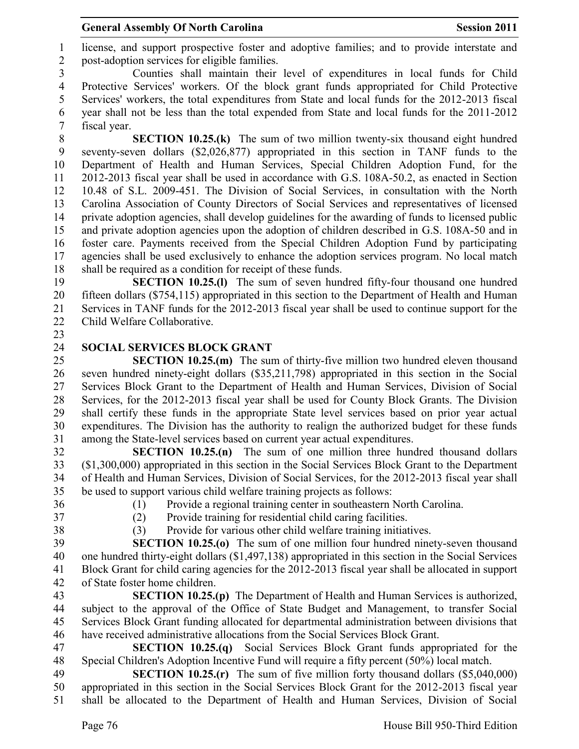license, and support prospective foster and adoptive families; and to provide interstate and post-adoption services for eligible families.

 Counties shall maintain their level of expenditures in local funds for Child Protective Services' workers. Of the block grant funds appropriated for Child Protective Services' workers, the total expenditures from State and local funds for the 2012-2013 fiscal year shall not be less than the total expended from State and local funds for the 2011-2012 fiscal year.

 **SECTION 10.25.(k)** The sum of two million twenty-six thousand eight hundred seventy-seven dollars (\$2,026,877) appropriated in this section in TANF funds to the Department of Health and Human Services, Special Children Adoption Fund, for the 2012-2013 fiscal year shall be used in accordance with G.S. 108A-50.2, as enacted in Section 10.48 of S.L. 2009-451. The Division of Social Services, in consultation with the North Carolina Association of County Directors of Social Services and representatives of licensed private adoption agencies, shall develop guidelines for the awarding of funds to licensed public and private adoption agencies upon the adoption of children described in G.S. 108A-50 and in foster care. Payments received from the Special Children Adoption Fund by participating agencies shall be used exclusively to enhance the adoption services program. No local match shall be required as a condition for receipt of these funds.

 **SECTION 10.25.(l)** The sum of seven hundred fifty-four thousand one hundred fifteen dollars (\$754,115) appropriated in this section to the Department of Health and Human Services in TANF funds for the 2012-2013 fiscal year shall be used to continue support for the Child Welfare Collaborative.

## **SOCIAL SERVICES BLOCK GRANT**

 **SECTION 10.25.(m)** The sum of thirty-five million two hundred eleven thousand seven hundred ninety-eight dollars (\$35,211,798) appropriated in this section in the Social Services Block Grant to the Department of Health and Human Services, Division of Social Services, for the 2012-2013 fiscal year shall be used for County Block Grants. The Division shall certify these funds in the appropriate State level services based on prior year actual expenditures. The Division has the authority to realign the authorized budget for these funds among the State-level services based on current year actual expenditures.

 **SECTION 10.25.(n)** The sum of one million three hundred thousand dollars (\$1,300,000) appropriated in this section in the Social Services Block Grant to the Department of Health and Human Services, Division of Social Services, for the 2012-2013 fiscal year shall be used to support various child welfare training projects as follows:

- 
- (1) Provide a regional training center in southeastern North Carolina.
- 
- (2) Provide training for residential child caring facilities.
- 
- (3) Provide for various other child welfare training initiatives.

 **SECTION 10.25.(o)** The sum of one million four hundred ninety-seven thousand one hundred thirty-eight dollars (\$1,497,138) appropriated in this section in the Social Services Block Grant for child caring agencies for the 2012-2013 fiscal year shall be allocated in support of State foster home children.

 **SECTION 10.25.(p)** The Department of Health and Human Services is authorized, subject to the approval of the Office of State Budget and Management, to transfer Social Services Block Grant funding allocated for departmental administration between divisions that have received administrative allocations from the Social Services Block Grant.

 **SECTION 10.25.(q)** Social Services Block Grant funds appropriated for the Special Children's Adoption Incentive Fund will require a fifty percent (50%) local match.

 **SECTION 10.25.(r)** The sum of five million forty thousand dollars (\$5,040,000) appropriated in this section in the Social Services Block Grant for the 2012-2013 fiscal year shall be allocated to the Department of Health and Human Services, Division of Social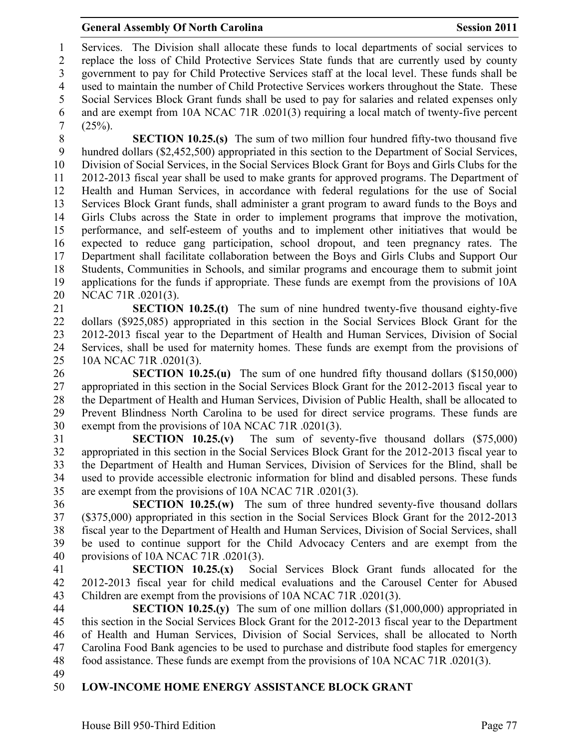Services. The Division shall allocate these funds to local departments of social services to replace the loss of Child Protective Services State funds that are currently used by county government to pay for Child Protective Services staff at the local level. These funds shall be used to maintain the number of Child Protective Services workers throughout the State. These Social Services Block Grant funds shall be used to pay for salaries and related expenses only and are exempt from 10A NCAC 71R .0201(3) requiring a local match of twenty-five percent  $7(25\%)$ .

 **SECTION 10.25.(s)** The sum of two million four hundred fifty-two thousand five hundred dollars (\$2,452,500) appropriated in this section to the Department of Social Services, Division of Social Services, in the Social Services Block Grant for Boys and Girls Clubs for the 2012-2013 fiscal year shall be used to make grants for approved programs. The Department of Health and Human Services, in accordance with federal regulations for the use of Social Services Block Grant funds, shall administer a grant program to award funds to the Boys and Girls Clubs across the State in order to implement programs that improve the motivation, performance, and self-esteem of youths and to implement other initiatives that would be expected to reduce gang participation, school dropout, and teen pregnancy rates. The Department shall facilitate collaboration between the Boys and Girls Clubs and Support Our Students, Communities in Schools, and similar programs and encourage them to submit joint applications for the funds if appropriate. These funds are exempt from the provisions of 10A NCAC 71R .0201(3).

 **SECTION 10.25.(t)** The sum of nine hundred twenty-five thousand eighty-five dollars (\$925,085) appropriated in this section in the Social Services Block Grant for the 2012-2013 fiscal year to the Department of Health and Human Services, Division of Social Services, shall be used for maternity homes. These funds are exempt from the provisions of 10A NCAC 71R .0201(3).

 **SECTION 10.25.(u)** The sum of one hundred fifty thousand dollars (\$150,000) appropriated in this section in the Social Services Block Grant for the 2012-2013 fiscal year to the Department of Health and Human Services, Division of Public Health, shall be allocated to Prevent Blindness North Carolina to be used for direct service programs. These funds are exempt from the provisions of 10A NCAC 71R .0201(3).

 **SECTION 10.25.(v)** The sum of seventy-five thousand dollars (\$75,000) appropriated in this section in the Social Services Block Grant for the 2012-2013 fiscal year to the Department of Health and Human Services, Division of Services for the Blind, shall be used to provide accessible electronic information for blind and disabled persons. These funds are exempt from the provisions of 10A NCAC 71R .0201(3).

 **SECTION 10.25.(w)** The sum of three hundred seventy-five thousand dollars (\$375,000) appropriated in this section in the Social Services Block Grant for the 2012-2013 fiscal year to the Department of Health and Human Services, Division of Social Services, shall be used to continue support for the Child Advocacy Centers and are exempt from the provisions of 10A NCAC 71R .0201(3).

 **SECTION 10.25.(x)** Social Services Block Grant funds allocated for the 2012-2013 fiscal year for child medical evaluations and the Carousel Center for Abused 43 Children are exempt from the provisions of 10A NCAC 71R .0201(3).

 **SECTION 10.25.(y)** The sum of one million dollars (\$1,000,000) appropriated in this section in the Social Services Block Grant for the 2012-2013 fiscal year to the Department of Health and Human Services, Division of Social Services, shall be allocated to North Carolina Food Bank agencies to be used to purchase and distribute food staples for emergency food assistance. These funds are exempt from the provisions of 10A NCAC 71R .0201(3). 

**LOW-INCOME HOME ENERGY ASSISTANCE BLOCK GRANT**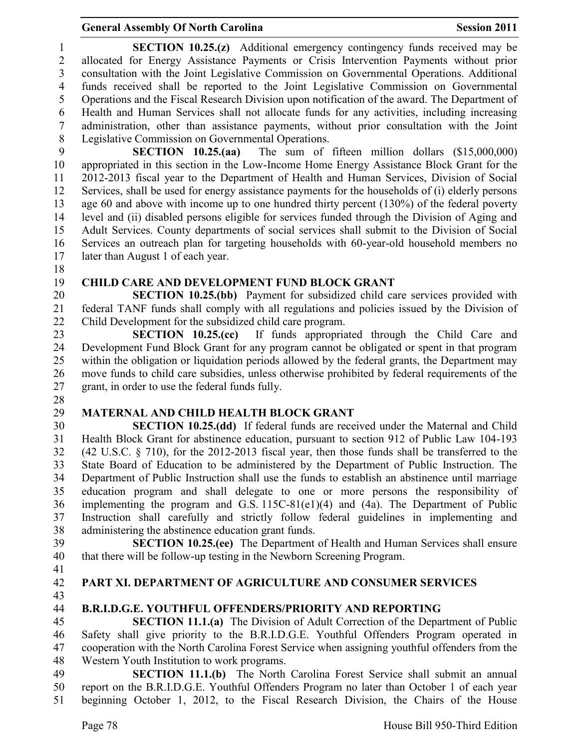**SECTION 10.25.(z)** Additional emergency contingency funds received may be allocated for Energy Assistance Payments or Crisis Intervention Payments without prior consultation with the Joint Legislative Commission on Governmental Operations. Additional funds received shall be reported to the Joint Legislative Commission on Governmental Operations and the Fiscal Research Division upon notification of the award. The Department of Health and Human Services shall not allocate funds for any activities, including increasing administration, other than assistance payments, without prior consultation with the Joint 8 Legislative Commission on Governmental Operations.<br>9 **SECTION 10.25.(aa)** The sum of

 **SECTION 10.25.(aa)** The sum of fifteen million dollars (\$15,000,000) appropriated in this section in the Low-Income Home Energy Assistance Block Grant for the 2012-2013 fiscal year to the Department of Health and Human Services, Division of Social Services, shall be used for energy assistance payments for the households of (i) elderly persons age 60 and above with income up to one hundred thirty percent (130%) of the federal poverty level and (ii) disabled persons eligible for services funded through the Division of Aging and Adult Services. County departments of social services shall submit to the Division of Social Services an outreach plan for targeting households with 60-year-old household members no later than August 1 of each year.

#### **CHILD CARE AND DEVELOPMENT FUND BLOCK GRANT**

 **SECTION 10.25.(bb)** Payment for subsidized child care services provided with federal TANF funds shall comply with all regulations and policies issued by the Division of Child Development for the subsidized child care program.

 **SECTION 10.25.(cc)** If funds appropriated through the Child Care and Development Fund Block Grant for any program cannot be obligated or spent in that program within the obligation or liquidation periods allowed by the federal grants, the Department may move funds to child care subsidies, unless otherwise prohibited by federal requirements of the grant, in order to use the federal funds fully.

## **MATERNAL AND CHILD HEALTH BLOCK GRANT**

 **SECTION 10.25.(dd)** If federal funds are received under the Maternal and Child Health Block Grant for abstinence education, pursuant to section 912 of Public Law 104-193 (42 U.S.C. § 710), for the 2012-2013 fiscal year, then those funds shall be transferred to the State Board of Education to be administered by the Department of Public Instruction. The Department of Public Instruction shall use the funds to establish an abstinence until marriage education program and shall delegate to one or more persons the responsibility of implementing the program and G.S. 115C-81(e1)(4) and (4a). The Department of Public Instruction shall carefully and strictly follow federal guidelines in implementing and administering the abstinence education grant funds.

 **SECTION 10.25.(ee)** The Department of Health and Human Services shall ensure that there will be follow-up testing in the Newborn Screening Program.

**PART XI. DEPARTMENT OF AGRICULTURE AND CONSUMER SERVICES** 

#### 

## **B.R.I.D.G.E. YOUTHFUL OFFENDERS/PRIORITY AND REPORTING**

 **SECTION 11.1.(a)** The Division of Adult Correction of the Department of Public Safety shall give priority to the B.R.I.D.G.E. Youthful Offenders Program operated in cooperation with the North Carolina Forest Service when assigning youthful offenders from the Western Youth Institution to work programs.

 **SECTION 11.1.(b)** The North Carolina Forest Service shall submit an annual report on the B.R.I.D.G.E. Youthful Offenders Program no later than October 1 of each year beginning October 1, 2012, to the Fiscal Research Division, the Chairs of the House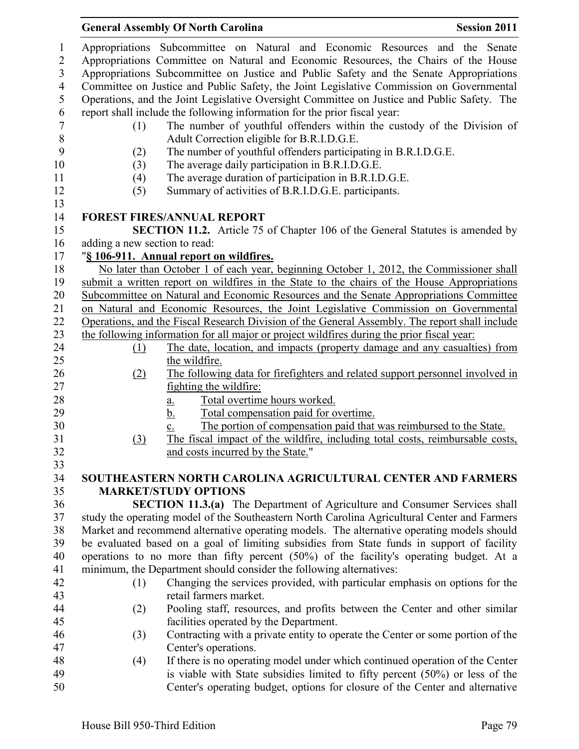#### General Assembly Of North Carolina Session 2011 Appropriations Subcommittee on Natural and Economic Resources and the Senate Appropriations Committee on Natural and Economic Resources, the Chairs of the House Appropriations Subcommittee on Justice and Public Safety and the Senate Appropriations Committee on Justice and Public Safety, the Joint Legislative Commission on Governmental Operations, and the Joint Legislative Oversight Committee on Justice and Public Safety. The report shall include the following information for the prior fiscal year: (1) The number of youthful offenders within the custody of the Division of Adult Correction eligible for B.R.I.D.G.E. (2) The number of youthful offenders participating in B.R.I.D.G.E. (3) The average daily participation in B.R.I.D.G.E. (4) The average duration of participation in B.R.I.D.G.E. (5) Summary of activities of B.R.I.D.G.E. participants. **FOREST FIRES/ANNUAL REPORT SECTION 11.2.** Article 75 of Chapter 106 of the General Statutes is amended by adding a new section to read: "**§ 106-911. Annual report on wildfires.** 18 No later than October 1 of each year, beginning October 1, 2012, the Commissioner shall submit a written report on wildfires in the State to the chairs of the House Appropriations Subcommittee on Natural and Economic Resources and the Senate Appropriations Committee on Natural and Economic Resources, the Joint Legislative Commission on Governmental Operations, and the Fiscal Research Division of the General Assembly. The report shall include the following information for all major or project wildfires during the prior fiscal year: (1) The date, location, and impacts (property damage and any casualties) from 25 the wildfire. 26 (2) The following data for firefighters and related support personnel involved in fighting the wildfire: **a.** Total overtime hours worked. b. Total compensation paid for overtime. c. The portion of compensation paid that was reimbursed to the State. (3) The fiscal impact of the wildfire, including total costs, reimbursable costs, and costs incurred by the State." **SOUTHEASTERN NORTH CAROLINA AGRICULTURAL CENTER AND FARMERS MARKET/STUDY OPTIONS SECTION 11.3.(a)** The Department of Agriculture and Consumer Services shall study the operating model of the Southeastern North Carolina Agricultural Center and Farmers Market and recommend alternative operating models. The alternative operating models should be evaluated based on a goal of limiting subsidies from State funds in support of facility operations to no more than fifty percent (50%) of the facility's operating budget. At a minimum, the Department should consider the following alternatives: (1) Changing the services provided, with particular emphasis on options for the retail farmers market. (2) Pooling staff, resources, and profits between the Center and other similar facilities operated by the Department. (3) Contracting with a private entity to operate the Center or some portion of the Center's operations. (4) If there is no operating model under which continued operation of the Center is viable with State subsidies limited to fifty percent (50%) or less of the Center's operating budget, options for closure of the Center and alternative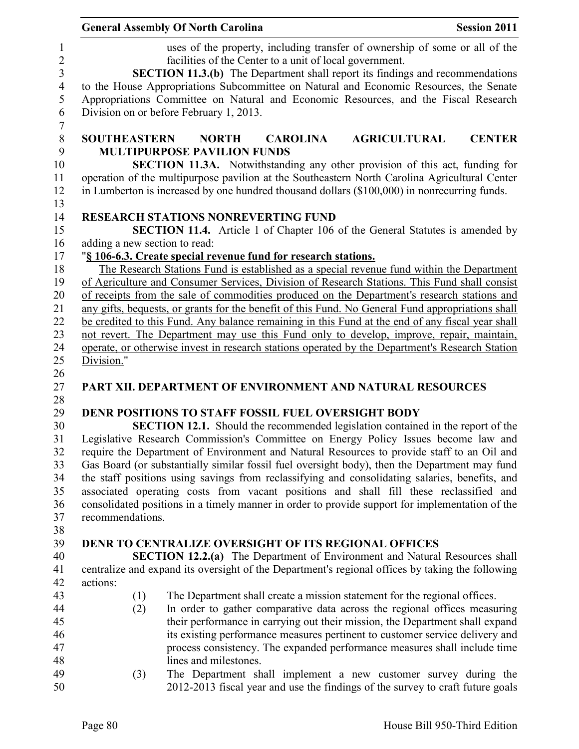|                | <b>General Assembly Of North Carolina</b>                                                                                                                                                 | <b>Session 2011</b> |
|----------------|-------------------------------------------------------------------------------------------------------------------------------------------------------------------------------------------|---------------------|
| $\mathbf{1}$   | uses of the property, including transfer of ownership of some or all of the                                                                                                               |                     |
| $\overline{2}$ | facilities of the Center to a unit of local government.                                                                                                                                   |                     |
| $\overline{3}$ | <b>SECTION 11.3.(b)</b> The Department shall report its findings and recommendations                                                                                                      |                     |
| $\overline{4}$ | to the House Appropriations Subcommittee on Natural and Economic Resources, the Senate                                                                                                    |                     |
| 5              | Appropriations Committee on Natural and Economic Resources, and the Fiscal Research                                                                                                       |                     |
| 6              | Division on or before February 1, 2013.                                                                                                                                                   |                     |
| $\tau$         |                                                                                                                                                                                           |                     |
| $8\,$          | <b>CAROLINA</b><br><b>AGRICULTURAL</b><br><b>SOUTHEASTERN</b><br><b>NORTH</b>                                                                                                             | <b>CENTER</b>       |
| 9              | <b>MULTIPURPOSE PAVILION FUNDS</b>                                                                                                                                                        |                     |
| 10             | SECTION 11.3A. Notwithstanding any other provision of this act, funding for                                                                                                               |                     |
| 11             | operation of the multipurpose pavilion at the Southeastern North Carolina Agricultural Center                                                                                             |                     |
| 12             | in Lumberton is increased by one hundred thousand dollars (\$100,000) in nonrecurring funds.                                                                                              |                     |
| 13             |                                                                                                                                                                                           |                     |
| 14             | <b>RESEARCH STATIONS NONREVERTING FUND</b>                                                                                                                                                |                     |
| 15             | SECTION 11.4. Article 1 of Chapter 106 of the General Statutes is amended by                                                                                                              |                     |
| 16             | adding a new section to read:                                                                                                                                                             |                     |
| 17             | "§ 106-6.3. Create special revenue fund for research stations.                                                                                                                            |                     |
| 18<br>19       | The Research Stations Fund is established as a special revenue fund within the Department<br>of Agriculture and Consumer Services, Division of Research Stations. This Fund shall consist |                     |
| 20             | of receipts from the sale of commodities produced on the Department's research stations and                                                                                               |                     |
| 21             | any gifts, bequests, or grants for the benefit of this Fund. No General Fund appropriations shall                                                                                         |                     |
| 22             | be credited to this Fund. Any balance remaining in this Fund at the end of any fiscal year shall                                                                                          |                     |
| 23             | not revert. The Department may use this Fund only to develop, improve, repair, maintain,                                                                                                  |                     |
| 24             | operate, or otherwise invest in research stations operated by the Department's Research Station                                                                                           |                     |
| 25             | Division."                                                                                                                                                                                |                     |
| 26             |                                                                                                                                                                                           |                     |
| 27             | PART XII. DEPARTMENT OF ENVIRONMENT AND NATURAL RESOURCES                                                                                                                                 |                     |
| 28             |                                                                                                                                                                                           |                     |
| 29             | DENR POSITIONS TO STAFF FOSSIL FUEL OVERSIGHT BODY                                                                                                                                        |                     |
| 30             | <b>SECTION 12.1.</b> Should the recommended legislation contained in the report of the                                                                                                    |                     |
| 31             | Legislative Research Commission's Committee on Energy Policy Issues become law and                                                                                                        |                     |
| 32             | require the Department of Environment and Natural Resources to provide staff to an Oil and                                                                                                |                     |
| 33             | Gas Board (or substantially similar fossil fuel oversight body), then the Department may fund                                                                                             |                     |
| 34<br>35       | the staff positions using savings from reclassifying and consolidating salaries, benefits, and                                                                                            |                     |
| 36             | associated operating costs from vacant positions and shall fill these reclassified and<br>consolidated positions in a timely manner in order to provide support for implementation of the |                     |
| 37             | recommendations.                                                                                                                                                                          |                     |
| 38             |                                                                                                                                                                                           |                     |
| 39             | <b>DENR TO CENTRALIZE OVERSIGHT OF ITS REGIONAL OFFICES</b>                                                                                                                               |                     |
| 40             | <b>SECTION 12.2.(a)</b> The Department of Environment and Natural Resources shall                                                                                                         |                     |
| 41             | centralize and expand its oversight of the Department's regional offices by taking the following                                                                                          |                     |
| 42             | actions:                                                                                                                                                                                  |                     |
| 43             | (1)<br>The Department shall create a mission statement for the regional offices.                                                                                                          |                     |
| 44             | In order to gather comparative data across the regional offices measuring<br>(2)                                                                                                          |                     |
| 45             | their performance in carrying out their mission, the Department shall expand                                                                                                              |                     |
| 46             | its existing performance measures pertinent to customer service delivery and                                                                                                              |                     |
| 47             | process consistency. The expanded performance measures shall include time                                                                                                                 |                     |
| 48             | lines and milestones.                                                                                                                                                                     |                     |
| 49             | The Department shall implement a new customer survey during the<br>(3)                                                                                                                    |                     |
| 50             | 2012-2013 fiscal year and use the findings of the survey to craft future goals                                                                                                            |                     |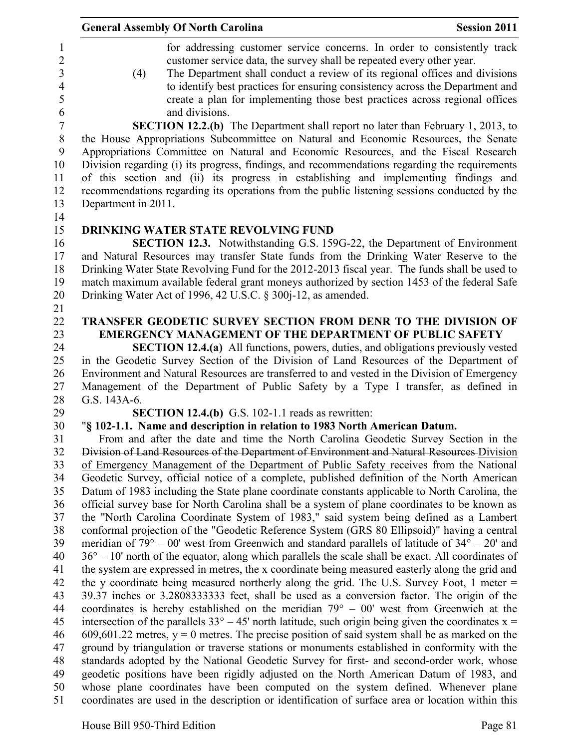|                                                                                                      | <b>General Assembly Of North Carolina</b><br><b>Session 2011</b>                                                                                                                                                                                                                                                                                                                                                                                                                          |
|------------------------------------------------------------------------------------------------------|-------------------------------------------------------------------------------------------------------------------------------------------------------------------------------------------------------------------------------------------------------------------------------------------------------------------------------------------------------------------------------------------------------------------------------------------------------------------------------------------|
| $\mathbf{1}$<br>$\sqrt{2}$<br>$\overline{\mathbf{3}}$<br>$\overline{\mathcal{A}}$<br>5<br>$\sqrt{6}$ | for addressing customer service concerns. In order to consistently track<br>customer service data, the survey shall be repeated every other year.<br>The Department shall conduct a review of its regional offices and divisions<br>(4)<br>to identify best practices for ensuring consistency across the Department and<br>create a plan for implementing those best practices across regional offices<br>and divisions.                                                                 |
| $\overline{7}$                                                                                       | <b>SECTION 12.2.(b)</b> The Department shall report no later than February 1, 2013, to                                                                                                                                                                                                                                                                                                                                                                                                    |
| $\,8\,$<br>9<br>10<br>11<br>12<br>13                                                                 | the House Appropriations Subcommittee on Natural and Economic Resources, the Senate<br>Appropriations Committee on Natural and Economic Resources, and the Fiscal Research<br>Division regarding (i) its progress, findings, and recommendations regarding the requirements<br>of this section and (ii) its progress in establishing and implementing findings and<br>recommendations regarding its operations from the public listening sessions conducted by the<br>Department in 2011. |
| 14                                                                                                   |                                                                                                                                                                                                                                                                                                                                                                                                                                                                                           |
| 15<br>16<br>17<br>18<br>19<br>20<br>21                                                               | <b>DRINKING WATER STATE REVOLVING FUND</b><br><b>SECTION 12.3.</b> Notwithstanding G.S. 159G-22, the Department of Environment<br>and Natural Resources may transfer State funds from the Drinking Water Reserve to the<br>Drinking Water State Revolving Fund for the 2012-2013 fiscal year. The funds shall be used to<br>match maximum available federal grant moneys authorized by section 1453 of the federal Safe<br>Drinking Water Act of 1996, 42 U.S.C. § 300j-12, as amended.   |
| 22                                                                                                   | <b>TRANSFER GEODETIC SURVEY SECTION FROM DENR TO THE DIVISION OF</b>                                                                                                                                                                                                                                                                                                                                                                                                                      |
| 23                                                                                                   | <b>EMERGENCY MANAGEMENT OF THE DEPARTMENT OF PUBLIC SAFETY</b>                                                                                                                                                                                                                                                                                                                                                                                                                            |
| 24                                                                                                   | <b>SECTION 12.4.(a)</b> All functions, powers, duties, and obligations previously vested                                                                                                                                                                                                                                                                                                                                                                                                  |
| 25                                                                                                   | in the Geodetic Survey Section of the Division of Land Resources of the Department of                                                                                                                                                                                                                                                                                                                                                                                                     |
| 26                                                                                                   | Environment and Natural Resources are transferred to and vested in the Division of Emergency                                                                                                                                                                                                                                                                                                                                                                                              |
| 27                                                                                                   | Management of the Department of Public Safety by a Type I transfer, as defined in                                                                                                                                                                                                                                                                                                                                                                                                         |
| 28                                                                                                   | G.S. 143A-6.                                                                                                                                                                                                                                                                                                                                                                                                                                                                              |
| 29                                                                                                   | <b>SECTION 12.4.(b)</b> G.S. 102-1.1 reads as rewritten:                                                                                                                                                                                                                                                                                                                                                                                                                                  |
| 30                                                                                                   | "§ 102-1.1. Name and description in relation to 1983 North American Datum.                                                                                                                                                                                                                                                                                                                                                                                                                |
| 31                                                                                                   | From and after the date and time the North Carolina Geodetic Survey Section in the                                                                                                                                                                                                                                                                                                                                                                                                        |
| 32                                                                                                   | Division of Land Resources of the Department of Environment and Natural Resources-Division                                                                                                                                                                                                                                                                                                                                                                                                |
| 33                                                                                                   | of Emergency Management of the Department of Public Safety receives from the National                                                                                                                                                                                                                                                                                                                                                                                                     |
| 34                                                                                                   | Geodetic Survey, official notice of a complete, published definition of the North American                                                                                                                                                                                                                                                                                                                                                                                                |
| 35                                                                                                   | Datum of 1983 including the State plane coordinate constants applicable to North Carolina, the                                                                                                                                                                                                                                                                                                                                                                                            |
| 36                                                                                                   | official survey base for North Carolina shall be a system of plane coordinates to be known as                                                                                                                                                                                                                                                                                                                                                                                             |
| 37                                                                                                   | the "North Carolina Coordinate System of 1983," said system being defined as a Lambert                                                                                                                                                                                                                                                                                                                                                                                                    |
| 38                                                                                                   | conformal projection of the "Geodetic Reference System (GRS 80 Ellipsoid)" having a central                                                                                                                                                                                                                                                                                                                                                                                               |
| 39                                                                                                   | meridian of 79° – 00' west from Greenwich and standard parallels of latitude of $34^{\circ}$ – 20' and                                                                                                                                                                                                                                                                                                                                                                                    |
| 40                                                                                                   | $36^{\circ} - 10'$ north of the equator, along which parallels the scale shall be exact. All coordinates of                                                                                                                                                                                                                                                                                                                                                                               |
| 41                                                                                                   | the system are expressed in metres, the x coordinate being measured easterly along the grid and                                                                                                                                                                                                                                                                                                                                                                                           |
| 42                                                                                                   | the y coordinate being measured northerly along the grid. The U.S. Survey Foot, 1 meter $=$                                                                                                                                                                                                                                                                                                                                                                                               |
| 43                                                                                                   | 39.37 inches or 3.2808333333 feet, shall be used as a conversion factor. The origin of the                                                                                                                                                                                                                                                                                                                                                                                                |
| 44                                                                                                   | coordinates is hereby established on the meridian $79^{\circ}$ – 00' west from Greenwich at the                                                                                                                                                                                                                                                                                                                                                                                           |
| 45                                                                                                   | intersection of the parallels $33^{\circ} - 45'$ north latitude, such origin being given the coordinates $x =$                                                                                                                                                                                                                                                                                                                                                                            |
| 46                                                                                                   | $609,601.22$ metres, $y = 0$ metres. The precise position of said system shall be as marked on the                                                                                                                                                                                                                                                                                                                                                                                        |
| 47                                                                                                   | ground by triangulation or traverse stations or monuments established in conformity with the                                                                                                                                                                                                                                                                                                                                                                                              |
| 48                                                                                                   | standards adopted by the National Geodetic Survey for first- and second-order work, whose                                                                                                                                                                                                                                                                                                                                                                                                 |
| 49                                                                                                   | geodetic positions have been rigidly adjusted on the North American Datum of 1983, and                                                                                                                                                                                                                                                                                                                                                                                                    |
| 50                                                                                                   | whose plane coordinates have been computed on the system defined. Whenever plane                                                                                                                                                                                                                                                                                                                                                                                                          |
| 51                                                                                                   | coordinates are used in the description or identification of surface area or location within this                                                                                                                                                                                                                                                                                                                                                                                         |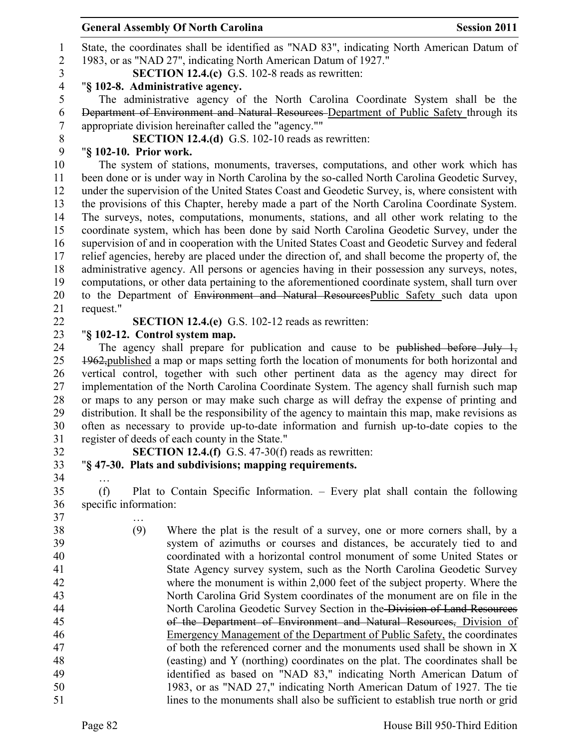State, the coordinates shall be identified as "NAD 83", indicating North American Datum of 1983, or as "NAD 27", indicating North American Datum of 1927."

**SECTION 12.4.(c)** G.S. 102-8 reads as rewritten:

#### "**§ 102-8. Administrative agency.**

 The administrative agency of the North Carolina Coordinate System shall be the 6 Department of Environment and Natural Resources-Department of Public Safety through its<br>7 appropriate division hereinafter called the "agency."" appropriate division hereinafter called the "agency.""

8 **SECTION 12.4.(d)** G.S. 102-10 reads as rewritten:<br>9 **''**§ 102-10. Prior work.

## "**§ 102-10. Prior work.**

 The system of stations, monuments, traverses, computations, and other work which has been done or is under way in North Carolina by the so-called North Carolina Geodetic Survey, under the supervision of the United States Coast and Geodetic Survey, is, where consistent with the provisions of this Chapter, hereby made a part of the North Carolina Coordinate System. The surveys, notes, computations, monuments, stations, and all other work relating to the coordinate system, which has been done by said North Carolina Geodetic Survey, under the supervision of and in cooperation with the United States Coast and Geodetic Survey and federal relief agencies, hereby are placed under the direction of, and shall become the property of, the administrative agency. All persons or agencies having in their possession any surveys, notes, computations, or other data pertaining to the aforementioned coordinate system, shall turn over 20 to the Department of Environment and Natural ResourcesPublic Safety such data upon request."

**SECTION 12.4.(e)** G.S. 102-12 reads as rewritten:

## "**§ 102-12. Control system map.**

24 The agency shall prepare for publication and cause to be <del>published before July 1,</del> 25 1962, published a map or maps setting forth the location of monuments for both horizontal and vertical control, together with such other pertinent data as the agency may direct for implementation of the North Carolina Coordinate System. The agency shall furnish such map or maps to any person or may make such charge as will defray the expense of printing and distribution. It shall be the responsibility of the agency to maintain this map, make revisions as often as necessary to provide up-to-date information and furnish up-to-date copies to the register of deeds of each county in the State."

#### **SECTION 12.4.(f)** G.S. 47-30(f) reads as rewritten: "**§ 47-30. Plats and subdivisions; mapping requirements.**

## …

 (f) Plat to Contain Specific Information. – Every plat shall contain the following specific information:

 … (9) Where the plat is the result of a survey, one or more corners shall, by a system of azimuths or courses and distances, be accurately tied to and coordinated with a horizontal control monument of some United States or State Agency survey system, such as the North Carolina Geodetic Survey where the monument is within 2,000 feet of the subject property. Where the North Carolina Grid System coordinates of the monument are on file in the North Carolina Geodetic Survey Section in the Division of Land Resources **120 of the Department of Environment and Natural Resources**, Division of Emergency Management of the Department of Public Safety, the coordinates of both the referenced corner and the monuments used shall be shown in X (easting) and Y (northing) coordinates on the plat. The coordinates shall be identified as based on "NAD 83," indicating North American Datum of 1983, or as "NAD 27," indicating North American Datum of 1927. The tie lines to the monuments shall also be sufficient to establish true north or grid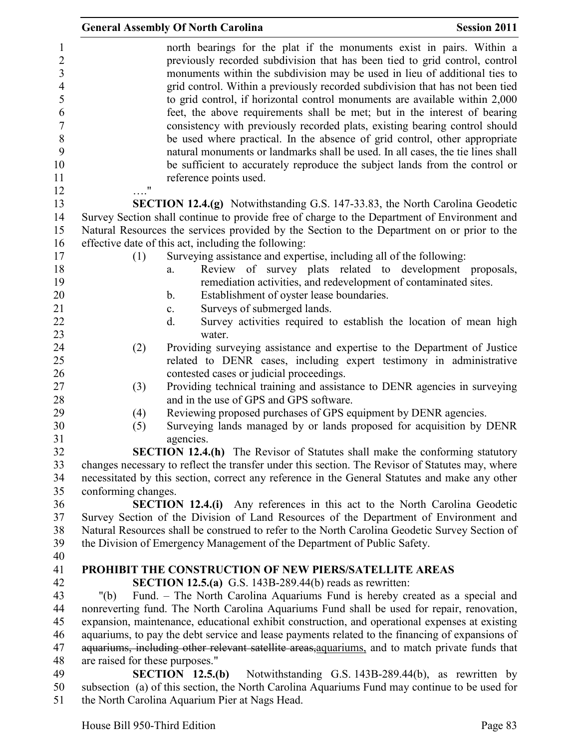|                                                                                                                     | <b>General Assembly Of North Carolina</b> |                                                                          | <b>Session 2011</b>                                                                                                                                                                                                                                                                                                                                                                                                                                                                                                                                                                                                                                                                                                                                                                                            |
|---------------------------------------------------------------------------------------------------------------------|-------------------------------------------|--------------------------------------------------------------------------|----------------------------------------------------------------------------------------------------------------------------------------------------------------------------------------------------------------------------------------------------------------------------------------------------------------------------------------------------------------------------------------------------------------------------------------------------------------------------------------------------------------------------------------------------------------------------------------------------------------------------------------------------------------------------------------------------------------------------------------------------------------------------------------------------------------|
| $\mathbf{1}$<br>$\overline{2}$<br>3<br>$\overline{4}$<br>5<br>6<br>$\overline{7}$<br>$\,8\,$<br>9<br>10<br>11<br>12 | 11                                        | reference points used.                                                   | north bearings for the plat if the monuments exist in pairs. Within a<br>previously recorded subdivision that has been tied to grid control, control<br>monuments within the subdivision may be used in lieu of additional ties to<br>grid control. Within a previously recorded subdivision that has not been tied<br>to grid control, if horizontal control monuments are available within 2,000<br>feet, the above requirements shall be met; but in the interest of bearing<br>consistency with previously recorded plats, existing bearing control should<br>be used where practical. In the absence of grid control, other appropriate<br>natural monuments or landmarks shall be used. In all cases, the tie lines shall<br>be sufficient to accurately reproduce the subject lands from the control or |
| 13                                                                                                                  |                                           |                                                                          | SECTION 12.4.(g) Notwithstanding G.S. 147-33.83, the North Carolina Geodetic                                                                                                                                                                                                                                                                                                                                                                                                                                                                                                                                                                                                                                                                                                                                   |
| 14<br>15<br>16                                                                                                      |                                           | effective date of this act, including the following:                     | Survey Section shall continue to provide free of charge to the Department of Environment and<br>Natural Resources the services provided by the Section to the Department on or prior to the                                                                                                                                                                                                                                                                                                                                                                                                                                                                                                                                                                                                                    |
| 17                                                                                                                  | (1)                                       |                                                                          | Surveying assistance and expertise, including all of the following:                                                                                                                                                                                                                                                                                                                                                                                                                                                                                                                                                                                                                                                                                                                                            |
| 18<br>19<br>20                                                                                                      | a.<br>b.                                  | Establishment of oyster lease boundaries.                                | Review of survey plats related to development proposals,<br>remediation activities, and redevelopment of contaminated sites.                                                                                                                                                                                                                                                                                                                                                                                                                                                                                                                                                                                                                                                                                   |
| 21                                                                                                                  | c.                                        | Surveys of submerged lands.                                              |                                                                                                                                                                                                                                                                                                                                                                                                                                                                                                                                                                                                                                                                                                                                                                                                                |
| 22                                                                                                                  | d.                                        |                                                                          | Survey activities required to establish the location of mean high                                                                                                                                                                                                                                                                                                                                                                                                                                                                                                                                                                                                                                                                                                                                              |
| 23                                                                                                                  |                                           | water.                                                                   |                                                                                                                                                                                                                                                                                                                                                                                                                                                                                                                                                                                                                                                                                                                                                                                                                |
| 24                                                                                                                  | (2)                                       |                                                                          | Providing surveying assistance and expertise to the Department of Justice                                                                                                                                                                                                                                                                                                                                                                                                                                                                                                                                                                                                                                                                                                                                      |
| 25                                                                                                                  |                                           |                                                                          | related to DENR cases, including expert testimony in administrative                                                                                                                                                                                                                                                                                                                                                                                                                                                                                                                                                                                                                                                                                                                                            |
| 26                                                                                                                  |                                           | contested cases or judicial proceedings.                                 |                                                                                                                                                                                                                                                                                                                                                                                                                                                                                                                                                                                                                                                                                                                                                                                                                |
| 27                                                                                                                  | (3)                                       |                                                                          | Providing technical training and assistance to DENR agencies in surveying                                                                                                                                                                                                                                                                                                                                                                                                                                                                                                                                                                                                                                                                                                                                      |
| 28                                                                                                                  |                                           | and in the use of GPS and GPS software.                                  |                                                                                                                                                                                                                                                                                                                                                                                                                                                                                                                                                                                                                                                                                                                                                                                                                |
| 29                                                                                                                  | (4)                                       |                                                                          | Reviewing proposed purchases of GPS equipment by DENR agencies.                                                                                                                                                                                                                                                                                                                                                                                                                                                                                                                                                                                                                                                                                                                                                |
| 30                                                                                                                  | (5)                                       |                                                                          | Surveying lands managed by or lands proposed for acquisition by DENR                                                                                                                                                                                                                                                                                                                                                                                                                                                                                                                                                                                                                                                                                                                                           |
| 31                                                                                                                  |                                           | agencies.                                                                |                                                                                                                                                                                                                                                                                                                                                                                                                                                                                                                                                                                                                                                                                                                                                                                                                |
| 32                                                                                                                  |                                           |                                                                          | <b>SECTION 12.4.(h)</b> The Revisor of Statures shall make the conforming statutory                                                                                                                                                                                                                                                                                                                                                                                                                                                                                                                                                                                                                                                                                                                            |
| 33                                                                                                                  |                                           |                                                                          | changes necessary to reflect the transfer under this section. The Revisor of Statutes may, where                                                                                                                                                                                                                                                                                                                                                                                                                                                                                                                                                                                                                                                                                                               |
| 34                                                                                                                  |                                           |                                                                          | necessitated by this section, correct any reference in the General Statutes and make any other                                                                                                                                                                                                                                                                                                                                                                                                                                                                                                                                                                                                                                                                                                                 |
| 35                                                                                                                  | conforming changes.                       |                                                                          |                                                                                                                                                                                                                                                                                                                                                                                                                                                                                                                                                                                                                                                                                                                                                                                                                |
| 36                                                                                                                  |                                           |                                                                          | <b>SECTION 12.4.(i)</b> Any references in this act to the North Carolina Geodetic                                                                                                                                                                                                                                                                                                                                                                                                                                                                                                                                                                                                                                                                                                                              |
| 37                                                                                                                  |                                           |                                                                          | Survey Section of the Division of Land Resources of the Department of Environment and                                                                                                                                                                                                                                                                                                                                                                                                                                                                                                                                                                                                                                                                                                                          |
| 38                                                                                                                  |                                           |                                                                          | Natural Resources shall be construed to refer to the North Carolina Geodetic Survey Section of                                                                                                                                                                                                                                                                                                                                                                                                                                                                                                                                                                                                                                                                                                                 |
| 39                                                                                                                  |                                           | the Division of Emergency Management of the Department of Public Safety. |                                                                                                                                                                                                                                                                                                                                                                                                                                                                                                                                                                                                                                                                                                                                                                                                                |
| 40                                                                                                                  |                                           |                                                                          |                                                                                                                                                                                                                                                                                                                                                                                                                                                                                                                                                                                                                                                                                                                                                                                                                |
| 41                                                                                                                  |                                           |                                                                          | PROHIBIT THE CONSTRUCTION OF NEW PIERS/SATELLITE AREAS                                                                                                                                                                                                                                                                                                                                                                                                                                                                                                                                                                                                                                                                                                                                                         |
| 42                                                                                                                  |                                           | <b>SECTION 12.5.(a)</b> G.S. 143B-289.44(b) reads as rewritten:          |                                                                                                                                                                                                                                                                                                                                                                                                                                                                                                                                                                                                                                                                                                                                                                                                                |
| 43                                                                                                                  | " $(b)$                                   |                                                                          | Fund. – The North Carolina Aquariums Fund is hereby created as a special and                                                                                                                                                                                                                                                                                                                                                                                                                                                                                                                                                                                                                                                                                                                                   |
| 44                                                                                                                  |                                           |                                                                          | nonreverting fund. The North Carolina Aquariums Fund shall be used for repair, renovation,                                                                                                                                                                                                                                                                                                                                                                                                                                                                                                                                                                                                                                                                                                                     |
| 45                                                                                                                  |                                           |                                                                          | expansion, maintenance, educational exhibit construction, and operational expenses at existing                                                                                                                                                                                                                                                                                                                                                                                                                                                                                                                                                                                                                                                                                                                 |
| 46                                                                                                                  |                                           |                                                                          | aquariums, to pay the debt service and lease payments related to the financing of expansions of                                                                                                                                                                                                                                                                                                                                                                                                                                                                                                                                                                                                                                                                                                                |
| 47                                                                                                                  |                                           |                                                                          | aquariums, including other relevant satellite areas, aquariums, and to match private funds that                                                                                                                                                                                                                                                                                                                                                                                                                                                                                                                                                                                                                                                                                                                |
| 48                                                                                                                  | are raised for these purposes."           |                                                                          |                                                                                                                                                                                                                                                                                                                                                                                                                                                                                                                                                                                                                                                                                                                                                                                                                |
| 49                                                                                                                  |                                           | SECTION 12.5(b)                                                          | Notwithstanding G.S. 143B-289.44(b), as rewritten by                                                                                                                                                                                                                                                                                                                                                                                                                                                                                                                                                                                                                                                                                                                                                           |
| 50<br>51                                                                                                            |                                           | the North Carolina Aquarium Pier at Nags Head.                           | subsection (a) of this section, the North Carolina Aquariums Fund may continue to be used for                                                                                                                                                                                                                                                                                                                                                                                                                                                                                                                                                                                                                                                                                                                  |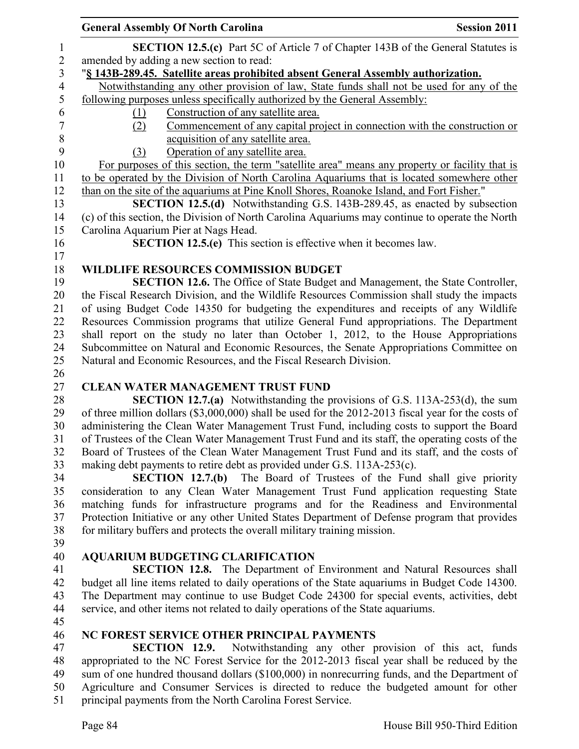|                | <b>General Assembly Of North Carolina</b><br><b>Session 2011</b>                                                                                                                            |
|----------------|---------------------------------------------------------------------------------------------------------------------------------------------------------------------------------------------|
| $\mathbf{1}$   | <b>SECTION 12.5.(c)</b> Part 5C of Article 7 of Chapter 143B of the General Statutes is                                                                                                     |
| $\mathbf{2}$   | amended by adding a new section to read:                                                                                                                                                    |
| $\overline{3}$ | "§ 143B-289.45. Satellite areas prohibited absent General Assembly authorization.                                                                                                           |
| $\overline{4}$ | Notwithstanding any other provision of law, State funds shall not be used for any of the                                                                                                    |
| 5              | following purposes unless specifically authorized by the General Assembly:                                                                                                                  |
| 6              | Construction of any satellite area.<br>(1)                                                                                                                                                  |
| $\overline{7}$ | Commencement of any capital project in connection with the construction or<br>(2)                                                                                                           |
| $\,8\,$        | acquisition of any satellite area.                                                                                                                                                          |
| 9              | Operation of any satellite area.<br>(3)                                                                                                                                                     |
| 10             | For purposes of this section, the term "satellite area" means any property or facility that is                                                                                              |
| 11             | to be operated by the Division of North Carolina Aquariums that is located somewhere other                                                                                                  |
| 12             | than on the site of the aquariums at Pine Knoll Shores, Roanoke Island, and Fort Fisher."                                                                                                   |
| 13             | <b>SECTION 12.5.(d)</b> Notwithstanding G.S. 143B-289.45, as enacted by subsection                                                                                                          |
| 14             | (c) of this section, the Division of North Carolina Aquariums may continue to operate the North                                                                                             |
| 15             | Carolina Aquarium Pier at Nags Head.                                                                                                                                                        |
| 16             | <b>SECTION 12.5.(e)</b> This section is effective when it becomes law.                                                                                                                      |
| 17             |                                                                                                                                                                                             |
| 18             | <b>WILDLIFE RESOURCES COMMISSION BUDGET</b>                                                                                                                                                 |
| 19<br>20       | <b>SECTION 12.6.</b> The Office of State Budget and Management, the State Controller,                                                                                                       |
| 21             | the Fiscal Research Division, and the Wildlife Resources Commission shall study the impacts                                                                                                 |
| 22             | of using Budget Code 14350 for budgeting the expenditures and receipts of any Wildlife<br>Resources Commission programs that utilize General Fund appropriations. The Department            |
| 23             | shall report on the study no later than October 1, 2012, to the House Appropriations                                                                                                        |
| 24             | Subcommittee on Natural and Economic Resources, the Senate Appropriations Committee on                                                                                                      |
| 25             | Natural and Economic Resources, and the Fiscal Research Division.                                                                                                                           |
| 26             |                                                                                                                                                                                             |
| 27             | <b>CLEAN WATER MANAGEMENT TRUST FUND</b>                                                                                                                                                    |
| 28             | <b>SECTION 12.7.(a)</b> Notwithstanding the provisions of G.S. 113A-253(d), the sum                                                                                                         |
| 29             | of three million dollars (\$3,000,000) shall be used for the 2012-2013 fiscal year for the costs of                                                                                         |
| 30             | administering the Clean Water Management Trust Fund, including costs to support the Board                                                                                                   |
| 31             | of Trustees of the Clean Water Management Trust Fund and its staff, the operating costs of the                                                                                              |
| 32             | Board of Trustees of the Clean Water Management Trust Fund and its staff, and the costs of                                                                                                  |
| 33             | making debt payments to retire debt as provided under G.S. 113A-253(c).                                                                                                                     |
| 34             | <b>SECTION 12.7.(b)</b> The Board of Trustees of the Fund shall give priority                                                                                                               |
| 35             | consideration to any Clean Water Management Trust Fund application requesting State                                                                                                         |
| 36             | matching funds for infrastructure programs and for the Readiness and Environmental                                                                                                          |
| 37             | Protection Initiative or any other United States Department of Defense program that provides                                                                                                |
| 38             | for military buffers and protects the overall military training mission.                                                                                                                    |
| 39             |                                                                                                                                                                                             |
| 40             | <b>AQUARIUM BUDGETING CLARIFICATION</b>                                                                                                                                                     |
| 41<br>42       | <b>SECTION 12.8.</b> The Department of Environment and Natural Resources shall                                                                                                              |
| 43             | budget all line items related to daily operations of the State aquariums in Budget Code 14300.<br>The Department may continue to use Budget Code 24300 for special events, activities, debt |
| 44             | service, and other items not related to daily operations of the State aquariums.                                                                                                            |
| 45             |                                                                                                                                                                                             |
| 46             | NC FOREST SERVICE OTHER PRINCIPAL PAYMENTS                                                                                                                                                  |
| 47             | <b>SECTION 12.9.</b> Notwithstanding any other provision of this act, funds                                                                                                                 |
| 48             | appropriated to the NC Forest Service for the 2012-2013 fiscal year shall be reduced by the                                                                                                 |
| 49             | sum of one hundred thousand dollars (\$100,000) in nonrecurring funds, and the Department of                                                                                                |
| 50             | Agriculture and Consumer Services is directed to reduce the budgeted amount for other                                                                                                       |
| 51             | principal payments from the North Carolina Forest Service.                                                                                                                                  |
|                |                                                                                                                                                                                             |
|                | Page 84<br>House Bill 950-Third Edition                                                                                                                                                     |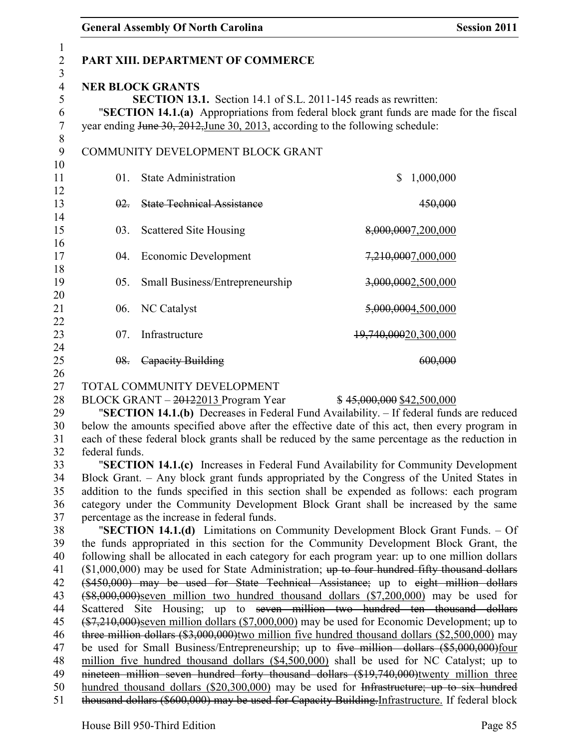| $\mathbf{1}$<br>$\overline{2}$ |                                                                                           | PART XIII. DEPARTMENT OF COMMERCE                                                                 |                                                                                                                                                                                                      |  |
|--------------------------------|-------------------------------------------------------------------------------------------|---------------------------------------------------------------------------------------------------|------------------------------------------------------------------------------------------------------------------------------------------------------------------------------------------------------|--|
| 3                              |                                                                                           |                                                                                                   |                                                                                                                                                                                                      |  |
| $\overline{4}$<br>5            |                                                                                           | <b>NER BLOCK GRANTS</b><br><b>SECTION 13.1.</b> Section 14.1 of S.L. 2011-145 reads as rewritten: |                                                                                                                                                                                                      |  |
| 6                              |                                                                                           |                                                                                                   | "SECTION 14.1.(a) Appropriations from federal block grant funds are made for the fiscal                                                                                                              |  |
| $\overline{7}$                 |                                                                                           | year ending June 30, 2012, June 30, 2013, according to the following schedule:                    |                                                                                                                                                                                                      |  |
| $8\,$                          |                                                                                           |                                                                                                   |                                                                                                                                                                                                      |  |
| 9                              |                                                                                           | COMMUNITY DEVELOPMENT BLOCK GRANT                                                                 |                                                                                                                                                                                                      |  |
| 10                             |                                                                                           |                                                                                                   |                                                                                                                                                                                                      |  |
| 11<br>12                       | 01.                                                                                       | <b>State Administration</b>                                                                       | $\mathbf S$<br>1,000,000                                                                                                                                                                             |  |
| 13                             | 02.                                                                                       | <b>State Technical Assistance</b>                                                                 | 450,000                                                                                                                                                                                              |  |
| 14                             |                                                                                           |                                                                                                   |                                                                                                                                                                                                      |  |
| 15                             | 03.                                                                                       | <b>Scattered Site Housing</b>                                                                     | 8,000,0007,200,000                                                                                                                                                                                   |  |
| 16                             |                                                                                           |                                                                                                   |                                                                                                                                                                                                      |  |
| 17                             | 04.                                                                                       | Economic Development                                                                              | 7,210,0007,000,000                                                                                                                                                                                   |  |
| 18                             |                                                                                           |                                                                                                   |                                                                                                                                                                                                      |  |
| 19                             | 05.                                                                                       | Small Business/Entrepreneurship                                                                   | 3,000,0002,500,000                                                                                                                                                                                   |  |
| 20<br>21                       | 06.                                                                                       | <b>NC</b> Catalyst                                                                                | 5,000,0004,500,000                                                                                                                                                                                   |  |
| 22                             |                                                                                           |                                                                                                   |                                                                                                                                                                                                      |  |
| 23                             | 07.                                                                                       | Infrastructure                                                                                    | 19,740,00020,300,000                                                                                                                                                                                 |  |
| 24                             |                                                                                           |                                                                                                   |                                                                                                                                                                                                      |  |
| 25                             | 08.                                                                                       | Capacity Building                                                                                 | 600,000                                                                                                                                                                                              |  |
| 26                             |                                                                                           |                                                                                                   |                                                                                                                                                                                                      |  |
| 27                             |                                                                                           | TOTAL COMMUNITY DEVELOPMENT                                                                       |                                                                                                                                                                                                      |  |
| 28<br>29                       |                                                                                           | BLOCK GRANT - 20122013 Program Year                                                               | \$45,000,000\$42,500,000<br>"SECTION 14.1.(b) Decreases in Federal Fund Availability. - If federal funds are reduced                                                                                 |  |
| 30                             |                                                                                           |                                                                                                   | below the amounts specified above after the effective date of this act, then every program in                                                                                                        |  |
| 31                             |                                                                                           |                                                                                                   | each of these federal block grants shall be reduced by the same percentage as the reduction in                                                                                                       |  |
| 32                             | federal funds.                                                                            |                                                                                                   |                                                                                                                                                                                                      |  |
| 33                             | "SECTION 14.1.(c) Increases in Federal Fund Availability for Community Development        |                                                                                                   |                                                                                                                                                                                                      |  |
| 34                             | Block Grant. – Any block grant funds appropriated by the Congress of the United States in |                                                                                                   |                                                                                                                                                                                                      |  |
| 35                             |                                                                                           |                                                                                                   | addition to the funds specified in this section shall be expended as follows: each program                                                                                                           |  |
| 36<br>37                       |                                                                                           | percentage as the increase in federal funds.                                                      | category under the Community Development Block Grant shall be increased by the same                                                                                                                  |  |
| 38                             |                                                                                           |                                                                                                   | "SECTION 14.1.(d) Limitations on Community Development Block Grant Funds. – Of                                                                                                                       |  |
| 39                             |                                                                                           |                                                                                                   | the funds appropriated in this section for the Community Development Block Grant, the                                                                                                                |  |
| 40                             |                                                                                           |                                                                                                   | following shall be allocated in each category for each program year: up to one million dollars                                                                                                       |  |
| 41                             |                                                                                           |                                                                                                   | $($1,000,000)$ may be used for State Administration; up to four hundred fifty thousand dollars                                                                                                       |  |
| 42                             | (\$450,000) may be used for State Technical Assistance; up to eight million dollars       |                                                                                                   |                                                                                                                                                                                                      |  |
| 43                             |                                                                                           |                                                                                                   | (\$8,000,000) seven million two hundred thousand dollars (\$7,200,000) may be used for                                                                                                               |  |
| 44                             |                                                                                           |                                                                                                   | Scattered Site Housing; up to seven million two hundred ten thousand dollars                                                                                                                         |  |
| 45<br>46                       |                                                                                           |                                                                                                   | (\$7,210,000) seven million dollars (\$7,000,000) may be used for Economic Development; up to<br>three million dollars $(\$3,000,000)$ two million five hundred thousand dollars $(\$2,500,000)$ may |  |
| 47                             |                                                                                           |                                                                                                   | be used for Small Business/Entrepreneurship; up to five million dollars (\$5,000,000) four                                                                                                           |  |
| 48                             |                                                                                           |                                                                                                   | million five hundred thousand dollars (\$4,500,000) shall be used for NC Catalyst; up to                                                                                                             |  |
| 49                             |                                                                                           |                                                                                                   | nineteen million seven hundred forty thousand dollars (\$19,740,000) twenty million three                                                                                                            |  |
| 50                             |                                                                                           |                                                                                                   | hundred thousand dollars (\$20,300,000) may be used for Infrastructure; up to six hundred                                                                                                            |  |
| 51                             |                                                                                           |                                                                                                   | thousand dollars (\$600,000) may be used for Capacity Building. Infrastructure. If federal block                                                                                                     |  |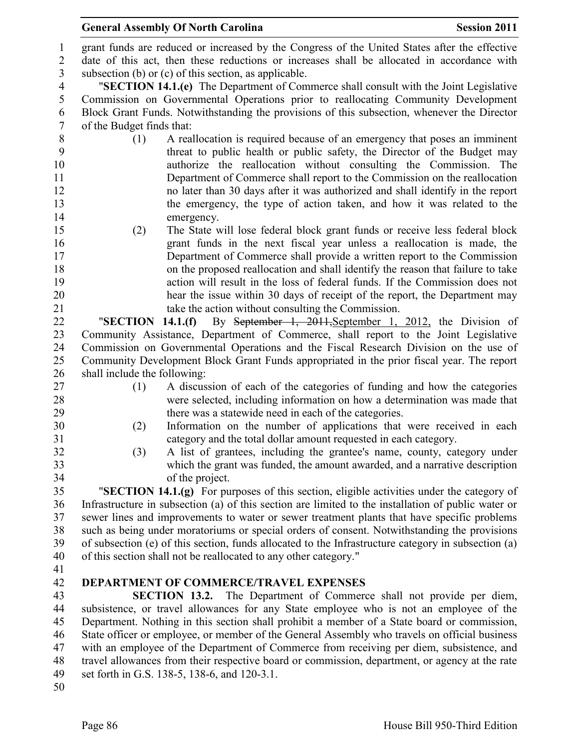| 1              | grant funds are reduced or increased by the Congress of the United States after the effective                                                                                     |
|----------------|-----------------------------------------------------------------------------------------------------------------------------------------------------------------------------------|
| $\overline{2}$ | date of this act, then these reductions or increases shall be allocated in accordance with                                                                                        |
| 3              | subsection (b) or (c) of this section, as applicable.                                                                                                                             |
| $\overline{4}$ | "SECTION 14.1.(e) The Department of Commerce shall consult with the Joint Legislative                                                                                             |
| 5              | Commission on Governmental Operations prior to reallocating Community Development                                                                                                 |
| 6<br>$\tau$    | Block Grant Funds. Notwithstanding the provisions of this subsection, whenever the Director                                                                                       |
| $\,$ $\,$      | of the Budget finds that:<br>A reallocation is required because of an emergency that poses an imminent<br>(1)                                                                     |
| 9              | threat to public health or public safety, the Director of the Budget may                                                                                                          |
| 10             | authorize the reallocation without consulting the Commission. The                                                                                                                 |
| 11             | Department of Commerce shall report to the Commission on the reallocation                                                                                                         |
| 12             | no later than 30 days after it was authorized and shall identify in the report                                                                                                    |
| 13             | the emergency, the type of action taken, and how it was related to the                                                                                                            |
| 14             | emergency.                                                                                                                                                                        |
| 15             | (2)<br>The State will lose federal block grant funds or receive less federal block                                                                                                |
| 16             | grant funds in the next fiscal year unless a reallocation is made, the                                                                                                            |
| 17             | Department of Commerce shall provide a written report to the Commission                                                                                                           |
| 18             | on the proposed reallocation and shall identify the reason that failure to take                                                                                                   |
| 19             | action will result in the loss of federal funds. If the Commission does not                                                                                                       |
| 20             | hear the issue within 30 days of receipt of the report, the Department may                                                                                                        |
| 21             | take the action without consulting the Commission.                                                                                                                                |
| 22             | "SECTION 14.1.(f) By September 1, 2011, September 1, 2012, the Division of                                                                                                        |
| 23             | Community Assistance, Department of Commerce, shall report to the Joint Legislative                                                                                               |
| 24<br>25       | Commission on Governmental Operations and the Fiscal Research Division on the use of<br>Community Development Block Grant Funds appropriated in the prior fiscal year. The report |
| 26             | shall include the following:                                                                                                                                                      |
| 27             | A discussion of each of the categories of funding and how the categories<br>(1)                                                                                                   |
| 28             | were selected, including information on how a determination was made that                                                                                                         |
| 29             | there was a statewide need in each of the categories.                                                                                                                             |
| 30             | Information on the number of applications that were received in each<br>(2)                                                                                                       |
| 31             | category and the total dollar amount requested in each category.                                                                                                                  |
| 32             | A list of grantees, including the grantee's name, county, category under<br>(3)                                                                                                   |
| 33             | which the grant was funded, the amount awarded, and a narrative description                                                                                                       |
| 34             | of the project.                                                                                                                                                                   |
| 35             | "SECTION 14.1.(g) For purposes of this section, eligible activities under the category of                                                                                         |
| 36             | Infrastructure in subsection (a) of this section are limited to the installation of public water or                                                                               |
| 37             | sewer lines and improvements to water or sewer treatment plants that have specific problems                                                                                       |
| 38             | such as being under moratoriums or special orders of consent. Notwithstanding the provisions                                                                                      |
| 39             | of subsection (e) of this section, funds allocated to the Infrastructure category in subsection (a)                                                                               |
| 40             | of this section shall not be reallocated to any other category."                                                                                                                  |
| 41<br>42       | DEPARTMENT OF COMMERCE/TRAVEL EXPENSES                                                                                                                                            |
| 43             | <b>SECTION 13.2.</b> The Department of Commerce shall not provide per diem,                                                                                                       |
| 44             | subsistence, or travel allowances for any State employee who is not an employee of the                                                                                            |
| 45             | Department. Nothing in this section shall prohibit a member of a State board or commission,                                                                                       |
| 46             | State officer or employee, or member of the General Assembly who travels on official business                                                                                     |
| 47             | with an employee of the Department of Commerce from receiving per diem, subsistence, and                                                                                          |
| 48             | travel allowances from their respective board or commission, department, or agency at the rate                                                                                    |

- set forth in G.S. 138-5, 138-6, and 120-3.1.
-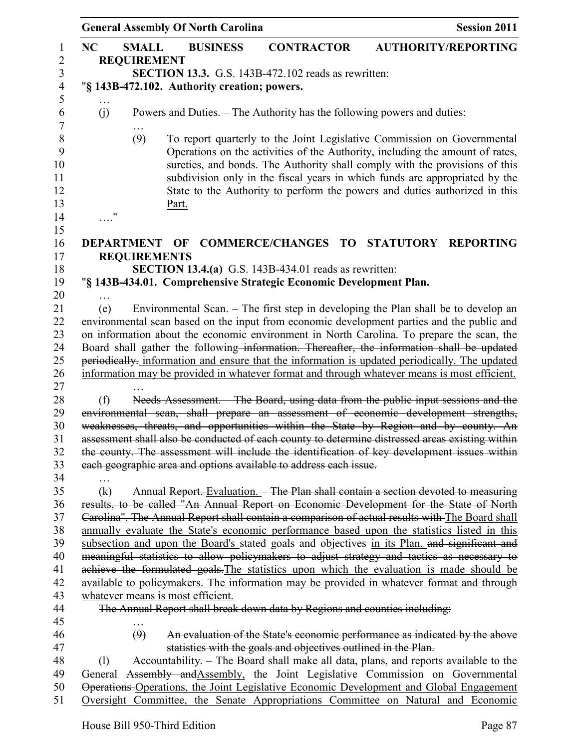|                      |                                    | <b>General Assembly Of North Carolina</b>    |                                                                                 | <b>Session 2011</b>                                                                                                                                                                                                                                                                                                                                                                                  |
|----------------------|------------------------------------|----------------------------------------------|---------------------------------------------------------------------------------|------------------------------------------------------------------------------------------------------------------------------------------------------------------------------------------------------------------------------------------------------------------------------------------------------------------------------------------------------------------------------------------------------|
| NC                   | <b>SMALL</b><br><b>REQUIREMENT</b> | <b>BUSINESS</b>                              | <b>CONTRACTOR</b><br><b>SECTION 13.3.</b> G.S. 143B-472.102 reads as rewritten: | <b>AUTHORITY/REPORTING</b>                                                                                                                                                                                                                                                                                                                                                                           |
|                      |                                    | "§ 143B-472.102. Authority creation; powers. |                                                                                 |                                                                                                                                                                                                                                                                                                                                                                                                      |
|                      |                                    |                                              |                                                                                 |                                                                                                                                                                                                                                                                                                                                                                                                      |
| (j)                  |                                    |                                              | Powers and Duties. – The Authority has the following powers and duties:         |                                                                                                                                                                                                                                                                                                                                                                                                      |
| $\ldots$ "           | (9)                                | Part.                                        |                                                                                 | To report quarterly to the Joint Legislative Commission on Governmental<br>Operations on the activities of the Authority, including the amount of rates,<br>sureties, and bonds. The Authority shall comply with the provisions of this<br>subdivision only in the fiscal years in which funds are appropriated by the<br>State to the Authority to perform the powers and duties authorized in this |
| <b>DEPARTMENT OF</b> |                                    |                                              |                                                                                 | COMMERCE/CHANGES TO STATUTORY REPORTING                                                                                                                                                                                                                                                                                                                                                              |
|                      |                                    | <b>REQUIREMENTS</b>                          |                                                                                 |                                                                                                                                                                                                                                                                                                                                                                                                      |
|                      |                                    |                                              | <b>SECTION 13.4.(a)</b> G.S. 143B-434.01 reads as rewritten:                    |                                                                                                                                                                                                                                                                                                                                                                                                      |
|                      |                                    |                                              | "§ 143B-434.01. Comprehensive Strategic Economic Development Plan.              |                                                                                                                                                                                                                                                                                                                                                                                                      |
|                      |                                    |                                              |                                                                                 |                                                                                                                                                                                                                                                                                                                                                                                                      |
| (e)                  |                                    |                                              |                                                                                 | Environmental Scan. – The first step in developing the Plan shall be to develop an                                                                                                                                                                                                                                                                                                                   |
|                      |                                    |                                              |                                                                                 | environmental scan based on the input from economic development parties and the public and                                                                                                                                                                                                                                                                                                           |
|                      |                                    |                                              |                                                                                 | on information about the economic environment in North Carolina. To prepare the scan, the                                                                                                                                                                                                                                                                                                            |
|                      |                                    |                                              |                                                                                 | Board shall gather the following-information. Thereafter, the information shall be updated                                                                                                                                                                                                                                                                                                           |
|                      |                                    |                                              |                                                                                 | periodically, information and ensure that the information is updated periodically. The updated                                                                                                                                                                                                                                                                                                       |
|                      |                                    |                                              |                                                                                 | information may be provided in whatever format and through whatever means is most efficient.                                                                                                                                                                                                                                                                                                         |
|                      |                                    |                                              |                                                                                 |                                                                                                                                                                                                                                                                                                                                                                                                      |
| (f)                  |                                    |                                              |                                                                                 | Needs Assessment. The Board, using data from the public input sessions and the                                                                                                                                                                                                                                                                                                                       |
|                      |                                    |                                              |                                                                                 | environmental scan, shall prepare an assessment of economic development strengths,                                                                                                                                                                                                                                                                                                                   |
|                      |                                    |                                              |                                                                                 | weaknesses, threats, and opportunities within the State by Region and by county. An                                                                                                                                                                                                                                                                                                                  |
|                      |                                    |                                              |                                                                                 | assessment shall also be conducted of each county to determine distressed areas existing within                                                                                                                                                                                                                                                                                                      |
|                      |                                    |                                              |                                                                                 | the county. The assessment will include the identification of key development issues within                                                                                                                                                                                                                                                                                                          |
|                      |                                    |                                              | each geographic area and options available to address each issue.               |                                                                                                                                                                                                                                                                                                                                                                                                      |
| $\ddotsc$<br>(k)     |                                    |                                              |                                                                                 | Annual Report. Evaluation. - The Plan shall contain a section devoted to measuring                                                                                                                                                                                                                                                                                                                   |
|                      |                                    |                                              |                                                                                 | results, to be called "An Annual Report on Economic Development for the State of North                                                                                                                                                                                                                                                                                                               |
|                      |                                    |                                              |                                                                                 | Carolina". The Annual Report shall contain a comparison of actual results with The Board shall                                                                                                                                                                                                                                                                                                       |
|                      |                                    |                                              |                                                                                 | annually evaluate the State's economic performance based upon the statistics listed in this                                                                                                                                                                                                                                                                                                          |
|                      |                                    |                                              |                                                                                 | subsection and upon the Board's stated goals and objectives in its Plan. and significant and                                                                                                                                                                                                                                                                                                         |
|                      |                                    |                                              |                                                                                 | meaningful statistics to allow policymakers to adjust strategy and tactics as necessary to                                                                                                                                                                                                                                                                                                           |
|                      |                                    |                                              |                                                                                 | achieve the formulated goals. The statistics upon which the evaluation is made should be                                                                                                                                                                                                                                                                                                             |
|                      |                                    |                                              |                                                                                 | available to policymakers. The information may be provided in whatever format and through                                                                                                                                                                                                                                                                                                            |
|                      |                                    | whatever means is most efficient.            |                                                                                 |                                                                                                                                                                                                                                                                                                                                                                                                      |
|                      |                                    |                                              | The Annual Report shall break down data by Regions and counties including:      |                                                                                                                                                                                                                                                                                                                                                                                                      |
|                      |                                    |                                              |                                                                                 |                                                                                                                                                                                                                                                                                                                                                                                                      |
|                      | (9)                                |                                              |                                                                                 | An evaluation of the State's economic performance as indicated by the above                                                                                                                                                                                                                                                                                                                          |
|                      |                                    |                                              | statistics with the goals and objectives outlined in the Plan.                  |                                                                                                                                                                                                                                                                                                                                                                                                      |
| (1)                  |                                    |                                              |                                                                                 | Accountability. - The Board shall make all data, plans, and reports available to the                                                                                                                                                                                                                                                                                                                 |
| General              |                                    |                                              |                                                                                 | Assembly and Assembly, the Joint Legislative Commission on Governmental                                                                                                                                                                                                                                                                                                                              |
|                      |                                    |                                              |                                                                                 | Operations Operations, the Joint Legislative Economic Development and Global Engagement                                                                                                                                                                                                                                                                                                              |
|                      |                                    |                                              |                                                                                 | Oversight Committee, the Senate Appropriations Committee on Natural and Economic                                                                                                                                                                                                                                                                                                                     |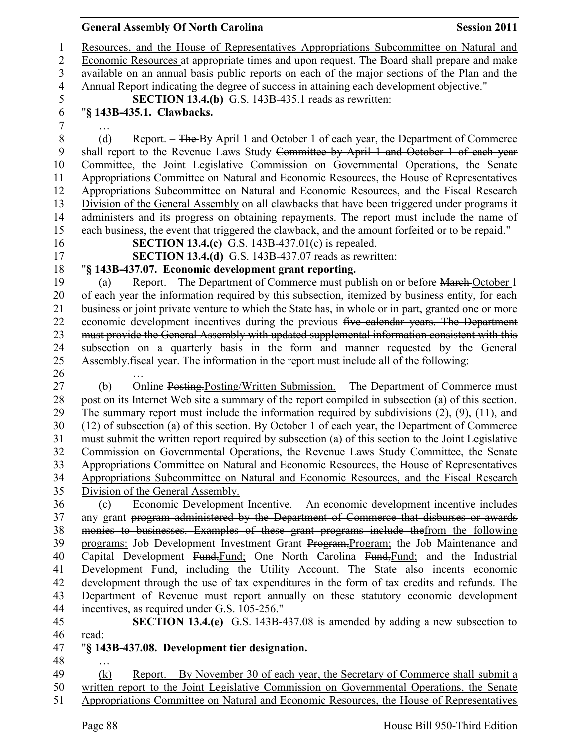| <b>General Assembly Of North Carolina</b><br><b>Session 2011</b>                                                                                                                              |
|-----------------------------------------------------------------------------------------------------------------------------------------------------------------------------------------------|
| Resources, and the House of Representatives Appropriations Subcommittee on Natural and                                                                                                        |
| Economic Resources at appropriate times and upon request. The Board shall prepare and make                                                                                                    |
| available on an annual basis public reports on each of the major sections of the Plan and the                                                                                                 |
| Annual Report indicating the degree of success in attaining each development objective."                                                                                                      |
| <b>SECTION 13.4.(b)</b> G.S. 143B-435.1 reads as rewritten:                                                                                                                                   |
| "§ 143B-435.1. Clawbacks.                                                                                                                                                                     |
|                                                                                                                                                                                               |
| (d)<br>Report. – The By April 1 and October 1 of each year, the Department of Commerce                                                                                                        |
| shall report to the Revenue Laws Study Committee by April 1 and October 1 of each year                                                                                                        |
| Committee, the Joint Legislative Commission on Governmental Operations, the Senate                                                                                                            |
| Appropriations Committee on Natural and Economic Resources, the House of Representatives                                                                                                      |
| Appropriations Subcommittee on Natural and Economic Resources, and the Fiscal Research                                                                                                        |
| Division of the General Assembly on all clawbacks that have been triggered under programs it                                                                                                  |
| administers and its progress on obtaining repayments. The report must include the name of                                                                                                     |
| each business, the event that triggered the clawback, and the amount forfeited or to be repaid."                                                                                              |
| <b>SECTION 13.4.(c)</b> G.S. 143B-437.01(c) is repealed.                                                                                                                                      |
| SECTION 13.4.(d) G.S. 143B-437.07 reads as rewritten:                                                                                                                                         |
| "§ 143B-437.07. Economic development grant reporting.                                                                                                                                         |
| Report. – The Department of Commerce must publish on or before March October 1<br>(a)                                                                                                         |
| of each year the information required by this subsection, itemized by business entity, for each                                                                                               |
| business or joint private venture to which the State has, in whole or in part, granted one or more<br>economic development incentives during the previous five calendar years. The Department |
| must provide the General Assembly with updated supplemental information consistent with this                                                                                                  |
| subsection on a quarterly basis in the form and manner requested by the General                                                                                                               |
| Assembly fiscal year. The information in the report must include all of the following:                                                                                                        |
|                                                                                                                                                                                               |
| Online Posting. Posting/Written Submission. - The Department of Commerce must<br>(b)                                                                                                          |
| post on its Internet Web site a summary of the report compiled in subsection (a) of this section.                                                                                             |
| The summary report must include the information required by subdivisions $(2)$ , $(9)$ , $(11)$ , and                                                                                         |
| $(12)$ of subsection (a) of this section. By October 1 of each year, the Department of Commerce                                                                                               |
| must submit the written report required by subsection (a) of this section to the Joint Legislative                                                                                            |
| <u>Commission on Governmental Operations, the Revenue Laws Study Committee, the Senate</u>                                                                                                    |
| Appropriations Committee on Natural and Economic Resources, the House of Representatives                                                                                                      |
| Appropriations Subcommittee on Natural and Economic Resources, and the Fiscal Research                                                                                                        |
| Division of the General Assembly.                                                                                                                                                             |
| Economic Development Incentive. - An economic development incentive includes<br>(c)                                                                                                           |
| any grant program administered by the Department of Commerce that disburses or awards                                                                                                         |
| monies to businesses. Examples of these grant programs include the from the following                                                                                                         |
| programs: Job Development Investment Grant Program, Program; the Job Maintenance and                                                                                                          |
| Capital Development Fund, Fund: One North Carolina Fund, Fund: and the Industrial                                                                                                             |
| Development Fund, including the Utility Account. The State also incents economic                                                                                                              |
| development through the use of tax expenditures in the form of tax credits and refunds. The                                                                                                   |
| Department of Revenue must report annually on these statutory economic development                                                                                                            |
| incentives, as required under G.S. 105-256."                                                                                                                                                  |
| <b>SECTION 13.4.(e)</b> G.S. 143B-437.08 is amended by adding a new subsection to<br>read:                                                                                                    |
| "§ 143B-437.08. Development tier designation.                                                                                                                                                 |
|                                                                                                                                                                                               |
| .<br><u>Report. – By November 30 of each year, the Secretary of Commerce shall submit a</u><br>(k)                                                                                            |
| written report to the Joint Legislative Commission on Governmental Operations, the Senate                                                                                                     |

51 Appropriations Committee on Natural and Economic Resources, the House of Representatives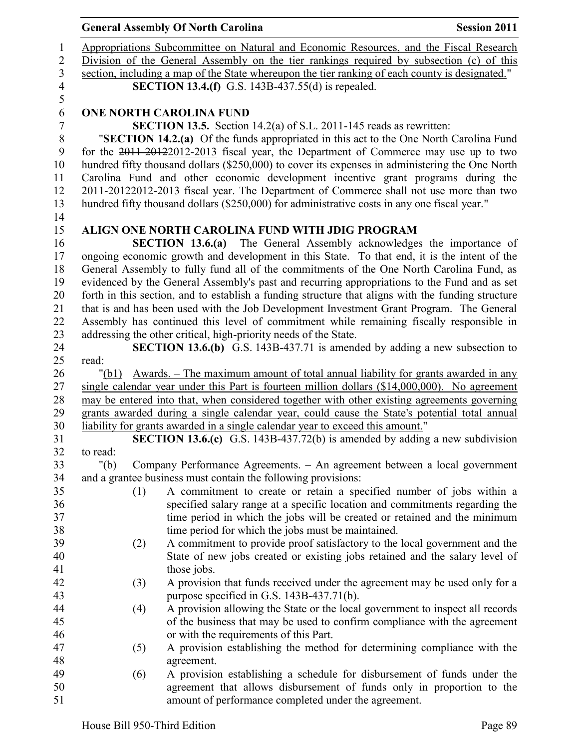|                |          | <b>General Assembly Of North Carolina</b>                                                          | <b>Session 2011</b> |
|----------------|----------|----------------------------------------------------------------------------------------------------|---------------------|
| $\mathbf{1}$   |          | Appropriations Subcommittee on Natural and Economic Resources, and the Fiscal Research             |                     |
| $\mathbf{2}$   |          | Division of the General Assembly on the tier rankings required by subsection (c) of this           |                     |
| 3              |          | section, including a map of the State whereupon the tier ranking of each county is designated."    |                     |
| $\overline{4}$ |          | <b>SECTION 13.4.(f)</b> G.S. 143B-437.55(d) is repealed.                                           |                     |
| 5              |          |                                                                                                    |                     |
| 6              |          | <b>ONE NORTH CAROLINA FUND</b>                                                                     |                     |
| $\overline{7}$ |          | <b>SECTION 13.5.</b> Section 14.2(a) of S.L. 2011-145 reads as rewritten:                          |                     |
| $8\,$          |          | "SECTION 14.2.(a) Of the funds appropriated in this act to the One North Carolina Fund             |                     |
| 9              |          | for the 2011-20122012-2013 fiscal year, the Department of Commerce may use up to two               |                     |
| 10             |          | hundred fifty thousand dollars (\$250,000) to cover its expenses in administering the One North    |                     |
| 11             |          | Carolina Fund and other economic development incentive grant programs during the                   |                     |
| 12             |          | 2011-20122012-2013 fiscal year. The Department of Commerce shall not use more than two             |                     |
| 13             |          | hundred fifty thousand dollars (\$250,000) for administrative costs in any one fiscal year."       |                     |
| 14             |          |                                                                                                    |                     |
| 15             |          | ALIGN ONE NORTH CAROLINA FUND WITH JDIG PROGRAM                                                    |                     |
| 16             |          | <b>SECTION 13.6.(a)</b> The General Assembly acknowledges the importance of                        |                     |
| 17             |          | ongoing economic growth and development in this State. To that end, it is the intent of the        |                     |
| 18             |          | General Assembly to fully fund all of the commitments of the One North Carolina Fund, as           |                     |
| 19             |          | evidenced by the General Assembly's past and recurring appropriations to the Fund and as set       |                     |
| 20             |          | forth in this section, and to establish a funding structure that aligns with the funding structure |                     |
| 21             |          | that is and has been used with the Job Development Investment Grant Program. The General           |                     |
| 22             |          | Assembly has continued this level of commitment while remaining fiscally responsible in            |                     |
| 23             |          | addressing the other critical, high-priority needs of the State.                                   |                     |
| 24             |          | <b>SECTION 13.6.(b)</b> G.S. 143B-437.71 is amended by adding a new subsection to                  |                     |
| 25             | read:    |                                                                                                    |                     |
| 26             |          | $\frac{m(b1)}{2}$ Awards. – The maximum amount of total annual liability for grants awarded in any |                     |
| 27             |          | single calendar year under this Part is fourteen million dollars $(\$14,000,000)$ . No agreement   |                     |
| 28             |          | may be entered into that, when considered together with other existing agreements governing        |                     |
| 29             |          | grants awarded during a single calendar year, could cause the State's potential total annual       |                     |
| 30             |          | liability for grants awarded in a single calendar year to exceed this amount."                     |                     |
| 31             |          | <b>SECTION 13.6.(c)</b> G.S. 143B-437.72(b) is amended by adding a new subdivision                 |                     |
| 32             | to read: |                                                                                                    |                     |
| 33             | " $(b)$  | Company Performance Agreements. - An agreement between a local government                          |                     |
| 34             |          | and a grantee business must contain the following provisions:                                      |                     |
| 35             | (1)      | A commitment to create or retain a specified number of jobs within a                               |                     |
| 36             |          | specified salary range at a specific location and commitments regarding the                        |                     |
| 37             |          | time period in which the jobs will be created or retained and the minimum                          |                     |
| 38             |          | time period for which the jobs must be maintained.                                                 |                     |
| 39             | (2)      | A commitment to provide proof satisfactory to the local government and the                         |                     |
| 40             |          | State of new jobs created or existing jobs retained and the salary level of                        |                     |
| 41             |          | those jobs.                                                                                        |                     |
| 42             | (3)      | A provision that funds received under the agreement may be used only for a                         |                     |
| 43             |          | purpose specified in G.S. 143B-437.71(b).                                                          |                     |
| 44             | (4)      | A provision allowing the State or the local government to inspect all records                      |                     |
| 45             |          | of the business that may be used to confirm compliance with the agreement                          |                     |
| 46             |          | or with the requirements of this Part.                                                             |                     |
| 47             | (5)      | A provision establishing the method for determining compliance with the                            |                     |
| 48             |          | agreement.                                                                                         |                     |
| 49             | (6)      | A provision establishing a schedule for disbursement of funds under the                            |                     |
| 50             |          | agreement that allows disbursement of funds only in proportion to the                              |                     |
| 51             |          | amount of performance completed under the agreement.                                               |                     |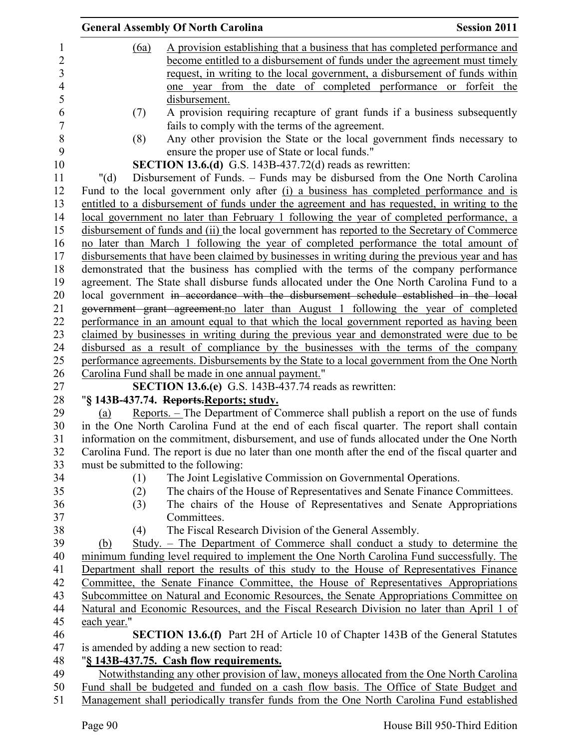|             | <b>General Assembly Of North Carolina</b>                                                                                                                                          | <b>Session 2011</b> |
|-------------|------------------------------------------------------------------------------------------------------------------------------------------------------------------------------------|---------------------|
| (6a)        | A provision establishing that a business that has completed performance and                                                                                                        |                     |
|             | become entitled to a disbursement of funds under the agreement must timely                                                                                                         |                     |
|             | request, in writing to the local government, a disbursement of funds within                                                                                                        |                     |
|             | one year from the date of completed performance or forfeit the                                                                                                                     |                     |
|             | disbursement.                                                                                                                                                                      |                     |
| (7)         | A provision requiring recapture of grant funds if a business subsequently                                                                                                          |                     |
|             | fails to comply with the terms of the agreement.                                                                                                                                   |                     |
| (8)         | Any other provision the State or the local government finds necessary to                                                                                                           |                     |
|             | ensure the proper use of State or local funds."                                                                                                                                    |                     |
|             | <b>SECTION 13.6.(d)</b> G.S. 143B-437.72(d) reads as rewritten:                                                                                                                    |                     |
| " $(d)$     | Disbursement of Funds. – Funds may be disbursed from the One North Carolina                                                                                                        |                     |
|             | Fund to the local government only after (i) a business has completed performance and is                                                                                            |                     |
|             | entitled to a disbursement of funds under the agreement and has requested, in writing to the                                                                                       |                     |
|             | local government no later than February 1 following the year of completed performance, a                                                                                           |                     |
|             | disbursement of funds and (ii) the local government has reported to the Secretary of Commerce                                                                                      |                     |
|             | no later than March 1 following the year of completed performance the total amount of                                                                                              |                     |
|             | disbursements that have been claimed by businesses in writing during the previous year and has                                                                                     |                     |
|             | demonstrated that the business has complied with the terms of the company performance                                                                                              |                     |
|             | agreement. The State shall disburse funds allocated under the One North Carolina Fund to a                                                                                         |                     |
|             | local government in accordance with the disbursement schedule established in the local                                                                                             |                     |
|             | government grant agreement no later than August 1 following the year of completed                                                                                                  |                     |
|             | performance in an amount equal to that which the local government reported as having been                                                                                          |                     |
|             | claimed by businesses in writing during the previous year and demonstrated were due to be                                                                                          |                     |
|             | disbursed as a result of compliance by the businesses with the terms of the company                                                                                                |                     |
|             | performance agreements. Disbursements by the State to a local government from the One North                                                                                        |                     |
|             | Carolina Fund shall be made in one annual payment."                                                                                                                                |                     |
|             | SECTION 13.6.(e) G.S. 143B-437.74 reads as rewritten:                                                                                                                              |                     |
|             | "§ 143B-437.74. Reports. Reports; study.                                                                                                                                           |                     |
| (a)         | <u>Reports. – The Department of Commerce shall publish a report on the use of funds</u>                                                                                            |                     |
|             | in the One North Carolina Fund at the end of each fiscal quarter. The report shall contain                                                                                         |                     |
|             | information on the commitment, disbursement, and use of funds allocated under the One North                                                                                        |                     |
|             | Carolina Fund. The report is due no later than one month after the end of the fiscal quarter and                                                                                   |                     |
|             | must be submitted to the following:                                                                                                                                                |                     |
| (1)         | The Joint Legislative Commission on Governmental Operations.                                                                                                                       |                     |
| (2)         | The chairs of the House of Representatives and Senate Finance Committees.                                                                                                          |                     |
| (3)         | The chairs of the House of Representatives and Senate Appropriations                                                                                                               |                     |
|             | Committees.                                                                                                                                                                        |                     |
| (4)         | The Fiscal Research Division of the General Assembly.                                                                                                                              |                     |
| (b)         | Study. – The Department of Commerce shall conduct a study to determine the                                                                                                         |                     |
|             | minimum funding level required to implement the One North Carolina Fund successfully. The                                                                                          |                     |
|             | Department shall report the results of this study to the House of Representatives Finance                                                                                          |                     |
|             | Committee, the Senate Finance Committee, the House of Representatives Appropriations                                                                                               |                     |
|             | Subcommittee on Natural and Economic Resources, the Senate Appropriations Committee on                                                                                             |                     |
|             | Natural and Economic Resources, and the Fiscal Research Division no later than April 1 of                                                                                          |                     |
| each year." |                                                                                                                                                                                    |                     |
|             | SECTION 13.6.(f) Part 2H of Article 10 of Chapter 143B of the General Statutes                                                                                                     |                     |
|             | is amended by adding a new section to read:                                                                                                                                        |                     |
|             | "§ 143B-437.75. Cash flow requirements.                                                                                                                                            |                     |
|             | Notwithstanding any other provision of law, moneys allocated from the One North Carolina<br>Fund shall be budgeted and funded on a cash flow basis. The Office of State Budget and |                     |
|             | Management shall periodically transfer funds from the One North Carolina Fund established                                                                                          |                     |
|             |                                                                                                                                                                                    |                     |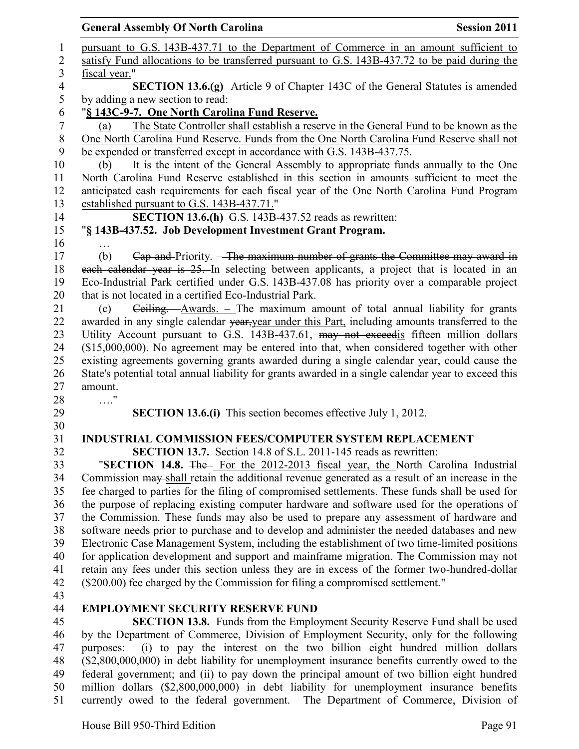General Assembly Of North Carolina Session 2011 pursuant to G.S. 143B-437.71 to the Department of Commerce in an amount sufficient to satisfy Fund allocations to be transferred pursuant to G.S. 143B-437.72 to be paid during the fiscal year." **SECTION 13.6.(g)** Article 9 of Chapter 143C of the General Statutes is amended by adding a new section to read: "**§ 143C-9-7. One North Carolina Fund Reserve.**  (a) The State Controller shall establish a reserve in the General Fund to be known as the One North Carolina Fund Reserve. Funds from the One North Carolina Fund Reserve shall not be expended or transferred except in accordance with G.S. 143B-437.75. (b) It is the intent of the General Assembly to appropriate funds annually to the One North Carolina Fund Reserve established in this section in amounts sufficient to meet the anticipated cash requirements for each fiscal year of the One North Carolina Fund Program established pursuant to G.S. 143B-437.71." **SECTION 13.6.(h)** G.S. 143B-437.52 reads as rewritten: "**§ 143B-437.52. Job Development Investment Grant Program.**  … (b) Cap and Priority. – The maximum number of grants the Committee may award in each calendar year is 25. In selecting between applicants, a project that is located in an Eco-Industrial Park certified under G.S. 143B-437.08 has priority over a comparable project that is not located in a certified Eco-Industrial Park. (c) Ceiling. –Awards. – The maximum amount of total annual liability for grants 22 awarded in any single calendar vear, year under this Part, including amounts transferred to the 23 Utility Account pursuant to G.S. 143B-437.61, may not exceed is fifteen million dollars (\$15,000,000). No agreement may be entered into that, when considered together with other existing agreements governing grants awarded during a single calendar year, could cause the State's potential total annual liability for grants awarded in a single calendar year to exceed this amount. …." **SECTION 13.6.(i)** This section becomes effective July 1, 2012. **INDUSTRIAL COMMISSION FEES/COMPUTER SYSTEM REPLACEMENT SECTION 13.7.** Section 14.8 of S.L. 2011-145 reads as rewritten: "**SECTION 14.8.** The For the 2012-2013 fiscal year, the North Carolina Industrial Commission may shall retain the additional revenue generated as a result of an increase in the fee charged to parties for the filing of compromised settlements. These funds shall be used for the purpose of replacing existing computer hardware and software used for the operations of the Commission. These funds may also be used to prepare any assessment of hardware and software needs prior to purchase and to develop and administer the needed databases and new Electronic Case Management System, including the establishment of two time-limited positions for application development and support and mainframe migration. The Commission may not retain any fees under this section unless they are in excess of the former two-hundred-dollar (\$200.00) fee charged by the Commission for filing a compromised settlement." **EMPLOYMENT SECURITY RESERVE FUND SECTION 13.8.** Funds from the Employment Security Reserve Fund shall be used by the Department of Commerce, Division of Employment Security, only for the following purposes: (i) to pay the interest on the two billion eight hundred million dollars (\$2,800,000,000) in debt liability for unemployment insurance benefits currently owed to the federal government; and (ii) to pay down the principal amount of two billion eight hundred million dollars (\$2,800,000,000) in debt liability for unemployment insurance benefits

currently owed to the federal government. The Department of Commerce, Division of

House Bill 950-Third Edition **Page 91**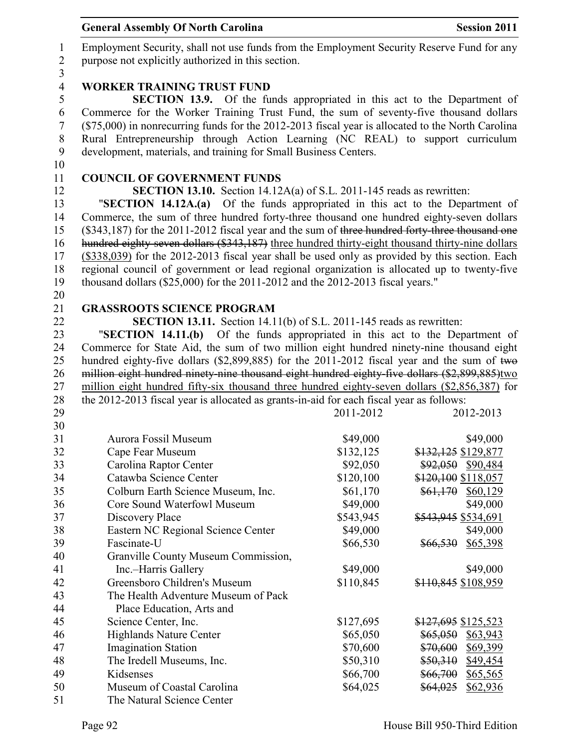| <b>General Assembly Of North Carolina</b>                                                                                                                                                                                                                                                                                                        |           | <b>Session 2011</b>                                                             |
|--------------------------------------------------------------------------------------------------------------------------------------------------------------------------------------------------------------------------------------------------------------------------------------------------------------------------------------------------|-----------|---------------------------------------------------------------------------------|
| Employment Security, shall not use funds from the Employment Security Reserve Fund for any<br>purpose not explicitly authorized in this section.                                                                                                                                                                                                 |           |                                                                                 |
|                                                                                                                                                                                                                                                                                                                                                  |           |                                                                                 |
| <b>WORKER TRAINING TRUST FUND</b>                                                                                                                                                                                                                                                                                                                |           | <b>SECTION 13.9.</b> Of the funds appropriated in this act to the Department of |
| Commerce for the Worker Training Trust Fund, the sum of seventy-five thousand dollars<br>(\$75,000) in nonrecurring funds for the 2012-2013 fiscal year is allocated to the North Carolina<br>Rural Entrepreneurship through Action Learning (NC REAL) to support curriculum<br>development, materials, and training for Small Business Centers. |           |                                                                                 |
| <b>COUNCIL OF GOVERNMENT FUNDS</b>                                                                                                                                                                                                                                                                                                               |           |                                                                                 |
| <b>SECTION 13.10.</b> Section $14.12A(a)$ of S.L. 2011-145 reads as rewritten:                                                                                                                                                                                                                                                                   |           |                                                                                 |
| "SECTION 14.12A.(a) Of the funds appropriated in this act to the Department of                                                                                                                                                                                                                                                                   |           |                                                                                 |
| Commerce, the sum of three hundred forty-three thousand one hundred eighty-seven dollars                                                                                                                                                                                                                                                         |           |                                                                                 |
| (\$343,187) for the 2011-2012 fiscal year and the sum of three hundred forty-three thousand one                                                                                                                                                                                                                                                  |           |                                                                                 |
| hundred eighty-seven dollars (\$343,187) three hundred thirty-eight thousand thirty-nine dollars                                                                                                                                                                                                                                                 |           |                                                                                 |
| (\$338,039) for the 2012-2013 fiscal year shall be used only as provided by this section. Each                                                                                                                                                                                                                                                   |           |                                                                                 |
| regional council of government or lead regional organization is allocated up to twenty-five                                                                                                                                                                                                                                                      |           |                                                                                 |
| thousand dollars $(\$25,000)$ for the 2011-2012 and the 2012-2013 fiscal years."                                                                                                                                                                                                                                                                 |           |                                                                                 |
|                                                                                                                                                                                                                                                                                                                                                  |           |                                                                                 |
| <b>GRASSROOTS SCIENCE PROGRAM</b>                                                                                                                                                                                                                                                                                                                |           |                                                                                 |
| <b>SECTION 13.11.</b> Section 14.11(b) of S.L. 2011-145 reads as rewritten:                                                                                                                                                                                                                                                                      |           |                                                                                 |
| "SECTION 14.11.(b) Of the funds appropriated in this act to the Department of                                                                                                                                                                                                                                                                    |           |                                                                                 |
| Commerce for State Aid, the sum of two million eight hundred ninety-nine thousand eight                                                                                                                                                                                                                                                          |           |                                                                                 |
| hundred eighty-five dollars (\$2,899,885) for the 2011-2012 fiscal year and the sum of two                                                                                                                                                                                                                                                       |           |                                                                                 |
| million eight hundred ninety-nine thousand eight hundred eighty-five dollars (\$2,899,885)two                                                                                                                                                                                                                                                    |           |                                                                                 |
| million eight hundred fifty-six thousand three hundred eighty-seven dollars (\$2,856,387) for                                                                                                                                                                                                                                                    |           |                                                                                 |
| the 2012-2013 fiscal year is allocated as grants-in-aid for each fiscal year as follows:                                                                                                                                                                                                                                                         |           |                                                                                 |
|                                                                                                                                                                                                                                                                                                                                                  | 2011-2012 | 2012-2013                                                                       |
|                                                                                                                                                                                                                                                                                                                                                  |           |                                                                                 |
| Aurora Fossil Museum                                                                                                                                                                                                                                                                                                                             | \$49,000  | \$49,000                                                                        |
| Cape Fear Museum                                                                                                                                                                                                                                                                                                                                 | \$132,125 | \$132,125 \$129,877                                                             |
| Carolina Raptor Center                                                                                                                                                                                                                                                                                                                           | \$92,050  | \$92,050 \$90,484                                                               |
| Catawba Science Center                                                                                                                                                                                                                                                                                                                           | \$120,100 | \$120,100 \$118,057                                                             |
| Colburn Earth Science Museum, Inc.                                                                                                                                                                                                                                                                                                               | \$61,170  | \$61,170<br>\$60,129                                                            |
| Core Sound Waterfowl Museum                                                                                                                                                                                                                                                                                                                      | \$49,000  | \$49,000                                                                        |
| Discovery Place                                                                                                                                                                                                                                                                                                                                  | \$543,945 | \$543,945 \$534,691                                                             |
| Eastern NC Regional Science Center                                                                                                                                                                                                                                                                                                               | \$49,000  | \$49,000                                                                        |
| Fascinate-U                                                                                                                                                                                                                                                                                                                                      | \$66,530  | \$65,398<br>\$66,530                                                            |
| Granville County Museum Commission,                                                                                                                                                                                                                                                                                                              |           |                                                                                 |
| Inc.-Harris Gallery                                                                                                                                                                                                                                                                                                                              | \$49,000  | \$49,000                                                                        |
| Greensboro Children's Museum                                                                                                                                                                                                                                                                                                                     | \$110,845 | \$110,845 \$108,959                                                             |
| The Health Adventure Museum of Pack                                                                                                                                                                                                                                                                                                              |           |                                                                                 |
| Place Education, Arts and                                                                                                                                                                                                                                                                                                                        |           |                                                                                 |
| Science Center, Inc.                                                                                                                                                                                                                                                                                                                             | \$127,695 | \$127,695 \$125,523                                                             |
| <b>Highlands Nature Center</b>                                                                                                                                                                                                                                                                                                                   | \$65,050  | \$65,050<br>\$63,943                                                            |
| <b>Imagination Station</b>                                                                                                                                                                                                                                                                                                                       | \$70,600  | \$70,600<br>\$69,399                                                            |
| The Iredell Museums, Inc.                                                                                                                                                                                                                                                                                                                        | \$50,310  | \$50,310<br>\$49,454                                                            |
| Kidsenses                                                                                                                                                                                                                                                                                                                                        | \$66,700  | \$66,700<br>\$65,565                                                            |
| Museum of Coastal Carolina                                                                                                                                                                                                                                                                                                                       | \$64,025  | \$64,025<br>\$62,936                                                            |
| The Natural Science Center                                                                                                                                                                                                                                                                                                                       |           |                                                                                 |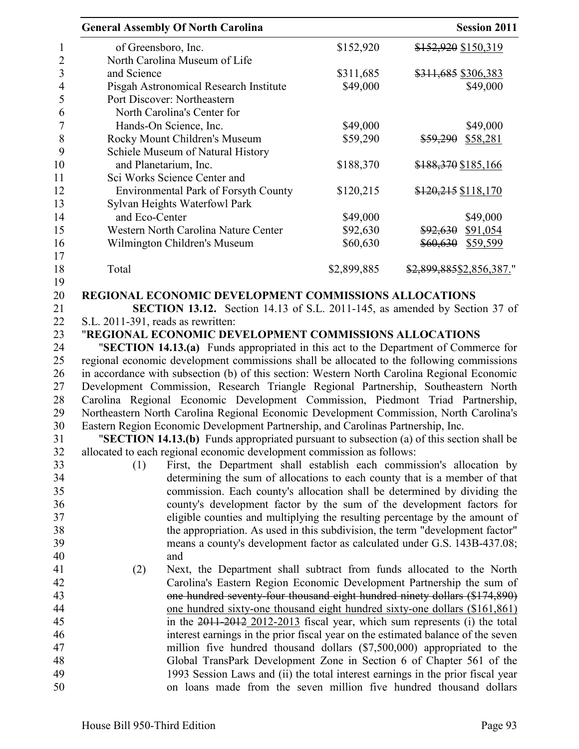| <b>General Assembly Of North Carolina</b>                                                   |                                                                               |             |                          | <b>Session 2011</b> |
|---------------------------------------------------------------------------------------------|-------------------------------------------------------------------------------|-------------|--------------------------|---------------------|
| of Greensboro, Inc.                                                                         |                                                                               | \$152,920   | \$152,920 \$150,319      |                     |
| North Carolina Museum of Life                                                               |                                                                               |             |                          |                     |
| and Science                                                                                 |                                                                               | \$311,685   | \$311,685 \$306,383      |                     |
| Pisgah Astronomical Research Institute                                                      |                                                                               | \$49,000    |                          | \$49,000            |
| Port Discover: Northeastern                                                                 |                                                                               |             |                          |                     |
| North Carolina's Center for                                                                 |                                                                               |             |                          |                     |
| Hands-On Science, Inc.                                                                      |                                                                               | \$49,000    |                          | \$49,000            |
| Rocky Mount Children's Museum                                                               |                                                                               | \$59,290    | \$59,290                 | \$58,281            |
| Schiele Museum of Natural History                                                           |                                                                               |             |                          |                     |
| and Planetarium, Inc.                                                                       |                                                                               | \$188,370   | \$188,370 \$185,166      |                     |
| Sci Works Science Center and                                                                |                                                                               |             |                          |                     |
| Environmental Park of Forsyth County                                                        |                                                                               | \$120,215   | \$120,215 \$118,170      |                     |
| Sylvan Heights Waterfowl Park                                                               |                                                                               |             |                          |                     |
| and Eco-Center                                                                              |                                                                               | \$49,000    |                          | \$49,000            |
| Western North Carolina Nature Center                                                        |                                                                               | \$92,630    | \$92,630                 | \$91,054            |
| Wilmington Children's Museum                                                                |                                                                               | \$60,630    | \$60,630                 | \$59,599            |
|                                                                                             |                                                                               |             |                          |                     |
| Total                                                                                       |                                                                               | \$2,899,885 | \$2,899,885\$2,856,387." |                     |
|                                                                                             |                                                                               |             |                          |                     |
| <b>REGIONAL ECONOMIC DEVELOPMENT COMMISSIONS ALLOCATIONS</b>                                |                                                                               |             |                          |                     |
|                                                                                             | SECTION 13.12. Section 14.13 of S.L. 2011-145, as amended by Section 37 of    |             |                          |                     |
| S.L. 2011-391, reads as rewritten:                                                          |                                                                               |             |                          |                     |
| "REGIONAL ECONOMIC DEVELOPMENT COMMISSIONS ALLOCATIONS                                      |                                                                               |             |                          |                     |
| "SECTION 14.13.(a) Funds appropriated in this act to the Department of Commerce for         |                                                                               |             |                          |                     |
| regional economic development commissions shall be allocated to the following commissions   |                                                                               |             |                          |                     |
| in accordance with subsection (b) of this section: Western North Carolina Regional Economic |                                                                               |             |                          |                     |
| Development Commission, Research Triangle Regional Partnership, Southeastern North          |                                                                               |             |                          |                     |
| Carolina Regional Economic Development Commission, Piedmont Triad Partnership,              |                                                                               |             |                          |                     |
| Northeastern North Carolina Regional Economic Development Commission, North Carolina's      |                                                                               |             |                          |                     |
| Eastern Region Economic Development Partnership, and Carolinas Partnership, Inc.            |                                                                               |             |                          |                     |
| "SECTION 14.13.(b) Funds appropriated pursuant to subsection (a) of this section shall be   |                                                                               |             |                          |                     |
| allocated to each regional economic development commission as follows:                      |                                                                               |             |                          |                     |
| (1)                                                                                         | First, the Department shall establish each commission's allocation by         |             |                          |                     |
|                                                                                             | determining the sum of allocations to each county that is a member of that    |             |                          |                     |
|                                                                                             | commission. Each county's allocation shall be determined by dividing the      |             |                          |                     |
|                                                                                             | county's development factor by the sum of the development factors for         |             |                          |                     |
|                                                                                             | eligible counties and multiplying the resulting percentage by the amount of   |             |                          |                     |
|                                                                                             | the appropriation. As used in this subdivision, the term "development factor" |             |                          |                     |

 and (2) Next, the Department shall subtract from funds allocated to the North Carolina's Eastern Region Economic Development Partnership the sum of one hundred seventy-four thousand eight hundred ninety dollars (\$174,890) one hundred sixty-one thousand eight hundred sixty-one dollars (\$161,861) in the 2011-2012 2012-2013 fiscal year, which sum represents (i) the total interest earnings in the prior fiscal year on the estimated balance of the seven million five hundred thousand dollars (\$7,500,000) appropriated to the Global TransPark Development Zone in Section 6 of Chapter 561 of the 1993 Session Laws and (ii) the total interest earnings in the prior fiscal year on loans made from the seven million five hundred thousand dollars

means a county's development factor as calculated under G.S. 143B-437.08;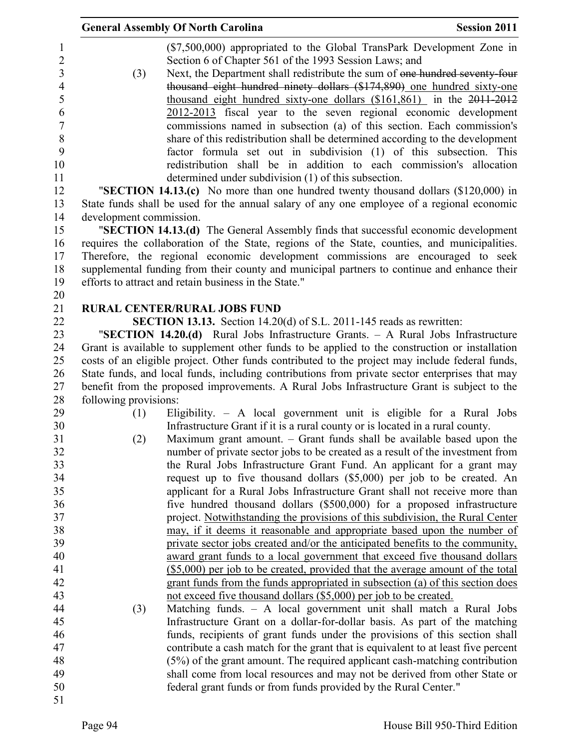|                         | <b>General Assembly Of North Carolina</b>                                                                                                                                       | <b>Session 2011</b> |
|-------------------------|---------------------------------------------------------------------------------------------------------------------------------------------------------------------------------|---------------------|
|                         | $(\$7,500,000)$ appropriated to the Global TransPark Development Zone in<br>Section 6 of Chapter 561 of the 1993 Session Laws; and                                              |                     |
| (3)                     | Next, the Department shall redistribute the sum of one hundred seventy-four<br>thousand eight hundred ninety dollars (\$174,890) one hundred sixty-one                          |                     |
|                         | thousand eight hundred sixty-one dollars $(\$161,861)$ in the $2011-2012$                                                                                                       |                     |
|                         | 2012-2013 fiscal year to the seven regional economic development                                                                                                                |                     |
|                         | commissions named in subsection (a) of this section. Each commission's                                                                                                          |                     |
|                         | share of this redistribution shall be determined according to the development<br>factor formula set out in subdivision (1) of this subsection. This                             |                     |
|                         | redistribution shall be in addition to each commission's allocation                                                                                                             |                     |
|                         | determined under subdivision (1) of this subsection.                                                                                                                            |                     |
|                         | "SECTION 14.13.(c) No more than one hundred twenty thousand dollars (\$120,000) in                                                                                              |                     |
|                         | State funds shall be used for the annual salary of any one employee of a regional economic                                                                                      |                     |
| development commission. |                                                                                                                                                                                 |                     |
|                         | "SECTION 14.13.(d) The General Assembly finds that successful economic development                                                                                              |                     |
|                         | requires the collaboration of the State, regions of the State, counties, and municipalities.<br>Therefore, the regional economic development commissions are encouraged to seek |                     |
|                         | supplemental funding from their county and municipal partners to continue and enhance their                                                                                     |                     |
|                         | efforts to attract and retain business in the State."                                                                                                                           |                     |
|                         |                                                                                                                                                                                 |                     |
|                         | <b>RURAL CENTER/RURAL JOBS FUND</b>                                                                                                                                             |                     |
|                         | <b>SECTION 13.13.</b> Section 14.20(d) of S.L. 2011-145 reads as rewritten:                                                                                                     |                     |
|                         | "SECTION 14.20.(d) Rural Jobs Infrastructure Grants. - A Rural Jobs Infrastructure                                                                                              |                     |
|                         | Grant is available to supplement other funds to be applied to the construction or installation                                                                                  |                     |
|                         | costs of an eligible project. Other funds contributed to the project may include federal funds,                                                                                 |                     |
|                         | State funds, and local funds, including contributions from private sector enterprises that may                                                                                  |                     |
|                         | benefit from the proposed improvements. A Rural Jobs Infrastructure Grant is subject to the                                                                                     |                     |
| following provisions:   |                                                                                                                                                                                 |                     |
| (1)                     | Eligibility. $-$ A local government unit is eligible for a Rural Jobs                                                                                                           |                     |
|                         | Infrastructure Grant if it is a rural county or is located in a rural county.                                                                                                   |                     |
| (2)                     | Maximum grant amount. – Grant funds shall be available based upon the                                                                                                           |                     |
|                         | number of private sector jobs to be created as a result of the investment from                                                                                                  |                     |
|                         | the Rural Jobs Infrastructure Grant Fund. An applicant for a grant may                                                                                                          |                     |
|                         | request up to five thousand dollars (\$5,000) per job to be created. An                                                                                                         |                     |
|                         | applicant for a Rural Jobs Infrastructure Grant shall not receive more than                                                                                                     |                     |
|                         | five hundred thousand dollars (\$500,000) for a proposed infrastructure<br>project. Notwithstanding the provisions of this subdivision, the Rural Center                        |                     |
|                         | may, if it deems it reasonable and appropriate based upon the number of                                                                                                         |                     |
|                         | private sector jobs created and/or the anticipated benefits to the community,                                                                                                   |                     |
|                         | award grant funds to a local government that exceed five thousand dollars                                                                                                       |                     |
|                         | (\$5,000) per job to be created, provided that the average amount of the total                                                                                                  |                     |
|                         | grant funds from the funds appropriated in subsection (a) of this section does                                                                                                  |                     |
|                         | not exceed five thousand dollars (\$5,000) per job to be created.                                                                                                               |                     |
| (3)                     | Matching funds. - A local government unit shall match a Rural Jobs                                                                                                              |                     |
|                         | Infrastructure Grant on a dollar-for-dollar basis. As part of the matching                                                                                                      |                     |
|                         | funds, recipients of grant funds under the provisions of this section shall                                                                                                     |                     |
|                         | contribute a cash match for the grant that is equivalent to at least five percent                                                                                               |                     |
|                         | (5%) of the grant amount. The required applicant cash-matching contribution                                                                                                     |                     |
|                         | shall come from local resources and may not be derived from other State or                                                                                                      |                     |
|                         | federal grant funds or from funds provided by the Rural Center."                                                                                                                |                     |
|                         |                                                                                                                                                                                 |                     |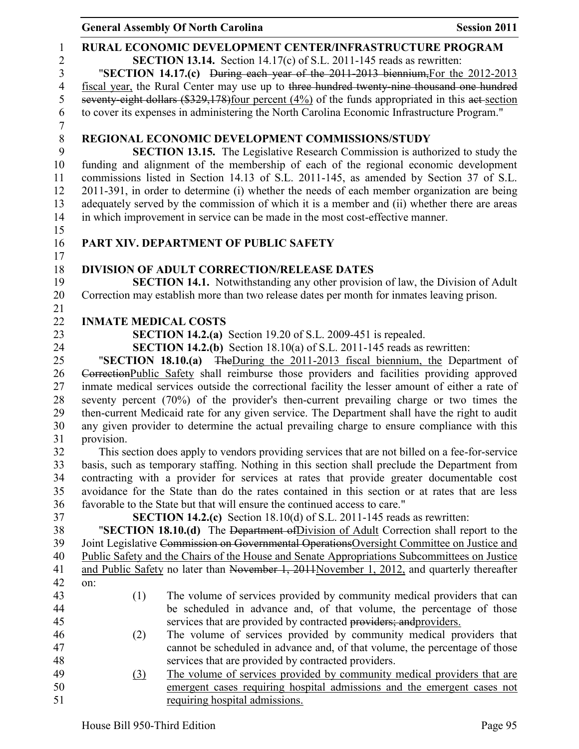|                         |                             | <b>General Assembly Of North Carolina</b>                                                             | <b>Session 2011</b> |
|-------------------------|-----------------------------|-------------------------------------------------------------------------------------------------------|---------------------|
| 1                       |                             | RURAL ECONOMIC DEVELOPMENT CENTER/INFRASTRUCTURE PROGRAM                                              |                     |
| $\overline{2}$          |                             | <b>SECTION 13.14.</b> Section 14.17(c) of S.L. 2011-145 reads as rewritten:                           |                     |
| $\overline{\mathbf{3}}$ |                             | "SECTION 14.17.(c) During each year of the 2011-2013 biennium, For the 2012-2013                      |                     |
| $\overline{4}$          |                             | fiscal year, the Rural Center may use up to three hundred twenty-nine thousand one hundred            |                     |
| 5                       |                             | seventy-eight dollars $(\$329,178)$ four percent $(4%)$ of the funds appropriated in this act-section |                     |
| 6                       |                             | to cover its expenses in administering the North Carolina Economic Infrastructure Program."           |                     |
| $\overline{7}$          |                             |                                                                                                       |                     |
| $\,8\,$                 |                             | REGIONAL ECONOMIC DEVELOPMENT COMMISSIONS/STUDY                                                       |                     |
| 9                       |                             | <b>SECTION 13.15.</b> The Legislative Research Commission is authorized to study the                  |                     |
| 10                      |                             | funding and alignment of the membership of each of the regional economic development                  |                     |
| 11                      |                             | commissions listed in Section 14.13 of S.L. 2011-145, as amended by Section 37 of S.L.                |                     |
| 12                      |                             | 2011-391, in order to determine (i) whether the needs of each member organization are being           |                     |
| 13                      |                             | adequately served by the commission of which it is a member and (ii) whether there are areas          |                     |
| 14                      |                             | in which improvement in service can be made in the most cost-effective manner.                        |                     |
| 15                      |                             |                                                                                                       |                     |
| 16                      |                             | PART XIV. DEPARTMENT OF PUBLIC SAFETY                                                                 |                     |
| 17                      |                             |                                                                                                       |                     |
| 18                      |                             | DIVISION OF ADULT CORRECTION/RELEASE DATES                                                            |                     |
| 19                      |                             | <b>SECTION 14.1.</b> Notwithstanding any other provision of law, the Division of Adult                |                     |
| 20                      |                             | Correction may establish more than two release dates per month for inmates leaving prison.            |                     |
| 21                      |                             |                                                                                                       |                     |
| 22                      | <b>INMATE MEDICAL COSTS</b> |                                                                                                       |                     |
| 23                      |                             | <b>SECTION 14.2.(a)</b> Section 19.20 of S.L. 2009-451 is repealed.                                   |                     |
| 24                      |                             | <b>SECTION 14.2.(b)</b> Section $18.10(a)$ of S.L. 2011-145 reads as rewritten:                       |                     |
| 25                      |                             | "SECTION 18.10.(a) The During the 2011-2013 fiscal biennium, the Department of                        |                     |
| 26                      |                             | CorrectionPublic Safety shall reimburse those providers and facilities providing approved             |                     |
| 27                      |                             | inmate medical services outside the correctional facility the lesser amount of either a rate of       |                     |
| 28                      |                             | seventy percent (70%) of the provider's then-current prevailing charge or two times the               |                     |
| 29                      |                             | then-current Medicaid rate for any given service. The Department shall have the right to audit        |                     |
| 30                      |                             | any given provider to determine the actual prevailing charge to ensure compliance with this           |                     |
| 31                      | provision.                  |                                                                                                       |                     |
| 32                      |                             | This section does apply to vendors providing services that are not billed on a fee-for-service        |                     |
| 33                      |                             | basis, such as temporary staffing. Nothing in this section shall preclude the Department from         |                     |
| 34                      |                             | contracting with a provider for services at rates that provide greater documentable cost              |                     |
| 35                      |                             | avoidance for the State than do the rates contained in this section or at rates that are less         |                     |
| 36                      |                             | favorable to the State but that will ensure the continued access to care."                            |                     |
| 37                      |                             | <b>SECTION 14.2.(c)</b> Section 18.10(d) of S.L. 2011-145 reads as rewritten:                         |                     |
| 38                      |                             | "SECTION 18.10.(d) The Department of Division of Adult Correction shall report to the                 |                     |
| 39                      |                             | Joint Legislative Commission on Governmental Operations Oversight Committee on Justice and            |                     |
| 40                      |                             | Public Safety and the Chairs of the House and Senate Appropriations Subcommittees on Justice          |                     |
| 41                      |                             | and Public Safety no later than November 1, 2011November 1, 2012, and quarterly thereafter            |                     |
| 42                      | on:                         |                                                                                                       |                     |
| 43                      | (1)                         | The volume of services provided by community medical providers that can                               |                     |
| 44                      |                             | be scheduled in advance and, of that volume, the percentage of those                                  |                     |
| 45                      |                             | services that are provided by contracted providers; and providers.                                    |                     |
| 46                      | (2)                         | The volume of services provided by community medical providers that                                   |                     |
| 47                      |                             | cannot be scheduled in advance and, of that volume, the percentage of those                           |                     |
| 48                      |                             | services that are provided by contracted providers.                                                   |                     |
| 49                      | (3)                         | The volume of services provided by community medical providers that are                               |                     |
| 50                      |                             | emergent cases requiring hospital admissions and the emergent cases not                               |                     |
| 51                      |                             | requiring hospital admissions.                                                                        |                     |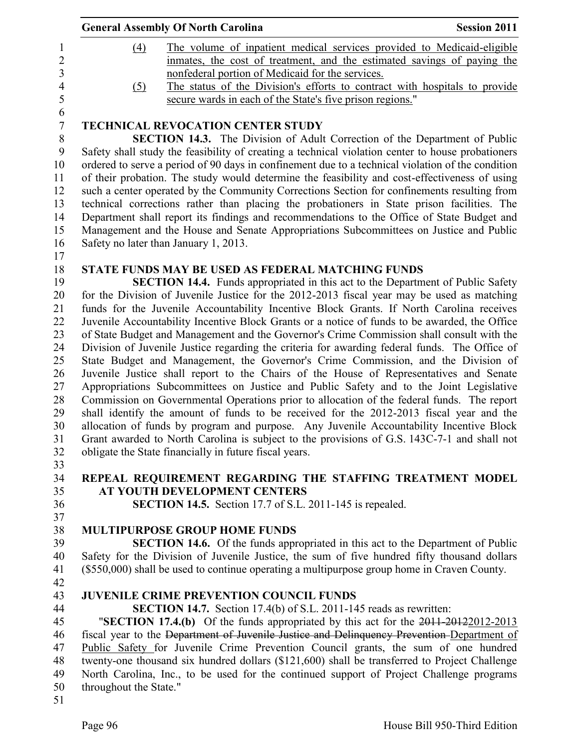|                        | <b>General Assembly Of North Carolina</b>                                                         | <b>Session 2011</b> |
|------------------------|---------------------------------------------------------------------------------------------------|---------------------|
| $\left(4\right)$       | The volume of inpatient medical services provided to Medicaid-eligible                            |                     |
|                        | inmates, the cost of treatment, and the estimated savings of paying the                           |                     |
|                        | nonfederal portion of Medicaid for the services.                                                  |                     |
| $\left( 5\right)$      | The status of the Division's efforts to contract with hospitals to provide                        |                     |
|                        | secure wards in each of the State's five prison regions."                                         |                     |
|                        | <b>TECHNICAL REVOCATION CENTER STUDY</b>                                                          |                     |
|                        | <b>SECTION 14.3.</b> The Division of Adult Correction of the Department of Public                 |                     |
|                        | Safety shall study the feasibility of creating a technical violation center to house probationers |                     |
|                        | ordered to serve a period of 90 days in confinement due to a technical violation of the condition |                     |
|                        | of their probation. The study would determine the feasibility and cost-effectiveness of using     |                     |
|                        | such a center operated by the Community Corrections Section for confinements resulting from       |                     |
|                        | technical corrections rather than placing the probationers in State prison facilities. The        |                     |
|                        | Department shall report its findings and recommendations to the Office of State Budget and        |                     |
|                        | Management and the House and Senate Appropriations Subcommittees on Justice and Public            |                     |
|                        | Safety no later than January 1, 2013.                                                             |                     |
|                        |                                                                                                   |                     |
|                        | STATE FUNDS MAY BE USED AS FEDERAL MATCHING FUNDS                                                 |                     |
|                        | <b>SECTION 14.4.</b> Funds appropriated in this act to the Department of Public Safety            |                     |
|                        | for the Division of Juvenile Justice for the 2012-2013 fiscal year may be used as matching        |                     |
|                        | funds for the Juvenile Accountability Incentive Block Grants. If North Carolina receives          |                     |
|                        | Juvenile Accountability Incentive Block Grants or a notice of funds to be awarded, the Office     |                     |
|                        | of State Budget and Management and the Governor's Crime Commission shall consult with the         |                     |
|                        | Division of Juvenile Justice regarding the criteria for awarding federal funds. The Office of     |                     |
|                        | State Budget and Management, the Governor's Crime Commission, and the Division of                 |                     |
|                        | Juvenile Justice shall report to the Chairs of the House of Representatives and Senate            |                     |
|                        | Appropriations Subcommittees on Justice and Public Safety and to the Joint Legislative            |                     |
|                        | Commission on Governmental Operations prior to allocation of the federal funds. The report        |                     |
|                        | shall identify the amount of funds to be received for the 2012-2013 fiscal year and the           |                     |
|                        | allocation of funds by program and purpose. Any Juvenile Accountability Incentive Block           |                     |
|                        | Grant awarded to North Carolina is subject to the provisions of G.S. 143C-7-1 and shall not       |                     |
|                        | obligate the State financially in future fiscal years.                                            |                     |
|                        |                                                                                                   |                     |
|                        | REPEAL REQUIREMENT REGARDING THE STAFFING TREATMENT MODEL                                         |                     |
|                        | AT YOUTH DEVELOPMENT CENTERS                                                                      |                     |
|                        | <b>SECTION 14.5.</b> Section 17.7 of S.L. 2011-145 is repealed.                                   |                     |
|                        |                                                                                                   |                     |
|                        | <b>MULTIPURPOSE GROUP HOME FUNDS</b>                                                              |                     |
|                        | <b>SECTION 14.6.</b> Of the funds appropriated in this act to the Department of Public            |                     |
|                        | Safety for the Division of Juvenile Justice, the sum of five hundred fifty thousand dollars       |                     |
|                        | (\$550,000) shall be used to continue operating a multipurpose group home in Craven County.       |                     |
|                        |                                                                                                   |                     |
|                        | <b>JUVENILE CRIME PREVENTION COUNCIL FUNDS</b>                                                    |                     |
|                        | <b>SECTION 14.7.</b> Section 17.4(b) of S.L. 2011-145 reads as rewritten:                         |                     |
|                        | "SECTION 17.4.(b) Of the funds appropriated by this act for the 2011-20122012-2013                |                     |
|                        | fiscal year to the Department of Juvenile Justice and Delinquency Prevention-Department of        |                     |
|                        | Public Safety for Juvenile Crime Prevention Council grants, the sum of one hundred                |                     |
|                        | twenty-one thousand six hundred dollars (\$121,600) shall be transferred to Project Challenge     |                     |
|                        | North Carolina, Inc., to be used for the continued support of Project Challenge programs          |                     |
| throughout the State." |                                                                                                   |                     |
|                        |                                                                                                   |                     |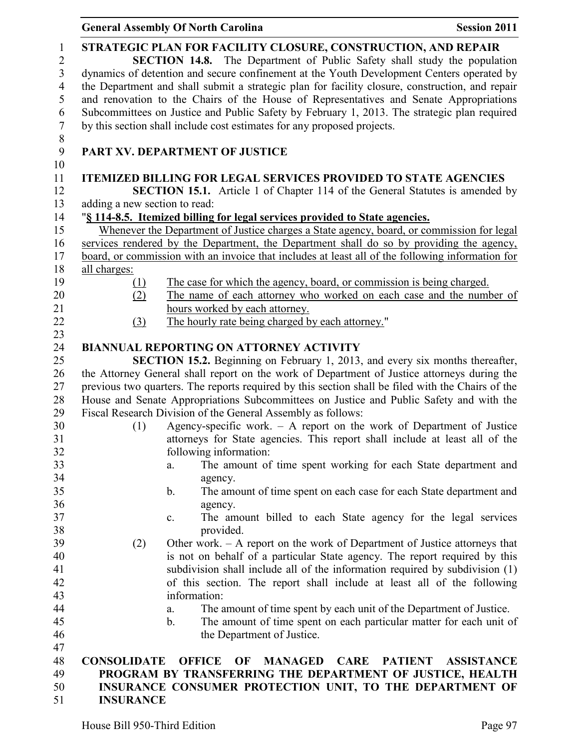|                                |                               | <b>General Assembly Of North Carolina</b>                                                                                                                                             | <b>Session 2011</b> |
|--------------------------------|-------------------------------|---------------------------------------------------------------------------------------------------------------------------------------------------------------------------------------|---------------------|
| $\mathbf{1}$<br>$\overline{c}$ |                               | STRATEGIC PLAN FOR FACILITY CLOSURE, CONSTRUCTION, AND REPAIR<br><b>SECTION 14.8.</b> The Department of Public Safety shall study the population                                      |                     |
| $\overline{\mathbf{3}}$        |                               | dynamics of detention and secure confinement at the Youth Development Centers operated by                                                                                             |                     |
| $\overline{4}$                 |                               | the Department and shall submit a strategic plan for facility closure, construction, and repair                                                                                       |                     |
| 5                              |                               | and renovation to the Chairs of the House of Representatives and Senate Appropriations<br>Subcommittees on Justice and Public Safety by February 1, 2013. The strategic plan required |                     |
| 6<br>$\overline{7}$            |                               | by this section shall include cost estimates for any proposed projects.                                                                                                               |                     |
| 8<br>9                         |                               |                                                                                                                                                                                       |                     |
| 10                             |                               | PART XV. DEPARTMENT OF JUSTICE                                                                                                                                                        |                     |
| 11<br>12                       |                               | <b>ITEMIZED BILLING FOR LEGAL SERVICES PROVIDED TO STATE AGENCIES</b><br><b>SECTION 15.1.</b> Article 1 of Chapter 114 of the General Statutes is amended by                          |                     |
| 13                             | adding a new section to read: |                                                                                                                                                                                       |                     |
| 14                             |                               | "§ 114-8.5. Itemized billing for legal services provided to State agencies.                                                                                                           |                     |
| 15                             |                               | Whenever the Department of Justice charges a State agency, board, or commission for legal                                                                                             |                     |
| 16                             |                               | services rendered by the Department, the Department shall do so by providing the agency,                                                                                              |                     |
| 17<br>18                       |                               | board, or commission with an invoice that includes at least all of the following information for                                                                                      |                     |
| 19                             | all charges:                  |                                                                                                                                                                                       |                     |
| 20                             | $\Box$<br>(2)                 | The case for which the agency, board, or commission is being charged.<br>The name of each attorney who worked on each case and the number of                                          |                     |
| 21                             |                               | hours worked by each attorney.                                                                                                                                                        |                     |
| 22                             | (3)                           | The hourly rate being charged by each attorney."                                                                                                                                      |                     |
| 23                             |                               |                                                                                                                                                                                       |                     |
| 24                             |                               | <b>BIANNUAL REPORTING ON ATTORNEY ACTIVITY</b>                                                                                                                                        |                     |
| 25                             |                               | <b>SECTION 15.2.</b> Beginning on February 1, 2013, and every six months thereafter,                                                                                                  |                     |
| 26                             |                               | the Attorney General shall report on the work of Department of Justice attorneys during the                                                                                           |                     |
| 27                             |                               | previous two quarters. The reports required by this section shall be filed with the Chairs of the                                                                                     |                     |
| 28                             |                               | House and Senate Appropriations Subcommittees on Justice and Public Safety and with the                                                                                               |                     |
| 29                             |                               | Fiscal Research Division of the General Assembly as follows:                                                                                                                          |                     |
| 30                             | (1)                           | Agency-specific work. - A report on the work of Department of Justice                                                                                                                 |                     |
| 31                             |                               | attorneys for State agencies. This report shall include at least all of the                                                                                                           |                     |
| 32                             |                               | following information:                                                                                                                                                                |                     |
| 33                             |                               | The amount of time spent working for each State department and<br>a.                                                                                                                  |                     |
| 34                             |                               | agency.                                                                                                                                                                               |                     |
| 35                             |                               | The amount of time spent on each case for each State department and<br>b.                                                                                                             |                     |
| 36                             |                               | agency.                                                                                                                                                                               |                     |
| 37<br>38                       |                               | The amount billed to each State agency for the legal services<br>$\mathbf{c}$ .<br>provided.                                                                                          |                     |
| 39                             | (2)                           | Other work. $- A$ report on the work of Department of Justice attorneys that                                                                                                          |                     |
| 40                             |                               | is not on behalf of a particular State agency. The report required by this                                                                                                            |                     |
| 41                             |                               | subdivision shall include all of the information required by subdivision (1)                                                                                                          |                     |
| 42                             |                               | of this section. The report shall include at least all of the following                                                                                                               |                     |
| 43                             |                               | information:                                                                                                                                                                          |                     |
| 44                             |                               | The amount of time spent by each unit of the Department of Justice.<br>a.                                                                                                             |                     |
| 45                             |                               | The amount of time spent on each particular matter for each unit of<br>b.                                                                                                             |                     |
| 46                             |                               | the Department of Justice.                                                                                                                                                            |                     |
| 47                             |                               |                                                                                                                                                                                       |                     |
| 48                             | <b>CONSOLIDATE</b>            | <b>OFFICE</b><br><b>MANAGED</b><br>OF<br><b>CARE</b><br><b>PATIENT</b>                                                                                                                | <b>ASSISTANCE</b>   |
| 49                             |                               | PROGRAM BY TRANSFERRING THE DEPARTMENT OF JUSTICE, HEALTH                                                                                                                             |                     |
| 50                             |                               | INSURANCE CONSUMER PROTECTION UNIT, TO THE DEPARTMENT OF                                                                                                                              |                     |
| 51                             | <b>INSURANCE</b>              |                                                                                                                                                                                       |                     |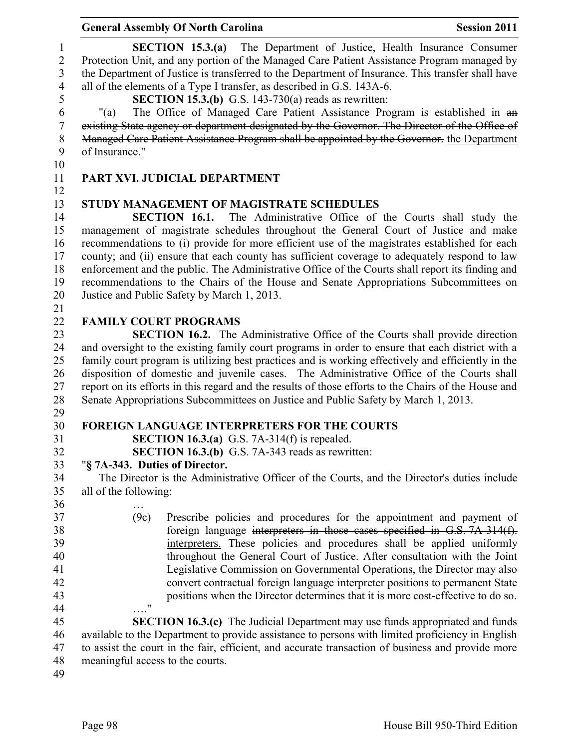**SECTION 15.3.(a)** The Department of Justice, Health Insurance Consumer Protection Unit, and any portion of the Managed Care Patient Assistance Program managed by the Department of Justice is transferred to the Department of Insurance. This transfer shall have all of the elements of a Type I transfer, as described in G.S. 143A-6. **SECTION 15.3.(b)** G.S. 143-730(a) reads as rewritten: "(a) The Office of Managed Care Patient Assistance Program is established in an existing State agency or department designated by the Governor. The Director of the Office of 8 Managed Care Patient Assistance Program shall be appointed by the Governor. the Department of Insurance." **PART XVI. JUDICIAL DEPARTMENT STUDY MANAGEMENT OF MAGISTRATE SCHEDULES SECTION 16.1.** The Administrative Office of the Courts shall study the management of magistrate schedules throughout the General Court of Justice and make recommendations to (i) provide for more efficient use of the magistrates established for each county; and (ii) ensure that each county has sufficient coverage to adequately respond to law enforcement and the public. The Administrative Office of the Courts shall report its finding and recommendations to the Chairs of the House and Senate Appropriations Subcommittees on Justice and Public Safety by March 1, 2013. **FAMILY COURT PROGRAMS SECTION 16.2.** The Administrative Office of the Courts shall provide direction and oversight to the existing family court programs in order to ensure that each district with a family court program is utilizing best practices and is working effectively and efficiently in the disposition of domestic and juvenile cases. The Administrative Office of the Courts shall report on its efforts in this regard and the results of those efforts to the Chairs of the House and Senate Appropriations Subcommittees on Justice and Public Safety by March 1, 2013. **FOREIGN LANGUAGE INTERPRETERS FOR THE COURTS SECTION 16.3.(a)** G.S. 7A-314(f) is repealed. **SECTION 16.3.(b)** G.S. 7A-343 reads as rewritten: "**§ 7A-343. Duties of Director.**  The Director is the Administrative Officer of the Courts, and the Director's duties include all of the following: … (9c) Prescribe policies and procedures for the appointment and payment of foreign language interpreters in those cases specified in G.S. 7A-314(f). interpreters. These policies and procedures shall be applied uniformly throughout the General Court of Justice. After consultation with the Joint Legislative Commission on Governmental Operations, the Director may also convert contractual foreign language interpreter positions to permanent State positions when the Director determines that it is more cost-effective to do so. …." **SECTION 16.3.(c)** The Judicial Department may use funds appropriated and funds available to the Department to provide assistance to persons with limited proficiency in English to assist the court in the fair, efficient, and accurate transaction of business and provide more meaningful access to the courts.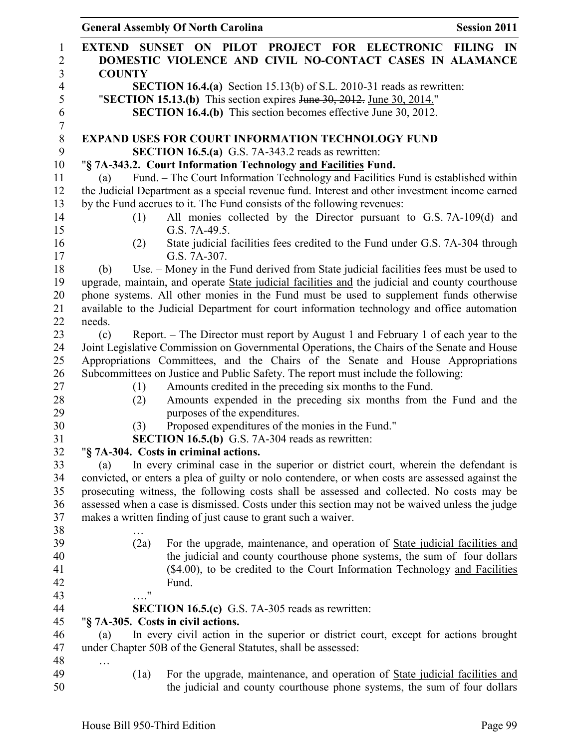|               | <b>General Assembly Of North Carolina</b>                                                                                                                 | <b>Session 2011</b> |
|---------------|-----------------------------------------------------------------------------------------------------------------------------------------------------------|---------------------|
|               | EXTEND SUNSET ON PILOT PROJECT FOR ELECTRONIC FILING IN                                                                                                   |                     |
|               | DOMESTIC VIOLENCE AND CIVIL NO-CONTACT CASES IN ALAMANCE                                                                                                  |                     |
| <b>COUNTY</b> |                                                                                                                                                           |                     |
|               | <b>SECTION 16.4.(a)</b> Section 15.13(b) of S.L. 2010-31 reads as rewritten:                                                                              |                     |
|               | "SECTION 15.13.(b) This section expires $\frac{\text{June }30, 2012}{2012}$ . June 30, 2014."                                                             |                     |
|               | <b>SECTION 16.4.(b)</b> This section becomes effective June 30, 2012.                                                                                     |                     |
|               | <b>EXPAND USES FOR COURT INFORMATION TECHNOLOGY FUND</b>                                                                                                  |                     |
|               | <b>SECTION 16.5.(a)</b> G.S. 7A-343.2 reads as rewritten:                                                                                                 |                     |
|               | "§ 7A-343.2. Court Information Technology and Facilities Fund.                                                                                            |                     |
| (a)           | Fund. - The Court Information Technology and Facilities Fund is established within                                                                        |                     |
|               | the Judicial Department as a special revenue fund. Interest and other investment income earned                                                            |                     |
|               | by the Fund accrues to it. The Fund consists of the following revenues:                                                                                   |                     |
| (1)           | All monies collected by the Director pursuant to G.S. 7A-109(d) and<br>G.S. 7A-49.5.                                                                      |                     |
| (2)           | State judicial facilities fees credited to the Fund under G.S. 7A-304 through<br>G.S. 7A-307.                                                             |                     |
| (b)           | Use. – Money in the Fund derived from State judicial facilities fees must be used to                                                                      |                     |
|               | upgrade, maintain, and operate State judicial facilities and the judicial and county courthouse                                                           |                     |
|               | phone systems. All other monies in the Fund must be used to supplement funds otherwise                                                                    |                     |
|               | available to the Judicial Department for court information technology and office automation                                                               |                     |
| needs.        |                                                                                                                                                           |                     |
| (c)           | Report. – The Director must report by August 1 and February 1 of each year to the                                                                         |                     |
|               | Joint Legislative Commission on Governmental Operations, the Chairs of the Senate and House                                                               |                     |
|               | Appropriations Committees, and the Chairs of the Senate and House Appropriations                                                                          |                     |
|               | Subcommittees on Justice and Public Safety. The report must include the following:                                                                        |                     |
| (1)           | Amounts credited in the preceding six months to the Fund.                                                                                                 |                     |
| (2)           | Amounts expended in the preceding six months from the Fund and the                                                                                        |                     |
|               | purposes of the expenditures.                                                                                                                             |                     |
| (3)           | Proposed expenditures of the monies in the Fund."                                                                                                         |                     |
|               | <b>SECTION 16.5.(b)</b> G.S. 7A-304 reads as rewritten:                                                                                                   |                     |
|               | "§ 7A-304. Costs in criminal actions.                                                                                                                     |                     |
| (a)           | In every criminal case in the superior or district court, wherein the defendant is                                                                        |                     |
|               | convicted, or enters a plea of guilty or not contendere, or when costs are assessed against the                                                           |                     |
|               | prosecuting witness, the following costs shall be assessed and collected. No costs may be                                                                 |                     |
|               | assessed when a case is dismissed. Costs under this section may not be waived unless the judge                                                            |                     |
|               | makes a written finding of just cause to grant such a waiver.                                                                                             |                     |
|               |                                                                                                                                                           |                     |
| (2a)          | For the upgrade, maintenance, and operation of State judicial facilities and                                                                              |                     |
|               | the judicial and county courthouse phone systems, the sum of four dollars                                                                                 |                     |
|               | (\$4.00), to be credited to the Court Information Technology and Facilities                                                                               |                     |
|               | Fund.                                                                                                                                                     |                     |
| 11            |                                                                                                                                                           |                     |
|               |                                                                                                                                                           |                     |
|               | <b>SECTION 16.5.(c)</b> G.S. 7A-305 reads as rewritten:                                                                                                   |                     |
|               | "§ 7A-305. Costs in civil actions.                                                                                                                        |                     |
| (a)           | In every civil action in the superior or district court, except for actions brought                                                                       |                     |
|               | under Chapter 50B of the General Statutes, shall be assessed:                                                                                             |                     |
| .             |                                                                                                                                                           |                     |
| (1a)          | For the upgrade, maintenance, and operation of State judicial facilities and<br>the judicial and county courthouse phone systems, the sum of four dollars |                     |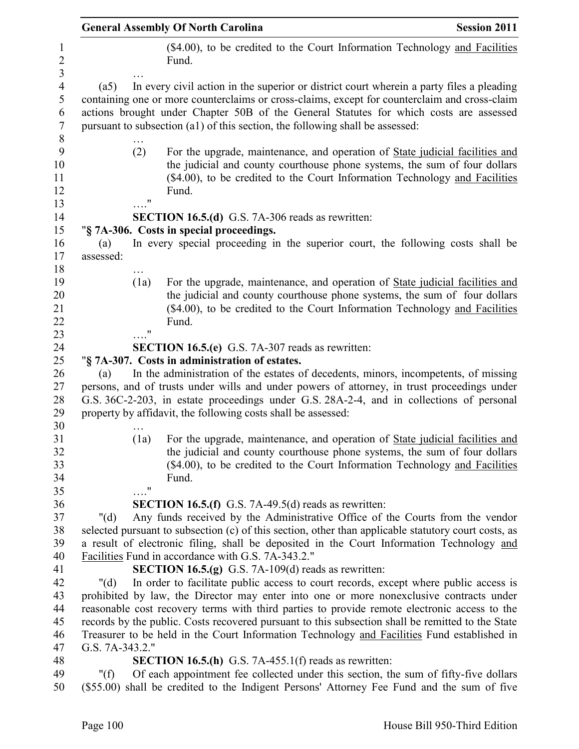|                  | <b>General Assembly Of North Carolina</b>                                                                                                                                                                                                                                                                                                                            | <b>Session 2011</b> |
|------------------|----------------------------------------------------------------------------------------------------------------------------------------------------------------------------------------------------------------------------------------------------------------------------------------------------------------------------------------------------------------------|---------------------|
|                  | (\$4.00), to be credited to the Court Information Technology and Facilities<br>Fund.                                                                                                                                                                                                                                                                                 |                     |
| (a5)             | In every civil action in the superior or district court wherein a party files a pleading<br>containing one or more counterclaims or cross-claims, except for counterclaim and cross-claim<br>actions brought under Chapter 50B of the General Statutes for which costs are assessed<br>pursuant to subsection (a1) of this section, the following shall be assessed: |                     |
| (2)              | For the upgrade, maintenance, and operation of State judicial facilities and<br>the judicial and county courthouse phone systems, the sum of four dollars<br>(\$4.00), to be credited to the Court Information Technology and Facilities<br>Fund.                                                                                                                    |                     |
|                  | 11                                                                                                                                                                                                                                                                                                                                                                   |                     |
|                  | <b>SECTION 16.5.(d)</b> G.S. 7A-306 reads as rewritten:<br>"§ 7A-306. Costs in special proceedings.                                                                                                                                                                                                                                                                  |                     |
| (a)<br>assessed: | In every special proceeding in the superior court, the following costs shall be                                                                                                                                                                                                                                                                                      |                     |
|                  | For the upgrade, maintenance, and operation of State judicial facilities and<br>(1a)<br>the judicial and county courthouse phone systems, the sum of four dollars<br>(\$4.00), to be credited to the Court Information Technology and Facilities<br>Fund.<br>11                                                                                                      |                     |
|                  |                                                                                                                                                                                                                                                                                                                                                                      |                     |
|                  | <b>SECTION 16.5.(e)</b> G.S. 7A-307 reads as rewritten:<br>"§ 7A-307. Costs in administration of estates.                                                                                                                                                                                                                                                            |                     |
| (a)              | In the administration of the estates of decedents, minors, incompetents, of missing                                                                                                                                                                                                                                                                                  |                     |
|                  | persons, and of trusts under wills and under powers of attorney, in trust proceedings under<br>G.S. 36C-2-203, in estate proceedings under G.S. 28A-2-4, and in collections of personal<br>property by affidavit, the following costs shall be assessed:                                                                                                             |                     |
|                  |                                                                                                                                                                                                                                                                                                                                                                      |                     |
| (1a)             | For the upgrade, maintenance, and operation of State judicial facilities and<br>the judicial and county courthouse phone systems, the sum of four dollars<br>(\$4.00), to be credited to the Court Information Technology and Facilities                                                                                                                             |                     |
|                  | Fund.                                                                                                                                                                                                                                                                                                                                                                |                     |
|                  | $\ldots$ "                                                                                                                                                                                                                                                                                                                                                           |                     |
| " $(d)$          | <b>SECTION 16.5.(f)</b> G.S. 7A-49.5(d) reads as rewritten:<br>Any funds received by the Administrative Office of the Courts from the vendor                                                                                                                                                                                                                         |                     |
|                  | selected pursuant to subsection (c) of this section, other than applicable statutory court costs, as                                                                                                                                                                                                                                                                 |                     |
|                  | a result of electronic filing, shall be deposited in the Court Information Technology and                                                                                                                                                                                                                                                                            |                     |
|                  | Facilities Fund in accordance with G.S. 7A-343.2."                                                                                                                                                                                                                                                                                                                   |                     |
|                  | <b>SECTION 16.5.(g)</b> G.S. 7A-109(d) reads as rewritten:                                                                                                                                                                                                                                                                                                           |                     |
| " $(d)$          | In order to facilitate public access to court records, except where public access is                                                                                                                                                                                                                                                                                 |                     |
|                  | prohibited by law, the Director may enter into one or more nonexclusive contracts under                                                                                                                                                                                                                                                                              |                     |
|                  | reasonable cost recovery terms with third parties to provide remote electronic access to the                                                                                                                                                                                                                                                                         |                     |
|                  | records by the public. Costs recovered pursuant to this subsection shall be remitted to the State<br>Treasurer to be held in the Court Information Technology and Facilities Fund established in                                                                                                                                                                     |                     |
| G.S. 7A-343.2."  |                                                                                                                                                                                                                                                                                                                                                                      |                     |
|                  | <b>SECTION 16.5.(h)</b> G.S. 7A-455.1(f) reads as rewritten:                                                                                                                                                                                                                                                                                                         |                     |
| " $(f)$          | Of each appointment fee collected under this section, the sum of fifty-five dollars<br>(\$55.00) shall be credited to the Indigent Persons' Attorney Fee Fund and the sum of five                                                                                                                                                                                    |                     |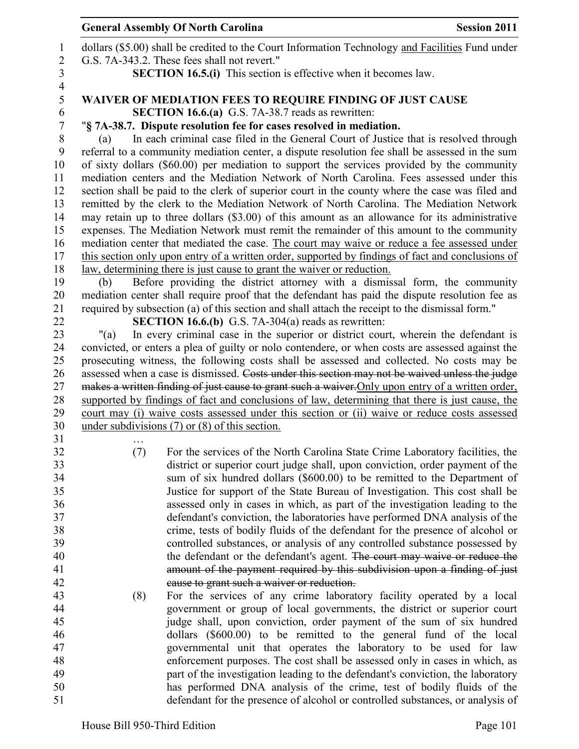|                |      | <b>General Assembly Of North Carolina</b>                                                                                                                      | <b>Session 2011</b> |
|----------------|------|----------------------------------------------------------------------------------------------------------------------------------------------------------------|---------------------|
| 1              |      | dollars (\$5.00) shall be credited to the Court Information Technology and Facilities Fund under                                                               |                     |
| $\overline{2}$ |      | G.S. 7A-343.2. These fees shall not revert."                                                                                                                   |                     |
| 3              |      | <b>SECTION 16.5.(i)</b> This section is effective when it becomes law.                                                                                         |                     |
| $\overline{4}$ |      |                                                                                                                                                                |                     |
| 5              |      | WAIVER OF MEDIATION FEES TO REQUIRE FINDING OF JUST CAUSE                                                                                                      |                     |
| 6              |      | <b>SECTION 16.6.(a)</b> G.S. 7A-38.7 reads as rewritten:                                                                                                       |                     |
| $\overline{7}$ |      | "§ 7A-38.7. Dispute resolution fee for cases resolved in mediation.                                                                                            |                     |
| $8\,$          | (a)  | In each criminal case filed in the General Court of Justice that is resolved through                                                                           |                     |
| 9              |      | referral to a community mediation center, a dispute resolution fee shall be assessed in the sum                                                                |                     |
| 10             |      | of sixty dollars (\$60.00) per mediation to support the services provided by the community                                                                     |                     |
| 11             |      | mediation centers and the Mediation Network of North Carolina. Fees assessed under this                                                                        |                     |
| 12             |      | section shall be paid to the clerk of superior court in the county where the case was filed and                                                                |                     |
| 13             |      | remitted by the clerk to the Mediation Network of North Carolina. The Mediation Network                                                                        |                     |
| 14             |      | may retain up to three dollars (\$3.00) of this amount as an allowance for its administrative                                                                  |                     |
| 15             |      | expenses. The Mediation Network must remit the remainder of this amount to the community                                                                       |                     |
| 16             |      | mediation center that mediated the case. The court may waive or reduce a fee assessed under                                                                    |                     |
| 17             |      | this section only upon entry of a written order, supported by findings of fact and conclusions of                                                              |                     |
| 18             |      | law, determining there is just cause to grant the waiver or reduction.                                                                                         |                     |
| 19             | (b)  | Before providing the district attorney with a dismissal form, the community                                                                                    |                     |
| 20             |      | mediation center shall require proof that the defendant has paid the dispute resolution fee as                                                                 |                     |
| 21             |      | required by subsection (a) of this section and shall attach the receipt to the dismissal form."                                                                |                     |
| 22             |      | <b>SECTION 16.6.(b)</b> G.S. 7A-304(a) reads as rewritten:                                                                                                     |                     |
| 23             | "(a) | In every criminal case in the superior or district court, wherein the defendant is                                                                             |                     |
| 24             |      | convicted, or enters a plea of guilty or nolo contendere, or when costs are assessed against the                                                               |                     |
| 25             |      | prosecuting witness, the following costs shall be assessed and collected. No costs may be                                                                      |                     |
| 26             |      | assessed when a case is dismissed. Costs under this section may not be waived unless the judge                                                                 |                     |
| 27             |      | makes a written finding of just cause to grant such a waiver. Only upon entry of a written order,                                                              |                     |
| 28             |      | supported by findings of fact and conclusions of law, determining that there is just cause, the                                                                |                     |
| 29             |      | court may (i) waive costs assessed under this section or (ii) waive or reduce costs assessed                                                                   |                     |
| 30             |      | under subdivisions $(7)$ or $(8)$ of this section.                                                                                                             |                     |
| 31             |      |                                                                                                                                                                |                     |
| 32             | (7)  | For the services of the North Carolina State Crime Laboratory facilities, the                                                                                  |                     |
| 33             |      | district or superior court judge shall, upon conviction, order payment of the                                                                                  |                     |
| 34             |      | sum of six hundred dollars (\$600.00) to be remitted to the Department of                                                                                      |                     |
| 35             |      | Justice for support of the State Bureau of Investigation. This cost shall be                                                                                   |                     |
| 36             |      | assessed only in cases in which, as part of the investigation leading to the                                                                                   |                     |
| 37             |      | defendant's conviction, the laboratories have performed DNA analysis of the                                                                                    |                     |
| 38             |      | crime, tests of bodily fluids of the defendant for the presence of alcohol or                                                                                  |                     |
| 39             |      | controlled substances, or analysis of any controlled substance possessed by                                                                                    |                     |
| 40             |      | the defendant or the defendant's agent. The court may waive or reduce the                                                                                      |                     |
| 41             |      | amount of the payment required by this subdivision upon a finding of just                                                                                      |                     |
| 42             |      | cause to grant such a waiver or reduction.                                                                                                                     |                     |
| 43             | (8)  | For the services of any crime laboratory facility operated by a local                                                                                          |                     |
| 44             |      | government or group of local governments, the district or superior court                                                                                       |                     |
| 45             |      | judge shall, upon conviction, order payment of the sum of six hundred                                                                                          |                     |
| 46             |      | dollars (\$600.00) to be remitted to the general fund of the local                                                                                             |                     |
| 47<br>48       |      | governmental unit that operates the laboratory to be used for law                                                                                              |                     |
| 49             |      | enforcement purposes. The cost shall be assessed only in cases in which, as<br>part of the investigation leading to the defendant's conviction, the laboratory |                     |
| 50             |      | has performed DNA analysis of the crime, test of bodily fluids of the                                                                                          |                     |
| 51             |      | defendant for the presence of alcohol or controlled substances, or analysis of                                                                                 |                     |
|                |      |                                                                                                                                                                |                     |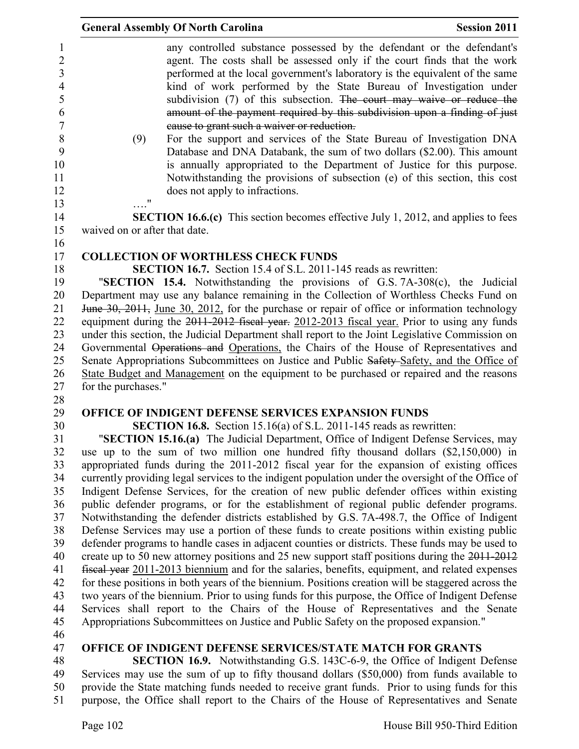| <b>General Assembly Of North Carolina</b> |                                                                                       | <b>Session 2011</b>                                                                                                                                                                                                                                                                                                                                                                                                                                                                                                                                                                                                                                                                                                                                                         |
|-------------------------------------------|---------------------------------------------------------------------------------------|-----------------------------------------------------------------------------------------------------------------------------------------------------------------------------------------------------------------------------------------------------------------------------------------------------------------------------------------------------------------------------------------------------------------------------------------------------------------------------------------------------------------------------------------------------------------------------------------------------------------------------------------------------------------------------------------------------------------------------------------------------------------------------|
| (9)<br>$\pmb{\mathsf{H}}$                 | cause to grant such a waiver or reduction.<br>does not apply to infractions.          | any controlled substance possessed by the defendant or the defendant's<br>agent. The costs shall be assessed only if the court finds that the work<br>performed at the local government's laboratory is the equivalent of the same<br>kind of work performed by the State Bureau of Investigation under<br>subdivision (7) of this subsection. The court may waive or reduce the<br>amount of the payment required by this subdivision upon a finding of just<br>For the support and services of the State Bureau of Investigation DNA<br>Database and DNA Databank, the sum of two dollars (\$2.00). This amount<br>is annually appropriated to the Department of Justice for this purpose.<br>Notwithstanding the provisions of subsection (e) of this section, this cost |
|                                           |                                                                                       |                                                                                                                                                                                                                                                                                                                                                                                                                                                                                                                                                                                                                                                                                                                                                                             |
| waived on or after that date.             |                                                                                       | <b>SECTION 16.6.(c)</b> This section becomes effective July 1, 2012, and applies to fees                                                                                                                                                                                                                                                                                                                                                                                                                                                                                                                                                                                                                                                                                    |
|                                           |                                                                                       |                                                                                                                                                                                                                                                                                                                                                                                                                                                                                                                                                                                                                                                                                                                                                                             |
|                                           | <b>COLLECTION OF WORTHLESS CHECK FUNDS</b>                                            |                                                                                                                                                                                                                                                                                                                                                                                                                                                                                                                                                                                                                                                                                                                                                                             |
|                                           | <b>SECTION 16.7.</b> Section 15.4 of S.L. 2011-145 reads as rewritten:                |                                                                                                                                                                                                                                                                                                                                                                                                                                                                                                                                                                                                                                                                                                                                                                             |
|                                           |                                                                                       | "SECTION 15.4. Notwithstanding the provisions of G.S. 7A-308(c), the Judicial                                                                                                                                                                                                                                                                                                                                                                                                                                                                                                                                                                                                                                                                                               |
|                                           |                                                                                       | Department may use any balance remaining in the Collection of Worthless Checks Fund on                                                                                                                                                                                                                                                                                                                                                                                                                                                                                                                                                                                                                                                                                      |
|                                           |                                                                                       | June 30, 2011, June 30, 2012, for the purchase or repair of office or information technology                                                                                                                                                                                                                                                                                                                                                                                                                                                                                                                                                                                                                                                                                |
|                                           |                                                                                       | equipment during the 2011-2012 fiscal year. 2012-2013 fiscal year. Prior to using any funds                                                                                                                                                                                                                                                                                                                                                                                                                                                                                                                                                                                                                                                                                 |
|                                           |                                                                                       | under this section, the Judicial Department shall report to the Joint Legislative Commission on                                                                                                                                                                                                                                                                                                                                                                                                                                                                                                                                                                                                                                                                             |
|                                           |                                                                                       | Governmental Operations and Operations, the Chairs of the House of Representatives and                                                                                                                                                                                                                                                                                                                                                                                                                                                                                                                                                                                                                                                                                      |
|                                           |                                                                                       | Senate Appropriations Subcommittees on Justice and Public Safety-Safety, and the Office of                                                                                                                                                                                                                                                                                                                                                                                                                                                                                                                                                                                                                                                                                  |
|                                           |                                                                                       | State Budget and Management on the equipment to be purchased or repaired and the reasons                                                                                                                                                                                                                                                                                                                                                                                                                                                                                                                                                                                                                                                                                    |
| for the purchases."                       |                                                                                       |                                                                                                                                                                                                                                                                                                                                                                                                                                                                                                                                                                                                                                                                                                                                                                             |
|                                           | OFFICE OF INDIGENT DEFENSE SERVICES EXPANSION FUNDS                                   |                                                                                                                                                                                                                                                                                                                                                                                                                                                                                                                                                                                                                                                                                                                                                                             |
|                                           | <b>SECTION 16.8.</b> Section 15.16(a) of S.L. 2011-145 reads as rewritten:            |                                                                                                                                                                                                                                                                                                                                                                                                                                                                                                                                                                                                                                                                                                                                                                             |
|                                           |                                                                                       | "SECTION 15.16.(a) The Judicial Department, Office of Indigent Defense Services, may                                                                                                                                                                                                                                                                                                                                                                                                                                                                                                                                                                                                                                                                                        |
|                                           |                                                                                       | use up to the sum of two million one hundred fifty thousand dollars $(\$2,150,000)$ in                                                                                                                                                                                                                                                                                                                                                                                                                                                                                                                                                                                                                                                                                      |
|                                           |                                                                                       | appropriated funds during the 2011-2012 fiscal year for the expansion of existing offices                                                                                                                                                                                                                                                                                                                                                                                                                                                                                                                                                                                                                                                                                   |
|                                           |                                                                                       | currently providing legal services to the indigent population under the oversight of the Office of                                                                                                                                                                                                                                                                                                                                                                                                                                                                                                                                                                                                                                                                          |
|                                           |                                                                                       | Indigent Defense Services, for the creation of new public defender offices within existing                                                                                                                                                                                                                                                                                                                                                                                                                                                                                                                                                                                                                                                                                  |
|                                           |                                                                                       | public defender programs, or for the establishment of regional public defender programs.                                                                                                                                                                                                                                                                                                                                                                                                                                                                                                                                                                                                                                                                                    |
|                                           |                                                                                       | Notwithstanding the defender districts established by G.S. 7A-498.7, the Office of Indigent                                                                                                                                                                                                                                                                                                                                                                                                                                                                                                                                                                                                                                                                                 |
|                                           |                                                                                       | Defense Services may use a portion of these funds to create positions within existing public                                                                                                                                                                                                                                                                                                                                                                                                                                                                                                                                                                                                                                                                                |
|                                           |                                                                                       | defender programs to handle cases in adjacent counties or districts. These funds may be used to                                                                                                                                                                                                                                                                                                                                                                                                                                                                                                                                                                                                                                                                             |
|                                           |                                                                                       | create up to 50 new attorney positions and 25 new support staff positions during the 2011-2012                                                                                                                                                                                                                                                                                                                                                                                                                                                                                                                                                                                                                                                                              |
|                                           |                                                                                       | fiscal year 2011-2013 biennium and for the salaries, benefits, equipment, and related expenses                                                                                                                                                                                                                                                                                                                                                                                                                                                                                                                                                                                                                                                                              |
|                                           |                                                                                       | for these positions in both years of the biennium. Positions creation will be staggered across the                                                                                                                                                                                                                                                                                                                                                                                                                                                                                                                                                                                                                                                                          |
|                                           |                                                                                       | two years of the biennium. Prior to using funds for this purpose, the Office of Indigent Defense                                                                                                                                                                                                                                                                                                                                                                                                                                                                                                                                                                                                                                                                            |
|                                           |                                                                                       | Services shall report to the Chairs of the House of Representatives and the Senate                                                                                                                                                                                                                                                                                                                                                                                                                                                                                                                                                                                                                                                                                          |
|                                           | Appropriations Subcommittees on Justice and Public Safety on the proposed expansion." |                                                                                                                                                                                                                                                                                                                                                                                                                                                                                                                                                                                                                                                                                                                                                                             |
|                                           | <b>OFFICE OF INDIGENT DEFENSE SERVICES/STATE MATCH FOR GRANTS</b>                     |                                                                                                                                                                                                                                                                                                                                                                                                                                                                                                                                                                                                                                                                                                                                                                             |
|                                           |                                                                                       | <b>SECTION 16.9.</b> Notwithstanding G.S. 143C-6-9, the Office of Indigent Defense                                                                                                                                                                                                                                                                                                                                                                                                                                                                                                                                                                                                                                                                                          |
|                                           |                                                                                       | Services may use the sum of up to fifty thousand dollars (\$50,000) from funds available to                                                                                                                                                                                                                                                                                                                                                                                                                                                                                                                                                                                                                                                                                 |

 provide the State matching funds needed to receive grant funds. Prior to using funds for this purpose, the Office shall report to the Chairs of the House of Representatives and Senate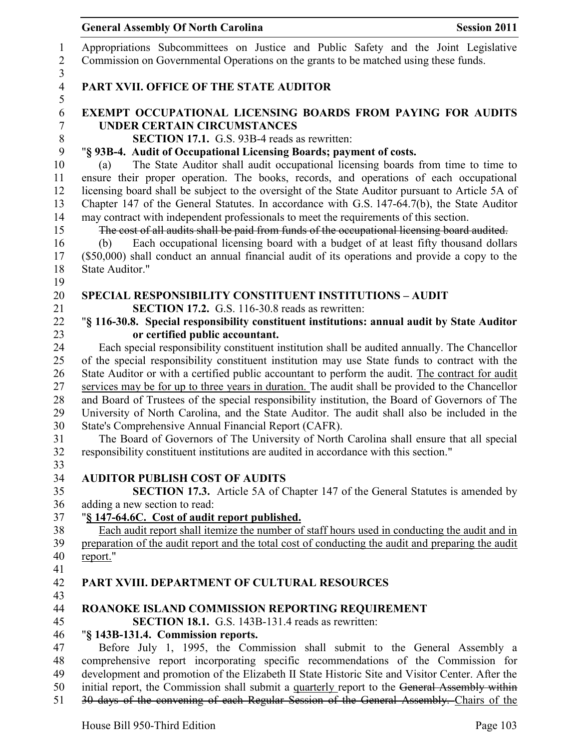| <b>General Assembly Of North Carolina</b>                                                                                                                                         | <b>Session 2011</b> |
|-----------------------------------------------------------------------------------------------------------------------------------------------------------------------------------|---------------------|
| Appropriations Subcommittees on Justice and Public Safety and the Joint Legislative<br>Commission on Governmental Operations on the grants to be matched using these funds.       |                     |
| PART XVII. OFFICE OF THE STATE AUDITOR                                                                                                                                            |                     |
| EXEMPT OCCUPATIONAL LICENSING BOARDS FROM PAYING FOR AUDITS<br><b>UNDER CERTAIN CIRCUMSTANCES</b><br><b>SECTION 17.1.</b> G.S. 93B-4 reads as rewritten:                          |                     |
|                                                                                                                                                                                   |                     |
| "§ 93B-4. Audit of Occupational Licensing Boards; payment of costs.                                                                                                               |                     |
| The State Auditor shall audit occupational licensing boards from time to time to<br>(a)<br>ensure their proper operation. The books, records, and operations of each occupational |                     |
| licensing board shall be subject to the oversight of the State Auditor pursuant to Article 5A of                                                                                  |                     |
| Chapter 147 of the General Statutes. In accordance with G.S. 147-64.7(b), the State Auditor                                                                                       |                     |
| may contract with independent professionals to meet the requirements of this section.                                                                                             |                     |
| The cost of all audits shall be paid from funds of the occupational licensing board audited.                                                                                      |                     |
| Each occupational licensing board with a budget of at least fifty thousand dollars<br>(b)                                                                                         |                     |
| $(\$50,000)$ shall conduct an annual financial audit of its operations and provide a copy to the                                                                                  |                     |
| State Auditor."                                                                                                                                                                   |                     |
|                                                                                                                                                                                   |                     |
| SPECIAL RESPONSIBILITY CONSTITUENT INSTITUTIONS - AUDIT                                                                                                                           |                     |
| SECTION 17.2. G.S. 116-30.8 reads as rewritten:                                                                                                                                   |                     |
| "§ 116-30.8. Special responsibility constituent institutions: annual audit by State Auditor                                                                                       |                     |
| or certified public accountant.                                                                                                                                                   |                     |
| Each special responsibility constituent institution shall be audited annually. The Chancellor                                                                                     |                     |
| of the special responsibility constituent institution may use State funds to contract with the                                                                                    |                     |
| State Auditor or with a certified public accountant to perform the audit. The contract for audit                                                                                  |                     |
| services may be for up to three years in duration. The audit shall be provided to the Chancellor                                                                                  |                     |
| and Board of Trustees of the special responsibility institution, the Board of Governors of The                                                                                    |                     |
| University of North Carolina, and the State Auditor. The audit shall also be included in the                                                                                      |                     |
| State's Comprehensive Annual Financial Report (CAFR).                                                                                                                             |                     |
| The Board of Governors of The University of North Carolina shall ensure that all special                                                                                          |                     |
| responsibility constituent institutions are audited in accordance with this section."                                                                                             |                     |
| <b>AUDITOR PUBLISH COST OF AUDITS</b>                                                                                                                                             |                     |
| <b>SECTION 17.3.</b> Article 5A of Chapter 147 of the General Statutes is amended by                                                                                              |                     |
| adding a new section to read:                                                                                                                                                     |                     |
| "§ 147-64.6C. Cost of audit report published.                                                                                                                                     |                     |
| Each audit report shall itemize the number of staff hours used in conducting the audit and in                                                                                     |                     |
| preparation of the audit report and the total cost of conducting the audit and preparing the audit                                                                                |                     |
| report."                                                                                                                                                                          |                     |
|                                                                                                                                                                                   |                     |
| PART XVIII. DEPARTMENT OF CULTURAL RESOURCES                                                                                                                                      |                     |
|                                                                                                                                                                                   |                     |
| ROANOKE ISLAND COMMISSION REPORTING REQUIREMENT                                                                                                                                   |                     |
| SECTION 18.1. G.S. 143B-131.4 reads as rewritten:                                                                                                                                 |                     |
| "§ 143B-131.4. Commission reports.                                                                                                                                                |                     |
| Before July 1, 1995, the Commission shall submit to the General Assembly a                                                                                                        |                     |
| comprehensive report incorporating specific recommendations of the Commission for                                                                                                 |                     |
| development and promotion of the Elizabeth II State Historic Site and Visitor Center. After the                                                                                   |                     |
| initial report, the Commission shall submit a quarterly report to the General Assembly within                                                                                     |                     |
| 30 days of the convening of each Regular Session of the General Assembly. Chairs of the                                                                                           |                     |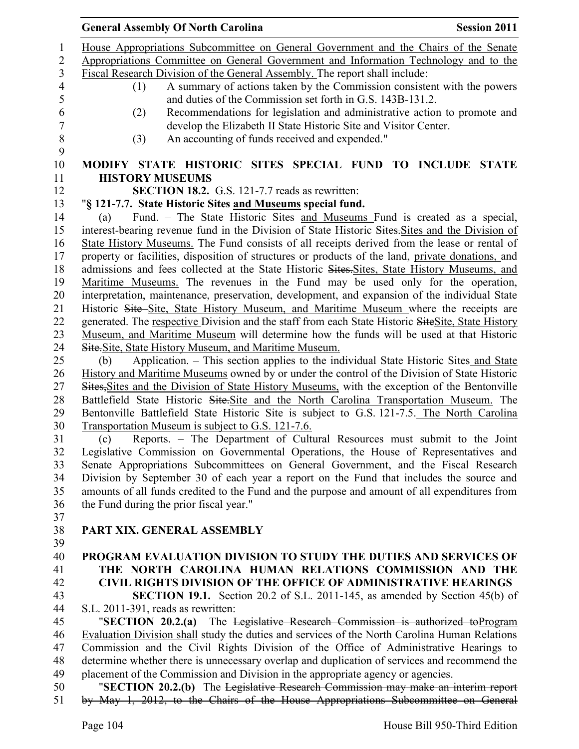|                     | <b>Session 2011</b><br><b>General Assembly Of North Carolina</b>                                                                                    |
|---------------------|-----------------------------------------------------------------------------------------------------------------------------------------------------|
| $\mathbf{1}$        | <u>House Appropriations Subcommittee on General Government and the Chairs of the Senate</u>                                                         |
| $\overline{2}$      | Appropriations Committee on General Government and Information Technology and to the                                                                |
| $\overline{3}$      | Fiscal Research Division of the General Assembly. The report shall include:                                                                         |
| $\overline{4}$      | A summary of actions taken by the Commission consistent with the powers<br>(1)                                                                      |
| 5                   | and duties of the Commission set forth in G.S. 143B-131.2.                                                                                          |
| 6<br>$\overline{7}$ | Recommendations for legislation and administrative action to promote and<br>(2)<br>develop the Elizabeth II State Historic Site and Visitor Center. |
| 8                   | An accounting of funds received and expended."<br>(3)                                                                                               |
| 9                   |                                                                                                                                                     |
| 10                  | MODIFY STATE HISTORIC SITES SPECIAL FUND TO INCLUDE STATE                                                                                           |
| 11                  | <b>HISTORY MUSEUMS</b>                                                                                                                              |
| 12                  | <b>SECTION 18.2.</b> G.S. 121-7.7 reads as rewritten:                                                                                               |
| 13                  | "§ 121-7.7. State Historic Sites and Museums special fund.                                                                                          |
| 14                  | Fund. - The State Historic Sites and Museums Fund is created as a special,<br>(a)                                                                   |
| 15                  | interest-bearing revenue fund in the Division of State Historic Sites. Sites and the Division of                                                    |
| 16                  | State History Museums. The Fund consists of all receipts derived from the lease or rental of                                                        |
| 17                  | property or facilities, disposition of structures or products of the land, private donations, and                                                   |
| 18                  | admissions and fees collected at the State Historic Sites. Sites, State History Museums, and                                                        |
| 19                  | Maritime Museums. The revenues in the Fund may be used only for the operation,                                                                      |
| 20                  | interpretation, maintenance, preservation, development, and expansion of the individual State                                                       |
| 21                  | Historic Site–Site, State History Museum, and Maritime Museum where the receipts are                                                                |
| 22                  | generated. The respective Division and the staff from each State Historic SiteSite, State History                                                   |
| 23                  | Museum, and Maritime Museum will determine how the funds will be used at that Historic                                                              |
| 24                  | <b>Site.</b> Site, State History Museum, and Maritime Museum.                                                                                       |
| 25                  | Application. - This section applies to the individual State Historic Sites and State<br>(b)                                                         |
| 26                  | History and Maritime Museums owned by or under the control of the Division of State Historic                                                        |
| 27                  | Sites, Sites and the Division of State History Museums, with the exception of the Bentonville                                                       |
| 28                  | Battlefield State Historic Site-Site and the North Carolina Transportation Museum. The                                                              |
| 29                  | Bentonville Battlefield State Historic Site is subject to G.S. 121-7.5. The North Carolina                                                          |
| 30                  | Transportation Museum is subject to G.S. 121-7.6.                                                                                                   |
| 31                  | Reports. – The Department of Cultural Resources must submit to the Joint<br>(c)                                                                     |
| 32                  | Legislative Commission on Governmental Operations, the House of Representatives and                                                                 |
| 33                  | Senate Appropriations Subcommittees on General Government, and the Fiscal Research                                                                  |
| 34                  | Division by September 30 of each year a report on the Fund that includes the source and                                                             |
| 35                  | amounts of all funds credited to the Fund and the purpose and amount of all expenditures from                                                       |
| 36                  | the Fund during the prior fiscal year."                                                                                                             |
| 37                  |                                                                                                                                                     |
| 38                  | PART XIX. GENERAL ASSEMBLY                                                                                                                          |
| 39                  |                                                                                                                                                     |
| 40                  | PROGRAM EVALUATION DIVISION TO STUDY THE DUTIES AND SERVICES OF                                                                                     |
| 41                  | THE NORTH CAROLINA HUMAN RELATIONS COMMISSION AND THE                                                                                               |
| 42                  | <b>CIVIL RIGHTS DIVISION OF THE OFFICE OF ADMINISTRATIVE HEARINGS</b>                                                                               |
| 43                  | <b>SECTION 19.1.</b> Section 20.2 of S.L. 2011-145, as amended by Section 45(b) of                                                                  |
| 44                  | S.L. 2011-391, reads as rewritten:                                                                                                                  |
| 45                  | The Legislative Research Commission is authorized toProgram<br>"SECTION $20.2(a)$                                                                   |
| 46                  | Evaluation Division shall study the duties and services of the North Carolina Human Relations                                                       |
| 47                  | Commission and the Civil Rights Division of the Office of Administrative Hearings to                                                                |
| 48                  | determine whether there is unnecessary overlap and duplication of services and recommend the                                                        |
| 49                  | placement of the Commission and Division in the appropriate agency or agencies.                                                                     |
| 50                  | "SECTION 20.2.(b) The Legislative Research Commission may make an interim report                                                                    |
| 51                  | by May 1, 2012, to the Chairs of the House Appropriations Subcommittee on General                                                                   |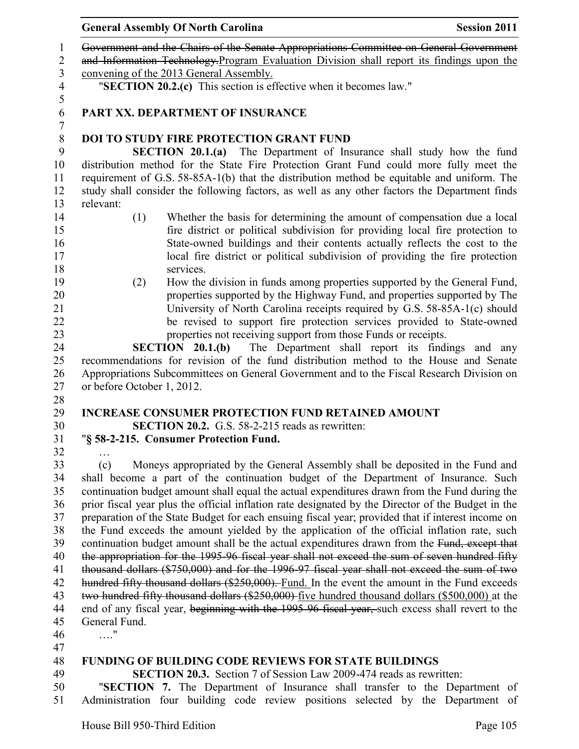|                                                                                                                                                                                                    | <b>General Assembly Of North Carolina</b>                                                          | <b>Session 2011</b>                              |  |
|----------------------------------------------------------------------------------------------------------------------------------------------------------------------------------------------------|----------------------------------------------------------------------------------------------------|--------------------------------------------------|--|
|                                                                                                                                                                                                    | Government and the Chairs of the Senate Appropriations Committee on General Government             |                                                  |  |
|                                                                                                                                                                                                    | and Information Technology. Program Evaluation Division shall report its findings upon the         |                                                  |  |
|                                                                                                                                                                                                    | convening of the 2013 General Assembly.                                                            |                                                  |  |
|                                                                                                                                                                                                    | "SECTION 20.2.(c) This section is effective when it becomes law."                                  |                                                  |  |
|                                                                                                                                                                                                    | PART XX. DEPARTMENT OF INSURANCE                                                                   |                                                  |  |
|                                                                                                                                                                                                    |                                                                                                    |                                                  |  |
|                                                                                                                                                                                                    | <b>DOI TO STUDY FIRE PROTECTION GRANT FUND</b>                                                     |                                                  |  |
|                                                                                                                                                                                                    | <b>SECTION 20.1.(a)</b> The Department of Insurance shall study how the fund                       |                                                  |  |
|                                                                                                                                                                                                    | distribution method for the State Fire Protection Grant Fund could more fully meet the             |                                                  |  |
|                                                                                                                                                                                                    | requirement of G.S. 58-85A-1(b) that the distribution method be equitable and uniform. The         |                                                  |  |
|                                                                                                                                                                                                    | study shall consider the following factors, as well as any other factors the Department finds      |                                                  |  |
| relevant:                                                                                                                                                                                          |                                                                                                    |                                                  |  |
| (1)                                                                                                                                                                                                | Whether the basis for determining the amount of compensation due a local                           |                                                  |  |
|                                                                                                                                                                                                    | fire district or political subdivision for providing local fire protection to                      |                                                  |  |
|                                                                                                                                                                                                    | State-owned buildings and their contents actually reflects the cost to the                         |                                                  |  |
|                                                                                                                                                                                                    | local fire district or political subdivision of providing the fire protection                      |                                                  |  |
|                                                                                                                                                                                                    | services.                                                                                          |                                                  |  |
| (2)                                                                                                                                                                                                | How the division in funds among properties supported by the General Fund,                          |                                                  |  |
|                                                                                                                                                                                                    | properties supported by the Highway Fund, and properties supported by The                          |                                                  |  |
|                                                                                                                                                                                                    | University of North Carolina receipts required by G.S. 58-85A-1(c) should                          |                                                  |  |
|                                                                                                                                                                                                    | be revised to support fire protection services provided to State-owned                             |                                                  |  |
|                                                                                                                                                                                                    | properties not receiving support from those Funds or receipts.<br>SECTION 20.1(b)                  | The Department shall report its findings and any |  |
|                                                                                                                                                                                                    |                                                                                                    |                                                  |  |
| recommendations for revision of the fund distribution method to the House and Senate<br>Appropriations Subcommittees on General Government and to the Fiscal Research Division on                  |                                                                                                    |                                                  |  |
| or before October 1, 2012.                                                                                                                                                                         |                                                                                                    |                                                  |  |
|                                                                                                                                                                                                    |                                                                                                    |                                                  |  |
|                                                                                                                                                                                                    | <b>INCREASE CONSUMER PROTECTION FUND RETAINED AMOUNT</b>                                           |                                                  |  |
|                                                                                                                                                                                                    | <b>SECTION 20.2.</b> G.S. 58-2-215 reads as rewritten:                                             |                                                  |  |
|                                                                                                                                                                                                    | "§ 58-2-215. Consumer Protection Fund.                                                             |                                                  |  |
|                                                                                                                                                                                                    |                                                                                                    |                                                  |  |
| (c)                                                                                                                                                                                                | Moneys appropriated by the General Assembly shall be deposited in the Fund and                     |                                                  |  |
|                                                                                                                                                                                                    | shall become a part of the continuation budget of the Department of Insurance. Such                |                                                  |  |
| continuation budget amount shall equal the actual expenditures drawn from the Fund during the                                                                                                      |                                                                                                    |                                                  |  |
|                                                                                                                                                                                                    | prior fiscal year plus the official inflation rate designated by the Director of the Budget in the |                                                  |  |
|                                                                                                                                                                                                    | preparation of the State Budget for each ensuing fiscal year; provided that if interest income on  |                                                  |  |
|                                                                                                                                                                                                    | the Fund exceeds the amount yielded by the application of the official inflation rate, such        |                                                  |  |
|                                                                                                                                                                                                    | continuation budget amount shall be the actual expenditures drawn from the Fund, except that       |                                                  |  |
| the appropriation for the 1995-96 fiscal year shall not exceed the sum of seven hundred fifty                                                                                                      |                                                                                                    |                                                  |  |
| thousand dollars (\$750,000) and for the 1996-97 fiscal year shall not exceed the sum of two                                                                                                       |                                                                                                    |                                                  |  |
| hundred fifty thousand dollars (\$250,000). Fund. In the event the amount in the Fund exceeds                                                                                                      |                                                                                                    |                                                  |  |
| two hundred fifty thousand dollars (\$250,000) five hundred thousand dollars (\$500,000) at the<br>end of any fiscal year, beginning with the 1995-96 fiscal year, such excess shall revert to the |                                                                                                    |                                                  |  |
| General Fund.                                                                                                                                                                                      |                                                                                                    |                                                  |  |
| 11                                                                                                                                                                                                 |                                                                                                    |                                                  |  |
| . '                                                                                                                                                                                                |                                                                                                    |                                                  |  |
|                                                                                                                                                                                                    | FUNDING OF BUILDING CODE REVIEWS FOR STATE BUILDINGS                                               |                                                  |  |
| <b>SECTION 20.3.</b> Section 7 of Session Law 2009-474 reads as rewritten:                                                                                                                         |                                                                                                    |                                                  |  |
|                                                                                                                                                                                                    | "SECTION 7. The Department of Insurance shall transfer to the Department of                        |                                                  |  |
|                                                                                                                                                                                                    | Administration four building code review positions selected by the Department of                   |                                                  |  |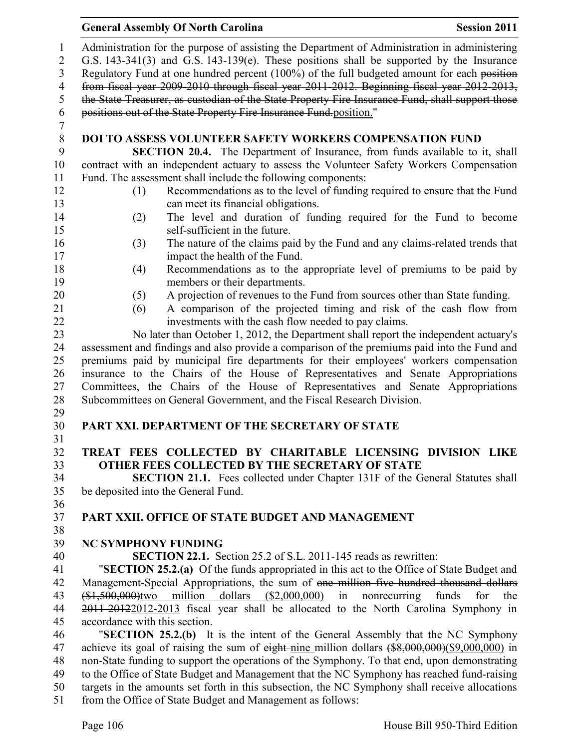Administration for the purpose of assisting the Department of Administration in administering G.S. 143-341(3) and G.S. 143-139(e). These positions shall be supported by the Insurance Regulatory Fund at one hundred percent (100%) of the full budgeted amount for each position from fiscal year 2009-2010 through fiscal year 2011-2012. Beginning fiscal year 2012-2013, 5 the State Treasurer, as custodian of the State Property Fire Insurance Fund, shall support those positions out of the State Property Fire Insurance Fund.position." **DOI TO ASSESS VOLUNTEER SAFETY WORKERS COMPENSATION FUND**<br>9 **SECTION 20.4.** The Department of Insurance, from funds available to i **SECTION 20.4.** The Department of Insurance, from funds available to it, shall contract with an independent actuary to assess the Volunteer Safety Workers Compensation Fund. The assessment shall include the following components: (1) Recommendations as to the level of funding required to ensure that the Fund can meet its financial obligations. (2) The level and duration of funding required for the Fund to become self-sufficient in the future. (3) The nature of the claims paid by the Fund and any claims-related trends that impact the health of the Fund. (4) Recommendations as to the appropriate level of premiums to be paid by members or their departments. (5) A projection of revenues to the Fund from sources other than State funding. (6) A comparison of the projected timing and risk of the cash flow from 22 investments with the cash flow needed to pay claims.<br>23 No later than October 1 2012 the Department shall report the No later than October 1, 2012, the Department shall report the independent actuary's assessment and findings and also provide a comparison of the premiums paid into the Fund and premiums paid by municipal fire departments for their employees' workers compensation insurance to the Chairs of the House of Representatives and Senate Appropriations Committees, the Chairs of the House of Representatives and Senate Appropriations Subcommittees on General Government, and the Fiscal Research Division. **PART XXI. DEPARTMENT OF THE SECRETARY OF STATE TREAT FEES COLLECTED BY CHARITABLE LICENSING DIVISION LIKE OTHER FEES COLLECTED BY THE SECRETARY OF STATE SECTION 21.1.** Fees collected under Chapter 131F of the General Statutes shall be deposited into the General Fund. **PART XXII. OFFICE OF STATE BUDGET AND MANAGEMENT NC SYMPHONY FUNDING SECTION 22.1.** Section 25.2 of S.L. 2011-145 reads as rewritten: "**SECTION 25.2.(a)** Of the funds appropriated in this act to the Office of State Budget and 42 Management-Special Appropriations, the sum of one million five hundred thousand dollars (\$1,500,000)two million dollars (\$2,000,000) in nonrecurring funds for the 2011-20122012-2013 fiscal year shall be allocated to the North Carolina Symphony in accordance with this section. "**SECTION 25.2.(b)** It is the intent of the General Assembly that the NC Symphony 47 achieve its goal of raising the sum of eight-nine million dollars  $(\$8,000,000)(\$9,000,000)$  in non-State funding to support the operations of the Symphony. To that end, upon demonstrating to the Office of State Budget and Management that the NC Symphony has reached fund-raising targets in the amounts set forth in this subsection, the NC Symphony shall receive allocations from the Office of State Budget and Management as follows: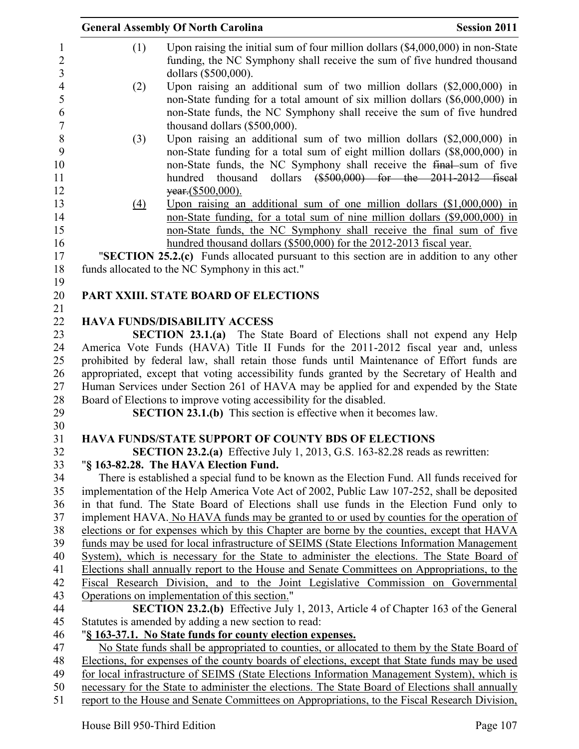|                                                                                           | <b>General Assembly Of North Carolina</b>                                                                                                                                                         | <b>Session 2011</b> |  |  |
|-------------------------------------------------------------------------------------------|---------------------------------------------------------------------------------------------------------------------------------------------------------------------------------------------------|---------------------|--|--|
| (1)                                                                                       | Upon raising the initial sum of four million dollars $(\$4,000,000)$ in non-State                                                                                                                 |                     |  |  |
|                                                                                           | funding, the NC Symphony shall receive the sum of five hundred thousand                                                                                                                           |                     |  |  |
|                                                                                           | dollars (\$500,000).                                                                                                                                                                              |                     |  |  |
| (2)                                                                                       | Upon raising an additional sum of two million dollars $(\$2,000,000)$ in                                                                                                                          |                     |  |  |
|                                                                                           | non-State funding for a total amount of six million dollars (\$6,000,000) in                                                                                                                      |                     |  |  |
|                                                                                           | non-State funds, the NC Symphony shall receive the sum of five hundred                                                                                                                            |                     |  |  |
|                                                                                           | thousand dollars (\$500,000).                                                                                                                                                                     |                     |  |  |
| (3)                                                                                       | Upon raising an additional sum of two million dollars $(\$2,000,000)$ in                                                                                                                          |                     |  |  |
|                                                                                           | non-State funding for a total sum of eight million dollars (\$8,000,000) in                                                                                                                       |                     |  |  |
|                                                                                           | non-State funds, the NC Symphony shall receive the final-sum of five                                                                                                                              |                     |  |  |
|                                                                                           | thousand<br>dollars (\$500,000) for the 2011-2012 fiscal<br>hundred                                                                                                                               |                     |  |  |
|                                                                                           | $\frac{year.($500,000)}{$ .                                                                                                                                                                       |                     |  |  |
| $\left(4\right)$                                                                          | Upon raising an additional sum of one million dollars $($1,000,000)$ in                                                                                                                           |                     |  |  |
|                                                                                           | non-State funding, for a total sum of nine million dollars (\$9,000,000) in                                                                                                                       |                     |  |  |
|                                                                                           | non-State funds, the NC Symphony shall receive the final sum of five                                                                                                                              |                     |  |  |
|                                                                                           | hundred thousand dollars (\$500,000) for the 2012-2013 fiscal year.                                                                                                                               |                     |  |  |
|                                                                                           | "SECTION 25.2.(c) Funds allocated pursuant to this section are in addition to any other<br>funds allocated to the NC Symphony in this act."                                                       |                     |  |  |
|                                                                                           |                                                                                                                                                                                                   |                     |  |  |
|                                                                                           | PART XXIII. STATE BOARD OF ELECTIONS                                                                                                                                                              |                     |  |  |
|                                                                                           |                                                                                                                                                                                                   |                     |  |  |
|                                                                                           | <b>HAVA FUNDS/DISABILITY ACCESS</b>                                                                                                                                                               |                     |  |  |
|                                                                                           | SECTION 23.1.(a) The State Board of Elections shall not expend any Help                                                                                                                           |                     |  |  |
|                                                                                           | America Vote Funds (HAVA) Title II Funds for the 2011-2012 fiscal year and, unless                                                                                                                |                     |  |  |
| prohibited by federal law, shall retain those funds until Maintenance of Effort funds are |                                                                                                                                                                                                   |                     |  |  |
|                                                                                           | appropriated, except that voting accessibility funds granted by the Secretary of Health and                                                                                                       |                     |  |  |
|                                                                                           | Human Services under Section 261 of HAVA may be applied for and expended by the State                                                                                                             |                     |  |  |
|                                                                                           | Board of Elections to improve voting accessibility for the disabled.                                                                                                                              |                     |  |  |
|                                                                                           | <b>SECTION 23.1.(b)</b> This section is effective when it becomes law.                                                                                                                            |                     |  |  |
|                                                                                           |                                                                                                                                                                                                   |                     |  |  |
|                                                                                           | <b>HAVA FUNDS/STATE SUPPORT OF COUNTY BDS OF ELECTIONS</b>                                                                                                                                        |                     |  |  |
|                                                                                           | <b>SECTION 23.2.(a)</b> Effective July 1, 2013, G.S. 163-82.28 reads as rewritten:<br>"§ 163-82.28. The HAVA Election Fund.                                                                       |                     |  |  |
|                                                                                           | There is established a special fund to be known as the Election Fund. All funds received for                                                                                                      |                     |  |  |
|                                                                                           | implementation of the Help America Vote Act of 2002, Public Law 107-252, shall be deposited                                                                                                       |                     |  |  |
|                                                                                           | in that fund. The State Board of Elections shall use funds in the Election Fund only to                                                                                                           |                     |  |  |
|                                                                                           | implement HAVA. No HAVA funds may be granted to or used by counties for the operation of                                                                                                          |                     |  |  |
|                                                                                           | elections or for expenses which by this Chapter are borne by the counties, except that HAVA                                                                                                       |                     |  |  |
|                                                                                           | funds may be used for local infrastructure of SEIMS (State Elections Information Management                                                                                                       |                     |  |  |
|                                                                                           | System), which is necessary for the State to administer the elections. The State Board of                                                                                                         |                     |  |  |
|                                                                                           | Elections shall annually report to the House and Senate Committees on Appropriations, to the                                                                                                      |                     |  |  |
|                                                                                           | Fiscal Research Division, and to the Joint Legislative Commission on Governmental                                                                                                                 |                     |  |  |
|                                                                                           | Operations on implementation of this section."                                                                                                                                                    |                     |  |  |
|                                                                                           | <b>SECTION 23.2.(b)</b> Effective July 1, 2013, Article 4 of Chapter 163 of the General                                                                                                           |                     |  |  |
|                                                                                           | Statutes is amended by adding a new section to read:                                                                                                                                              |                     |  |  |
|                                                                                           | "§ 163-37.1. No State funds for county election expenses.                                                                                                                                         |                     |  |  |
|                                                                                           | No State funds shall be appropriated to counties, or allocated to them by the State Board of                                                                                                      |                     |  |  |
|                                                                                           | Elections, for expenses of the county boards of elections, except that State funds may be used                                                                                                    |                     |  |  |
|                                                                                           | for local infrastructure of SEIMS (State Elections Information Management System), which is                                                                                                       |                     |  |  |
|                                                                                           | necessary for the State to administer the elections. The State Board of Elections shall annually<br>report to the House and Senate Committees on Appropriations, to the Fiscal Research Division, |                     |  |  |
|                                                                                           |                                                                                                                                                                                                   |                     |  |  |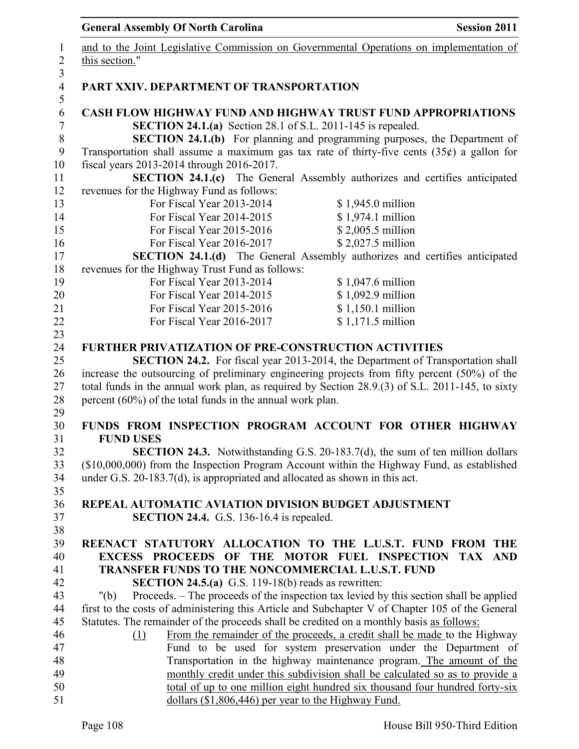|                | <b>General Assembly Of North Carolina</b>                                                                                                                    | <b>Session 2011</b>                                                                    |  |  |  |
|----------------|--------------------------------------------------------------------------------------------------------------------------------------------------------------|----------------------------------------------------------------------------------------|--|--|--|
| $\mathbf{1}$   | and to the Joint Legislative Commission on Governmental Operations on implementation of                                                                      |                                                                                        |  |  |  |
| $\overline{2}$ | this section."                                                                                                                                               |                                                                                        |  |  |  |
| $\overline{3}$ |                                                                                                                                                              |                                                                                        |  |  |  |
| $\overline{4}$ | PART XXIV. DEPARTMENT OF TRANSPORTATION                                                                                                                      |                                                                                        |  |  |  |
| 5              |                                                                                                                                                              |                                                                                        |  |  |  |
| 6              | <b>CASH FLOW HIGHWAY FUND AND HIGHWAY TRUST FUND APPROPRIATIONS</b>                                                                                          |                                                                                        |  |  |  |
| $\tau$         | <b>SECTION 24.1.(a)</b> Section 28.1 of S.L. 2011-145 is repealed.                                                                                           |                                                                                        |  |  |  |
| $8\,$          |                                                                                                                                                              | <b>SECTION 24.1.(b)</b> For planning and programming purposes, the Department of       |  |  |  |
| 9              | Transportation shall assume a maximum gas tax rate of thirty-five cents $(35¢)$ a gallon for                                                                 |                                                                                        |  |  |  |
| 10<br>11       | fiscal years 2013-2014 through 2016-2017.                                                                                                                    |                                                                                        |  |  |  |
| 12             | SECTION 24.1.(c) The General Assembly authorizes and certifies anticipated<br>revenues for the Highway Fund as follows:                                      |                                                                                        |  |  |  |
| 13             | For Fiscal Year 2013-2014                                                                                                                                    | \$1,945.0 million                                                                      |  |  |  |
| 14             | For Fiscal Year 2014-2015                                                                                                                                    | \$1,974.1 million                                                                      |  |  |  |
| 15             | For Fiscal Year 2015-2016                                                                                                                                    | \$2,005.5 million                                                                      |  |  |  |
| 16             | For Fiscal Year 2016-2017                                                                                                                                    | \$2,027.5 million                                                                      |  |  |  |
| 17             |                                                                                                                                                              | <b>SECTION 24.1.(d)</b> The General Assembly authorizes and certifies anticipated      |  |  |  |
| 18             | revenues for the Highway Trust Fund as follows:                                                                                                              |                                                                                        |  |  |  |
| 19             | For Fiscal Year 2013-2014                                                                                                                                    | \$1,047.6 million                                                                      |  |  |  |
| 20             | For Fiscal Year 2014-2015                                                                                                                                    | \$1,092.9 million                                                                      |  |  |  |
| 21             | For Fiscal Year 2015-2016                                                                                                                                    | \$1,150.1 million                                                                      |  |  |  |
| 22             | For Fiscal Year 2016-2017                                                                                                                                    | \$1,171.5 million                                                                      |  |  |  |
| 23             |                                                                                                                                                              |                                                                                        |  |  |  |
| 24             | <b>FURTHER PRIVATIZATION OF PRE-CONSTRUCTION ACTIVITIES</b>                                                                                                  |                                                                                        |  |  |  |
| 25             |                                                                                                                                                              | SECTION 24.2. For fiscal year 2013-2014, the Department of Transportation shall        |  |  |  |
| 26             | increase the outsourcing of preliminary engineering projects from fifty percent (50%) of the                                                                 |                                                                                        |  |  |  |
| 27             | total funds in the annual work plan, as required by Section 28.9.(3) of S.L. 2011-145, to sixty                                                              |                                                                                        |  |  |  |
| 28             | percent $(60\%)$ of the total funds in the annual work plan.                                                                                                 |                                                                                        |  |  |  |
| 29             |                                                                                                                                                              |                                                                                        |  |  |  |
| 30             | FUNDS FROM INSPECTION PROGRAM ACCOUNT FOR OTHER HIGHWAY                                                                                                      |                                                                                        |  |  |  |
| 31             | <b>FUND USES</b>                                                                                                                                             |                                                                                        |  |  |  |
| 32             |                                                                                                                                                              | <b>SECTION 24.3.</b> Notwithstanding G.S. 20-183.7(d), the sum of ten million dollars  |  |  |  |
| 33             | (\$10,000,000) from the Inspection Program Account within the Highway Fund, as established                                                                   |                                                                                        |  |  |  |
| 34             | under G.S. 20-183.7(d), is appropriated and allocated as shown in this act.                                                                                  |                                                                                        |  |  |  |
| 35             |                                                                                                                                                              |                                                                                        |  |  |  |
| 36             | REPEAL AUTOMATIC AVIATION DIVISION BUDGET ADJUSTMENT                                                                                                         |                                                                                        |  |  |  |
| 37             | SECTION 24.4. G.S. 136-16.4 is repealed.                                                                                                                     |                                                                                        |  |  |  |
| 38             |                                                                                                                                                              |                                                                                        |  |  |  |
| 39             | REENACT STATUTORY ALLOCATION TO THE L.U.S.T. FUND FROM THE                                                                                                   |                                                                                        |  |  |  |
| 40             |                                                                                                                                                              | EXCESS PROCEEDS OF THE MOTOR FUEL INSPECTION TAX AND                                   |  |  |  |
| 41             | <b>TRANSFER FUNDS TO THE NONCOMMERCIAL L.U.S.T. FUND</b>                                                                                                     |                                                                                        |  |  |  |
| 42             | <b>SECTION 24.5.(a)</b> G.S. 119-18(b) reads as rewritten:                                                                                                   |                                                                                        |  |  |  |
| 43             | " $(b)$                                                                                                                                                      | Proceeds. – The proceeds of the inspection tax levied by this section shall be applied |  |  |  |
| 44             | first to the costs of administering this Article and Subchapter V of Chapter 105 of the General                                                              |                                                                                        |  |  |  |
| 45             | Statutes. The remainder of the proceeds shall be credited on a monthly basis as follows:                                                                     |                                                                                        |  |  |  |
| 46             | (1)                                                                                                                                                          | From the remainder of the proceeds, a credit shall be made to the Highway              |  |  |  |
| 47             |                                                                                                                                                              | Fund to be used for system preservation under the Department of                        |  |  |  |
| 48             | Transportation in the highway maintenance program. The amount of the                                                                                         |                                                                                        |  |  |  |
| 49<br>50       | monthly credit under this subdivision shall be calculated so as to provide a<br>total of up to one million eight hundred six thousand four hundred forty-six |                                                                                        |  |  |  |
| 51             | dollars (\$1,806,446) per year to the Highway Fund.                                                                                                          |                                                                                        |  |  |  |
|                |                                                                                                                                                              |                                                                                        |  |  |  |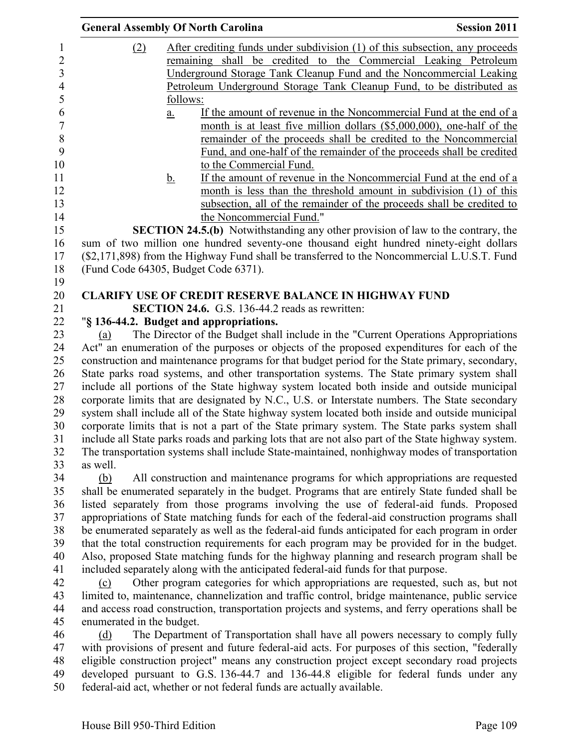| <b>General Assembly Of North Carolina</b><br><b>Session 2011</b>                                                                                                                            |
|---------------------------------------------------------------------------------------------------------------------------------------------------------------------------------------------|
| After crediting funds under subdivision (1) of this subsection, any proceeds<br>(2)                                                                                                         |
| remaining shall be credited to the Commercial Leaking Petroleum                                                                                                                             |
| Underground Storage Tank Cleanup Fund and the Noncommercial Leaking                                                                                                                         |
| Petroleum Underground Storage Tank Cleanup Fund, to be distributed as                                                                                                                       |
| follows:                                                                                                                                                                                    |
| If the amount of revenue in the Noncommercial Fund at the end of a<br><u>a.</u>                                                                                                             |
| month is at least five million dollars (\$5,000,000), one-half of the                                                                                                                       |
| remainder of the proceeds shall be credited to the Noncommercial                                                                                                                            |
| Fund, and one-half of the remainder of the proceeds shall be credited                                                                                                                       |
| to the Commercial Fund.                                                                                                                                                                     |
| If the amount of revenue in the Noncommercial Fund at the end of a<br><u>b.</u>                                                                                                             |
| month is less than the threshold amount in subdivision (1) of this                                                                                                                          |
| subsection, all of the remainder of the proceeds shall be credited to                                                                                                                       |
| the Noncommercial Fund."                                                                                                                                                                    |
| <b>SECTION 24.5.(b)</b> Notwithstanding any other provision of law to the contrary, the                                                                                                     |
| sum of two million one hundred seventy-one thousand eight hundred ninety-eight dollars                                                                                                      |
| (\$2,171,898) from the Highway Fund shall be transferred to the Noncommercial L.U.S.T. Fund                                                                                                 |
| (Fund Code 64305, Budget Code 6371).                                                                                                                                                        |
|                                                                                                                                                                                             |
| <b>CLARIFY USE OF CREDIT RESERVE BALANCE IN HIGHWAY FUND</b>                                                                                                                                |
| <b>SECTION 24.6.</b> G.S. 136-44.2 reads as rewritten:                                                                                                                                      |
| "§ 136-44.2. Budget and appropriations.                                                                                                                                                     |
| The Director of the Budget shall include in the "Current Operations Appropriations"<br>(a)                                                                                                  |
| Act" an enumeration of the purposes or objects of the proposed expenditures for each of the                                                                                                 |
| construction and maintenance programs for that budget period for the State primary, secondary,                                                                                              |
| State parks road systems, and other transportation systems. The State primary system shall                                                                                                  |
| include all portions of the State highway system located both inside and outside municipal                                                                                                  |
| corporate limits that are designated by N.C., U.S. or Interstate numbers. The State secondary                                                                                               |
| system shall include all of the State highway system located both inside and outside municipal                                                                                              |
| corporate limits that is not a part of the State primary system. The State parks system shall                                                                                               |
| include all State parks roads and parking lots that are not also part of the State highway system.                                                                                          |
| The transportation systems shall include State-maintained, nonhighway modes of transportation                                                                                               |
| as well.                                                                                                                                                                                    |
| All construction and maintenance programs for which appropriations are requested<br>(b)                                                                                                     |
| shall be enumerated separately in the budget. Programs that are entirely State funded shall be                                                                                              |
| listed separately from those programs involving the use of federal-aid funds. Proposed                                                                                                      |
| appropriations of State matching funds for each of the federal-aid construction programs shall                                                                                              |
| be enumerated separately as well as the federal-aid funds anticipated for each program in order                                                                                             |
| that the total construction requirements for each program may be provided for in the budget.                                                                                                |
| Also, proposed State matching funds for the highway planning and research program shall be                                                                                                  |
| included separately along with the anticipated federal-aid funds for that purpose.                                                                                                          |
| Other program categories for which appropriations are requested, such as, but not<br>(c)<br>limited to, maintenance, channelization and traffic control, bridge maintenance, public service |
| and access road construction, transportation projects and systems, and ferry operations shall be                                                                                            |
| enumerated in the budget.                                                                                                                                                                   |
| The Department of Transportation shall have all powers necessary to comply fully<br>(d)                                                                                                     |
| with provisions of present and future federal-aid acts. For purposes of this section, "federally                                                                                            |
|                                                                                                                                                                                             |

 eligible construction project" means any construction project except secondary road projects 49 developed pursuant to G.S. 136-44.7 and 136-44.8 eligible for federal funds under any federal-aid act, whether or not federal funds are actually available. federal-aid act, whether or not federal funds are actually available.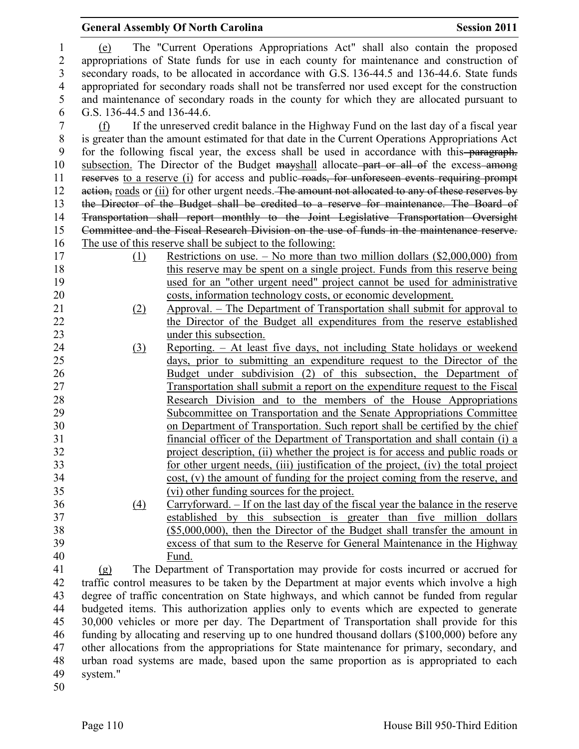| 1              | (e)                         | The "Current Operations Appropriations Act" shall also contain the proposed                                                                   |
|----------------|-----------------------------|-----------------------------------------------------------------------------------------------------------------------------------------------|
| $\overline{2}$ |                             | appropriations of State funds for use in each county for maintenance and construction of                                                      |
| 3              |                             | secondary roads, to be allocated in accordance with G.S. 136-44.5 and 136-44.6. State funds                                                   |
| $\overline{4}$ |                             | appropriated for secondary roads shall not be transferred nor used except for the construction                                                |
| 5              |                             | and maintenance of secondary roads in the county for which they are allocated pursuant to                                                     |
| 6              | G.S. 136-44.5 and 136-44.6. |                                                                                                                                               |
| $\tau$         | (f)                         | If the unreserved credit balance in the Highway Fund on the last day of a fiscal year                                                         |
| 8              |                             | is greater than the amount estimated for that date in the Current Operations Appropriations Act                                               |
| 9              |                             | for the following fiscal year, the excess shall be used in accordance with this-paragraph.                                                    |
| 10             |                             | subsection. The Director of the Budget mayshall allocate part or all of the excess-among                                                      |
| 11             |                             | reserves to a reserve (i) for access and public-roads, for unforeseen events requiring prompt                                                 |
| 12             |                             | action, roads or (ii) for other urgent needs. The amount not allocated to any of these reserves by                                            |
| 13             |                             | the Director of the Budget shall be credited to a reserve for maintenance. The Board of                                                       |
| 14             |                             | Transportation shall report monthly to the Joint Legislative Transportation Oversight                                                         |
| 15             |                             | Committee and the Fiscal Research Division on the use of funds in the maintenance reserve.                                                    |
| 16             |                             | The use of this reserve shall be subject to the following:                                                                                    |
| 17             | (1)                         | <u>Restrictions on use. – No more than two million dollars <math>(\\$2,000,000)</math> from</u>                                               |
| 18             |                             | this reserve may be spent on a single project. Funds from this reserve being                                                                  |
| 19             |                             | used for an "other urgent need" project cannot be used for administrative                                                                     |
| 20             |                             | costs, information technology costs, or economic development.                                                                                 |
| 21             | (2)                         | <u> Approval. – The Department of Transportation shall submit for approval to</u>                                                             |
| 22             |                             | the Director of the Budget all expenditures from the reserve established                                                                      |
| 23             |                             | under this subsection.                                                                                                                        |
| 24             |                             | <u>Reporting. – At least five days, not including State holidays or weekend</u>                                                               |
| 25             | (3)                         |                                                                                                                                               |
| 26             |                             | days, prior to submitting an expenditure request to the Director of the<br>Budget under subdivision (2) of this subsection, the Department of |
| 27             |                             |                                                                                                                                               |
| 28             |                             | Transportation shall submit a report on the expenditure request to the Fiscal                                                                 |
|                |                             | Research Division and to the members of the House Appropriations                                                                              |
| 29             |                             | Subcommittee on Transportation and the Senate Appropriations Committee                                                                        |
| 30             |                             | on Department of Transportation. Such report shall be certified by the chief                                                                  |
| 31             |                             | financial officer of the Department of Transportation and shall contain (i) a                                                                 |
| 32             |                             | project description, (ii) whether the project is for access and public roads or                                                               |
| 33             |                             | for other urgent needs, (iii) justification of the project, (iv) the total project                                                            |
| 34             |                             | cost, (v) the amount of funding for the project coming from the reserve, and                                                                  |
| 35             |                             | (vi) other funding sources for the project.                                                                                                   |
| 36             | $\left(4\right)$            | Carryforward. – If on the last day of the fiscal year the balance in the reserve                                                              |
| 37             |                             | established by this subsection is greater than five million dollars                                                                           |
| 38             |                             | $($5,000,000)$ , then the Director of the Budget shall transfer the amount in                                                                 |
| 39             |                             | excess of that sum to the Reserve for General Maintenance in the Highway                                                                      |
| 40             |                             | Fund.                                                                                                                                         |
| 41             | (g)                         | The Department of Transportation may provide for costs incurred or accrued for                                                                |
| 42             |                             | traffic control measures to be taken by the Department at major events which involve a high                                                   |
| 43             |                             | degree of traffic concentration on State highways, and which cannot be funded from regular                                                    |
| 44             |                             | budgeted items. This authorization applies only to events which are expected to generate                                                      |
| 45             |                             | 30,000 vehicles or more per day. The Department of Transportation shall provide for this                                                      |
| 46             |                             | funding by allocating and reserving up to one hundred thousand dollars (\$100,000) before any                                                 |
| 47             |                             | other allocations from the appropriations for State maintenance for primary, secondary, and                                                   |
| 48             |                             | urban road systems are made, based upon the same proportion as is appropriated to each                                                        |
| 49             | system."                    |                                                                                                                                               |
| 50             |                             |                                                                                                                                               |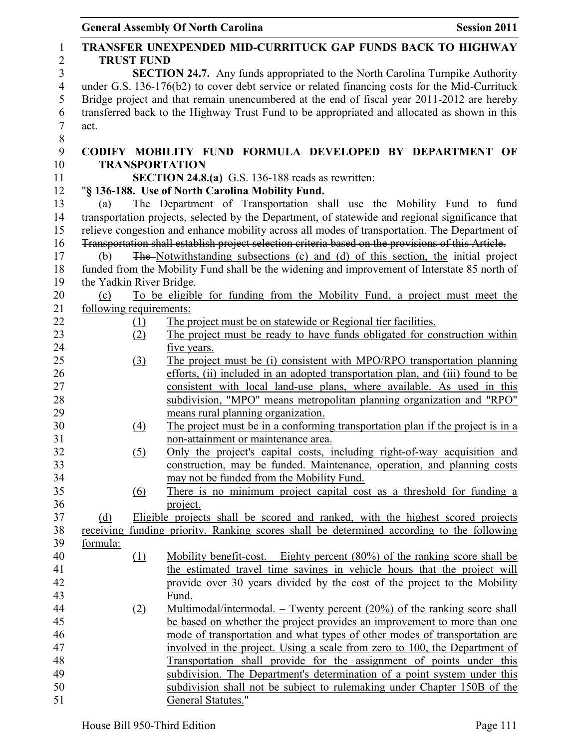|                                |                          | <b>General Assembly Of North Carolina</b>                                                                                                                                             | <b>Session 2011</b> |
|--------------------------------|--------------------------|---------------------------------------------------------------------------------------------------------------------------------------------------------------------------------------|---------------------|
| $\mathbf{1}$<br>$\overline{2}$ | <b>TRUST FUND</b>        | <b>TRANSFER UNEXPENDED MID-CURRITUCK GAP FUNDS BACK TO HIGHWAY</b>                                                                                                                    |                     |
| 3                              |                          |                                                                                                                                                                                       |                     |
| $\overline{4}$                 |                          | <b>SECTION 24.7.</b> Any funds appropriated to the North Carolina Turnpike Authority<br>under G.S. 136-176(b2) to cover debt service or related financing costs for the Mid-Currituck |                     |
| 5                              |                          | Bridge project and that remain unencumbered at the end of fiscal year 2011-2012 are hereby                                                                                            |                     |
| 6                              |                          | transferred back to the Highway Trust Fund to be appropriated and allocated as shown in this                                                                                          |                     |
| $\overline{7}$                 | act.                     |                                                                                                                                                                                       |                     |
| 8                              |                          |                                                                                                                                                                                       |                     |
| 9                              |                          | CODIFY MOBILITY FUND FORMULA DEVELOPED BY DEPARTMENT OF                                                                                                                               |                     |
| 10                             | <b>TRANSPORTATION</b>    |                                                                                                                                                                                       |                     |
| 11                             |                          | SECTION 24.8.(a) G.S. 136-188 reads as rewritten:                                                                                                                                     |                     |
| 12                             |                          | "§ 136-188. Use of North Carolina Mobility Fund.                                                                                                                                      |                     |
| 13                             | (a)                      | The Department of Transportation shall use the Mobility Fund to fund                                                                                                                  |                     |
| 14                             |                          | transportation projects, selected by the Department, of statewide and regional significance that                                                                                      |                     |
| 15                             |                          | relieve congestion and enhance mobility across all modes of transportation. The Department of                                                                                         |                     |
| 16                             |                          | Transportation shall establish project selection criteria based on the provisions of this Article.                                                                                    |                     |
| 17                             | (b)                      | The Notwithstanding subsections (c) and (d) of this section, the initial project                                                                                                      |                     |
| 18                             |                          | funded from the Mobility Fund shall be the widening and improvement of Interstate 85 north of                                                                                         |                     |
| 19                             | the Yadkin River Bridge. |                                                                                                                                                                                       |                     |
| 20                             | (c)                      | To be eligible for funding from the Mobility Fund, a project must meet the                                                                                                            |                     |
| 21                             | following requirements:  |                                                                                                                                                                                       |                     |
| 22                             | (1)                      | The project must be on statewide or Regional tier facilities.                                                                                                                         |                     |
| 23                             | (2)                      | The project must be ready to have funds obligated for construction within                                                                                                             |                     |
| 24                             |                          | five years.                                                                                                                                                                           |                     |
| 25                             | (3)                      | The project must be (i) consistent with MPO/RPO transportation planning                                                                                                               |                     |
| 26                             |                          | efforts, (ii) included in an adopted transportation plan, and (iii) found to be                                                                                                       |                     |
| 27                             |                          | consistent with local land-use plans, where available. As used in this                                                                                                                |                     |
| 28                             |                          | subdivision, "MPO" means metropolitan planning organization and "RPO"                                                                                                                 |                     |
| 29                             |                          | means rural planning organization.                                                                                                                                                    |                     |
| 30                             | (4)                      | The project must be in a conforming transportation plan if the project is in a                                                                                                        |                     |
| 31                             |                          | non-attainment or maintenance area.                                                                                                                                                   |                     |
| 32                             | (5)                      | Only the project's capital costs, including right-of-way acquisition and                                                                                                              |                     |
| 33                             |                          | construction, may be funded. Maintenance, operation, and planning costs                                                                                                               |                     |
| 34                             |                          | may not be funded from the Mobility Fund.                                                                                                                                             |                     |
| 35                             | (6)                      | There is no minimum project capital cost as a threshold for funding a                                                                                                                 |                     |
| 36                             |                          | project.                                                                                                                                                                              |                     |
| 37                             | (d)                      | Eligible projects shall be scored and ranked, with the highest scored projects                                                                                                        |                     |
| 38                             | receiving                | funding priority. Ranking scores shall be determined according to the following                                                                                                       |                     |
| 39                             | formula:                 |                                                                                                                                                                                       |                     |
| 40                             | $\Omega$                 | Mobility benefit-cost. $-$ Eighty percent (80%) of the ranking score shall be                                                                                                         |                     |
| 41                             |                          | the estimated travel time savings in vehicle hours that the project will                                                                                                              |                     |
| 42                             |                          | provide over 30 years divided by the cost of the project to the Mobility                                                                                                              |                     |
| 43                             |                          | Fund.                                                                                                                                                                                 |                     |
| 44                             | (2)                      | Multimodal/intermodal. $-$ Twenty percent (20%) of the ranking score shall                                                                                                            |                     |
| 45                             |                          | be based on whether the project provides an improvement to more than one                                                                                                              |                     |
| 46                             |                          | mode of transportation and what types of other modes of transportation are                                                                                                            |                     |
| 47                             |                          | involved in the project. Using a scale from zero to 100, the Department of                                                                                                            |                     |
| 48<br>49                       |                          | Transportation shall provide for the assignment of points under this<br>subdivision. The Department's determination of a point system under this                                      |                     |
| 50                             |                          | subdivision shall not be subject to rulemaking under Chapter 150B of the                                                                                                              |                     |
| 51                             |                          | General Statutes."                                                                                                                                                                    |                     |
|                                |                          |                                                                                                                                                                                       |                     |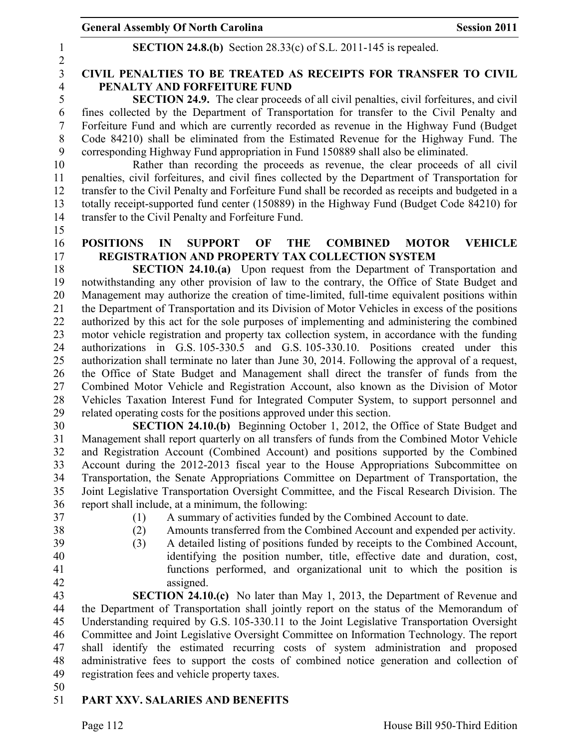**SECTION 24.8.(b)** Section 28.33(c) of S.L. 2011-145 is repealed.

# **CIVIL PENALTIES TO BE TREATED AS RECEIPTS FOR TRANSFER TO CIVIL**  4 **PENALTY AND FORFEITURE FUND**<br>5 **SECTION 24.9.** The clear process

 **SECTION 24.9.** The clear proceeds of all civil penalties, civil forfeitures, and civil fines collected by the Department of Transportation for transfer to the Civil Penalty and Forfeiture Fund and which are currently recorded as revenue in the Highway Fund (Budget 8 Code 84210) shall be eliminated from the Estimated Revenue for the Highway Fund. The corresponding Highway Fund appropriation in Fund 150889 shall also be eliminated. corresponding Highway Fund appropriation in Fund 150889 shall also be eliminated.

 Rather than recording the proceeds as revenue, the clear proceeds of all civil penalties, civil forfeitures, and civil fines collected by the Department of Transportation for transfer to the Civil Penalty and Forfeiture Fund shall be recorded as receipts and budgeted in a totally receipt-supported fund center (150889) in the Highway Fund (Budget Code 84210) for transfer to the Civil Penalty and Forfeiture Fund.

### **POSITIONS IN SUPPORT OF THE COMBINED MOTOR VEHICLE REGISTRATION AND PROPERTY TAX COLLECTION SYSTEM**

 **SECTION 24.10.(a)** Upon request from the Department of Transportation and notwithstanding any other provision of law to the contrary, the Office of State Budget and Management may authorize the creation of time-limited, full-time equivalent positions within the Department of Transportation and its Division of Motor Vehicles in excess of the positions 22 authorized by this act for the sole purposes of implementing and administering the combined<br>23 motor vehicle registration and property tax collection system in accordance with the funding motor vehicle registration and property tax collection system, in accordance with the funding authorizations in G.S. 105-330.5 and G.S. 105-330.10. Positions created under this authorization shall terminate no later than June 30, 2014. Following the approval of a request, the Office of State Budget and Management shall direct the transfer of funds from the Combined Motor Vehicle and Registration Account, also known as the Division of Motor Vehicles Taxation Interest Fund for Integrated Computer System, to support personnel and related operating costs for the positions approved under this section.

 **SECTION 24.10.(b)** Beginning October 1, 2012, the Office of State Budget and Management shall report quarterly on all transfers of funds from the Combined Motor Vehicle and Registration Account (Combined Account) and positions supported by the Combined Account during the 2012-2013 fiscal year to the House Appropriations Subcommittee on Transportation, the Senate Appropriations Committee on Department of Transportation, the Joint Legislative Transportation Oversight Committee, and the Fiscal Research Division. The report shall include, at a minimum, the following:

- 
- (1) A summary of activities funded by the Combined Account to date.
- 
- (2) Amounts transferred from the Combined Account and expended per activity.
- (3) A detailed listing of positions funded by receipts to the Combined Account, identifying the position number, title, effective date and duration, cost, functions performed, and organizational unit to which the position is assigned.

 **SECTION 24.10.(c)** No later than May 1, 2013, the Department of Revenue and the Department of Transportation shall jointly report on the status of the Memorandum of Understanding required by G.S. 105-330.11 to the Joint Legislative Transportation Oversight Committee and Joint Legislative Oversight Committee on Information Technology. The report shall identify the estimated recurring costs of system administration and proposed administrative fees to support the costs of combined notice generation and collection of registration fees and vehicle property taxes.

### **PART XXV. SALARIES AND BENEFITS**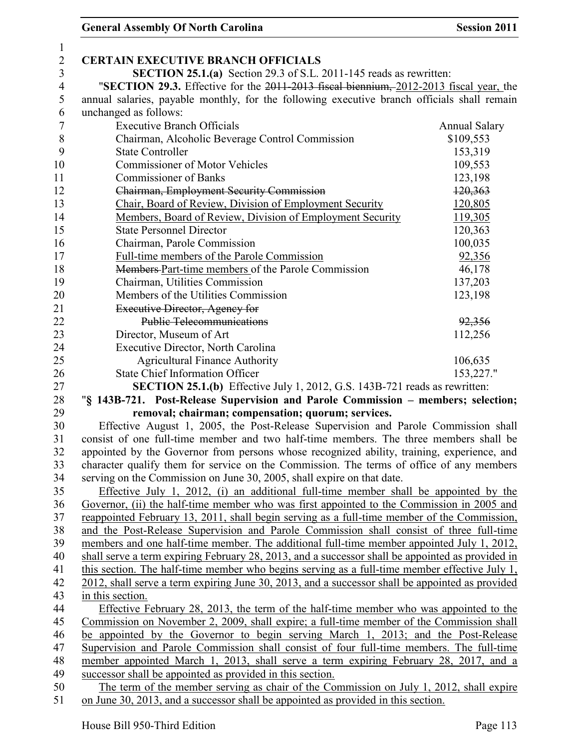| $\mathbf{1}$   |                                                                                                  |                      |
|----------------|--------------------------------------------------------------------------------------------------|----------------------|
| $\overline{2}$ | <b>CERTAIN EXECUTIVE BRANCH OFFICIALS</b>                                                        |                      |
| $\overline{3}$ | <b>SECTION 25.1.(a)</b> Section 29.3 of S.L. 2011-145 reads as rewritten:                        |                      |
| $\overline{4}$ | "SECTION 29.3. Effective for the 2011-2013 fiscal biennium, 2012-2013 fiscal year, the           |                      |
| 5              | annual salaries, payable monthly, for the following executive branch officials shall remain      |                      |
| 6              | unchanged as follows:                                                                            |                      |
| 7              | <b>Executive Branch Officials</b>                                                                | <b>Annual Salary</b> |
| 8              | Chairman, Alcoholic Beverage Control Commission                                                  | \$109,553            |
| 9              | <b>State Controller</b>                                                                          | 153,319              |
| 10             | <b>Commissioner of Motor Vehicles</b>                                                            | 109,553              |
| 11             | <b>Commissioner of Banks</b>                                                                     | 123,198              |
| 12             | Chairman, Employment Security Commission                                                         | 120,363              |
| 13             | Chair, Board of Review, Division of Employment Security                                          | 120,805              |
| 14             | Members, Board of Review, Division of Employment Security                                        | 119,305              |
| 15             | <b>State Personnel Director</b>                                                                  | 120,363              |
| 16             | Chairman, Parole Commission                                                                      | 100,035              |
| 17             | Full-time members of the Parole Commission                                                       | 92,356               |
| 18             | Members-Part-time members of the Parole Commission                                               | 46,178               |
| 19             | Chairman, Utilities Commission                                                                   | 137,203              |
| 20             | Members of the Utilities Commission                                                              | 123,198              |
| 21             | <b>Executive Director, Agency for</b>                                                            |                      |
| 22             | <b>Public Telecommunications</b>                                                                 | 92,356               |
| 23             | Director, Museum of Art                                                                          | 112,256              |
| 24             | Executive Director, North Carolina                                                               |                      |
| 25             | <b>Agricultural Finance Authority</b>                                                            | 106,635              |
| 26             | <b>State Chief Information Officer</b>                                                           | 153,227."            |
| 27             | <b>SECTION 25.1.(b)</b> Effective July 1, 2012, G.S. 143B-721 reads as rewritten:                |                      |
| 28             | "§ 143B-721. Post-Release Supervision and Parole Commission – members; selection;                |                      |
| 29             | removal; chairman; compensation; quorum; services.                                               |                      |
| 30             | Effective August 1, 2005, the Post-Release Supervision and Parole Commission shall               |                      |
| 31             | consist of one full-time member and two half-time members. The three members shall be            |                      |
| 32             | appointed by the Governor from persons whose recognized ability, training, experience, and       |                      |
| 33             | character qualify them for service on the Commission. The terms of office of any members         |                      |
| 34             | serving on the Commission on June 30, 2005, shall expire on that date.                           |                      |
| 35             | Effective July 1, 2012, (i) an additional full-time member shall be appointed by the             |                      |
| 36             | Governor, (ii) the half-time member who was first appointed to the Commission in 2005 and        |                      |
| 37             | reappointed February 13, 2011, shall begin serving as a full-time member of the Commission,      |                      |
| 38             | and the Post-Release Supervision and Parole Commission shall consist of three full-time          |                      |
| 39             | members and one half-time member. The additional full-time member appointed July 1, 2012,        |                      |
| 40             | shall serve a term expiring February 28, 2013, and a successor shall be appointed as provided in |                      |
| 41             | this section. The half-time member who begins serving as a full-time member effective July 1,    |                      |
| 42             | 2012, shall serve a term expiring June 30, 2013, and a successor shall be appointed as provided  |                      |
| 43             | in this section.                                                                                 |                      |
| 44             | Effective February 28, 2013, the term of the half-time member who was appointed to the           |                      |
| 45             | Commission on November 2, 2009, shall expire; a full-time member of the Commission shall         |                      |
|                | be appointed by the Governor to begin serving March 1, 2013; and the Post-Release                |                      |
| 46<br>47       | Supervision and Parole Commission shall consist of four full-time members. The full-time         |                      |
| 48             | member appointed March 1, 2013, shall serve a term expiring February 28, 2017, and a             |                      |
| 49             | successor shall be appointed as provided in this section.                                        |                      |
| 50             | The term of the member serving as chair of the Commission on July 1, 2012, shall expire          |                      |
| 51             | on June 30, 2013, and a successor shall be appointed as provided in this section.                |                      |
|                |                                                                                                  |                      |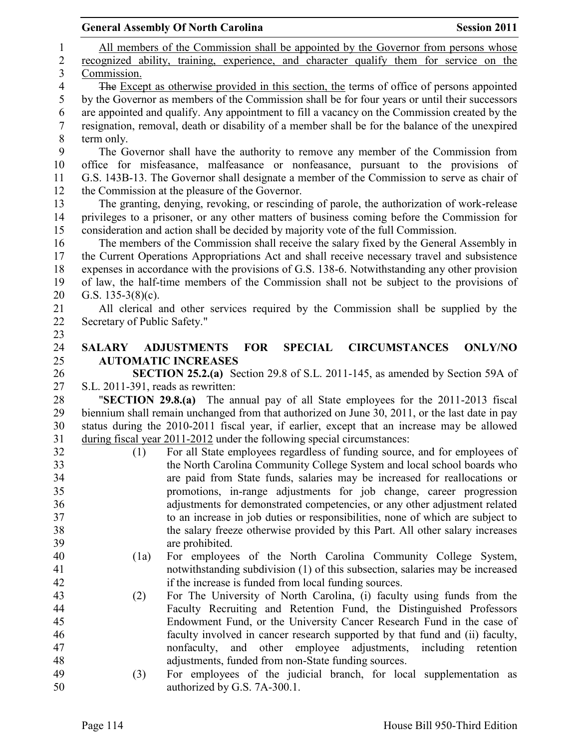General Assembly Of North Carolina Session 2011 All members of the Commission shall be appointed by the Governor from persons whose recognized ability, training, experience, and character qualify them for service on the Commission. The Except as otherwise provided in this section, the terms of office of persons appointed by the Governor as members of the Commission shall be for four years or until their successors are appointed and qualify. Any appointment to fill a vacancy on the Commission created by the resignation, removal, death or disability of a member shall be for the balance of the unexpired term only. The Governor shall have the authority to remove any member of the Commission from office for misfeasance, malfeasance or nonfeasance, pursuant to the provisions of G.S. 143B-13. The Governor shall designate a member of the Commission to serve as chair of the Commission at the pleasure of the Governor. The granting, denying, revoking, or rescinding of parole, the authorization of work-release privileges to a prisoner, or any other matters of business coming before the Commission for consideration and action shall be decided by majority vote of the full Commission. The members of the Commission shall receive the salary fixed by the General Assembly in the Current Operations Appropriations Act and shall receive necessary travel and subsistence expenses in accordance with the provisions of G.S. 138-6. Notwithstanding any other provision of law, the half-time members of the Commission shall not be subject to the provisions of 20 G.S.  $135-3(8)(c)$ . All clerical and other services required by the Commission shall be supplied by the Secretary of Public Safety." **SALARY ADJUSTMENTS FOR SPECIAL CIRCUMSTANCES ONLY/NO AUTOMATIC INCREASES SECTION 25.2.(a)** Section 29.8 of S.L. 2011-145, as amended by Section 59A of S.L. 2011-391, reads as rewritten: "**SECTION 29.8.(a)** The annual pay of all State employees for the 2011-2013 fiscal biennium shall remain unchanged from that authorized on June 30, 2011, or the last date in pay status during the 2010-2011 fiscal year, if earlier, except that an increase may be allowed during fiscal year 2011-2012 under the following special circumstances: (1) For all State employees regardless of funding source, and for employees of the North Carolina Community College System and local school boards who are paid from State funds, salaries may be increased for reallocations or promotions, in-range adjustments for job change, career progression adjustments for demonstrated competencies, or any other adjustment related to an increase in job duties or responsibilities, none of which are subject to the salary freeze otherwise provided by this Part. All other salary increases are prohibited. (1a) For employees of the North Carolina Community College System, notwithstanding subdivision (1) of this subsection, salaries may be increased if the increase is funded from local funding sources. (2) For The University of North Carolina, (i) faculty using funds from the Faculty Recruiting and Retention Fund, the Distinguished Professors Endowment Fund, or the University Cancer Research Fund in the case of faculty involved in cancer research supported by that fund and (ii) faculty, nonfaculty, and other employee adjustments, including retention adjustments, funded from non-State funding sources. (3) For employees of the judicial branch, for local supplementation as 50 authorized by G.S. 7A-300.1.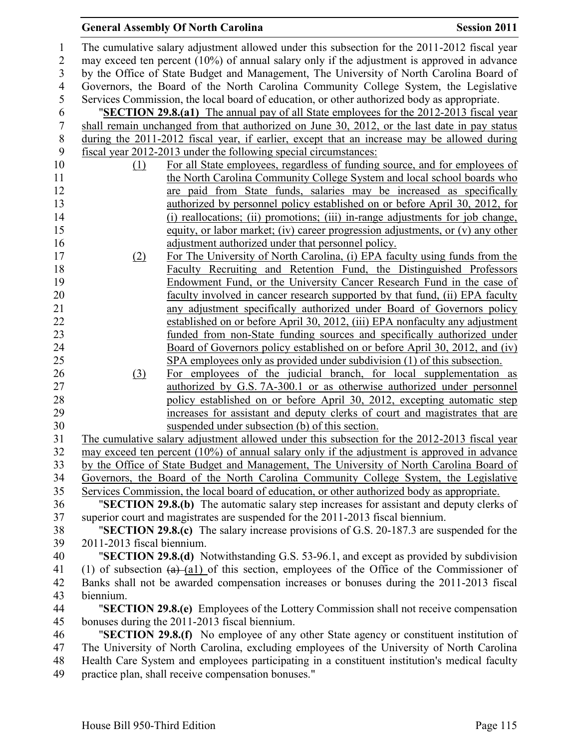### **General Assembly Of North Carolina Session 2011**  The cumulative salary adjustment allowed under this subsection for the 2011-2012 fiscal year may exceed ten percent (10%) of annual salary only if the adjustment is approved in advance by the Office of State Budget and Management, The University of North Carolina Board of Governors, the Board of the North Carolina Community College System, the Legislative Services Commission, the local board of education, or other authorized body as appropriate. "**SECTION 29.8.(a1)** The annual pay of all State employees for the 2012-2013 fiscal year shall remain unchanged from that authorized on June 30, 2012, or the last date in pay status during the 2011-2012 fiscal year, if earlier, except that an increase may be allowed during fiscal year 2012-2013 under the following special circumstances: (1) For all State employees, regardless of funding source, and for employees of 11 the North Carolina Community College System and local school boards who are paid from State funds, salaries may be increased as specifically authorized by personnel policy established on or before April 30, 2012, for (i) reallocations; (ii) promotions; (iii) in-range adjustments for job change, equity, or labor market; (iv) career progression adjustments, or (v) any other adjustment authorized under that personnel policy. (2) For The University of North Carolina, (i) EPA faculty using funds from the Faculty Recruiting and Retention Fund, the Distinguished Professors Endowment Fund, or the University Cancer Research Fund in the case of 20 faculty involved in cancer research supported by that fund, (ii) EPA faculty any adjustment specifically authorized under Board of Governors policy established on or before April 30, 2012, (iii) EPA nonfaculty any adjustment funded from non-State funding sources and specifically authorized under Board of Governors policy established on or before April 30, 2012, and (iv) SPA employees only as provided under subdivision (1) of this subsection. (3) For employees of the judicial branch, for local supplementation as authorized by G.S. 7A-300.1 or as otherwise authorized under personnel 28 policy established on or before April 30, 2012, excepting automatic step increases for assistant and deputy clerks of court and magistrates that are suspended under subsection (b) of this section. The cumulative salary adjustment allowed under this subsection for the 2012-2013 fiscal year may exceed ten percent (10%) of annual salary only if the adjustment is approved in advance by the Office of State Budget and Management, The University of North Carolina Board of Governors, the Board of the North Carolina Community College System, the Legislative Services Commission, the local board of education, or other authorized body as appropriate. "**SECTION 29.8.(b)** The automatic salary step increases for assistant and deputy clerks of superior court and magistrates are suspended for the 2011-2013 fiscal biennium. "**SECTION 29.8.(c)** The salary increase provisions of G.S. 20-187.3 are suspended for the 2011-2013 fiscal biennium. "**SECTION 29.8.(d)** Notwithstanding G.S. 53-96.1, and except as provided by subdivision (1) of subsection (a) (a1) of this section, employees of the Office of the Commissioner of Banks shall not be awarded compensation increases or bonuses during the 2011-2013 fiscal biennium. "**SECTION 29.8.(e)** Employees of the Lottery Commission shall not receive compensation bonuses during the 2011-2013 fiscal biennium. "**SECTION 29.8.(f)** No employee of any other State agency or constituent institution of The University of North Carolina, excluding employees of the University of North Carolina Health Care System and employees participating in a constituent institution's medical faculty

practice plan, shall receive compensation bonuses."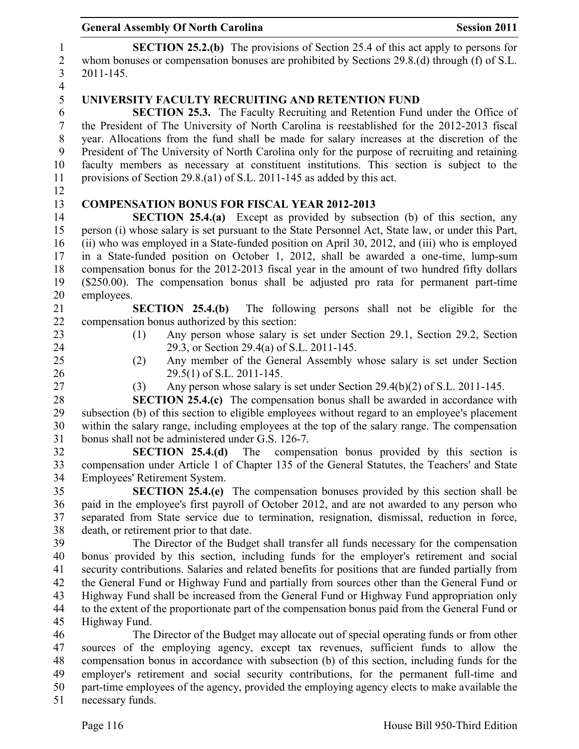**SECTION 25.2.(b)** The provisions of Section 25.4 of this act apply to persons for whom bonuses or compensation bonuses are prohibited by Sections 29.8.(d) through (f) of S.L. 2011-145. **UNIVERSITY FACULTY RECRUITING AND RETENTION FUND SECTION 25.3.** The Faculty Recruiting and Retention Fund under the Office of the President of The University of North Carolina is reestablished for the 2012-2013 fiscal the President of The University of North Carolina is reestablished for the 2012-2013 fiscal year. Allocations from the fund shall be made for salary increases at the discretion of the President of The University of North Carolina only for the purpose of recruiting and retaining faculty members as necessary at constituent institutions. This section is subject to the provisions of Section 29.8.(a1) of S.L. 2011-145 as added by this act. **COMPENSATION BONUS FOR FISCAL YEAR 2012-2013 SECTION 25.4.(a)** Except as provided by subsection (b) of this section, any person (i) whose salary is set pursuant to the State Personnel Act, State law, or under this Part, (ii) who was employed in a State-funded position on April 30, 2012, and (iii) who is employed in a State-funded position on October 1, 2012, shall be awarded a one-time, lump-sum compensation bonus for the 2012-2013 fiscal year in the amount of two hundred fifty dollars (\$250.00). The compensation bonus shall be adjusted pro rata for permanent part-time employees. **SECTION 25.4.(b)** The following persons shall not be eligible for the compensation bonus authorized by this section: (1) Any person whose salary is set under Section 29.1, Section 29.2, Section 29.3, or Section 29.4(a) of S.L. 2011-145. (2) Any member of the General Assembly whose salary is set under Section 26 29.5(1) of S.L. 2011-145. (3) Any person whose salary is set under Section 29.4(b)(2) of S.L. 2011-145. **SECTION 25.4.(c)** The compensation bonus shall be awarded in accordance with subsection (b) of this section to eligible employees without regard to an employee's placement within the salary range, including employees at the top of the salary range. The compensation bonus shall not be administered under G.S. 126-7. **SECTION 25.4.(d)** The compensation bonus provided by this section is compensation under Article 1 of Chapter 135 of the General Statutes, the Teachers' and State Employees' Retirement System. **SECTION 25.4.(e)** The compensation bonuses provided by this section shall be paid in the employee's first payroll of October 2012, and are not awarded to any person who separated from State service due to termination, resignation, dismissal, reduction in force, death, or retirement prior to that date. The Director of the Budget shall transfer all funds necessary for the compensation bonus provided by this section, including funds for the employer's retirement and social security contributions. Salaries and related benefits for positions that are funded partially from the General Fund or Highway Fund and partially from sources other than the General Fund or Highway Fund shall be increased from the General Fund or Highway Fund appropriation only to the extent of the proportionate part of the compensation bonus paid from the General Fund or Highway Fund. The Director of the Budget may allocate out of special operating funds or from other sources of the employing agency, except tax revenues, sufficient funds to allow the compensation bonus in accordance with subsection (b) of this section, including funds for the employer's retirement and social security contributions, for the permanent full-time and part-time employees of the agency, provided the employing agency elects to make available the

necessary funds.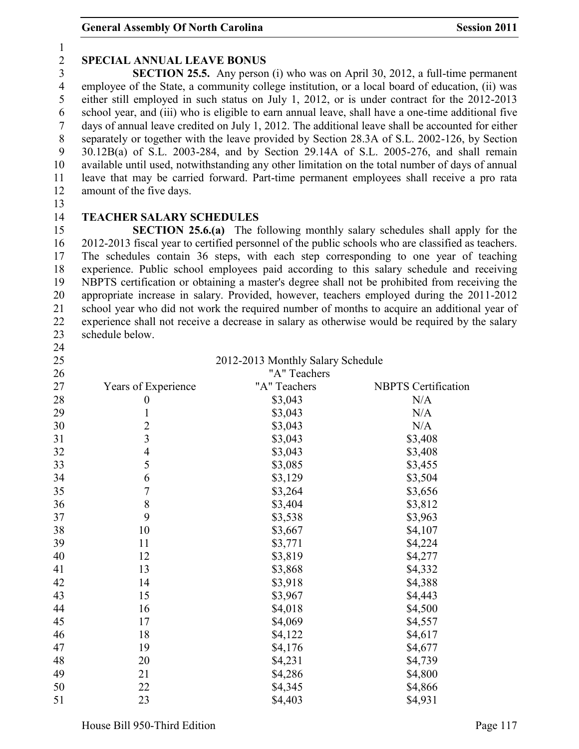### 2 **SPECIAL ANNUAL LEAVE BONUS**

 **SECTION 25.5.** Any person (i) who was on April 30, 2012, a full-time permanent employee of the State, a community college institution, or a local board of education, (ii) was either still employed in such status on July 1, 2012, or is under contract for the 2012-2013 school year, and (iii) who is eligible to earn annual leave, shall have a one-time additional five days of annual leave credited on July 1, 2012. The additional leave shall be accounted for either 8 separately or together with the leave provided by Section 28.3A of S.L. 2002-126, by Section 30.12B(a) of S.L. 2003-284, and by Section 29.14A of S.L. 2005-276, and shall remain 30.12B(a) of S.L. 2003-284, and by Section 29.14A of S.L. 2005-276, and shall remain available until used, notwithstanding any other limitation on the total number of days of annual leave that may be carried forward. Part-time permanent employees shall receive a pro rata amount of the five days.

13

 $\frac{1}{2}$ 

### 14 **TEACHER SALARY SCHEDULES**

 **SECTION 25.6.(a)** The following monthly salary schedules shall apply for the 2012-2013 fiscal year to certified personnel of the public schools who are classified as teachers. The schedules contain 36 steps, with each step corresponding to one year of teaching experience. Public school employees paid according to this salary schedule and receiving NBPTS certification or obtaining a master's degree shall not be prohibited from receiving the appropriate increase in salary. Provided, however, teachers employed during the 2011-2012 school year who did not work the required number of months to acquire an additional year of 22 experience shall not receive a decrease in salary as otherwise would be required by the salary<br>23 schedule below. schedule below.

 $\frac{24}{25}$ 

| 25 |                         | 2012-2013 Monthly Salary Schedule |                            |
|----|-------------------------|-----------------------------------|----------------------------|
| 26 |                         | "A" Teachers                      |                            |
| 27 | Years of Experience     | "A" Teachers                      | <b>NBPTS</b> Certification |
| 28 | $\boldsymbol{0}$        | \$3,043                           | N/A                        |
| 29 | 1                       | \$3,043                           | N/A                        |
| 30 | $\overline{2}$          | \$3,043                           | N/A                        |
| 31 | $\overline{\mathbf{3}}$ | \$3,043                           | \$3,408                    |
| 32 | $\overline{4}$          | \$3,043                           | \$3,408                    |
| 33 | 5                       | \$3,085                           | \$3,455                    |
| 34 | 6                       | \$3,129                           | \$3,504                    |
| 35 | 7                       | \$3,264                           | \$3,656                    |
| 36 | 8                       | \$3,404                           | \$3,812                    |
| 37 | 9                       | \$3,538                           | \$3,963                    |
| 38 | 10                      | \$3,667                           | \$4,107                    |
| 39 | 11                      | \$3,771                           | \$4,224                    |
| 40 | 12                      | \$3,819                           | \$4,277                    |
| 41 | 13                      | \$3,868                           | \$4,332                    |
| 42 | 14                      | \$3,918                           | \$4,388                    |
| 43 | 15                      | \$3,967                           | \$4,443                    |
| 44 | 16                      | \$4,018                           | \$4,500                    |
| 45 | 17                      | \$4,069                           | \$4,557                    |
| 46 | 18                      | \$4,122                           | \$4,617                    |
| 47 | 19                      | \$4,176                           | \$4,677                    |
| 48 | 20                      | \$4,231                           | \$4,739                    |
| 49 | 21                      | \$4,286                           | \$4,800                    |
| 50 | 22                      | \$4,345                           | \$4,866                    |
| 51 | 23                      | \$4,403                           | \$4,931                    |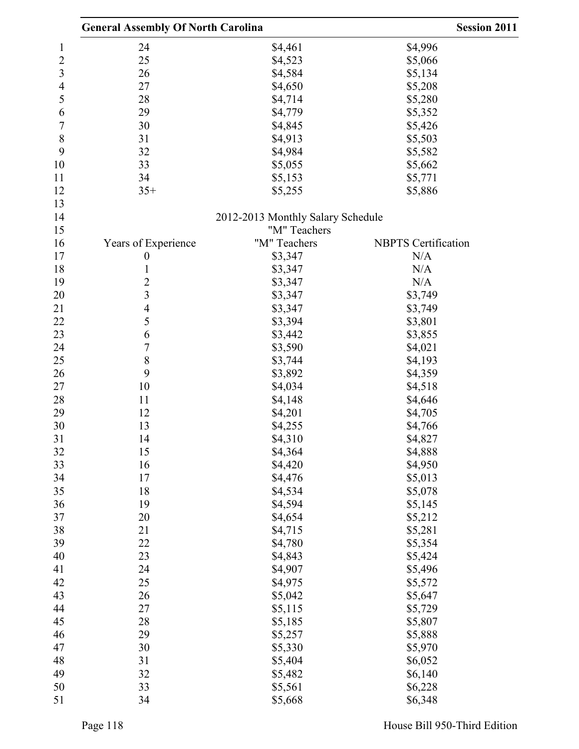| <b>General Assembly Of North Carolina</b> | <b>Session 2011</b>               |                            |  |
|-------------------------------------------|-----------------------------------|----------------------------|--|
| 24                                        | \$4,461                           | \$4,996                    |  |
| 25                                        | \$4,523                           | \$5,066                    |  |
| 26                                        | \$4,584                           | \$5,134                    |  |
| 27                                        | \$4,650                           | \$5,208                    |  |
| 28                                        | \$4,714                           | \$5,280                    |  |
| 29                                        | \$4,779                           | \$5,352                    |  |
| 30                                        | \$4,845                           | \$5,426                    |  |
| 31                                        | \$4,913                           | \$5,503                    |  |
| 32                                        | \$4,984                           | \$5,582                    |  |
| 33                                        | \$5,055                           | \$5,662                    |  |
| 34                                        | \$5,153                           | \$5,771                    |  |
| $35+$                                     | \$5,255                           | \$5,886                    |  |
|                                           |                                   |                            |  |
|                                           |                                   |                            |  |
|                                           | 2012-2013 Monthly Salary Schedule |                            |  |
|                                           | "M" Teachers                      |                            |  |
| Years of Experience                       | "M" Teachers                      | <b>NBPTS</b> Certification |  |
| $\boldsymbol{0}$                          | \$3,347                           | N/A                        |  |
| $\mathbf{1}$                              | \$3,347                           | N/A                        |  |
| 2                                         | \$3,347                           | N/A                        |  |
| 3                                         | \$3,347                           | \$3,749                    |  |
| $\overline{4}$                            | \$3,347                           | \$3,749                    |  |
| 5                                         | \$3,394                           | \$3,801                    |  |
| 6                                         | \$3,442                           | \$3,855                    |  |
| 7                                         | \$3,590                           | \$4,021                    |  |
| 8                                         | \$3,744                           | \$4,193                    |  |
| 9                                         | \$3,892                           | \$4,359                    |  |
| 10                                        | \$4,034                           | \$4,518                    |  |
| 11                                        | \$4,148                           | \$4,646                    |  |
| 12                                        | \$4,201                           | \$4,705                    |  |
| 13                                        | \$4,255                           | \$4,766                    |  |
| 14                                        | \$4,310                           | \$4,827                    |  |
| 15                                        | \$4,364                           | \$4,888                    |  |
| 16                                        | \$4,420                           | \$4,950                    |  |
| 17                                        | \$4,476                           | \$5,013                    |  |
| 18                                        | \$4,534                           | \$5,078                    |  |
| 19                                        | \$4,594                           | \$5,145                    |  |
| 20                                        | \$4,654                           | \$5,212                    |  |
| 21                                        | \$4,715                           | \$5,281                    |  |
| 22                                        | \$4,780                           | \$5,354                    |  |
| 23                                        |                                   |                            |  |
|                                           | \$4,843                           | \$5,424                    |  |
| 24                                        | \$4,907                           | \$5,496                    |  |
| 25                                        | \$4,975                           | \$5,572                    |  |
| 26                                        | \$5,042                           | \$5,647                    |  |
| 27                                        | \$5,115                           | \$5,729                    |  |
| 28                                        | \$5,185                           | \$5,807                    |  |
| 29                                        | \$5,257                           | \$5,888                    |  |
| 30                                        | \$5,330                           | \$5,970                    |  |
| 31                                        | \$5,404                           | \$6,052                    |  |
| 32                                        | \$5,482                           | \$6,140                    |  |
| 33                                        | \$5,561                           | \$6,228                    |  |
| 34                                        | \$5,668                           | \$6,348                    |  |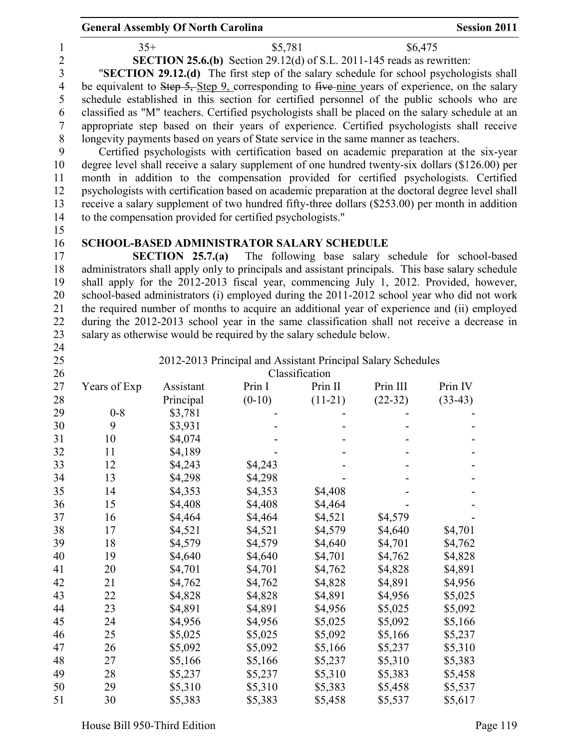| <b>General Assembly Of North Carolina</b>                                                        |         |         | <b>Session 2011</b> |
|--------------------------------------------------------------------------------------------------|---------|---------|---------------------|
| $35+$                                                                                            | \$5,781 | \$6,475 |                     |
| <b>SECTION 25.6.(b)</b> Section 29.12(d) of S.L. 2011-145 reads as rewritten:                    |         |         |                     |
| "SECTION 29.12.(d) The first step of the salary schedule for school psychologists shall          |         |         |                     |
| be equivalent to Step 5, Step 9, corresponding to five-nine years of experience, on the salary   |         |         |                     |
| schedule established in this section for certified personnel of the public schools who are       |         |         |                     |
| classified as "M" teachers. Certified psychologists shall be placed on the salary schedule at an |         |         |                     |
| appropriate step based on their years of experience. Certified psychologists shall receive       |         |         |                     |
| longevity payments based on years of State service in the same manner as teachers.               |         |         |                     |
| Certified psychologists with certification based on academic preparation at the six-year         |         |         |                     |

 degree level shall receive a salary supplement of one hundred twenty-six dollars (\$126.00) per month in addition to the compensation provided for certified psychologists. Certified psychologists with certification based on academic preparation at the doctoral degree level shall receive a salary supplement of two hundred fifty-three dollars (\$253.00) per month in addition to the compensation provided for certified psychologists."

15

# 16 **SCHOOL-BASED ADMINISTRATOR SALARY SCHEDULE**<br>17 **SECTION 25.7.(a)** The following base salary s

**SECTION 25.7.(a)** The following base salary schedule for school-based 18 administrators shall apply only to principals and assistant principals. This base salary schedule 19 shall apply for the 2012-2013 fiscal year, commencing July 1, 2012. Provided, however, 20 school-based administrators (i) employed during the 2011-2012 school year who did not work 21 the required number of months to acquire an additional year of experience and (ii) employed 22 during the 2012-2013 school year in the same classification shall not receive a decrease in salary as otherwise would be required by the salary schedule below salary as otherwise would be required by the salary schedule below.

24

# 25 2012-2013 Principal and Assistant Principal Salary Schedules

| 26 |              |           |          | Classification |           |           |
|----|--------------|-----------|----------|----------------|-----------|-----------|
| 27 | Years of Exp | Assistant | Prin I   | Prin II        | Prin III  | Prin IV   |
| 28 |              | Principal | $(0-10)$ | $(11-21)$      | $(22-32)$ | $(33-43)$ |
| 29 | $0 - 8$      | \$3,781   |          |                |           |           |
| 30 | 9            | \$3,931   |          |                |           |           |
| 31 | 10           | \$4,074   |          |                |           |           |
| 32 | 11           | \$4,189   |          |                |           |           |
| 33 | 12           | \$4,243   | \$4,243  |                |           |           |
| 34 | 13           | \$4,298   | \$4,298  |                |           |           |
| 35 | 14           | \$4,353   | \$4,353  | \$4,408        |           |           |
| 36 | 15           | \$4,408   | \$4,408  | \$4,464        |           |           |
| 37 | 16           | \$4,464   | \$4,464  | \$4,521        | \$4,579   |           |
| 38 | 17           | \$4,521   | \$4,521  | \$4,579        | \$4,640   | \$4,701   |
| 39 | 18           | \$4,579   | \$4,579  | \$4,640        | \$4,701   | \$4,762   |
| 40 | 19           | \$4,640   | \$4,640  | \$4,701        | \$4,762   | \$4,828   |
| 41 | 20           | \$4,701   | \$4,701  | \$4,762        | \$4,828   | \$4,891   |
| 42 | 21           | \$4,762   | \$4,762  | \$4,828        | \$4,891   | \$4,956   |
| 43 | 22           | \$4,828   | \$4,828  | \$4,891        | \$4,956   | \$5,025   |
| 44 | 23           | \$4,891   | \$4,891  | \$4,956        | \$5,025   | \$5,092   |
| 45 | 24           | \$4,956   | \$4,956  | \$5,025        | \$5,092   | \$5,166   |
| 46 | 25           | \$5,025   | \$5,025  | \$5,092        | \$5,166   | \$5,237   |
| 47 | 26           | \$5,092   | \$5,092  | \$5,166        | \$5,237   | \$5,310   |
| 48 | 27           | \$5,166   | \$5,166  | \$5,237        | \$5,310   | \$5,383   |
| 49 | 28           | \$5,237   | \$5,237  | \$5,310        | \$5,383   | \$5,458   |
| 50 | 29           | \$5,310   | \$5,310  | \$5,383        | \$5,458   | \$5,537   |
| 51 | 30           | \$5,383   | \$5,383  | \$5,458        | \$5,537   | \$5,617   |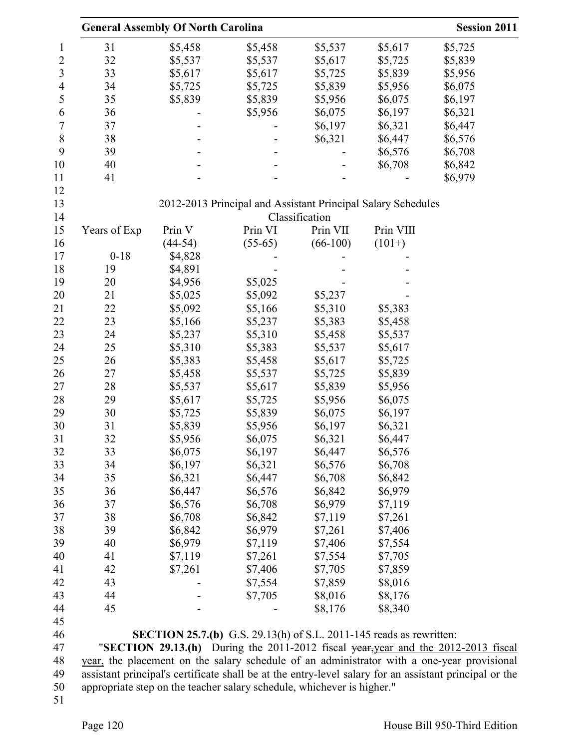|              | <b>General Assembly Of North Carolina</b>                                  |                                                              |                |           | <b>Session 2011</b>                                                                                    |
|--------------|----------------------------------------------------------------------------|--------------------------------------------------------------|----------------|-----------|--------------------------------------------------------------------------------------------------------|
| 31           | \$5,458                                                                    | \$5,458                                                      | \$5,537        | \$5,617   | \$5,725                                                                                                |
| 32           | \$5,537                                                                    | \$5,537                                                      | \$5,617        | \$5,725   | \$5,839                                                                                                |
| 33           | \$5,617                                                                    | \$5,617                                                      | \$5,725        | \$5,839   | \$5,956                                                                                                |
| 34           | \$5,725                                                                    | \$5,725                                                      | \$5,839        | \$5,956   | \$6,075                                                                                                |
| 35           | \$5,839                                                                    | \$5,839                                                      | \$5,956        | \$6,075   | \$6,197                                                                                                |
| 36           |                                                                            | \$5,956                                                      | \$6,075        | \$6,197   | \$6,321                                                                                                |
| 37           |                                                                            |                                                              | \$6,197        | \$6,321   | \$6,447                                                                                                |
| 38           |                                                                            |                                                              | \$6,321        | \$6,447   | \$6,576                                                                                                |
| 39           |                                                                            |                                                              |                | \$6,576   | \$6,708                                                                                                |
| 40           |                                                                            |                                                              |                | \$6,708   | \$6,842                                                                                                |
| 41           |                                                                            |                                                              |                |           | \$6,979                                                                                                |
|              |                                                                            | 2012-2013 Principal and Assistant Principal Salary Schedules |                |           |                                                                                                        |
|              |                                                                            |                                                              | Classification |           |                                                                                                        |
| Years of Exp | Prin <sub>V</sub>                                                          | Prin VI                                                      | Prin VII       | Prin VIII |                                                                                                        |
|              | $(44-54)$                                                                  | $(55-65)$                                                    | $(66-100)$     | $(101+)$  |                                                                                                        |
| $0 - 18$     | \$4,828                                                                    |                                                              |                |           |                                                                                                        |
| 19           | \$4,891                                                                    |                                                              |                |           |                                                                                                        |
| 20           | \$4,956                                                                    | \$5,025                                                      |                |           |                                                                                                        |
| 21           | \$5,025                                                                    | \$5,092                                                      | \$5,237        |           |                                                                                                        |
| 22           | \$5,092                                                                    | \$5,166                                                      | \$5,310        | \$5,383   |                                                                                                        |
| 23           | \$5,166                                                                    | \$5,237                                                      | \$5,383        | \$5,458   |                                                                                                        |
| 24           | \$5,237                                                                    | \$5,310                                                      | \$5,458        | \$5,537   |                                                                                                        |
| 25           | \$5,310                                                                    | \$5,383                                                      | \$5,537        | \$5,617   |                                                                                                        |
| 26           | \$5,383                                                                    | \$5,458                                                      | \$5,617        | \$5,725   |                                                                                                        |
| 27           | \$5,458                                                                    | \$5,537                                                      | \$5,725        | \$5,839   |                                                                                                        |
| 28           | \$5,537                                                                    | \$5,617                                                      | \$5,839        | \$5,956   |                                                                                                        |
| 29           | \$5,617                                                                    | \$5,725                                                      | \$5,956        | \$6,075   |                                                                                                        |
| 30           | \$5,725                                                                    |                                                              | \$6,075        | \$6,197   |                                                                                                        |
|              |                                                                            | \$5,839                                                      |                |           |                                                                                                        |
| 31           | \$5,839                                                                    | \$5,956                                                      | \$6,197        | \$6,321   |                                                                                                        |
| 32           | \$5,956                                                                    | \$6,075                                                      | \$6,321        | \$6,447   |                                                                                                        |
| 33           | \$6,075                                                                    | \$6,197                                                      | \$6,447        | \$6,576   |                                                                                                        |
| 34           | \$6,197                                                                    | \$6,321                                                      | \$6,576        | \$6,708   |                                                                                                        |
| 35           | \$6,321                                                                    | \$6,447                                                      | \$6,708        | \$6,842   |                                                                                                        |
| 36           | \$6,447                                                                    | \$6,576                                                      | \$6,842        | \$6,979   |                                                                                                        |
| 37           | \$6,576                                                                    | \$6,708                                                      | \$6,979        | \$7,119   |                                                                                                        |
| 38           | \$6,708                                                                    | \$6,842                                                      | \$7,119        | \$7,261   |                                                                                                        |
| 39           | \$6,842                                                                    | \$6,979                                                      | \$7,261        | \$7,406   |                                                                                                        |
| 40           | \$6,979                                                                    | \$7,119                                                      | \$7,406        | \$7,554   |                                                                                                        |
| 41           | \$7,119                                                                    | \$7,261                                                      | \$7,554        | \$7,705   |                                                                                                        |
| 42           | \$7,261                                                                    | \$7,406                                                      | \$7,705        | \$7,859   |                                                                                                        |
| 43           |                                                                            | \$7,554                                                      | \$7,859        | \$8,016   |                                                                                                        |
| 44           |                                                                            | \$7,705                                                      | \$8,016        | \$8,176   |                                                                                                        |
| 45           |                                                                            |                                                              | \$8,176        | \$8,340   |                                                                                                        |
|              |                                                                            |                                                              |                |           |                                                                                                        |
|              | <b>SECTION 25.7.(b)</b> G.S. 29.13(h) of S.L. 2011-145 reads as rewritten: |                                                              |                |           |                                                                                                        |
|              |                                                                            |                                                              |                |           | "SECTION 29.13.(h) During the 2011-2012 fiscal year, year and the 2012-2013 fiscal                     |
|              |                                                                            |                                                              |                |           | year, the placement on the salary schedule of an administrator with a one-year provisional             |
|              |                                                                            |                                                              |                |           | assistant principal's certificate shall be at the entry-level salary for an assistant principal or the |
|              | appropriate step on the teacher salary schedule, whichever is higher."     |                                                              |                |           |                                                                                                        |

 $\frac{50}{51}$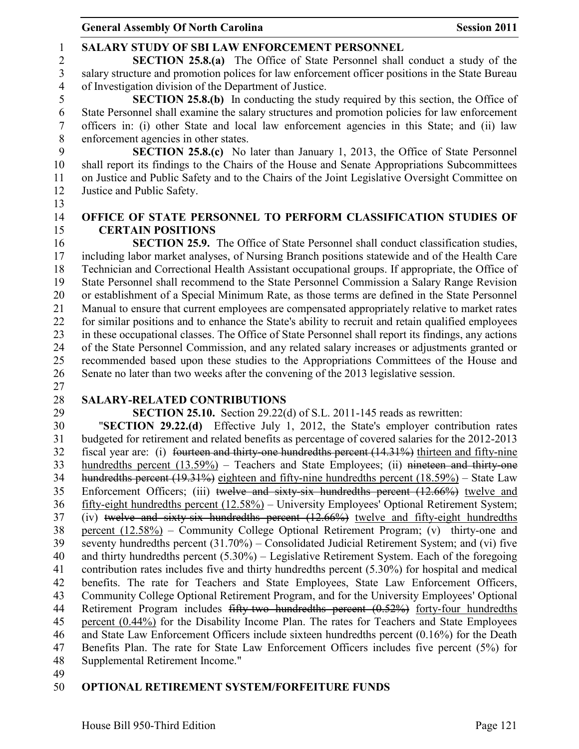# **SALARY STUDY OF SBI LAW ENFORCEMENT PERSONNEL**<br>**2 SECTION 25.8.(a)** The Office of State Personnel shall

**SECTION 25.8.(a)** The Office of State Personnel shall conduct a study of the salary structure and promotion polices for law enforcement officer positions in the State Bureau of Investigation division of the Department of Justice.

 **SECTION 25.8.(b)** In conducting the study required by this section, the Office of State Personnel shall examine the salary structures and promotion policies for law enforcement officers in: (i) other State and local law enforcement agencies in this State; and (ii) law 8 enforcement agencies in other states.<br>9 **SECTION 25.8.(c)** No

**SECTION 25.8.(c)** No later than January 1, 2013, the Office of State Personnel shall report its findings to the Chairs of the House and Senate Appropriations Subcommittees on Justice and Public Safety and to the Chairs of the Joint Legislative Oversight Committee on Justice and Public Safety.

### **OFFICE OF STATE PERSONNEL TO PERFORM CLASSIFICATION STUDIES OF CERTAIN POSITIONS**

 **SECTION 25.9.** The Office of State Personnel shall conduct classification studies, including labor market analyses, of Nursing Branch positions statewide and of the Health Care Technician and Correctional Health Assistant occupational groups. If appropriate, the Office of State Personnel shall recommend to the State Personnel Commission a Salary Range Revision or establishment of a Special Minimum Rate, as those terms are defined in the State Personnel Manual to ensure that current employees are compensated appropriately relative to market rates for similar positions and to enhance the State's ability to recruit and retain qualified employees in these occupational classes. The Office of State Personnel shall report its findings, any actions of the State Personnel Commission, and any related salary increases or adjustments granted or recommended based upon these studies to the Appropriations Committees of the House and Senate no later than two weeks after the convening of the 2013 legislative session.

### **SALARY-RELATED CONTRIBUTIONS**

**SECTION 25.10.** Section 29.22(d) of S.L. 2011-145 reads as rewritten:

 "**SECTION 29.22.(d)** Effective July 1, 2012, the State's employer contribution rates budgeted for retirement and related benefits as percentage of covered salaries for the 2012-2013 fiscal year are: (i) fourteen and thirty-one hundredths percent (14.31%) thirteen and fifty-nine hundredths percent (13.59%) – Teachers and State Employees; (ii) nineteen and thirty-one hundredths percent (19.31%) eighteen and fifty-nine hundredths percent (18.59%) – State Law Enforcement Officers; (iii) twelve and sixty-six hundredths percent (12.66%) twelve and fifty-eight hundredths percent (12.58%) – University Employees' Optional Retirement System; (iv) twelve and sixty-six hundredths percent (12.66%) twelve and fifty-eight hundredths percent (12.58%) – Community College Optional Retirement Program; (v) thirty-one and seventy hundredths percent (31.70%) – Consolidated Judicial Retirement System; and (vi) five and thirty hundredths percent (5.30%) – Legislative Retirement System. Each of the foregoing contribution rates includes five and thirty hundredths percent (5.30%) for hospital and medical benefits. The rate for Teachers and State Employees, State Law Enforcement Officers, Community College Optional Retirement Program, and for the University Employees' Optional 44 Retirement Program includes fifty-two hundredths percent (0.52%) forty-four hundredths percent (0.44%) for the Disability Income Plan. The rates for Teachers and State Employees and State Law Enforcement Officers include sixteen hundredths percent (0.16%) for the Death Benefits Plan. The rate for State Law Enforcement Officers includes five percent (5%) for Supplemental Retirement Income."

### **OPTIONAL RETIREMENT SYSTEM/FORFEITURE FUNDS**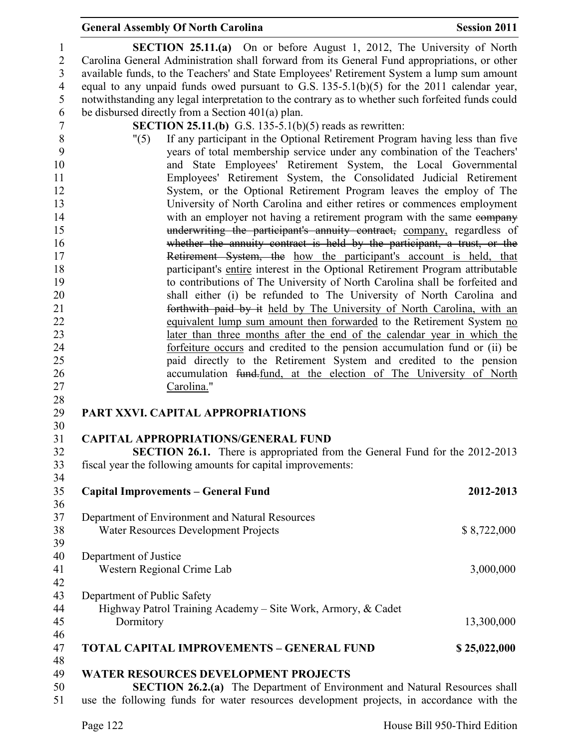**SECTION 25.11.(a)** On or before August 1, 2012, The University of North Carolina General Administration shall forward from its General Fund appropriations, or other available funds, to the Teachers' and State Employees' Retirement System a lump sum amount equal to any unpaid funds owed pursuant to G.S. 135-5.1(b)(5) for the 2011 calendar year, notwithstanding any legal interpretation to the contrary as to whether such forfeited funds could 6 be disbursed directly from a Section 401(a) plan.<br>  $\overline{5}$ <br> **SECTION 25.11.(b)** G.S. 135-5.1(b)

**SECTION 25.11.(b)** G.S. 135-5.1(b)(5) reads as rewritten:

 "(5) If any participant in the Optional Retirement Program having less than five years of total membership service under any combination of the Teachers' and State Employees' Retirement System, the Local Governmental Employees' Retirement System, the Consolidated Judicial Retirement System, or the Optional Retirement Program leaves the employ of The University of North Carolina and either retires or commences employment 14 with an employer not having a retirement program with the same company underwriting the participant's annuity contract, company, regardless of whether the annuity contract is held by the participant, a trust, or the Retirement System, the how the participant's account is held, that participant's entire interest in the Optional Retirement Program attributable to contributions of The University of North Carolina shall be forfeited and shall either (i) be refunded to The University of North Carolina and **forthwith paid by it held by The University of North Carolina**, with an equivalent lump sum amount then forwarded to the Retirement System no later than three months after the end of the calendar year in which the forfeiture occurs and credited to the pension accumulation fund or (ii) be paid directly to the Retirement System and credited to the pension 26 accumulation <del>fund.</del> fund, at the election of The University of North Carolina."

**PART XXVI. CAPITAL APPROPRIATIONS** 

### **CAPITAL APPROPRIATIONS/GENERAL FUND**

 **SECTION 26.1.** There is appropriated from the General Fund for the 2012-2013 fiscal year the following amounts for capital improvements:

| 35 | <b>Capital Improvements – General Fund</b>                                        | 2012-2013    |
|----|-----------------------------------------------------------------------------------|--------------|
| 36 |                                                                                   |              |
| 37 | Department of Environment and Natural Resources                                   |              |
| 38 | Water Resources Development Projects                                              | \$8,722,000  |
| 39 |                                                                                   |              |
| 40 | Department of Justice                                                             |              |
| 41 | Western Regional Crime Lab                                                        | 3,000,000    |
| 42 |                                                                                   |              |
| 43 | Department of Public Safety                                                       |              |
| 44 | Highway Patrol Training Academy – Site Work, Armory, & Cadet                      |              |
| 45 | Dormitory                                                                         | 13,300,000   |
| 46 |                                                                                   |              |
| 47 | <b>TOTAL CAPITAL IMPROVEMENTS - GENERAL FUND</b>                                  | \$25,022,000 |
| 48 |                                                                                   |              |
| 49 | <b>WATER RESOURCES DEVELOPMENT PROJECTS</b>                                       |              |
| 50 | <b>SECTION 26.2.(a)</b> The Department of Environment and Natural Resources shall |              |

use the following funds for water resources development projects, in accordance with the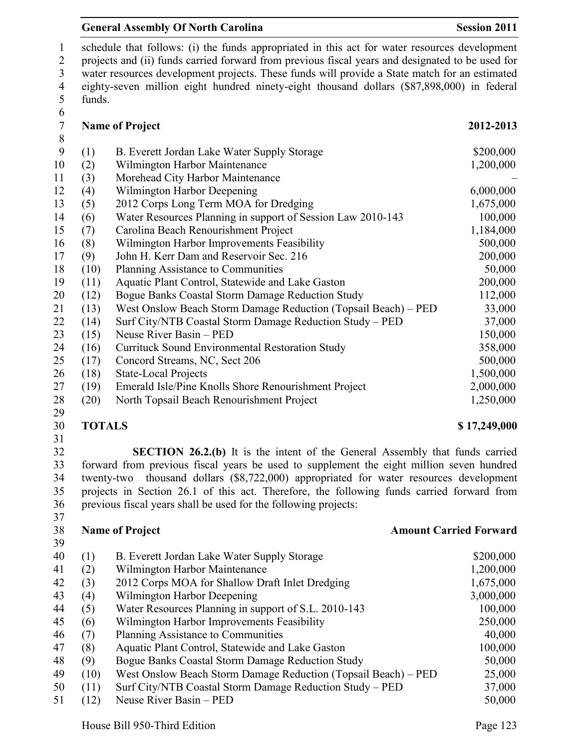|               | <b>General Assembly Of North Carolina</b>                                                                                                                                                                                                                                                          | <b>Session 2011</b>           |
|---------------|----------------------------------------------------------------------------------------------------------------------------------------------------------------------------------------------------------------------------------------------------------------------------------------------------|-------------------------------|
|               | schedule that follows: (i) the funds appropriated in this act for water resources development<br>projects and (ii) funds carried forward from previous fiscal years and designated to be used for<br>water resources development projects. These funds will provide a State match for an estimated |                               |
| funds.        | eighty-seven million eight hundred ninety-eight thousand dollars (\$87,898,000) in federal                                                                                                                                                                                                         |                               |
|               | <b>Name of Project</b>                                                                                                                                                                                                                                                                             | 2012-2013                     |
| (1)           | B. Everett Jordan Lake Water Supply Storage                                                                                                                                                                                                                                                        | \$200,000                     |
| (2)           | Wilmington Harbor Maintenance                                                                                                                                                                                                                                                                      | 1,200,000                     |
| (3)           | Morehead City Harbor Maintenance                                                                                                                                                                                                                                                                   |                               |
| (4)           | Wilmington Harbor Deepening                                                                                                                                                                                                                                                                        | 6,000,000                     |
| (5)           | 2012 Corps Long Term MOA for Dredging                                                                                                                                                                                                                                                              | 1,675,000                     |
| (6)           | Water Resources Planning in support of Session Law 2010-143                                                                                                                                                                                                                                        | 100,000                       |
| (7)           | Carolina Beach Renourishment Project                                                                                                                                                                                                                                                               | 1,184,000                     |
| (8)           | Wilmington Harbor Improvements Feasibility                                                                                                                                                                                                                                                         | 500,000                       |
| (9)           | John H. Kerr Dam and Reservoir Sec. 216                                                                                                                                                                                                                                                            | 200,000                       |
| (10)          | Planning Assistance to Communities                                                                                                                                                                                                                                                                 | 50,000                        |
| (11)          | Aquatic Plant Control, Statewide and Lake Gaston                                                                                                                                                                                                                                                   | 200,000                       |
| (12)          | Bogue Banks Coastal Storm Damage Reduction Study                                                                                                                                                                                                                                                   | 112,000                       |
| (13)          | West Onslow Beach Storm Damage Reduction (Topsail Beach) - PED                                                                                                                                                                                                                                     | 33,000                        |
| (14)          | Surf City/NTB Coastal Storm Damage Reduction Study - PED                                                                                                                                                                                                                                           | 37,000                        |
| (15)          | Neuse River Basin - PED                                                                                                                                                                                                                                                                            | 150,000                       |
| (16)          | <b>Currituck Sound Environmental Restoration Study</b>                                                                                                                                                                                                                                             | 358,000                       |
| (17)          | Concord Streams, NC, Sect 206                                                                                                                                                                                                                                                                      | 500,000                       |
| (18)          | <b>State-Local Projects</b>                                                                                                                                                                                                                                                                        | 1,500,000                     |
| (19)          | Emerald Isle/Pine Knolls Shore Renourishment Project                                                                                                                                                                                                                                               | 2,000,000                     |
| (20)          | North Topsail Beach Renourishment Project                                                                                                                                                                                                                                                          | 1,250,000                     |
|               |                                                                                                                                                                                                                                                                                                    |                               |
| <b>TOTALS</b> |                                                                                                                                                                                                                                                                                                    | \$17,249,000                  |
|               |                                                                                                                                                                                                                                                                                                    |                               |
|               | <b>SECTION 26.2.(b)</b> It is the intent of the General Assembly that funds carried                                                                                                                                                                                                                |                               |
|               | forward from previous fiscal years be used to supplement the eight million seven hundred                                                                                                                                                                                                           |                               |
|               | thousand dollars (\$8,722,000) appropriated for water resources development<br>twenty-two                                                                                                                                                                                                          |                               |
|               | projects in Section 26.1 of this act. Therefore, the following funds carried forward from                                                                                                                                                                                                          |                               |
|               | previous fiscal years shall be used for the following projects:                                                                                                                                                                                                                                    |                               |
|               |                                                                                                                                                                                                                                                                                                    |                               |
|               | <b>Name of Project</b>                                                                                                                                                                                                                                                                             | <b>Amount Carried Forward</b> |
|               |                                                                                                                                                                                                                                                                                                    |                               |
| (1)           | B. Everett Jordan Lake Water Supply Storage                                                                                                                                                                                                                                                        | \$200,000                     |
| (2)           | Wilmington Harbor Maintenance                                                                                                                                                                                                                                                                      | 1,200,000                     |
| (3)           | 2012 Corps MOA for Shallow Draft Inlet Dredging                                                                                                                                                                                                                                                    | 1,675,000                     |
| (4)           | Wilmington Harbor Deepening                                                                                                                                                                                                                                                                        | 3,000,000                     |
| (5)           | Water Resources Planning in support of S.L. 2010-143                                                                                                                                                                                                                                               | 100,000                       |
| (6)           | Wilmington Harbor Improvements Feasibility                                                                                                                                                                                                                                                         | 250,000                       |
| (7)           | Planning Assistance to Communities                                                                                                                                                                                                                                                                 | 40,000                        |
| (8)           | Aquatic Plant Control, Statewide and Lake Gaston                                                                                                                                                                                                                                                   | 100,000                       |
| (9)           | Bogue Banks Coastal Storm Damage Reduction Study                                                                                                                                                                                                                                                   | 50,000                        |
| (10)          | West Onslow Beach Storm Damage Reduction (Topsail Beach) – PED                                                                                                                                                                                                                                     | 25,000                        |
| (11)          | Surf City/NTB Coastal Storm Damage Reduction Study - PED                                                                                                                                                                                                                                           | 37,000                        |

51 (12) Neuse River Basin – PED 50,000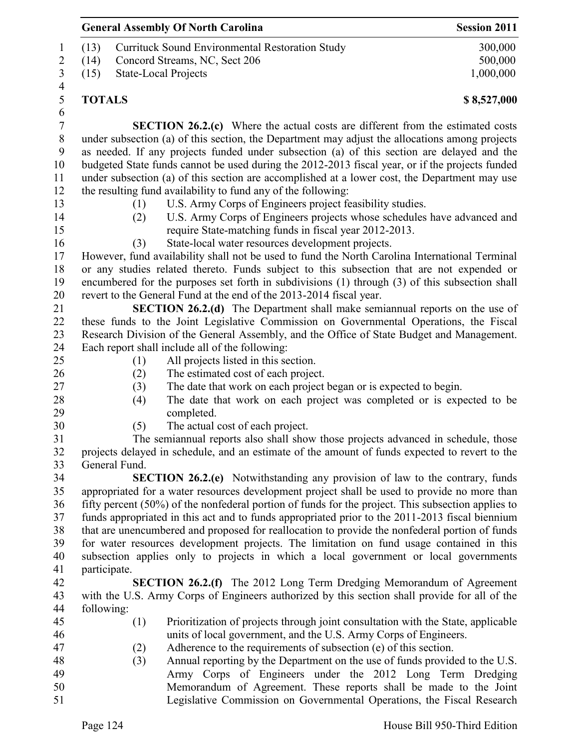|               | <b>General Assembly Of North Carolina</b>                                                          | <b>Session 2011</b> |
|---------------|----------------------------------------------------------------------------------------------------|---------------------|
| (13)          | <b>Currituck Sound Environmental Restoration Study</b>                                             | 300,000             |
| (14)          | Concord Streams, NC, Sect 206                                                                      | 500,000             |
| (15)          | <b>State-Local Projects</b>                                                                        | 1,000,000           |
|               |                                                                                                    |                     |
| <b>TOTALS</b> |                                                                                                    | \$8,527,000         |
|               | <b>SECTION 26.2.(c)</b> Where the actual costs are different from the estimated costs              |                     |
|               | under subsection (a) of this section, the Department may adjust the allocations among projects     |                     |
|               | as needed. If any projects funded under subsection (a) of this section are delayed and the         |                     |
|               | budgeted State funds cannot be used during the 2012-2013 fiscal year, or if the projects funded    |                     |
|               | under subsection (a) of this section are accomplished at a lower cost, the Department may use      |                     |
|               | the resulting fund availability to fund any of the following:                                      |                     |
|               | U.S. Army Corps of Engineers project feasibility studies.<br>(1)                                   |                     |
| (2)           | U.S. Army Corps of Engineers projects whose schedules have advanced and                            |                     |
|               | require State-matching funds in fiscal year 2012-2013.                                             |                     |
| (3)           | State-local water resources development projects.                                                  |                     |
|               | However, fund availability shall not be used to fund the North Carolina International Terminal     |                     |
|               | or any studies related thereto. Funds subject to this subsection that are not expended or          |                     |
|               | encumbered for the purposes set forth in subdivisions (1) through (3) of this subsection shall     |                     |
|               | revert to the General Fund at the end of the 2013-2014 fiscal year.                                |                     |
|               | <b>SECTION 26.2.(d)</b> The Department shall make semiannual reports on the use of                 |                     |
|               | these funds to the Joint Legislative Commission on Governmental Operations, the Fiscal             |                     |
|               | Research Division of the General Assembly, and the Office of State Budget and Management.          |                     |
|               | Each report shall include all of the following:                                                    |                     |
| (1)           | All projects listed in this section.                                                               |                     |
| (2)           | The estimated cost of each project.                                                                |                     |
| (3)           | The date that work on each project began or is expected to begin.                                  |                     |
| (4)           | The date that work on each project was completed or is expected to be                              |                     |
|               | completed.                                                                                         |                     |
| (5)           | The actual cost of each project.                                                                   |                     |
|               | The semiannual reports also shall show those projects advanced in schedule, those                  |                     |
|               | projects delayed in schedule, and an estimate of the amount of funds expected to revert to the     |                     |
| General Fund. |                                                                                                    |                     |
|               | <b>SECTION 26.2.(e)</b> Notwithstanding any provision of law to the contrary, funds                |                     |
|               | appropriated for a water resources development project shall be used to provide no more than       |                     |
|               | fifty percent (50%) of the nonfederal portion of funds for the project. This subsection applies to |                     |
|               | funds appropriated in this act and to funds appropriated prior to the 2011-2013 fiscal biennium    |                     |
|               | that are unencumbered and proposed for reallocation to provide the nonfederal portion of funds     |                     |
|               | for water resources development projects. The limitation on fund usage contained in this           |                     |
|               | subsection applies only to projects in which a local government or local governments               |                     |
| participate.  |                                                                                                    |                     |
|               | <b>SECTION 26.2.(f)</b> The 2012 Long Term Dredging Memorandum of Agreement                        |                     |
|               | with the U.S. Army Corps of Engineers authorized by this section shall provide for all of the      |                     |
| following:    |                                                                                                    |                     |
| (1)           | Prioritization of projects through joint consultation with the State, applicable                   |                     |
|               | units of local government, and the U.S. Army Corps of Engineers.                                   |                     |
| (2)           | Adherence to the requirements of subsection $(e)$ of this section.                                 |                     |
| (3)           | Annual reporting by the Department on the use of funds provided to the U.S.                        |                     |
|               | Army Corps of Engineers under the 2012 Long Term Dredging                                          |                     |
|               | Memorandum of Agreement. These reports shall be made to the Joint                                  |                     |
|               | Legislative Commission on Governmental Operations, the Fiscal Research                             |                     |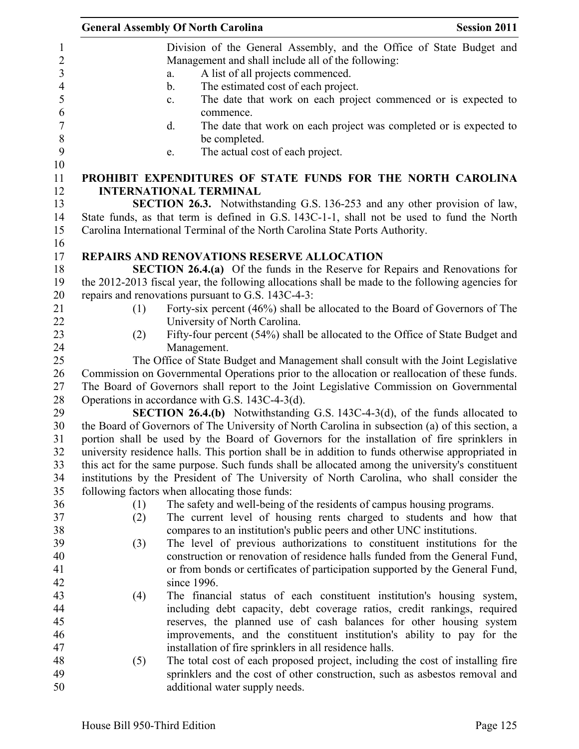|                                                                                                                   |     | <b>General Assembly Of North Carolina</b>                                                                                                                                                                                                                                                                                                                                                          | <b>Session 2011</b> |
|-------------------------------------------------------------------------------------------------------------------|-----|----------------------------------------------------------------------------------------------------------------------------------------------------------------------------------------------------------------------------------------------------------------------------------------------------------------------------------------------------------------------------------------------------|---------------------|
| $\mathbf{1}$<br>$\overline{2}$<br>$\overline{\mathbf{3}}$<br>$\overline{\mathcal{A}}$<br>5<br>6<br>$\overline{7}$ |     | Division of the General Assembly, and the Office of State Budget and<br>Management and shall include all of the following:<br>A list of all projects commenced.<br>a.<br>The estimated cost of each project.<br>b.<br>The date that work on each project commenced or is expected to<br>$\mathbf{c}$ .<br>commence.<br>$d$ .<br>The date that work on each project was completed or is expected to |                     |
| $\,8\,$<br>9<br>10                                                                                                |     | be completed.<br>The actual cost of each project.<br>e.                                                                                                                                                                                                                                                                                                                                            |                     |
| 11                                                                                                                |     | PROHIBIT EXPENDITURES OF STATE FUNDS FOR THE NORTH CAROLINA                                                                                                                                                                                                                                                                                                                                        |                     |
| 12                                                                                                                |     | <b>INTERNATIONAL TERMINAL</b>                                                                                                                                                                                                                                                                                                                                                                      |                     |
| 13                                                                                                                |     | <b>SECTION 26.3.</b> Notwithstanding G.S. 136-253 and any other provision of law,                                                                                                                                                                                                                                                                                                                  |                     |
| 14                                                                                                                |     | State funds, as that term is defined in G.S. 143C-1-1, shall not be used to fund the North                                                                                                                                                                                                                                                                                                         |                     |
| 15                                                                                                                |     | Carolina International Terminal of the North Carolina State Ports Authority.                                                                                                                                                                                                                                                                                                                       |                     |
| 16                                                                                                                |     |                                                                                                                                                                                                                                                                                                                                                                                                    |                     |
| 17                                                                                                                |     | <b>REPAIRS AND RENOVATIONS RESERVE ALLOCATION</b>                                                                                                                                                                                                                                                                                                                                                  |                     |
| 18                                                                                                                |     | <b>SECTION 26.4.(a)</b> Of the funds in the Reserve for Repairs and Renovations for                                                                                                                                                                                                                                                                                                                |                     |
| 19                                                                                                                |     | the 2012-2013 fiscal year, the following allocations shall be made to the following agencies for                                                                                                                                                                                                                                                                                                   |                     |
| 20                                                                                                                |     | repairs and renovations pursuant to G.S. 143C-4-3:                                                                                                                                                                                                                                                                                                                                                 |                     |
| 21<br>22                                                                                                          | (1) | Forty-six percent (46%) shall be allocated to the Board of Governors of The<br>University of North Carolina.                                                                                                                                                                                                                                                                                       |                     |
| 23                                                                                                                | (2) | Fifty-four percent (54%) shall be allocated to the Office of State Budget and                                                                                                                                                                                                                                                                                                                      |                     |
| 24                                                                                                                |     | Management.                                                                                                                                                                                                                                                                                                                                                                                        |                     |
| 25                                                                                                                |     | The Office of State Budget and Management shall consult with the Joint Legislative                                                                                                                                                                                                                                                                                                                 |                     |
| 26<br>27                                                                                                          |     | Commission on Governmental Operations prior to the allocation or reallocation of these funds.<br>The Board of Governors shall report to the Joint Legislative Commission on Governmental                                                                                                                                                                                                           |                     |
| 28                                                                                                                |     | Operations in accordance with G.S. 143C-4-3(d).                                                                                                                                                                                                                                                                                                                                                    |                     |
| 29                                                                                                                |     | SECTION 26.4.(b) Notwithstanding G.S. 143C-4-3(d), of the funds allocated to                                                                                                                                                                                                                                                                                                                       |                     |
| 30                                                                                                                |     | the Board of Governors of The University of North Carolina in subsection (a) of this section, a                                                                                                                                                                                                                                                                                                    |                     |
| 31                                                                                                                |     | portion shall be used by the Board of Governors for the installation of fire sprinklers in                                                                                                                                                                                                                                                                                                         |                     |
| 32                                                                                                                |     | university residence halls. This portion shall be in addition to funds otherwise appropriated in                                                                                                                                                                                                                                                                                                   |                     |
| 33                                                                                                                |     | this act for the same purpose. Such funds shall be allocated among the university's constituent                                                                                                                                                                                                                                                                                                    |                     |
| 34<br>35                                                                                                          |     | institutions by the President of The University of North Carolina, who shall consider the<br>following factors when allocating those funds:                                                                                                                                                                                                                                                        |                     |
| 36                                                                                                                | (1) | The safety and well-being of the residents of campus housing programs.                                                                                                                                                                                                                                                                                                                             |                     |
| 37                                                                                                                | (2) | The current level of housing rents charged to students and how that                                                                                                                                                                                                                                                                                                                                |                     |
| 38                                                                                                                |     | compares to an institution's public peers and other UNC institutions.                                                                                                                                                                                                                                                                                                                              |                     |
| 39                                                                                                                | (3) | The level of previous authorizations to constituent institutions for the                                                                                                                                                                                                                                                                                                                           |                     |
| 40                                                                                                                |     | construction or renovation of residence halls funded from the General Fund,                                                                                                                                                                                                                                                                                                                        |                     |
| 41                                                                                                                |     | or from bonds or certificates of participation supported by the General Fund,                                                                                                                                                                                                                                                                                                                      |                     |
| 42                                                                                                                |     | since 1996.                                                                                                                                                                                                                                                                                                                                                                                        |                     |
| 43                                                                                                                | (4) | The financial status of each constituent institution's housing system,                                                                                                                                                                                                                                                                                                                             |                     |
| 44                                                                                                                |     | including debt capacity, debt coverage ratios, credit rankings, required                                                                                                                                                                                                                                                                                                                           |                     |
| 45                                                                                                                |     | reserves, the planned use of cash balances for other housing system                                                                                                                                                                                                                                                                                                                                |                     |
| 46                                                                                                                |     | improvements, and the constituent institution's ability to pay for the                                                                                                                                                                                                                                                                                                                             |                     |
| 47                                                                                                                |     | installation of fire sprinklers in all residence halls.                                                                                                                                                                                                                                                                                                                                            |                     |
| 48                                                                                                                | (5) | The total cost of each proposed project, including the cost of installing fire                                                                                                                                                                                                                                                                                                                     |                     |
| 49<br>50                                                                                                          |     | sprinklers and the cost of other construction, such as asbestos removal and<br>additional water supply needs.                                                                                                                                                                                                                                                                                      |                     |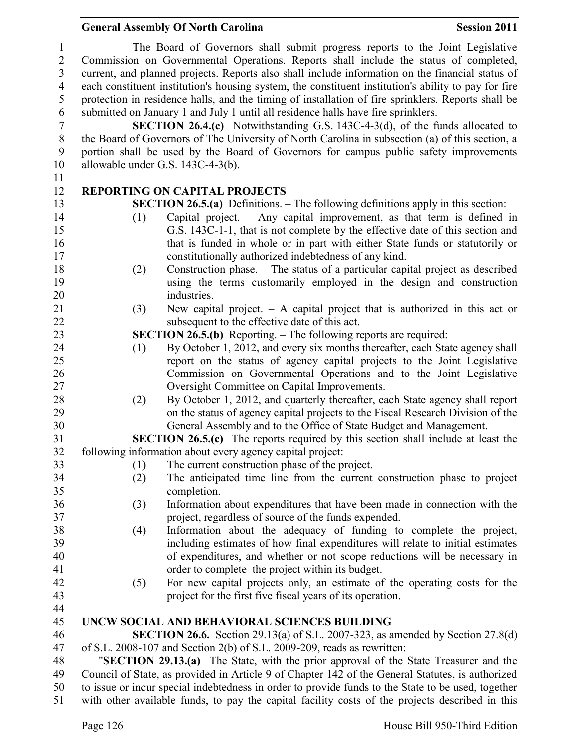| $\mathbf{1}$     |                                                                                                                                                                                                        | The Board of Governors shall submit progress reports to the Joint Legislative                      |  |  |
|------------------|--------------------------------------------------------------------------------------------------------------------------------------------------------------------------------------------------------|----------------------------------------------------------------------------------------------------|--|--|
| $\overline{2}$   | Commission on Governmental Operations. Reports shall include the status of completed,                                                                                                                  |                                                                                                    |  |  |
| $\overline{3}$   | current, and planned projects. Reports also shall include information on the financial status of                                                                                                       |                                                                                                    |  |  |
| $\overline{4}$   | each constituent institution's housing system, the constituent institution's ability to pay for fire                                                                                                   |                                                                                                    |  |  |
| 5                |                                                                                                                                                                                                        | protection in residence halls, and the timing of installation of fire sprinklers. Reports shall be |  |  |
| 6                |                                                                                                                                                                                                        | submitted on January 1 and July 1 until all residence halls have fire sprinklers.                  |  |  |
| $\boldsymbol{7}$ | <b>SECTION 26.4.(c)</b> Notwithstanding G.S. 143C-4-3(d), of the funds allocated to                                                                                                                    |                                                                                                    |  |  |
| $\,8\,$          | the Board of Governors of The University of North Carolina in subsection (a) of this section, a                                                                                                        |                                                                                                    |  |  |
| $\boldsymbol{9}$ | portion shall be used by the Board of Governors for campus public safety improvements                                                                                                                  |                                                                                                    |  |  |
| 10               |                                                                                                                                                                                                        | allowable under G.S. 143C-4-3(b).                                                                  |  |  |
| 11               |                                                                                                                                                                                                        |                                                                                                    |  |  |
| 12               |                                                                                                                                                                                                        | <b>REPORTING ON CAPITAL PROJECTS</b>                                                               |  |  |
| 13               |                                                                                                                                                                                                        | <b>SECTION 26.5.(a)</b> Definitions. $-$ The following definitions apply in this section:          |  |  |
| 14               | (1)                                                                                                                                                                                                    | Capital project. - Any capital improvement, as that term is defined in                             |  |  |
| 15               |                                                                                                                                                                                                        | G.S. 143C-1-1, that is not complete by the effective date of this section and                      |  |  |
| 16               |                                                                                                                                                                                                        | that is funded in whole or in part with either State funds or statutorily or                       |  |  |
| 17               |                                                                                                                                                                                                        | constitutionally authorized indebtedness of any kind.                                              |  |  |
| 18               | (2)                                                                                                                                                                                                    | Construction phase. – The status of a particular capital project as described                      |  |  |
| 19               |                                                                                                                                                                                                        | using the terms customarily employed in the design and construction                                |  |  |
| 20               |                                                                                                                                                                                                        | industries.                                                                                        |  |  |
| 21               | (3)                                                                                                                                                                                                    | New capital project. $-$ A capital project that is authorized in this act or                       |  |  |
| 22               |                                                                                                                                                                                                        | subsequent to the effective date of this act.                                                      |  |  |
| 23               | <b>SECTION 26.5.(b)</b> Reporting. – The following reports are required:                                                                                                                               |                                                                                                    |  |  |
| 24               | (1)                                                                                                                                                                                                    | By October 1, 2012, and every six months thereafter, each State agency shall                       |  |  |
| 25               |                                                                                                                                                                                                        | report on the status of agency capital projects to the Joint Legislative                           |  |  |
| 26               |                                                                                                                                                                                                        | Commission on Governmental Operations and to the Joint Legislative                                 |  |  |
| 27               |                                                                                                                                                                                                        | Oversight Committee on Capital Improvements.                                                       |  |  |
| 28               | (2)                                                                                                                                                                                                    | By October 1, 2012, and quarterly thereafter, each State agency shall report                       |  |  |
| 29               |                                                                                                                                                                                                        | on the status of agency capital projects to the Fiscal Research Division of the                    |  |  |
| 30               |                                                                                                                                                                                                        | General Assembly and to the Office of State Budget and Management.                                 |  |  |
| 31               |                                                                                                                                                                                                        | <b>SECTION 26.5.(c)</b> The reports required by this section shall include at least the            |  |  |
| 32               |                                                                                                                                                                                                        | following information about every agency capital project:                                          |  |  |
| 33               | (1)                                                                                                                                                                                                    | The current construction phase of the project.                                                     |  |  |
| 34               | (2)                                                                                                                                                                                                    | The anticipated time line from the current construction phase to project                           |  |  |
| 35               |                                                                                                                                                                                                        | completion.                                                                                        |  |  |
| 36               | (3)                                                                                                                                                                                                    | Information about expenditures that have been made in connection with the                          |  |  |
| 37               |                                                                                                                                                                                                        | project, regardless of source of the funds expended.                                               |  |  |
| 38               | (4)                                                                                                                                                                                                    | Information about the adequacy of funding to complete the project,                                 |  |  |
| 39               |                                                                                                                                                                                                        | including estimates of how final expenditures will relate to initial estimates                     |  |  |
| 40               |                                                                                                                                                                                                        | of expenditures, and whether or not scope reductions will be necessary in                          |  |  |
| 41               |                                                                                                                                                                                                        | order to complete the project within its budget.                                                   |  |  |
| 42               | (5)                                                                                                                                                                                                    | For new capital projects only, an estimate of the operating costs for the                          |  |  |
| 43               |                                                                                                                                                                                                        | project for the first five fiscal years of its operation.                                          |  |  |
| 44               |                                                                                                                                                                                                        |                                                                                                    |  |  |
| 45               |                                                                                                                                                                                                        | UNCW SOCIAL AND BEHAVIORAL SCIENCES BUILDING                                                       |  |  |
| 46               | <b>SECTION 26.6.</b> Section 29.13(a) of S.L. 2007-323, as amended by Section 27.8(d)                                                                                                                  |                                                                                                    |  |  |
| 47               | of S.L. 2008-107 and Section $2(b)$ of S.L. 2009-209, reads as rewritten:                                                                                                                              |                                                                                                    |  |  |
| 48               | "SECTION 29.13.(a) The State, with the prior approval of the State Treasurer and the                                                                                                                   |                                                                                                    |  |  |
| 49               | Council of State, as provided in Article 9 of Chapter 142 of the General Statutes, is authorized<br>to issue or incur special indebtedness in order to provide funds to the State to be used, together |                                                                                                    |  |  |
| 50               |                                                                                                                                                                                                        | with other available funds, to pay the capital facility costs of the projects described in this    |  |  |
| 51               |                                                                                                                                                                                                        |                                                                                                    |  |  |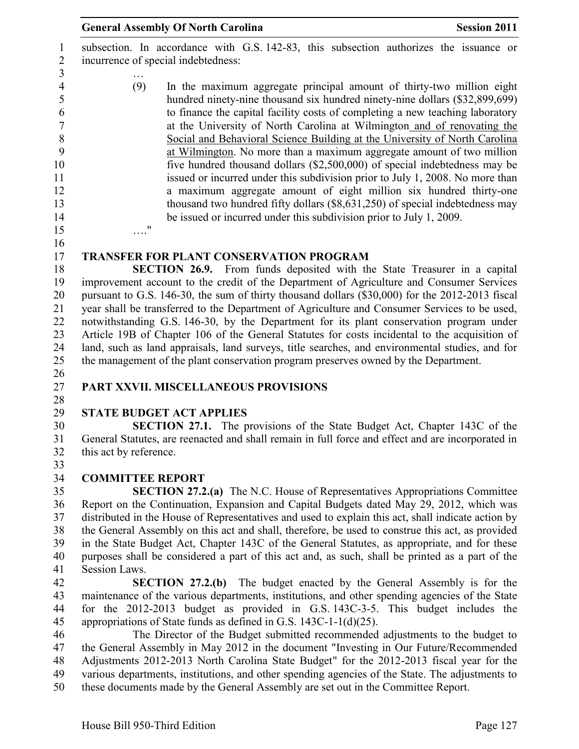|                                                                                                | <b>Session 2011</b><br><b>General Assembly Of North Carolina</b>                                                                                                                                                                                                                                                                                                                                                                                                                                                                                                                                                                                                                                                                                                                                                                                                                 |
|------------------------------------------------------------------------------------------------|----------------------------------------------------------------------------------------------------------------------------------------------------------------------------------------------------------------------------------------------------------------------------------------------------------------------------------------------------------------------------------------------------------------------------------------------------------------------------------------------------------------------------------------------------------------------------------------------------------------------------------------------------------------------------------------------------------------------------------------------------------------------------------------------------------------------------------------------------------------------------------|
| $\mathbf{1}$<br>$\overline{2}$<br>$\overline{\mathbf{3}}$                                      | subsection. In accordance with G.S. 142-83, this subsection authorizes the issuance or<br>incurrence of special indebtedness:                                                                                                                                                                                                                                                                                                                                                                                                                                                                                                                                                                                                                                                                                                                                                    |
| $\overline{4}$<br>5<br>6<br>$\overline{7}$<br>8<br>9<br>10<br>11<br>12<br>13<br>14<br>15<br>16 | (9)<br>In the maximum aggregate principal amount of thirty-two million eight<br>hundred ninety-nine thousand six hundred ninety-nine dollars (\$32,899,699)<br>to finance the capital facility costs of completing a new teaching laboratory<br>at the University of North Carolina at Wilmington and of renovating the<br>Social and Behavioral Science Building at the University of North Carolina<br>at Wilmington. No more than a maximum aggregate amount of two million<br>five hundred thousand dollars (\$2,500,000) of special indebtedness may be<br>issued or incurred under this subdivision prior to July 1, 2008. No more than<br>a maximum aggregate amount of eight million six hundred thirty-one<br>thousand two hundred fifty dollars (\$8,631,250) of special indebtedness may<br>be issued or incurred under this subdivision prior to July 1, 2009.<br>11 |
| 17                                                                                             | <b>TRANSFER FOR PLANT CONSERVATION PROGRAM</b>                                                                                                                                                                                                                                                                                                                                                                                                                                                                                                                                                                                                                                                                                                                                                                                                                                   |
| 18<br>19<br>20<br>21<br>22<br>23<br>24<br>25<br>26                                             | <b>SECTION 26.9.</b> From funds deposited with the State Treasurer in a capital<br>improvement account to the credit of the Department of Agriculture and Consumer Services<br>pursuant to G.S. 146-30, the sum of thirty thousand dollars (\$30,000) for the 2012-2013 fiscal<br>year shall be transferred to the Department of Agriculture and Consumer Services to be used,<br>notwithstanding G.S. 146-30, by the Department for its plant conservation program under<br>Article 19B of Chapter 106 of the General Statutes for costs incidental to the acquisition of<br>land, such as land appraisals, land surveys, title searches, and environmental studies, and for<br>the management of the plant conservation program preserves owned by the Department.                                                                                                             |
| 27                                                                                             | PART XXVII. MISCELLANEOUS PROVISIONS                                                                                                                                                                                                                                                                                                                                                                                                                                                                                                                                                                                                                                                                                                                                                                                                                                             |
| 28                                                                                             |                                                                                                                                                                                                                                                                                                                                                                                                                                                                                                                                                                                                                                                                                                                                                                                                                                                                                  |
| 29<br>30<br>31<br>32<br>33                                                                     | <b>STATE BUDGET ACT APPLIES</b><br>SECTION 27.1. The provisions of the State Budget Act, Chapter 143C of the<br>General Statutes, are reenacted and shall remain in full force and effect and are incorporated in<br>this act by reference.                                                                                                                                                                                                                                                                                                                                                                                                                                                                                                                                                                                                                                      |
| 34                                                                                             | <b>COMMITTEE REPORT</b>                                                                                                                                                                                                                                                                                                                                                                                                                                                                                                                                                                                                                                                                                                                                                                                                                                                          |
| 35<br>36<br>37<br>38<br>39<br>40                                                               | <b>SECTION 27.2.(a)</b> The N.C. House of Representatives Appropriations Committee<br>Report on the Continuation, Expansion and Capital Budgets dated May 29, 2012, which was<br>distributed in the House of Representatives and used to explain this act, shall indicate action by<br>the General Assembly on this act and shall, therefore, be used to construe this act, as provided<br>in the State Budget Act, Chapter 143C of the General Statutes, as appropriate, and for these<br>purposes shall be considered a part of this act and, as such, shall be printed as a part of the                                                                                                                                                                                                                                                                                       |
| 41<br>42<br>43                                                                                 | Session Laws.<br><b>SECTION 27.2.(b)</b> The budget enacted by the General Assembly is for the<br>maintenance of the various departments, institutions, and other spending agencies of the State                                                                                                                                                                                                                                                                                                                                                                                                                                                                                                                                                                                                                                                                                 |
| 44<br>45                                                                                       | for the 2012-2013 budget as provided in G.S. 143C-3-5. This budget includes the<br>appropriations of State funds as defined in G.S. $143C-1-1(d)(25)$ .                                                                                                                                                                                                                                                                                                                                                                                                                                                                                                                                                                                                                                                                                                                          |
| 46                                                                                             | The Director of the Budget submitted recommended adjustments to the budget to                                                                                                                                                                                                                                                                                                                                                                                                                                                                                                                                                                                                                                                                                                                                                                                                    |
| 47                                                                                             | the General Assembly in May 2012 in the document "Investing in Our Future/Recommended                                                                                                                                                                                                                                                                                                                                                                                                                                                                                                                                                                                                                                                                                                                                                                                            |
| 48                                                                                             | Adjustments 2012-2013 North Carolina State Budget" for the 2012-2013 fiscal year for the                                                                                                                                                                                                                                                                                                                                                                                                                                                                                                                                                                                                                                                                                                                                                                                         |
| 49<br>50                                                                                       | various departments, institutions, and other spending agencies of the State. The adjustments to<br>these documents made by the General Assembly are set out in the Committee Report.                                                                                                                                                                                                                                                                                                                                                                                                                                                                                                                                                                                                                                                                                             |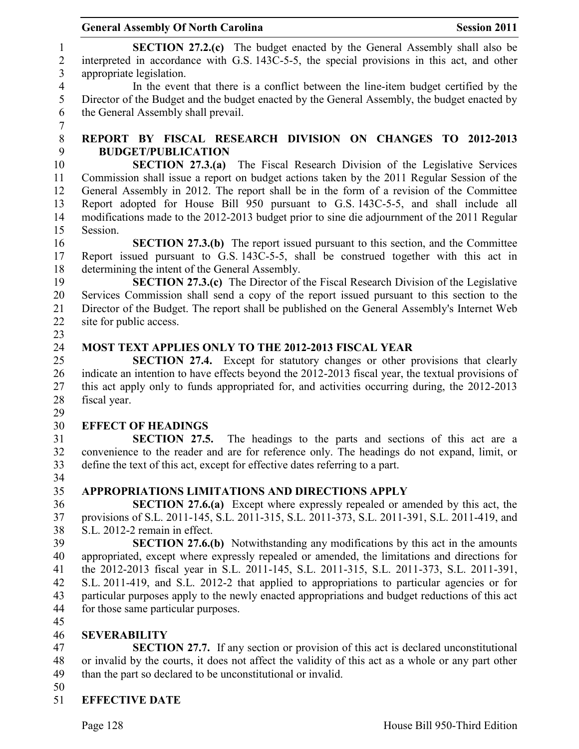General Assembly Of North Carolina **Session 2011 SECTION 27.2.(c)** The budget enacted by the General Assembly shall also be interpreted in accordance with G.S. 143C-5-5, the special provisions in this act, and other appropriate legislation. In the event that there is a conflict between the line-item budget certified by the Director of the Budget and the budget enacted by the General Assembly, the budget enacted by the General Assembly shall prevail. **REPORT BY FISCAL RESEARCH DIVISION ON CHANGES TO 2012-2013 BUDGET/PUBLICATION**<br>10 **SECTION** 27.3.(a) **SECTION 27.3.(a)** The Fiscal Research Division of the Legislative Services Commission shall issue a report on budget actions taken by the 2011 Regular Session of the General Assembly in 2012. The report shall be in the form of a revision of the Committee Report adopted for House Bill 950 pursuant to G.S. 143C-5-5, and shall include all modifications made to the 2012-2013 budget prior to sine die adjournment of the 2011 Regular Session. **SECTION 27.3.(b)** The report issued pursuant to this section, and the Committee Report issued pursuant to G.S. 143C-5-5, shall be construed together with this act in determining the intent of the General Assembly. **SECTION 27.3.(c)** The Director of the Fiscal Research Division of the Legislative Services Commission shall send a copy of the report issued pursuant to this section to the Director of the Budget. The report shall be published on the General Assembly's Internet Web site for public access. **MOST TEXT APPLIES ONLY TO THE 2012-2013 FISCAL YEAR SECTION 27.4.** Except for statutory changes or other provisions that clearly indicate an intention to have effects beyond the 2012-2013 fiscal year, the textual provisions of this act apply only to funds appropriated for, and activities occurring during, the 2012-2013 fiscal year. **EFFECT OF HEADINGS SECTION 27.5.** The headings to the parts and sections of this act are a convenience to the reader and are for reference only. The headings do not expand, limit, or define the text of this act, except for effective dates referring to a part. **APPROPRIATIONS LIMITATIONS AND DIRECTIONS APPLY SECTION 27.6.(a)** Except where expressly repealed or amended by this act, the provisions of S.L. 2011-145, S.L. 2011-315, S.L. 2011-373, S.L. 2011-391, S.L. 2011-419, and S.L. 2012-2 remain in effect. **SECTION 27.6.(b)** Notwithstanding any modifications by this act in the amounts appropriated, except where expressly repealed or amended, the limitations and directions for the 2012-2013 fiscal year in S.L. 2011-145, S.L. 2011-315, S.L. 2011-373, S.L. 2011-391, S.L. 2011-419, and S.L. 2012-2 that applied to appropriations to particular agencies or for particular purposes apply to the newly enacted appropriations and budget reductions of this act for those same particular purposes. **SEVERABILITY SECTION 27.7.** If any section or provision of this act is declared unconstitutional or invalid by the courts, it does not affect the validity of this act as a whole or any part other than the part so declared to be unconstitutional or invalid. 

**EFFECTIVE DATE**